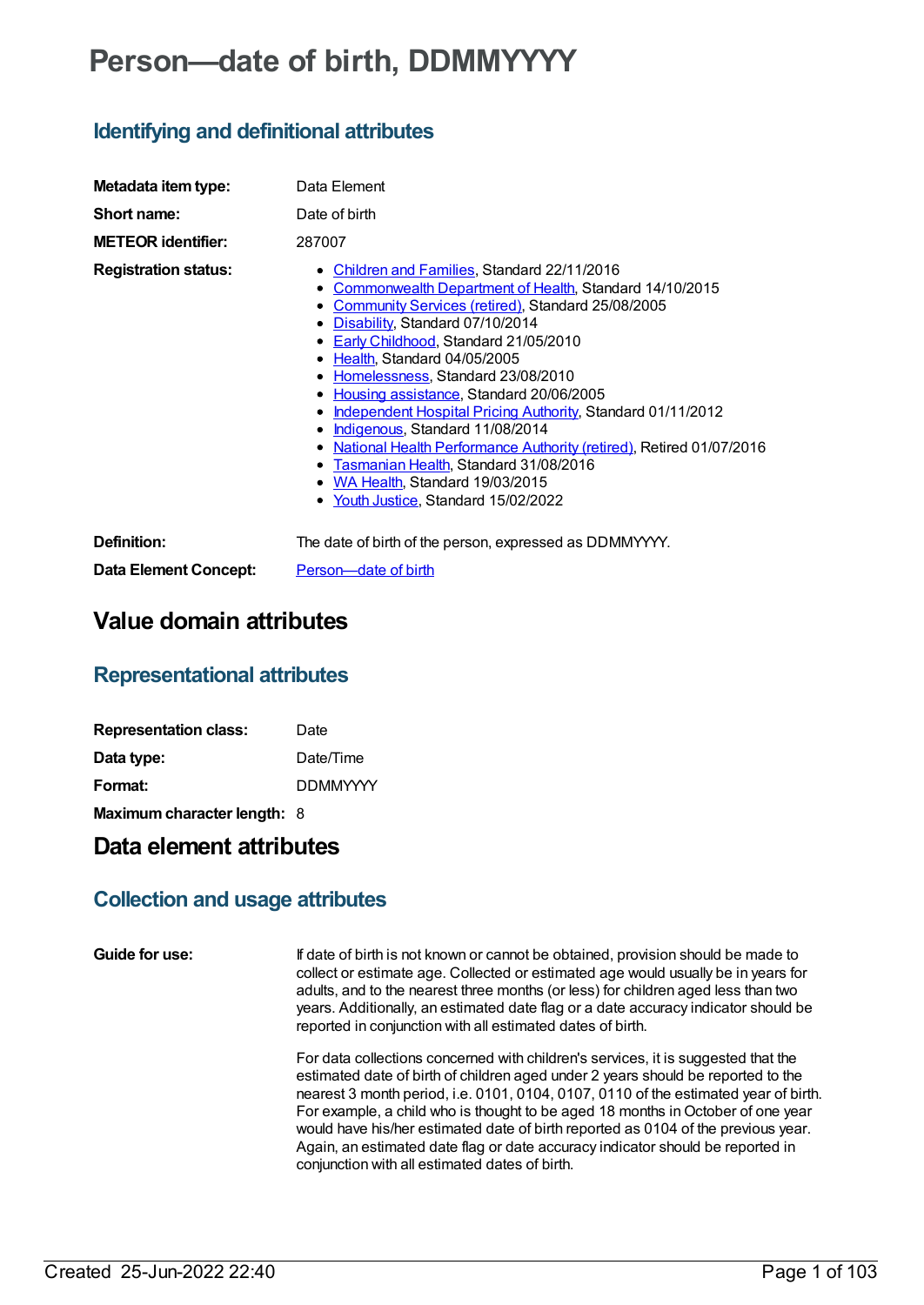# **Person—date of birth, DDMMYYYY**

## **Identifying and definitional attributes**

| Metadata item type:          | Data Element                                                                                                                                                                                                                                                                                                                                                                                                                                                                                                                                                                                                                                                              |
|------------------------------|---------------------------------------------------------------------------------------------------------------------------------------------------------------------------------------------------------------------------------------------------------------------------------------------------------------------------------------------------------------------------------------------------------------------------------------------------------------------------------------------------------------------------------------------------------------------------------------------------------------------------------------------------------------------------|
| Short name:                  | Date of birth                                                                                                                                                                                                                                                                                                                                                                                                                                                                                                                                                                                                                                                             |
| <b>METEOR identifier:</b>    | 287007                                                                                                                                                                                                                                                                                                                                                                                                                                                                                                                                                                                                                                                                    |
| <b>Registration status:</b>  | • Children and Families, Standard 22/11/2016<br>• Commonwealth Department of Health, Standard 14/10/2015<br>• Community Services (retired), Standard 25/08/2005<br>• Disability, Standard 07/10/2014<br>• Early Childhood, Standard 21/05/2010<br>• Health, Standard 04/05/2005<br>• Homelessness, Standard 23/08/2010<br>• Housing assistance, Standard 20/06/2005<br>• Independent Hospital Pricing Authority, Standard 01/11/2012<br>• Indigenous, Standard 11/08/2014<br>• National Health Performance Authority (retired), Retired 01/07/2016<br>• Tasmanian Health, Standard 31/08/2016<br>• WA Health, Standard 19/03/2015<br>• Youth Justice, Standard 15/02/2022 |
| Definition:                  | The date of birth of the person, expressed as DDMMYYYY.                                                                                                                                                                                                                                                                                                                                                                                                                                                                                                                                                                                                                   |
| <b>Data Element Concept:</b> | Person-date of birth                                                                                                                                                                                                                                                                                                                                                                                                                                                                                                                                                                                                                                                      |

## **Value domain attributes**

### **Representational attributes**

| <b>Representation class:</b> | Date            |
|------------------------------|-----------------|
| Data type:                   | Date/Time       |
| Format:                      | <b>DDMMYYYY</b> |
| Maximum character length: 8  |                 |

## **Data element attributes**

### **Collection and usage attributes**

```
Guide for use: If date of birth is not known or cannot be obtained, provision should be made to
                   collect or estimate age. Collected or estimated age would usually be in years for
                   adults, and to the nearest three months (or less) for children aged less than two
                   years. Additionally, an estimated date flag or a date accuracy indicator should be
                   reported in conjunction with all estimated dates of birth.
```
For data collections concerned with children's services, it is suggested that the estimated date of birth of children aged under 2 years should be reported to the nearest 3 month period, i.e. 0101, 0104, 0107, 0110 of the estimated year of birth. For example, a child who is thought to be aged 18 months in October of one year would have his/her estimated date of birth reported as 0104 of the previous year. Again, an estimated date flag or date accuracy indicator should be reported in conjunction with all estimated dates of birth.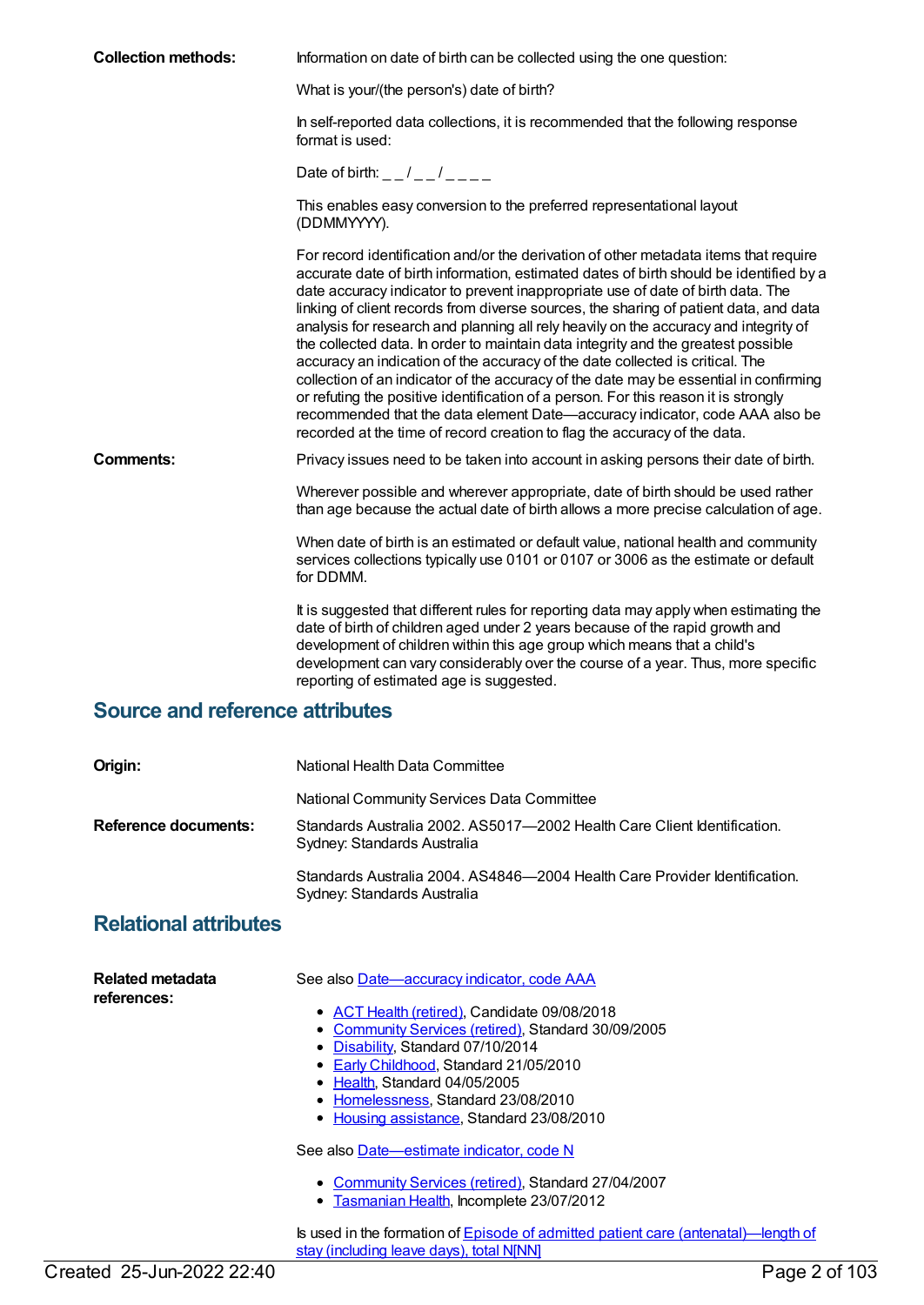| <b>Collection methods:</b>             | Information on date of birth can be collected using the one question:                                                                                                                                                                                                                                                                                                                                                                                                                                                                                                                                                                                                                                                                                                                                                                                                                                                                                                |
|----------------------------------------|----------------------------------------------------------------------------------------------------------------------------------------------------------------------------------------------------------------------------------------------------------------------------------------------------------------------------------------------------------------------------------------------------------------------------------------------------------------------------------------------------------------------------------------------------------------------------------------------------------------------------------------------------------------------------------------------------------------------------------------------------------------------------------------------------------------------------------------------------------------------------------------------------------------------------------------------------------------------|
|                                        | What is your/(the person's) date of birth?                                                                                                                                                                                                                                                                                                                                                                                                                                                                                                                                                                                                                                                                                                                                                                                                                                                                                                                           |
|                                        | In self-reported data collections, it is recommended that the following response<br>format is used:                                                                                                                                                                                                                                                                                                                                                                                                                                                                                                                                                                                                                                                                                                                                                                                                                                                                  |
|                                        | Date of birth: $-$ / $-$ / $  -$                                                                                                                                                                                                                                                                                                                                                                                                                                                                                                                                                                                                                                                                                                                                                                                                                                                                                                                                     |
|                                        | This enables easy conversion to the preferred representational layout<br>(DDMMYYYY).                                                                                                                                                                                                                                                                                                                                                                                                                                                                                                                                                                                                                                                                                                                                                                                                                                                                                 |
|                                        | For record identification and/or the derivation of other metadata items that require<br>accurate date of birth information, estimated dates of birth should be identified by a<br>date accuracy indicator to prevent inappropriate use of date of birth data. The<br>linking of client records from diverse sources, the sharing of patient data, and data<br>analysis for research and planning all rely heavily on the accuracy and integrity of<br>the collected data. In order to maintain data integrity and the greatest possible<br>accuracy an indication of the accuracy of the date collected is critical. The<br>collection of an indicator of the accuracy of the date may be essential in confirming<br>or refuting the positive identification of a person. For this reason it is strongly<br>recommended that the data element Date-accuracy indicator, code AAA also be<br>recorded at the time of record creation to flag the accuracy of the data. |
| <b>Comments:</b>                       | Privacy issues need to be taken into account in asking persons their date of birth.                                                                                                                                                                                                                                                                                                                                                                                                                                                                                                                                                                                                                                                                                                                                                                                                                                                                                  |
|                                        | Wherever possible and wherever appropriate, date of birth should be used rather<br>than age because the actual date of birth allows a more precise calculation of age.                                                                                                                                                                                                                                                                                                                                                                                                                                                                                                                                                                                                                                                                                                                                                                                               |
|                                        | When date of birth is an estimated or default value, national health and community<br>services collections typically use 0101 or 0107 or 3006 as the estimate or default<br>for DDMM.                                                                                                                                                                                                                                                                                                                                                                                                                                                                                                                                                                                                                                                                                                                                                                                |
|                                        | It is suggested that different rules for reporting data may apply when estimating the<br>date of birth of children aged under 2 years because of the rapid growth and<br>development of children within this age group which means that a child's<br>development can vary considerably over the course of a year. Thus, more specific<br>reporting of estimated age is suggested.                                                                                                                                                                                                                                                                                                                                                                                                                                                                                                                                                                                    |
| <b>Source and reference attributes</b> |                                                                                                                                                                                                                                                                                                                                                                                                                                                                                                                                                                                                                                                                                                                                                                                                                                                                                                                                                                      |
| Origin:                                | National Health Data Committee                                                                                                                                                                                                                                                                                                                                                                                                                                                                                                                                                                                                                                                                                                                                                                                                                                                                                                                                       |
|                                        | National Community Services Data Committee                                                                                                                                                                                                                                                                                                                                                                                                                                                                                                                                                                                                                                                                                                                                                                                                                                                                                                                           |
| <b>Reference documents:</b>            | Standards Australia 2002, AS5017—2002 Health Care Client Identification.<br>Sydney: Standards Australia                                                                                                                                                                                                                                                                                                                                                                                                                                                                                                                                                                                                                                                                                                                                                                                                                                                              |

Standards Australia 2004. AS4846—2004 Health Care Provider Identification.

#### **Relational attributes**

| Related metadata<br>references: | See also Date—accuracy indicator, code AAA                                                                                                                                                                                                                                                              |
|---------------------------------|---------------------------------------------------------------------------------------------------------------------------------------------------------------------------------------------------------------------------------------------------------------------------------------------------------|
|                                 | • ACT Health (retired), Candidate 09/08/2018<br>• Community Services (retired), Standard 30/09/2005<br>• Disability, Standard 07/10/2014<br>• Early Childhood, Standard 21/05/2010<br>• Health, Standard 04/05/2005<br>• Homelessness, Standard 23/08/2010<br>• Housing assistance, Standard 23/08/2010 |
|                                 | See also Date-estimate indicator, code N                                                                                                                                                                                                                                                                |
|                                 | • Community Services (retired), Standard 27/04/2007<br>• Tasmanian Health, Incomplete 23/07/2012                                                                                                                                                                                                        |
|                                 | Is used in the formation of Episode of admitted patient care (antenatal)—length of<br>stay (including leave days), total N[NN]                                                                                                                                                                          |

Sydney: Standards Australia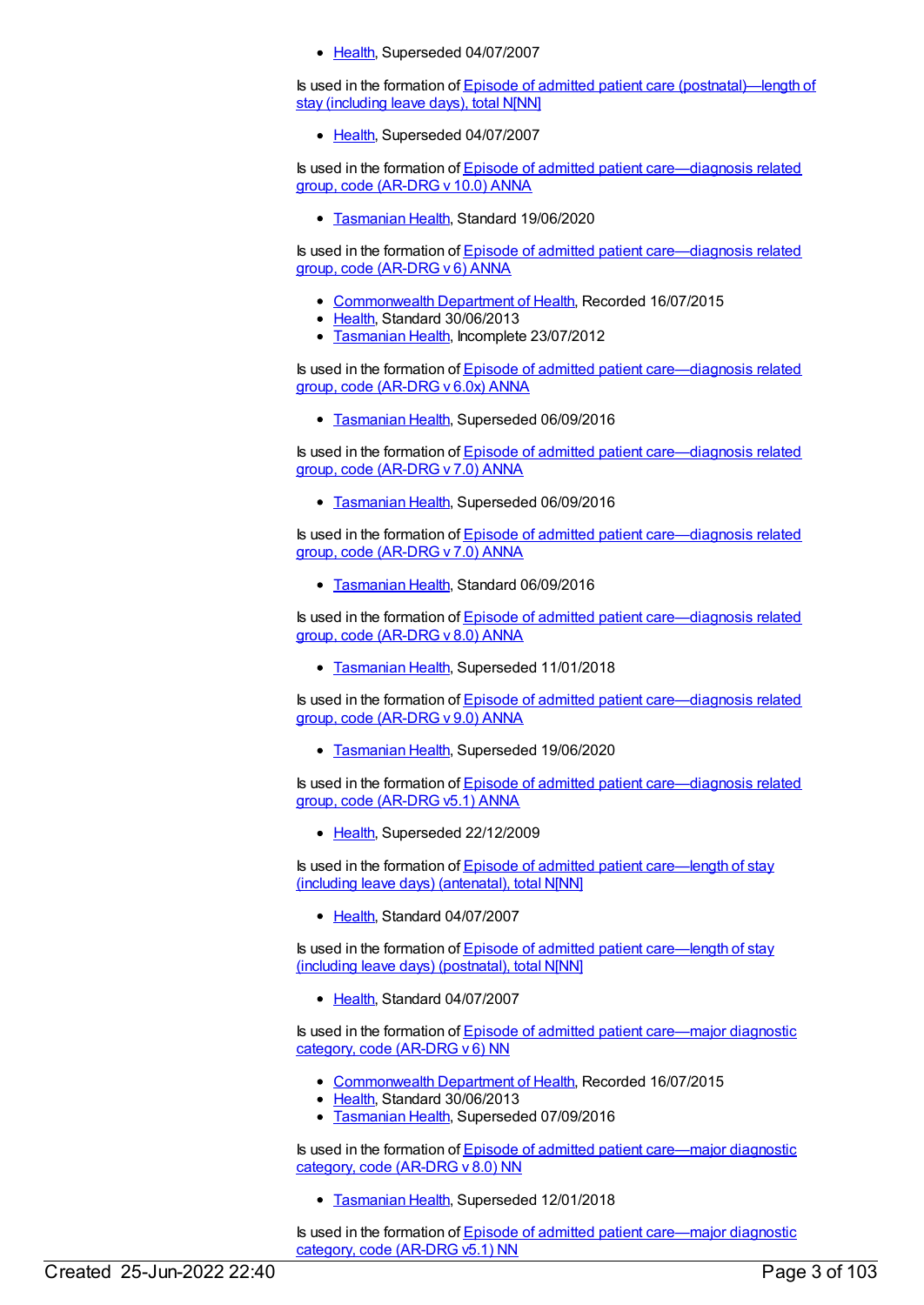• [Health](https://meteor.aihw.gov.au/RegistrationAuthority/12), Superseded 04/07/2007

Is used in the formation of Episode of admitted patient care [\(postnatal\)—length](https://meteor.aihw.gov.au/content/269985) of stay (including leave days), total N[NN]

• [Health](https://meteor.aihw.gov.au/RegistrationAuthority/12), Superseded 04/07/2007

Is used in the formation of Episode of admitted patient [care—diagnosis](https://meteor.aihw.gov.au/content/729933) related group, code (AR-DRG v 10.0) ANNA

**[Tasmanian](https://meteor.aihw.gov.au/RegistrationAuthority/15) Health, Standard 19/06/2020** 

Is used in the formation of Episode of admitted patient [care—diagnosis](https://meteor.aihw.gov.au/content/391295) related group, code (AR-DRG v 6) ANNA

- [Commonwealth](https://meteor.aihw.gov.au/RegistrationAuthority/10) Department of Health, Recorded 16/07/2015
- [Health](https://meteor.aihw.gov.au/RegistrationAuthority/12), Standard 30/06/2013
- **[Tasmanian](https://meteor.aihw.gov.au/RegistrationAuthority/15) Health, Incomplete 23/07/2012**

Is used in the formation of Episode of admitted patient [care—diagnosis](https://meteor.aihw.gov.au/content/481958) related group, code (AR-DRG v 6.0x) ANNA

• [Tasmanian](https://meteor.aihw.gov.au/RegistrationAuthority/15) Health, Superseded 06/09/2016

Is used in the formation of Episode of admitted patient [care—diagnosis](https://meteor.aihw.gov.au/content/652964) related group, code (AR-DRG v 7.0) ANNA

**[Tasmanian](https://meteor.aihw.gov.au/RegistrationAuthority/15) Health, Superseded 06/09/2016** 

Is used in the formation of Episode of admitted patient [care—diagnosis](https://meteor.aihw.gov.au/content/653016) related group, code (AR-DRG v 7.0) ANNA

**[Tasmanian](https://meteor.aihw.gov.au/RegistrationAuthority/15) Health, Standard 06/09/2016** 

Is used in the formation of **Episode of admitted patient [care—diagnosis](https://meteor.aihw.gov.au/content/653051) related** group, code (AR-DRG v 8.0) ANNA

**[Tasmanian](https://meteor.aihw.gov.au/RegistrationAuthority/15) Health, Superseded 11/01/2018** 

Is used in the formation of Episode of admitted patient [care—diagnosis](https://meteor.aihw.gov.au/content/689947) related group, code (AR-DRG v 9.0) ANNA

**[Tasmanian](https://meteor.aihw.gov.au/RegistrationAuthority/15) Health, Superseded 19/06/2020** 

Is used in the formation of Episode of admitted patient [care—diagnosis](https://meteor.aihw.gov.au/content/270195) related group, code (AR-DRG v5.1) ANNA

● [Health](https://meteor.aihw.gov.au/RegistrationAuthority/12), Superseded 22/12/2009

Is used in the formation of Episode of admitted patient [care—length](https://meteor.aihw.gov.au/content/290577) of stay (including leave days) (antenatal), total N[NN]

[Health](https://meteor.aihw.gov.au/RegistrationAuthority/12), Standard 04/07/2007

Is used in the formation of Episode of admitted patient [care—length](https://meteor.aihw.gov.au/content/300076) of stay (including leave days) (postnatal), total N[NN]

[Health](https://meteor.aihw.gov.au/RegistrationAuthority/12), Standard 04/07/2007

Is used in the formation of Episode of admitted patient [care—major](https://meteor.aihw.gov.au/content/391298) diagnostic category, code (AR-DRG v 6) NN

- [Commonwealth](https://meteor.aihw.gov.au/RegistrationAuthority/10) Department of Health, Recorded 16/07/2015
- [Health](https://meteor.aihw.gov.au/RegistrationAuthority/12), Standard 30/06/2013
- [Tasmanian](https://meteor.aihw.gov.au/RegistrationAuthority/15) Health, Superseded 07/09/2016

Is used in the formation of Episode of admitted patient [care—major](https://meteor.aihw.gov.au/content/653337) diagnostic category, code (AR-DRG v 8.0) NN

[Tasmanian](https://meteor.aihw.gov.au/RegistrationAuthority/15) Health, Superseded 12/01/2018

Is used in the formation of Episode of admitted patient [care—major](https://meteor.aihw.gov.au/content/270400) diagnostic category, code (AR-DRG v5.1) NN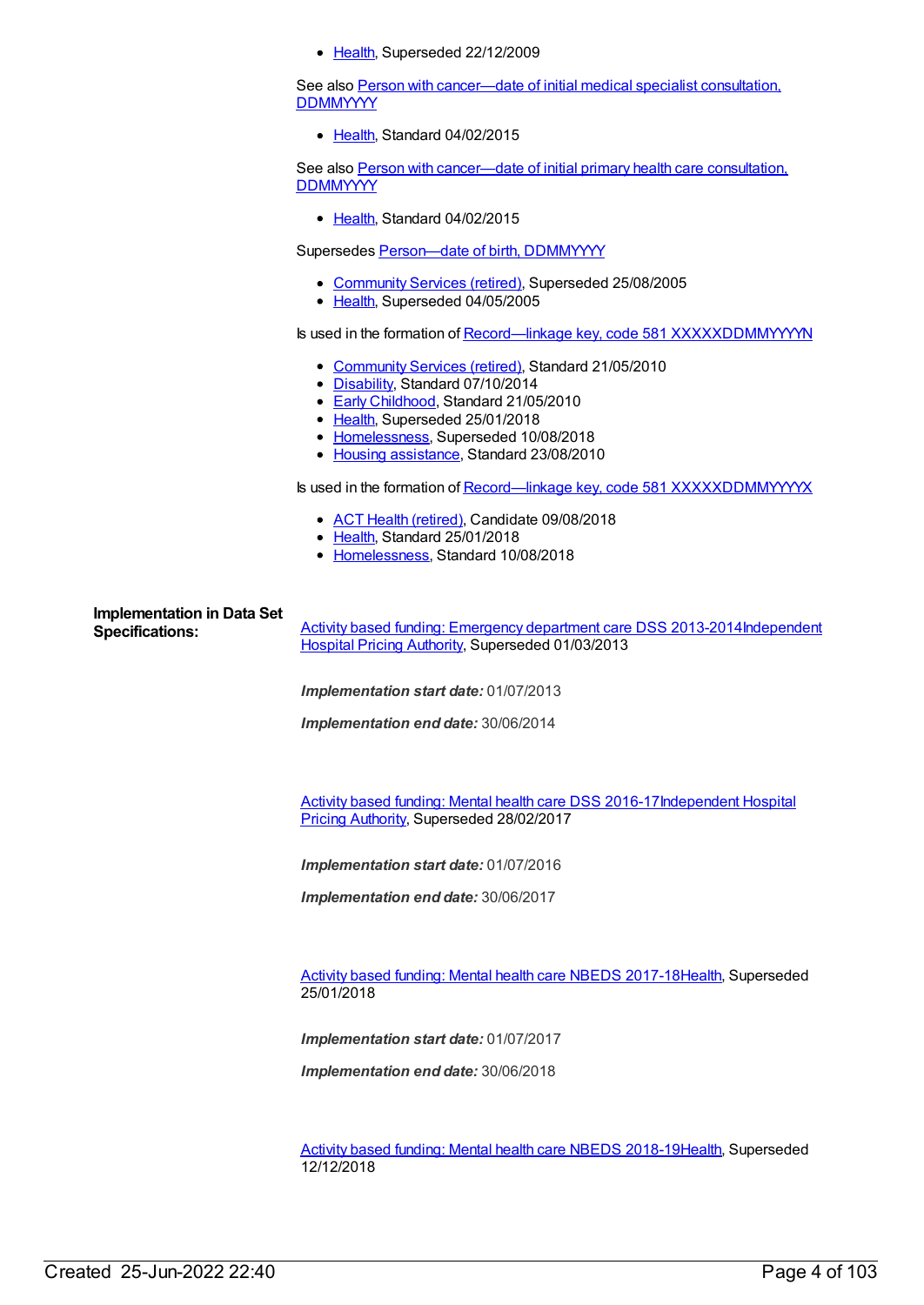• [Health](https://meteor.aihw.gov.au/RegistrationAuthority/12), Superseded 22/12/2009

See also Person with [cancer—date](https://meteor.aihw.gov.au/content/456997) of initial medical specialist consultation, **DDMMYYYY** 

• [Health](https://meteor.aihw.gov.au/RegistrationAuthority/12), Standard 04/02/2015

See also Person with [cancer—date](https://meteor.aihw.gov.au/content/456975) of initial primary health care consultation, **DDMMYYYY** 

• [Health](https://meteor.aihw.gov.au/RegistrationAuthority/12), Standard 04/02/2015

Supersedes Person-date of birth, DDMMYYYY

- [Community](https://meteor.aihw.gov.au/RegistrationAuthority/1) Services (retired), Superseded 25/08/2005
- [Health](https://meteor.aihw.gov.au/RegistrationAuthority/12), Superseded 04/05/2005

Is used in the formation of Record—linkage key, code 581 [XXXXXDDMMYYYYN](https://meteor.aihw.gov.au/content/349895)

- [Community](https://meteor.aihw.gov.au/RegistrationAuthority/1) Services (retired), Standard 21/05/2010
- [Disability](https://meteor.aihw.gov.au/RegistrationAuthority/16), Standard 07/10/2014
- **Early [Childhood](https://meteor.aihw.gov.au/RegistrationAuthority/13), Standard 21/05/2010**
- [Health](https://meteor.aihw.gov.au/RegistrationAuthority/12), Superseded 25/01/2018
- [Homelessness](https://meteor.aihw.gov.au/RegistrationAuthority/14), Superseded 10/08/2018
- Housing [assistance](https://meteor.aihw.gov.au/RegistrationAuthority/11), Standard 23/08/2010

Is used in the formation of Record—linkage key, code 581 [XXXXXDDMMYYYYX](https://meteor.aihw.gov.au/content/686241)

- ACT Health [\(retired\)](https://meteor.aihw.gov.au/RegistrationAuthority/9), Candidate 09/08/2018
- [Health](https://meteor.aihw.gov.au/RegistrationAuthority/12), Standard 25/01/2018
- [Homelessness](https://meteor.aihw.gov.au/RegistrationAuthority/14), Standard 10/08/2018

# **Implementation in Data Set**

**Specifications:** Activity based funding: [Emergency](https://meteor.aihw.gov.au/content/497500) department care DSS [2013-2014Independent](https://meteor.aihw.gov.au/RegistrationAuthority/3) Hospital Pricing Authority, Superseded 01/03/2013

*Implementation start date:* 01/07/2013

*Implementation end date:* 30/06/2014

Activity based funding: Mental health care DSS [2016-17Independent](https://meteor.aihw.gov.au/RegistrationAuthority/3) Hospital Pricing Authority, Superseded 28/02/2017

*Implementation start date:* 01/07/2016

*Implementation end date:* 30/06/2017

Activity based funding: Mental health care NBEDS [2017-18](https://meteor.aihw.gov.au/content/639992)[Health](https://meteor.aihw.gov.au/RegistrationAuthority/12), Superseded 25/01/2018

*Implementation start date:* 01/07/2017

*Implementation end date:* 30/06/2018

Activity based funding: Mental health care NBEDS [2018-19](https://meteor.aihw.gov.au/content/676150)[Health](https://meteor.aihw.gov.au/RegistrationAuthority/12), Superseded 12/12/2018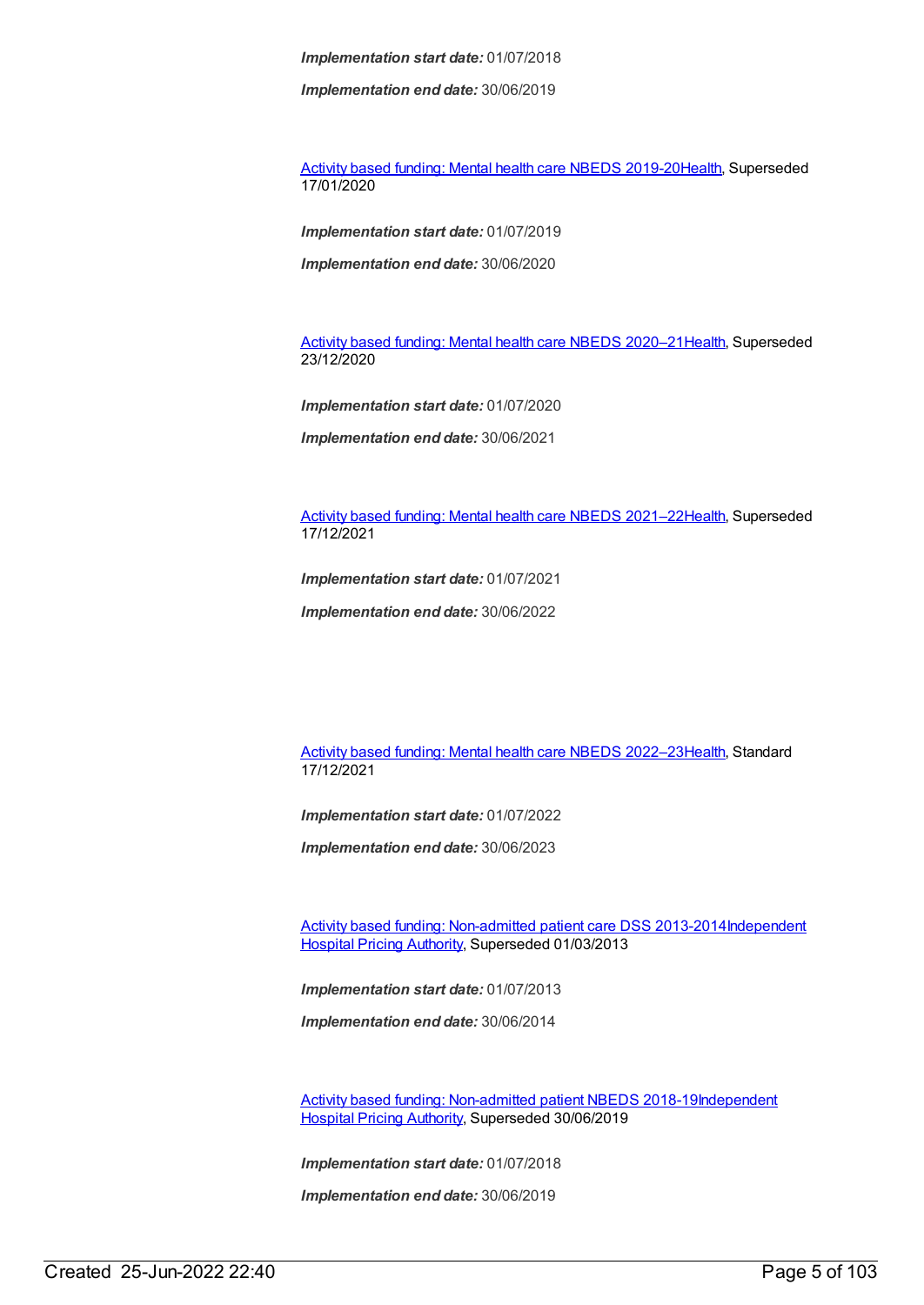*Implementation end date:* 30/06/2019

Activity based funding: Mental health care NBEDS [2019-20](https://meteor.aihw.gov.au/content/699151)[Health](https://meteor.aihw.gov.au/RegistrationAuthority/12), Superseded 17/01/2020

*Implementation start date:* 01/07/2019

*Implementation end date:* 30/06/2020

Activity based funding: Mental health care NBEDS 2020-21 [Health](https://meteor.aihw.gov.au/RegistrationAuthority/12), Superseded 23/12/2020

*Implementation start date:* 01/07/2020

*Implementation end date:* 30/06/2021

Activity based funding: Mental health care NBEDS [2021–22](https://meteor.aihw.gov.au/content/735108)[Health](https://meteor.aihw.gov.au/RegistrationAuthority/12), Superseded 17/12/2021

*Implementation start date:* 01/07/2021

*Implementation end date:* 30/06/2022

Activity based funding: Mental health care NBEDS [2022–23](https://meteor.aihw.gov.au/content/742188)[Health](https://meteor.aihw.gov.au/RegistrationAuthority/12), Standard 17/12/2021

*Implementation start date:* 01/07/2022

*Implementation end date:* 30/06/2023

Activity based funding: [Non-admitted](https://meteor.aihw.gov.au/content/497531) patient care DSS [2013-2014Independent](https://meteor.aihw.gov.au/RegistrationAuthority/3) Hospital Pricing Authority, Superseded 01/03/2013

*Implementation start date:* 01/07/2013

*Implementation end date:* 30/06/2014

Activity based funding: [Non-admitted](https://meteor.aihw.gov.au/content/687903) patient NBEDS [2018-19Independent](https://meteor.aihw.gov.au/RegistrationAuthority/3) Hospital Pricing Authority, Superseded 30/06/2019

*Implementation start date:* 01/07/2018

*Implementation end date:* 30/06/2019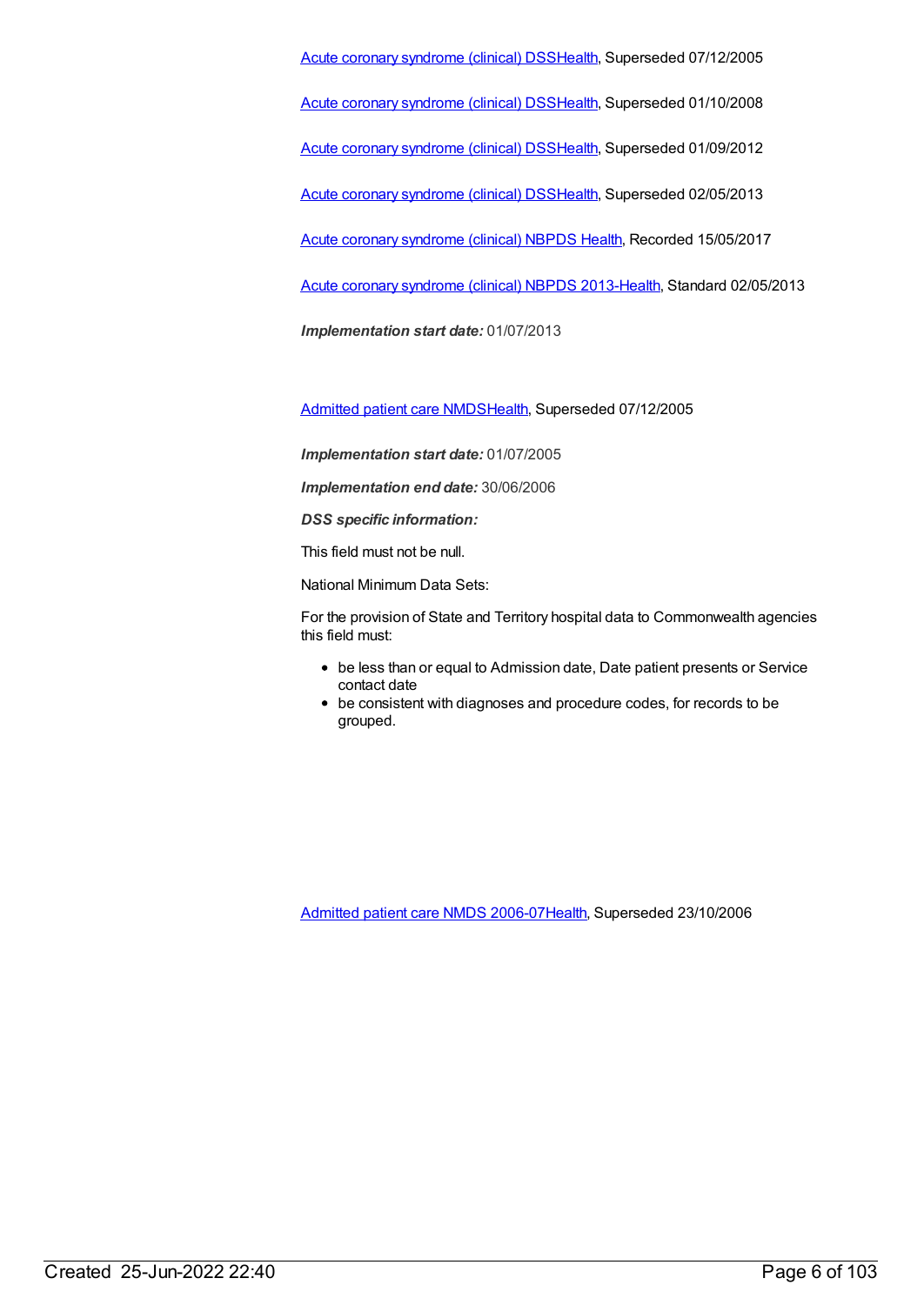Acute coronary [syndrome](https://meteor.aihw.gov.au/content/285277) (clinical) DS[SHealth](https://meteor.aihw.gov.au/RegistrationAuthority/12), Superseded 07/12/2005

Acute coronary [syndrome](https://meteor.aihw.gov.au/content/319741) (clinical) DS[SHealth](https://meteor.aihw.gov.au/RegistrationAuthority/12), Superseded 01/10/2008

Acute coronary [syndrome](https://meteor.aihw.gov.au/content/372930) (clinical) DS[SHealth](https://meteor.aihw.gov.au/RegistrationAuthority/12), Superseded 01/09/2012

Acute coronary [syndrome](https://meteor.aihw.gov.au/content/482119) (clinical) DS[SHealth](https://meteor.aihw.gov.au/RegistrationAuthority/12), Superseded 02/05/2013

Acute coronary [syndrome](https://meteor.aihw.gov.au/content/621789) (clinical) NBPDS [Health](https://meteor.aihw.gov.au/RegistrationAuthority/12), Recorded 15/05/2017

Acute coronary [syndrome](https://meteor.aihw.gov.au/content/523140) (clinical) NBPDS 2013[-Health](https://meteor.aihw.gov.au/RegistrationAuthority/12), Standard 02/05/2013

*Implementation start date:* 01/07/2013

[Admitted](https://meteor.aihw.gov.au/content/273050) patient care NMDS[Health](https://meteor.aihw.gov.au/RegistrationAuthority/12), Superseded 07/12/2005

*Implementation start date:* 01/07/2005

*Implementation end date:* 30/06/2006

*DSS specific information:*

This field must not be null.

National Minimum Data Sets:

For the provision of State and Territory hospital data to Commonwealth agencies this field must:

- be less than or equal to Admission date, Date patient presents or Service contact date
- be consistent with diagnoses and procedure codes, for records to be grouped.

[Admitted](https://meteor.aihw.gov.au/content/334023) patient care NMDS 2006-07[Health](https://meteor.aihw.gov.au/RegistrationAuthority/12), Superseded 23/10/2006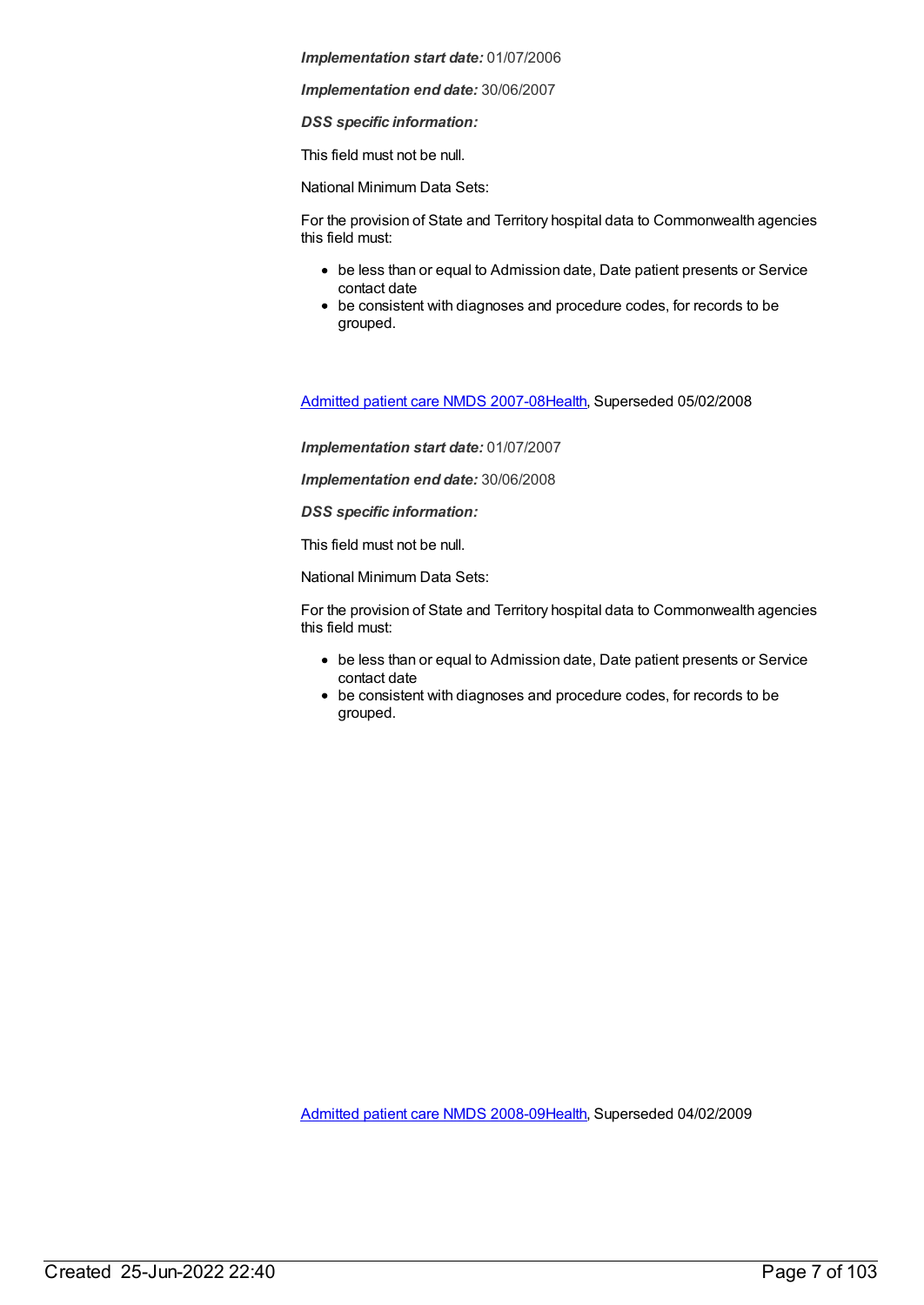*Implementation end date:* 30/06/2007

*DSS specific information:*

This field must not be null.

National Minimum Data Sets:

For the provision of State and Territory hospital data to Commonwealth agencies this field must:

- be less than or equal to Admission date, Date patient presents or Service contact date
- be consistent with diagnoses and procedure codes, for records to be grouped.

[Admitted](https://meteor.aihw.gov.au/content/339089) patient care NMDS 2007-08[Health](https://meteor.aihw.gov.au/RegistrationAuthority/12), Superseded 05/02/2008

*Implementation start date:* 01/07/2007

*Implementation end date:* 30/06/2008

*DSS specific information:*

This field must not be null.

National Minimum Data Sets:

For the provision of State and Territory hospital data to Commonwealth agencies this field must:

- be less than or equal to Admission date, Date patient presents or Service contact date
- be consistent with diagnoses and procedure codes, for records to be grouped.

[Admitted](https://meteor.aihw.gov.au/content/361679) patient care NMDS 2008-09[Health](https://meteor.aihw.gov.au/RegistrationAuthority/12), Superseded 04/02/2009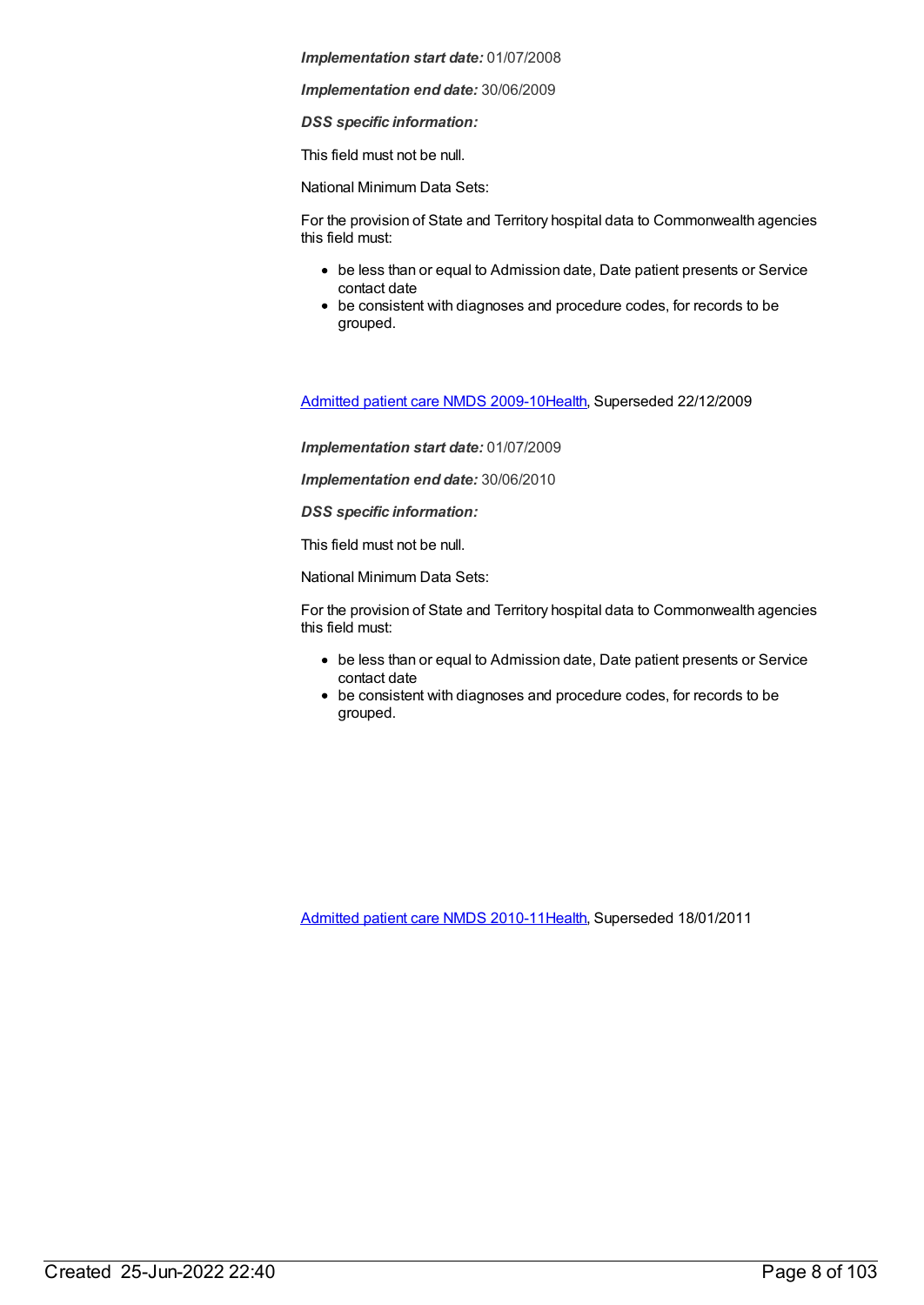*Implementation end date:* 30/06/2009

*DSS specific information:*

This field must not be null.

National Minimum Data Sets:

For the provision of State and Territory hospital data to Commonwealth agencies this field must:

- be less than or equal to Admission date, Date patient presents or Service contact date
- be consistent with diagnoses and procedure codes, for records to be grouped.

[Admitted](https://meteor.aihw.gov.au/content/374205) patient care NMDS 2009-10[Health](https://meteor.aihw.gov.au/RegistrationAuthority/12), Superseded 22/12/2009

*Implementation start date:* 01/07/2009

*Implementation end date:* 30/06/2010

*DSS specific information:*

This field must not be null.

National Minimum Data Sets:

For the provision of State and Territory hospital data to Commonwealth agencies this field must:

- be less than or equal to Admission date, Date patient presents or Service contact date
- be consistent with diagnoses and procedure codes, for records to be grouped.

[Admitted](https://meteor.aihw.gov.au/content/386797) patient care NMDS 2010-11[Health](https://meteor.aihw.gov.au/RegistrationAuthority/12), Superseded 18/01/2011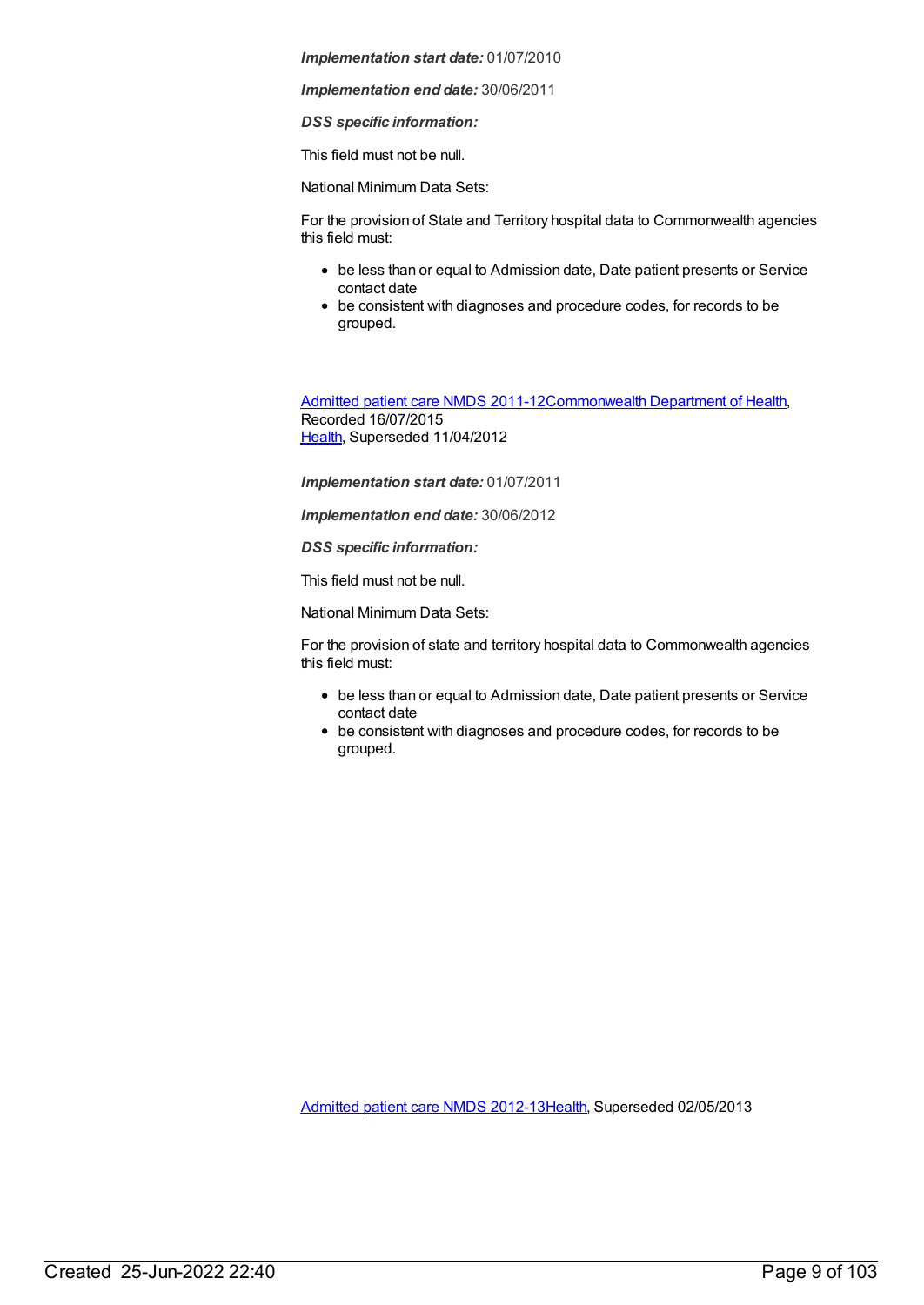*Implementation end date:* 30/06/2011

*DSS specific information:*

This field must not be null.

National Minimum Data Sets:

For the provision of State and Territory hospital data to Commonwealth agencies this field must:

- be less than or equal to Admission date, Date patient presents or Service contact date
- be consistent with diagnoses and procedure codes, for records to be grouped.

[Admitted](https://meteor.aihw.gov.au/content/426861) patient care NMDS 2011-12[Commonwealth](https://meteor.aihw.gov.au/RegistrationAuthority/10) Department of Health, Recorded 16/07/2015 [Health](https://meteor.aihw.gov.au/RegistrationAuthority/12), Superseded 11/04/2012

*Implementation start date:* 01/07/2011

*Implementation end date:* 30/06/2012

*DSS specific information:*

This field must not be null.

National Minimum Data Sets:

For the provision of state and territory hospital data to Commonwealth agencies this field must:

- be less than or equal to Admission date, Date patient presents or Service contact date
- be consistent with diagnoses and procedure codes, for records to be grouped.

[Admitted](https://meteor.aihw.gov.au/content/466132) patient care NMDS 2012-13[Health](https://meteor.aihw.gov.au/RegistrationAuthority/12), Superseded 02/05/2013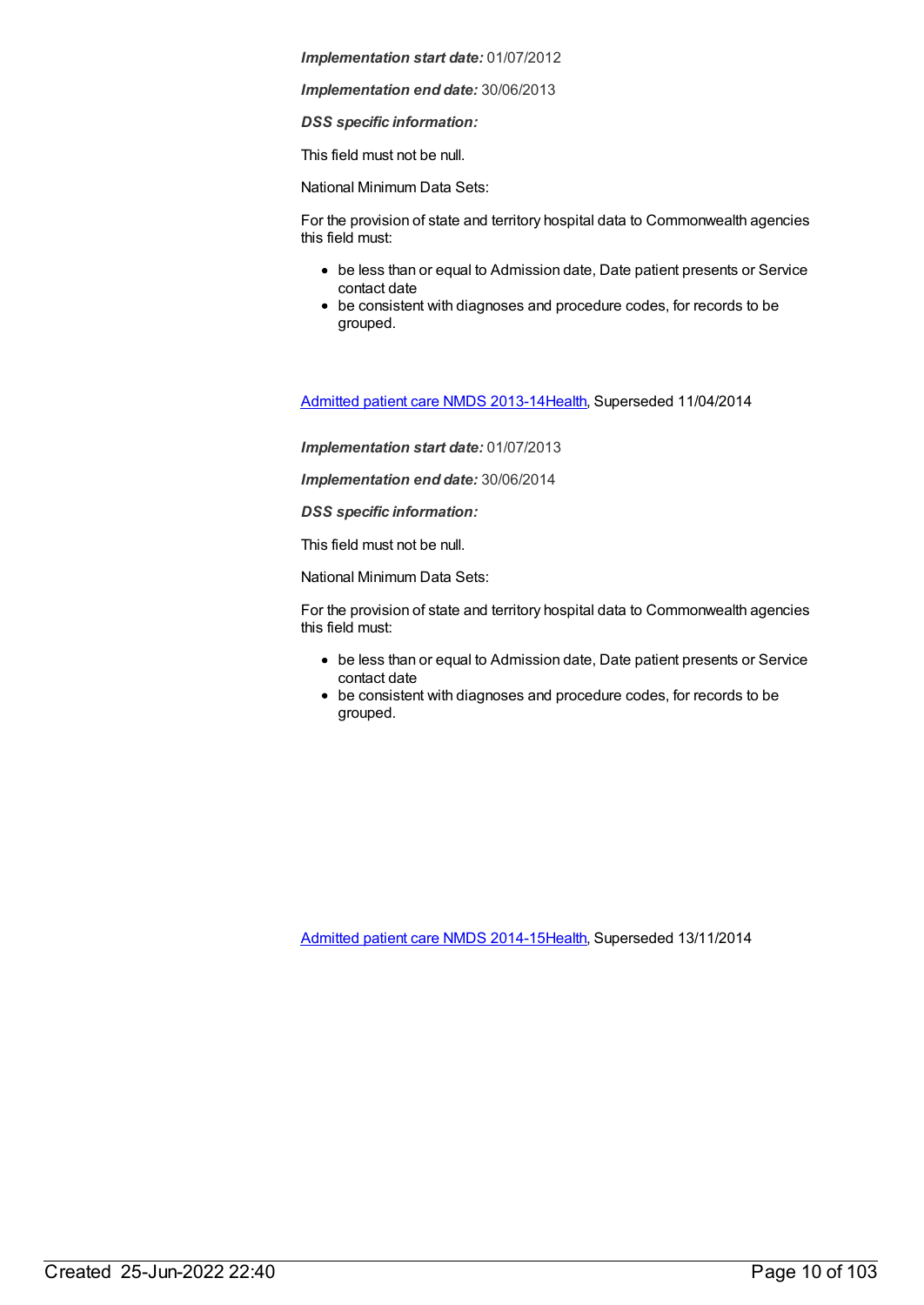*Implementation end date:* 30/06/2013

*DSS specific information:*

This field must not be null.

National Minimum Data Sets:

For the provision of state and territory hospital data to Commonwealth agencies this field must:

- be less than or equal to Admission date, Date patient presents or Service contact date
- be consistent with diagnoses and procedure codes, for records to be grouped.

[Admitted](https://meteor.aihw.gov.au/content/491555) patient care NMDS 2013-14[Health](https://meteor.aihw.gov.au/RegistrationAuthority/12), Superseded 11/04/2014

*Implementation start date:* 01/07/2013

*Implementation end date:* 30/06/2014

*DSS specific information:*

This field must not be null.

National Minimum Data Sets:

For the provision of state and territory hospital data to Commonwealth agencies this field must:

- be less than or equal to Admission date, Date patient presents or Service contact date
- be consistent with diagnoses and procedure codes, for records to be grouped.

[Admitted](https://meteor.aihw.gov.au/content/535047) patient care NMDS 2014-15[Health](https://meteor.aihw.gov.au/RegistrationAuthority/12), Superseded 13/11/2014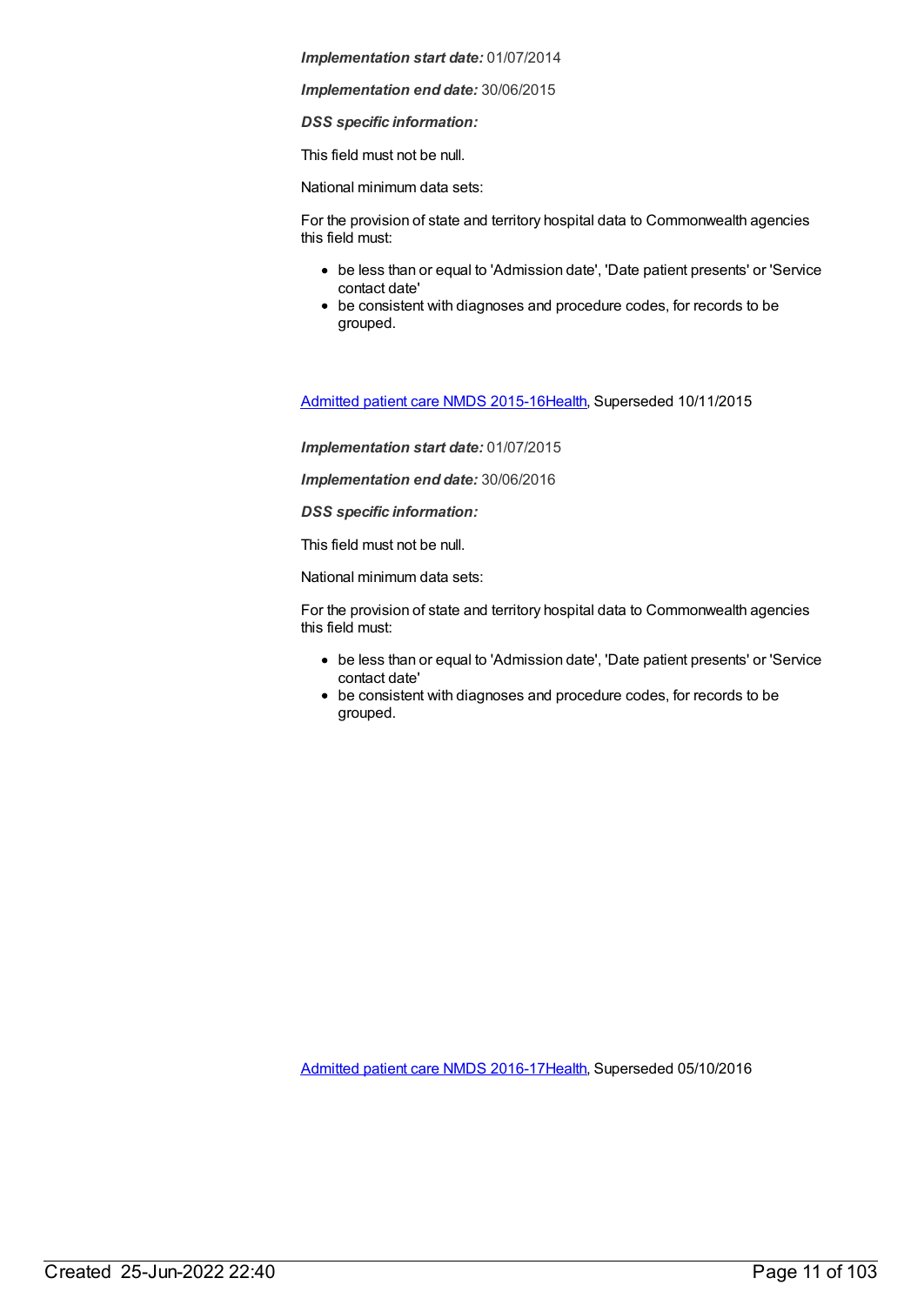*Implementation end date:* 30/06/2015

*DSS specific information:*

This field must not be null.

National minimum data sets:

For the provision of state and territory hospital data to Commonwealth agencies this field must:

- be less than or equal to 'Admission date', 'Date patient presents' or 'Service contact date'
- be consistent with diagnoses and procedure codes, for records to be grouped.

[Admitted](https://meteor.aihw.gov.au/content/588909) patient care NMDS 2015-16[Health](https://meteor.aihw.gov.au/RegistrationAuthority/12), Superseded 10/11/2015

*Implementation start date:* 01/07/2015

*Implementation end date:* 30/06/2016

*DSS specific information:*

This field must not be null.

National minimum data sets:

For the provision of state and territory hospital data to Commonwealth agencies this field must:

- be less than or equal to 'Admission date', 'Date patient presents' or 'Service contact date'
- be consistent with diagnoses and procedure codes, for records to be grouped.

[Admitted](https://meteor.aihw.gov.au/content/612171) patient care NMDS 2016-17[Health](https://meteor.aihw.gov.au/RegistrationAuthority/12), Superseded 05/10/2016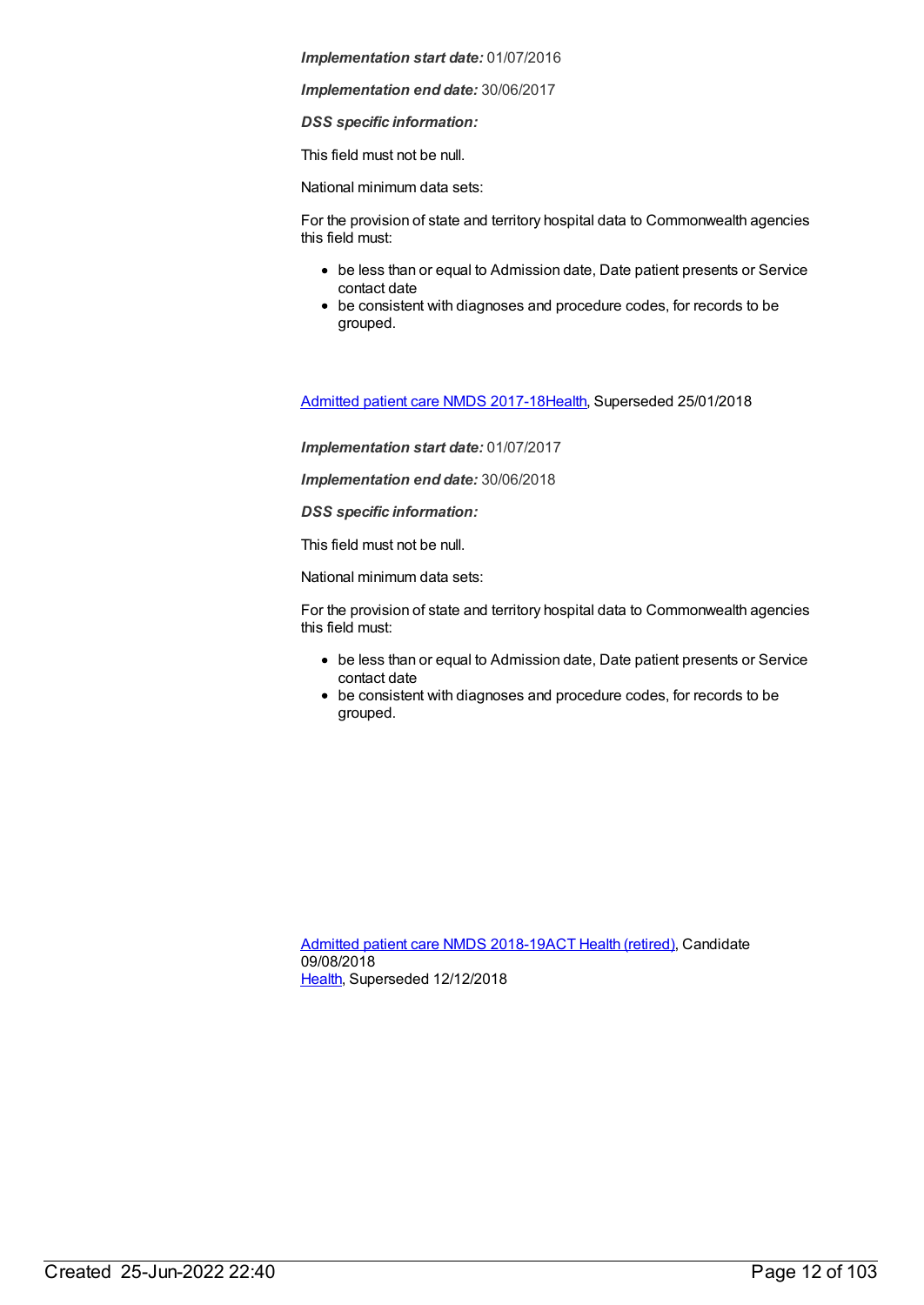*Implementation end date:* 30/06/2017

*DSS specific information:*

This field must not be null.

National minimum data sets:

For the provision of state and territory hospital data to Commonwealth agencies this field must:

- be less than or equal to Admission date, Date patient presents or Service contact date
- be consistent with diagnoses and procedure codes, for records to be grouped.

[Admitted](https://meteor.aihw.gov.au/content/641349) patient care NMDS 2017-18[Health](https://meteor.aihw.gov.au/RegistrationAuthority/12), Superseded 25/01/2018

*Implementation start date:* 01/07/2017

*Implementation end date:* 30/06/2018

*DSS specific information:*

This field must not be null.

National minimum data sets:

For the provision of state and territory hospital data to Commonwealth agencies this field must:

- be less than or equal to Admission date, Date patient presents or Service contact date
- be consistent with diagnoses and procedure codes, for records to be grouped.

[Admitted](https://meteor.aihw.gov.au/content/676382) patient care NMDS 2018-19ACT Health [\(retired\)](https://meteor.aihw.gov.au/RegistrationAuthority/9), Candidate 09/08/2018 [Health](https://meteor.aihw.gov.au/RegistrationAuthority/12), Superseded 12/12/2018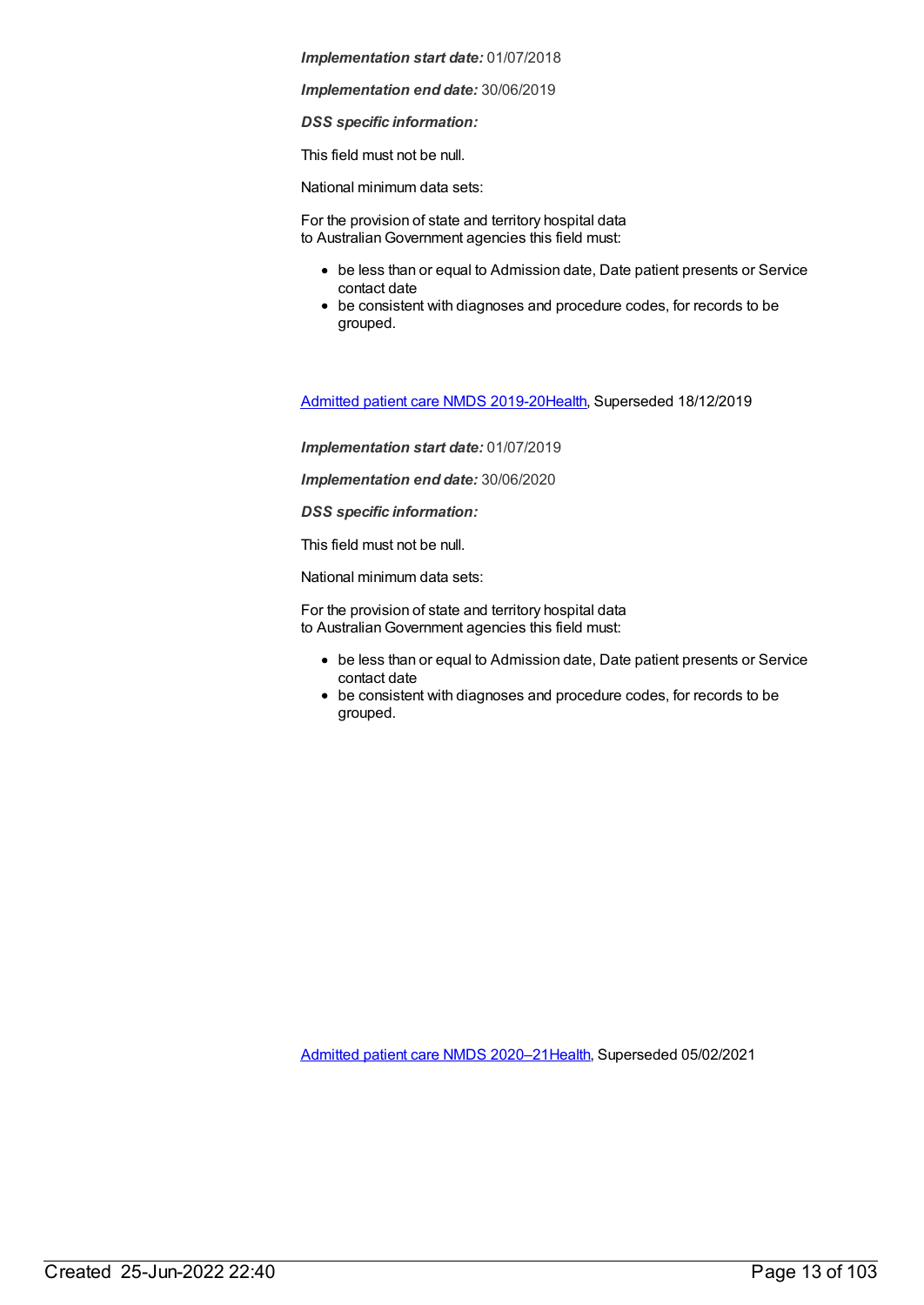*Implementation end date:* 30/06/2019

*DSS specific information:*

This field must not be null.

National minimum data sets:

For the provision of state and territory hospital data to Australian Government agencies this field must:

- be less than or equal to Admission date, Date patient presents or Service contact date
- be consistent with diagnoses and procedure codes, for records to be grouped.

[Admitted](https://meteor.aihw.gov.au/content/699728) patient care NMDS 2019-20[Health](https://meteor.aihw.gov.au/RegistrationAuthority/12), Superseded 18/12/2019

*Implementation start date:* 01/07/2019

*Implementation end date:* 30/06/2020

*DSS specific information:*

This field must not be null.

National minimum data sets:

For the provision of state and territory hospital data to Australian Government agencies this field must:

- be less than or equal to Admission date, Date patient presents or Service contact date
- be consistent with diagnoses and procedure codes, for records to be grouped.

[Admitted](https://meteor.aihw.gov.au/content/713850) patient care NMDS 2020–2[1Health](https://meteor.aihw.gov.au/RegistrationAuthority/12), Superseded 05/02/2021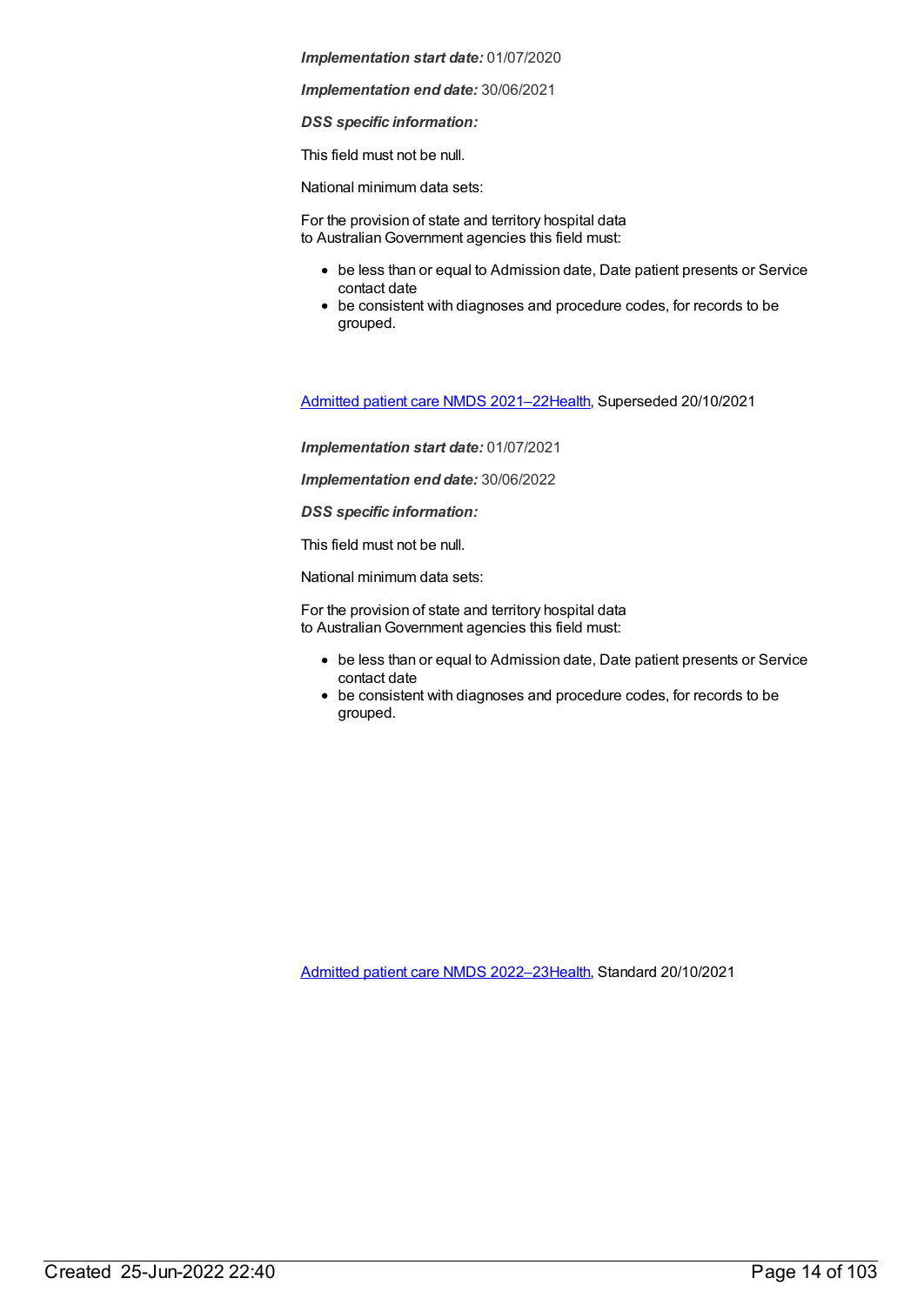*Implementation end date:* 30/06/2021

*DSS specific information:*

This field must not be null.

National minimum data sets:

For the provision of state and territory hospital data to Australian Government agencies this field must:

- be less than or equal to Admission date, Date patient presents or Service contact date
- be consistent with diagnoses and procedure codes, for records to be grouped.

[Admitted](https://meteor.aihw.gov.au/content/728439) patient care NMDS 2021–2[2Health](https://meteor.aihw.gov.au/RegistrationAuthority/12), Superseded 20/10/2021

*Implementation start date:* 01/07/2021

*Implementation end date:* 30/06/2022

*DSS specific information:*

This field must not be null.

National minimum data sets:

For the provision of state and territory hospital data to Australian Government agencies this field must:

- be less than or equal to Admission date, Date patient presents or Service contact date
- be consistent with diagnoses and procedure codes, for records to be grouped.

[Admitted](https://meteor.aihw.gov.au/content/742173) patient care NMDS 2022–2[3Health](https://meteor.aihw.gov.au/RegistrationAuthority/12), Standard 20/10/2021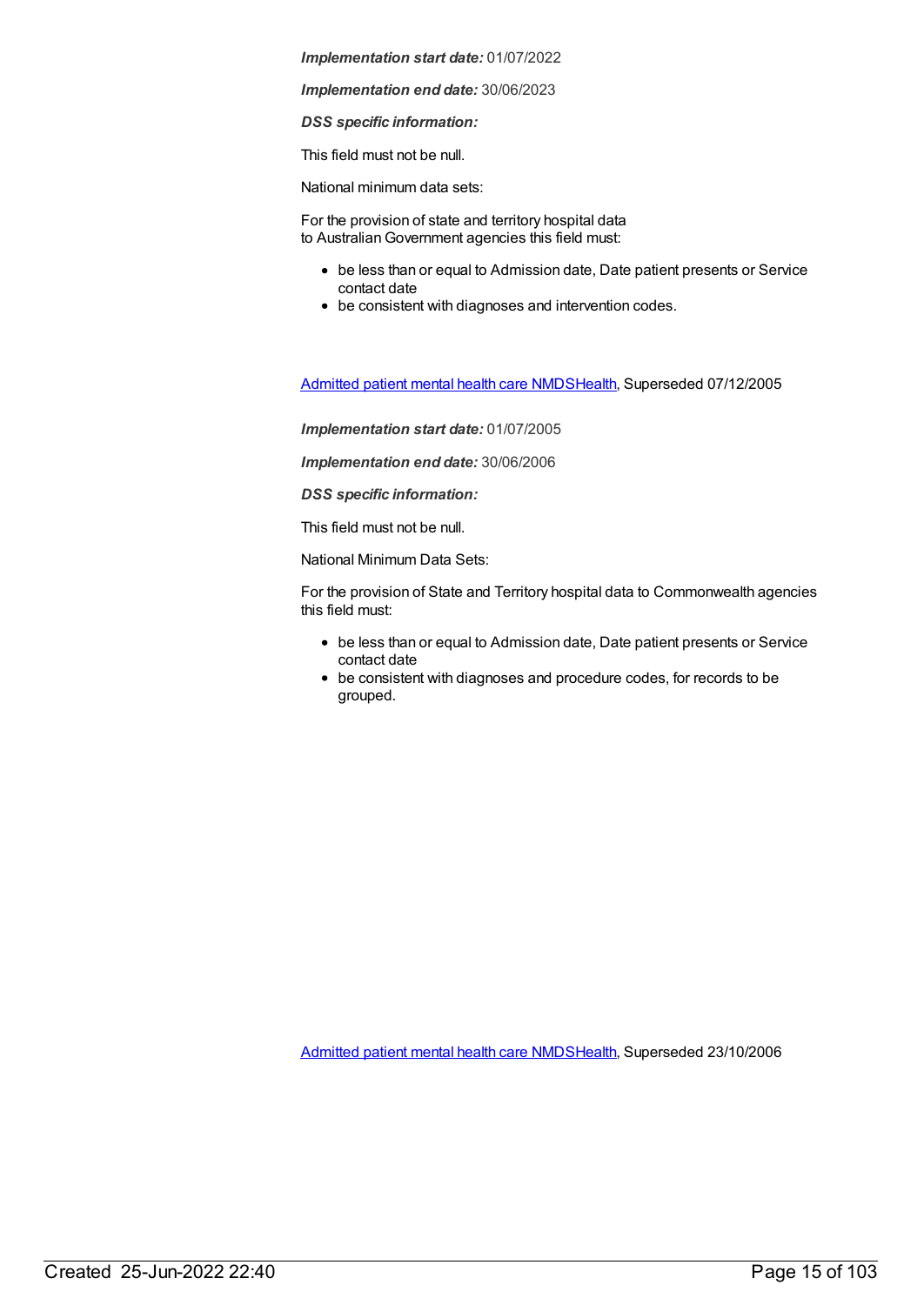*Implementation end date:* 30/06/2023

*DSS specific information:*

This field must not be null.

National minimum data sets:

For the provision of state and territory hospital data to Australian Government agencies this field must:

- be less than or equal to Admission date, Date patient presents or Service contact date
- be consistent with diagnoses and intervention codes.

[Admitted](https://meteor.aihw.gov.au/content/273048) patient mental health care NMD[SHealth](https://meteor.aihw.gov.au/RegistrationAuthority/12), Superseded 07/12/2005

*Implementation start date:* 01/07/2005

*Implementation end date:* 30/06/2006

*DSS specific information:*

This field must not be null.

National Minimum Data Sets:

For the provision of State and Territory hospital data to Commonwealth agencies this field must:

- be less than or equal to Admission date, Date patient presents or Service contact date
- be consistent with diagnoses and procedure codes, for records to be grouped.

[Admitted](https://meteor.aihw.gov.au/content/334031) patient mental health care NMD[SHealth](https://meteor.aihw.gov.au/RegistrationAuthority/12), Superseded 23/10/2006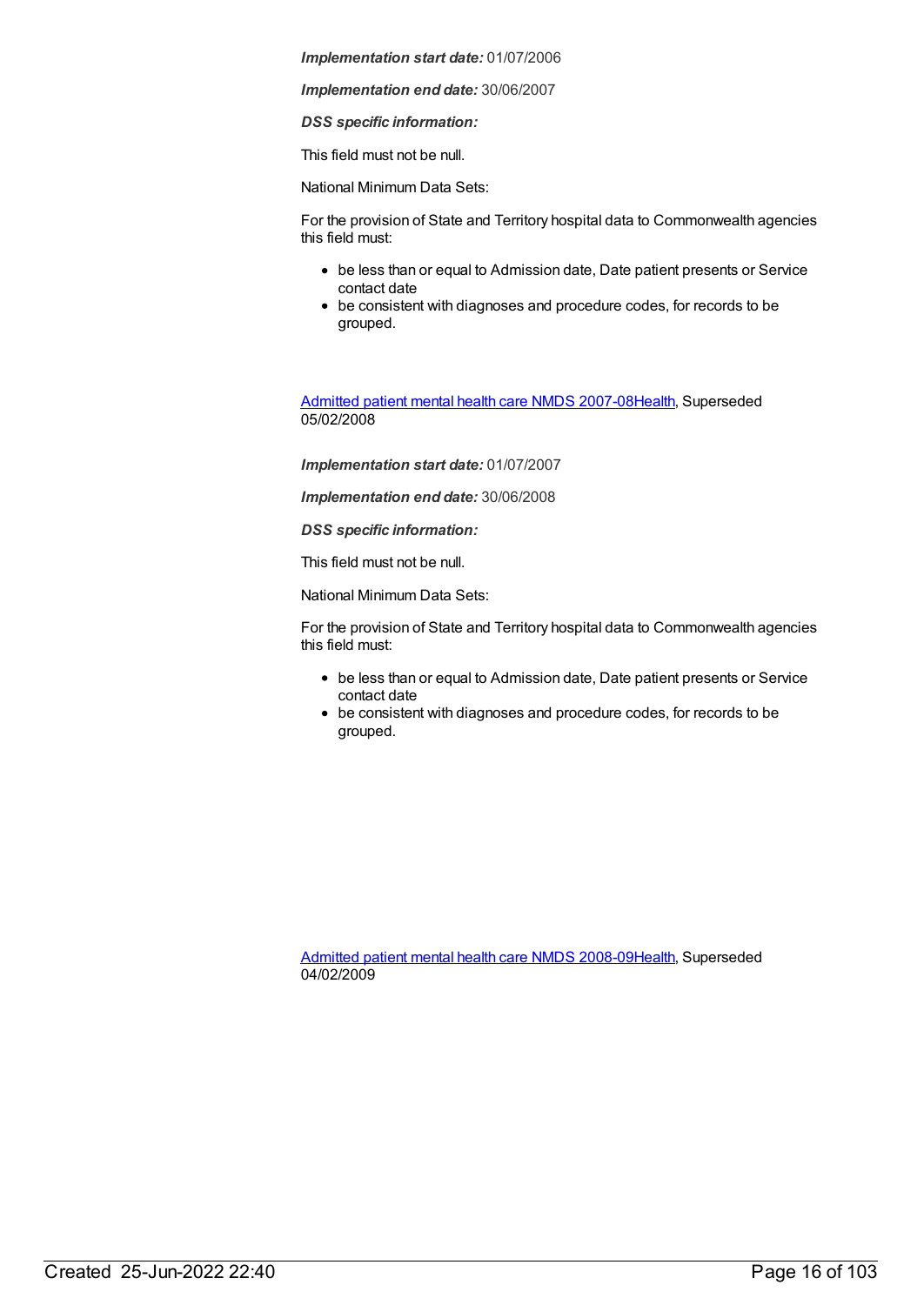*Implementation end date:* 30/06/2007

*DSS specific information:*

This field must not be null.

National Minimum Data Sets:

For the provision of State and Territory hospital data to Commonwealth agencies this field must:

- be less than or equal to Admission date, Date patient presents or Service contact date
- be consistent with diagnoses and procedure codes, for records to be grouped.

[Admitted](https://meteor.aihw.gov.au/content/345110) patient mental health care NMDS 2007-08[Health](https://meteor.aihw.gov.au/RegistrationAuthority/12), Superseded 05/02/2008

*Implementation start date:* 01/07/2007

*Implementation end date:* 30/06/2008

*DSS specific information:*

This field must not be null.

National Minimum Data Sets:

For the provision of State and Territory hospital data to Commonwealth agencies this field must:

- be less than or equal to Admission date, Date patient presents or Service contact date
- be consistent with diagnoses and procedure codes, for records to be grouped.

[Admitted](https://meteor.aihw.gov.au/content/362305) patient mental health care NMDS 2008-09[Health](https://meteor.aihw.gov.au/RegistrationAuthority/12), Superseded 04/02/2009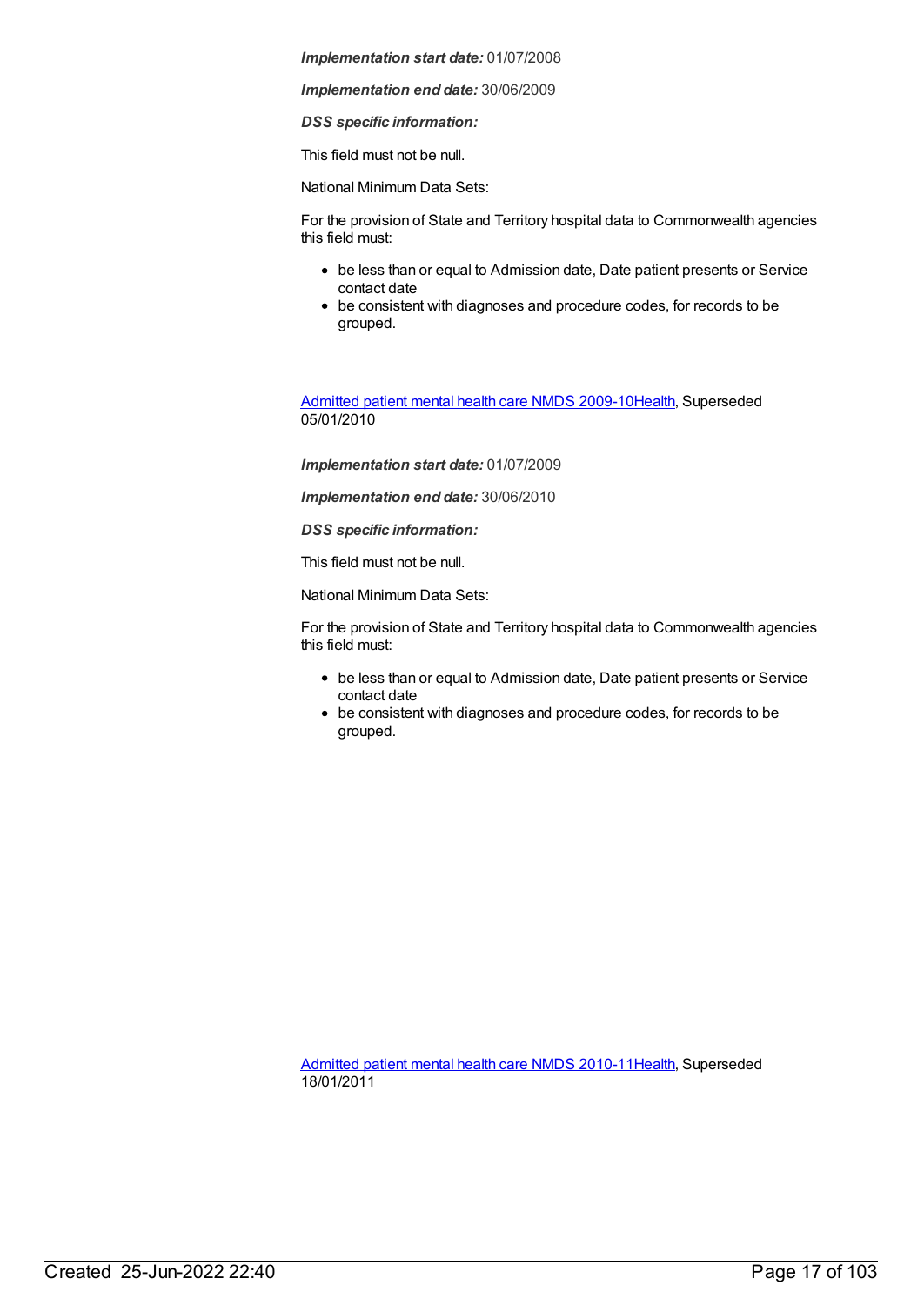*Implementation end date:* 30/06/2009

*DSS specific information:*

This field must not be null.

National Minimum Data Sets:

For the provision of State and Territory hospital data to Commonwealth agencies this field must:

- be less than or equal to Admission date, Date patient presents or Service contact date
- be consistent with diagnoses and procedure codes, for records to be grouped.

[Admitted](https://meteor.aihw.gov.au/content/374207) patient mental health care NMDS 2009-10[Health](https://meteor.aihw.gov.au/RegistrationAuthority/12), Superseded 05/01/2010

*Implementation start date:* 01/07/2009

*Implementation end date:* 30/06/2010

*DSS specific information:*

This field must not be null.

National Minimum Data Sets:

For the provision of State and Territory hospital data to Commonwealth agencies this field must:

- be less than or equal to Admission date, Date patient presents or Service contact date
- be consistent with diagnoses and procedure codes, for records to be grouped.

[Admitted](https://meteor.aihw.gov.au/content/386799) patient mental health care NMDS 2010-11[Health](https://meteor.aihw.gov.au/RegistrationAuthority/12), Superseded 18/01/2011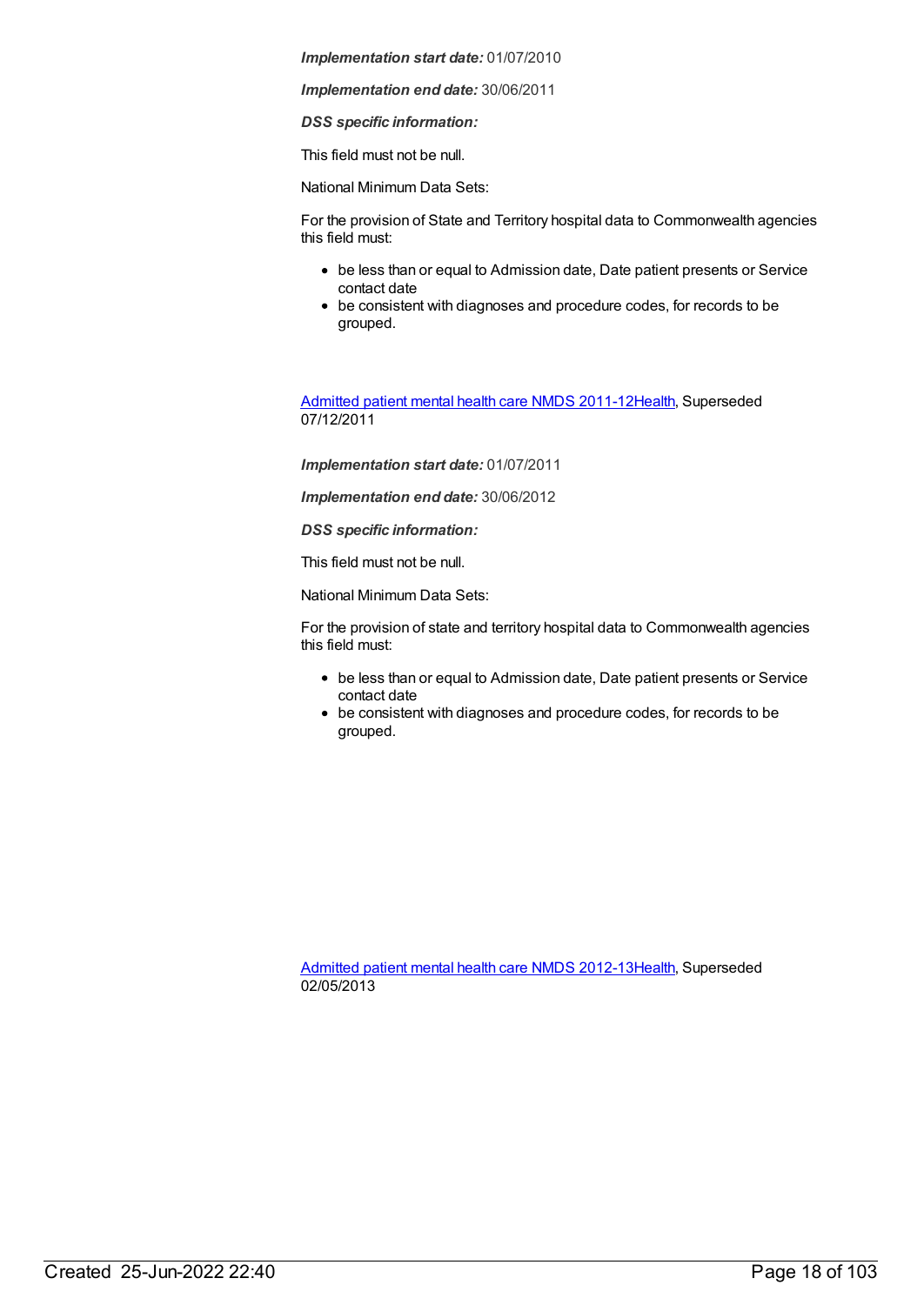*Implementation end date:* 30/06/2011

*DSS specific information:*

This field must not be null.

National Minimum Data Sets:

For the provision of State and Territory hospital data to Commonwealth agencies this field must:

- be less than or equal to Admission date, Date patient presents or Service contact date
- be consistent with diagnoses and procedure codes, for records to be grouped.

[Admitted](https://meteor.aihw.gov.au/content/426872) patient mental health care NMDS 2011-12[Health](https://meteor.aihw.gov.au/RegistrationAuthority/12), Superseded 07/12/2011

*Implementation start date:* 01/07/2011

*Implementation end date:* 30/06/2012

*DSS specific information:*

This field must not be null.

National Minimum Data Sets:

For the provision of state and territory hospital data to Commonwealth agencies this field must:

- be less than or equal to Admission date, Date patient presents or Service contact date
- be consistent with diagnoses and procedure codes, for records to be grouped.

[Admitted](https://meteor.aihw.gov.au/content/471383) patient mental health care NMDS 2012-13[Health](https://meteor.aihw.gov.au/RegistrationAuthority/12), Superseded 02/05/2013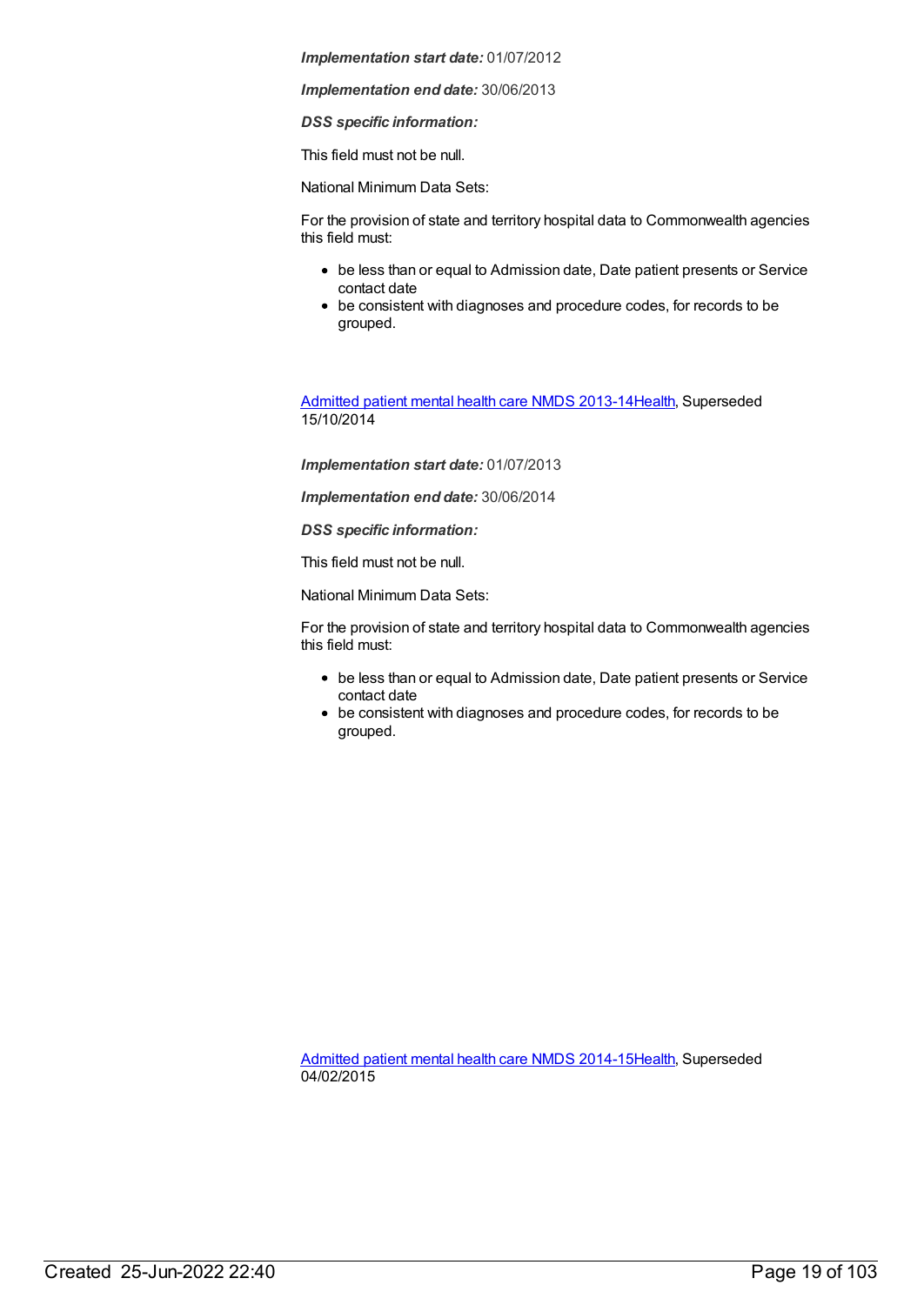*Implementation end date:* 30/06/2013

*DSS specific information:*

This field must not be null.

National Minimum Data Sets:

For the provision of state and territory hospital data to Commonwealth agencies this field must:

- be less than or equal to Admission date, Date patient presents or Service contact date
- be consistent with diagnoses and procedure codes, for records to be grouped.

[Admitted](https://meteor.aihw.gov.au/content/504646) patient mental health care NMDS 2013-14[Health](https://meteor.aihw.gov.au/RegistrationAuthority/12), Superseded 15/10/2014

*Implementation start date:* 01/07/2013

*Implementation end date:* 30/06/2014

*DSS specific information:*

This field must not be null.

National Minimum Data Sets:

For the provision of state and territory hospital data to Commonwealth agencies this field must:

- be less than or equal to Admission date, Date patient presents or Service contact date
- be consistent with diagnoses and procedure codes, for records to be grouped.

[Admitted](https://meteor.aihw.gov.au/content/553164) patient mental health care NMDS 2014-15[Health](https://meteor.aihw.gov.au/RegistrationAuthority/12), Superseded 04/02/2015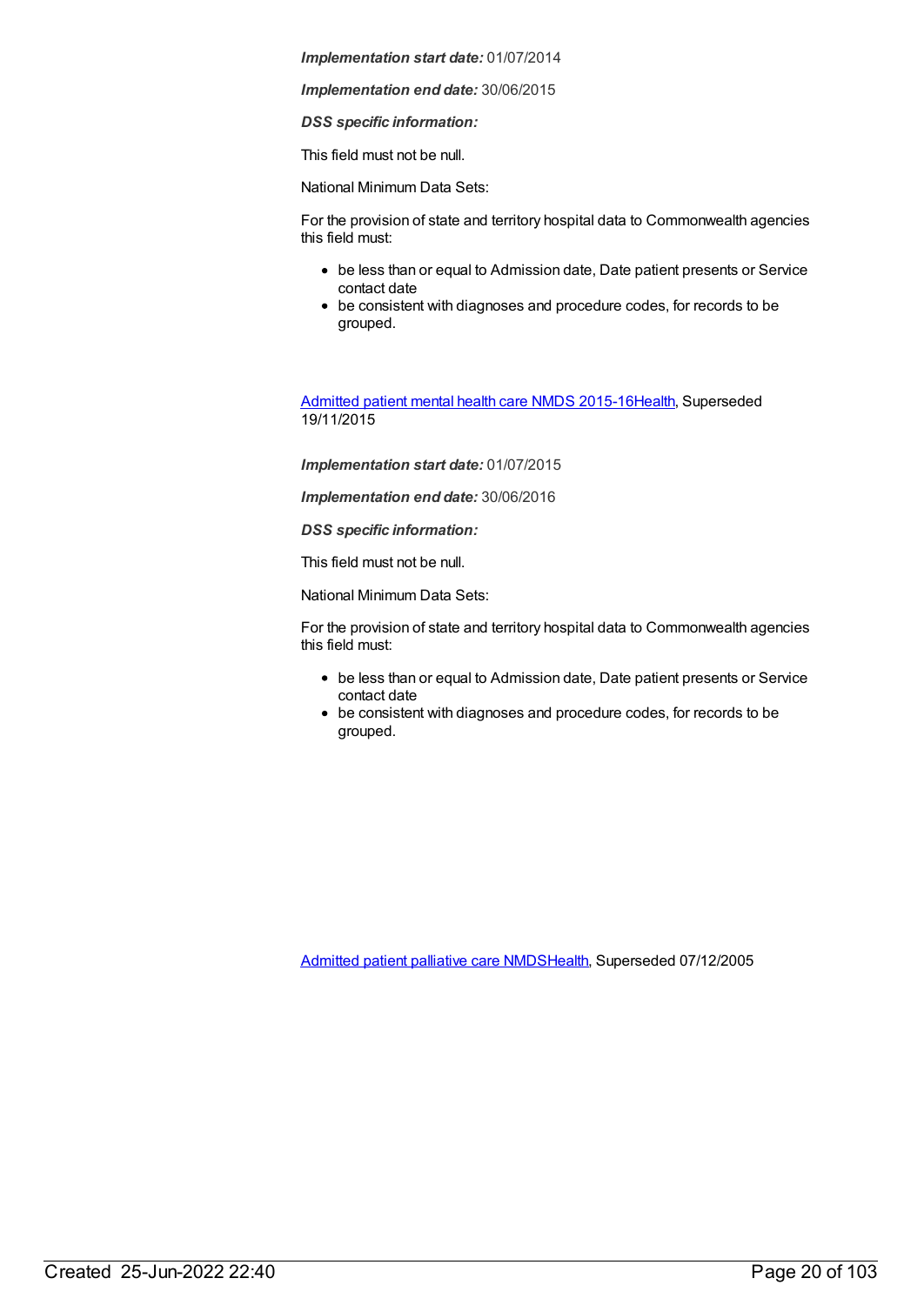*Implementation end date:* 30/06/2015

*DSS specific information:*

This field must not be null.

National Minimum Data Sets:

For the provision of state and territory hospital data to Commonwealth agencies this field must:

- be less than or equal to Admission date, Date patient presents or Service contact date
- be consistent with diagnoses and procedure codes, for records to be grouped.

[Admitted](https://meteor.aihw.gov.au/content/590510) patient mental health care NMDS 2015-16[Health](https://meteor.aihw.gov.au/RegistrationAuthority/12), Superseded 19/11/2015

*Implementation start date:* 01/07/2015

*Implementation end date:* 30/06/2016

*DSS specific information:*

This field must not be null.

National Minimum Data Sets:

For the provision of state and territory hospital data to Commonwealth agencies this field must:

- be less than or equal to Admission date, Date patient presents or Service contact date
- be consistent with diagnoses and procedure codes, for records to be grouped.

[Admitted](https://meteor.aihw.gov.au/content/273046) patient palliative care NMD[SHealth](https://meteor.aihw.gov.au/RegistrationAuthority/12), Superseded 07/12/2005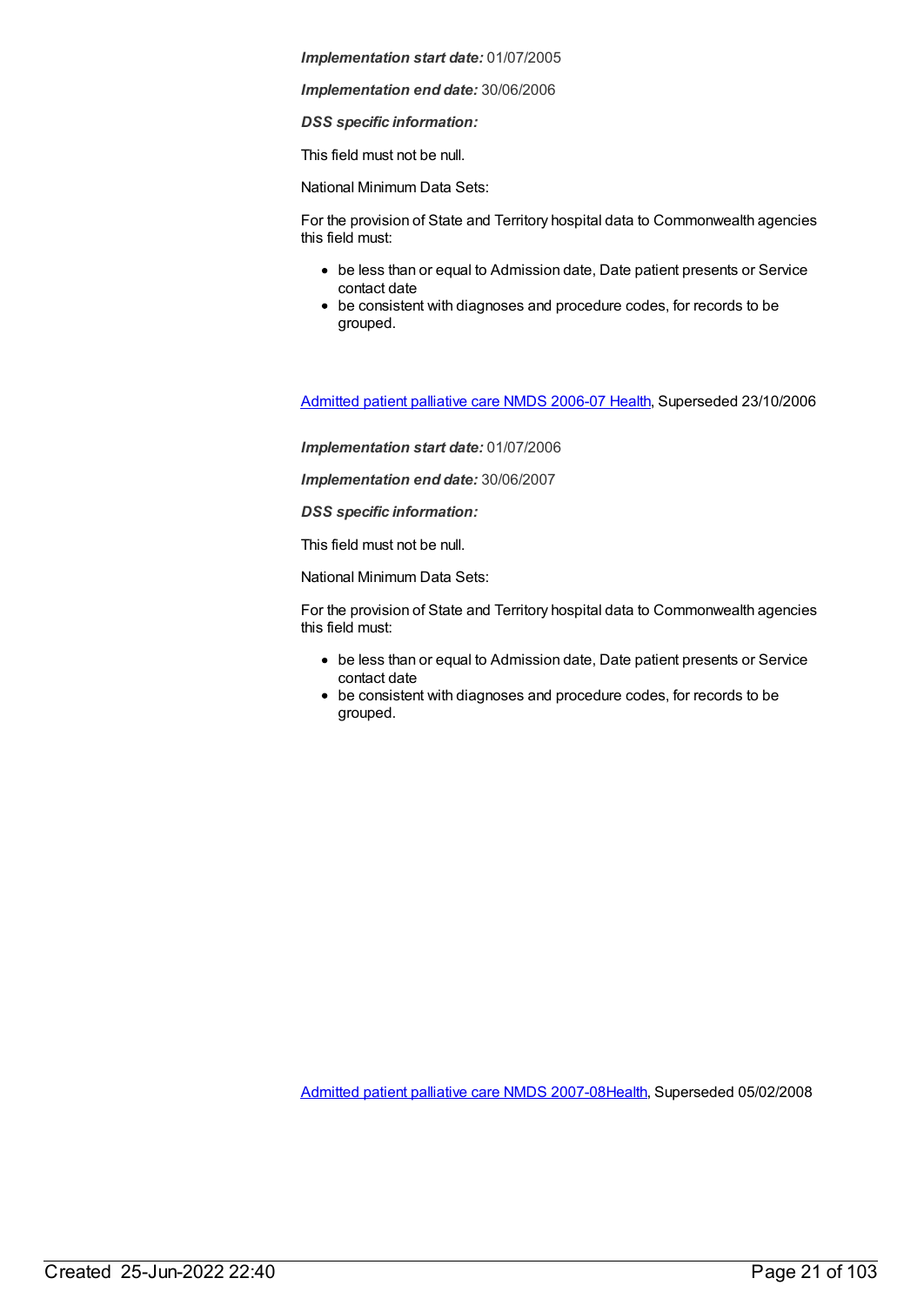*Implementation end date:* 30/06/2006

*DSS specific information:*

This field must not be null.

National Minimum Data Sets:

For the provision of State and Territory hospital data to Commonwealth agencies this field must:

- be less than or equal to Admission date, Date patient presents or Service contact date
- be consistent with diagnoses and procedure codes, for records to be grouped.

[Admitted](https://meteor.aihw.gov.au/content/334050) patient palliative care NMDS 2006-07 [Health](https://meteor.aihw.gov.au/RegistrationAuthority/12), Superseded 23/10/2006

*Implementation start date:* 01/07/2006

*Implementation end date:* 30/06/2007

*DSS specific information:*

This field must not be null.

National Minimum Data Sets:

For the provision of State and Territory hospital data to Commonwealth agencies this field must:

- be less than or equal to Admission date, Date patient presents or Service contact date
- be consistent with diagnoses and procedure codes, for records to be grouped.

[Admitted](https://meteor.aihw.gov.au/content/339098) patient palliative care NMDS 2007-08[Health](https://meteor.aihw.gov.au/RegistrationAuthority/12), Superseded 05/02/2008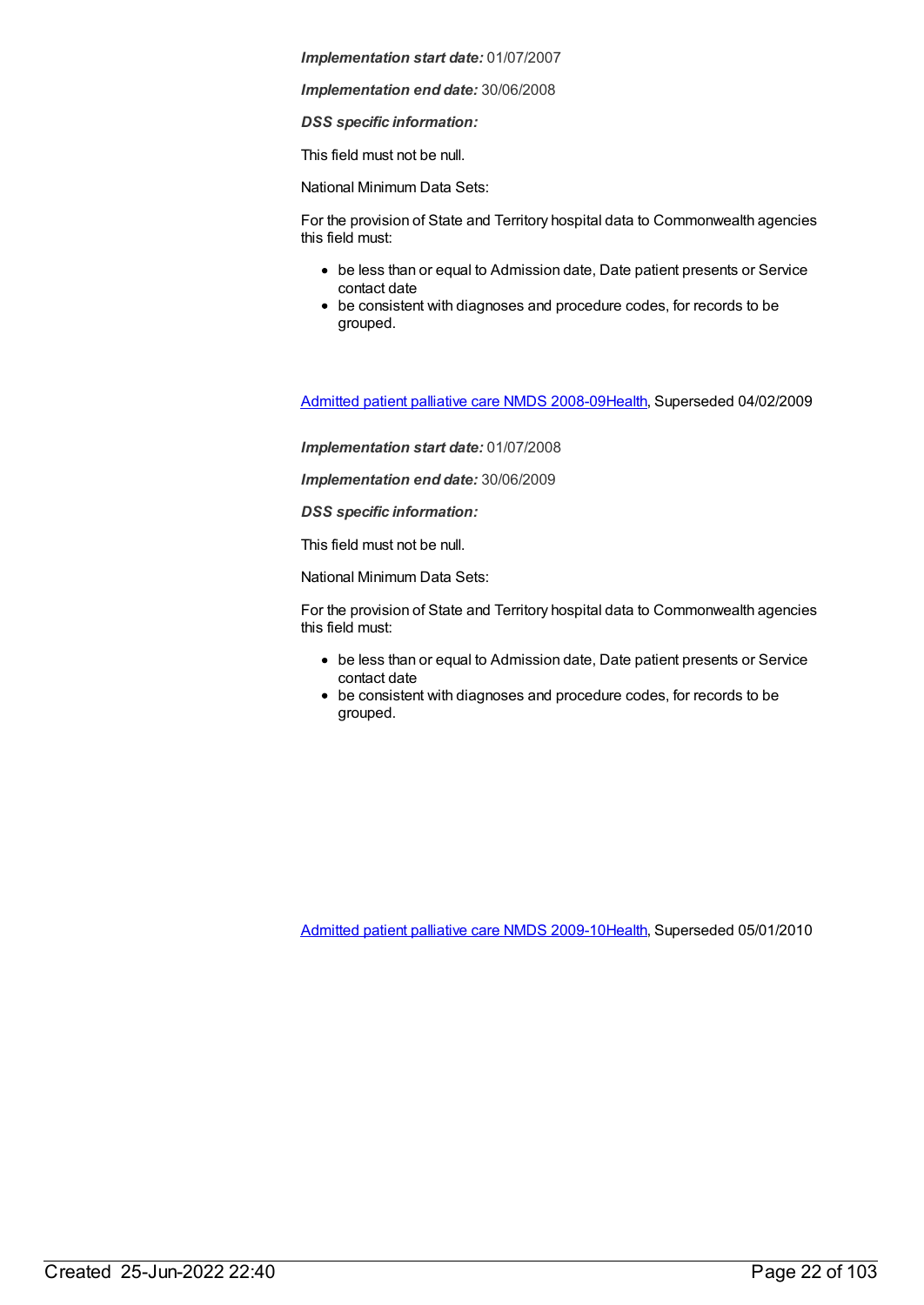*Implementation end date:* 30/06/2008

*DSS specific information:*

This field must not be null.

National Minimum Data Sets:

For the provision of State and Territory hospital data to Commonwealth agencies this field must:

- be less than or equal to Admission date, Date patient presents or Service contact date
- be consistent with diagnoses and procedure codes, for records to be grouped.

[Admitted](https://meteor.aihw.gov.au/content/361960) patient palliative care NMDS 2008-09[Health](https://meteor.aihw.gov.au/RegistrationAuthority/12), Superseded 04/02/2009

*Implementation start date:* 01/07/2008

*Implementation end date:* 30/06/2009

*DSS specific information:*

This field must not be null.

National Minimum Data Sets:

For the provision of State and Territory hospital data to Commonwealth agencies this field must:

- be less than or equal to Admission date, Date patient presents or Service contact date
- be consistent with diagnoses and procedure codes, for records to be grouped.

[Admitted](https://meteor.aihw.gov.au/content/374209) patient palliative care NMDS 2009-10[Health](https://meteor.aihw.gov.au/RegistrationAuthority/12), Superseded 05/01/2010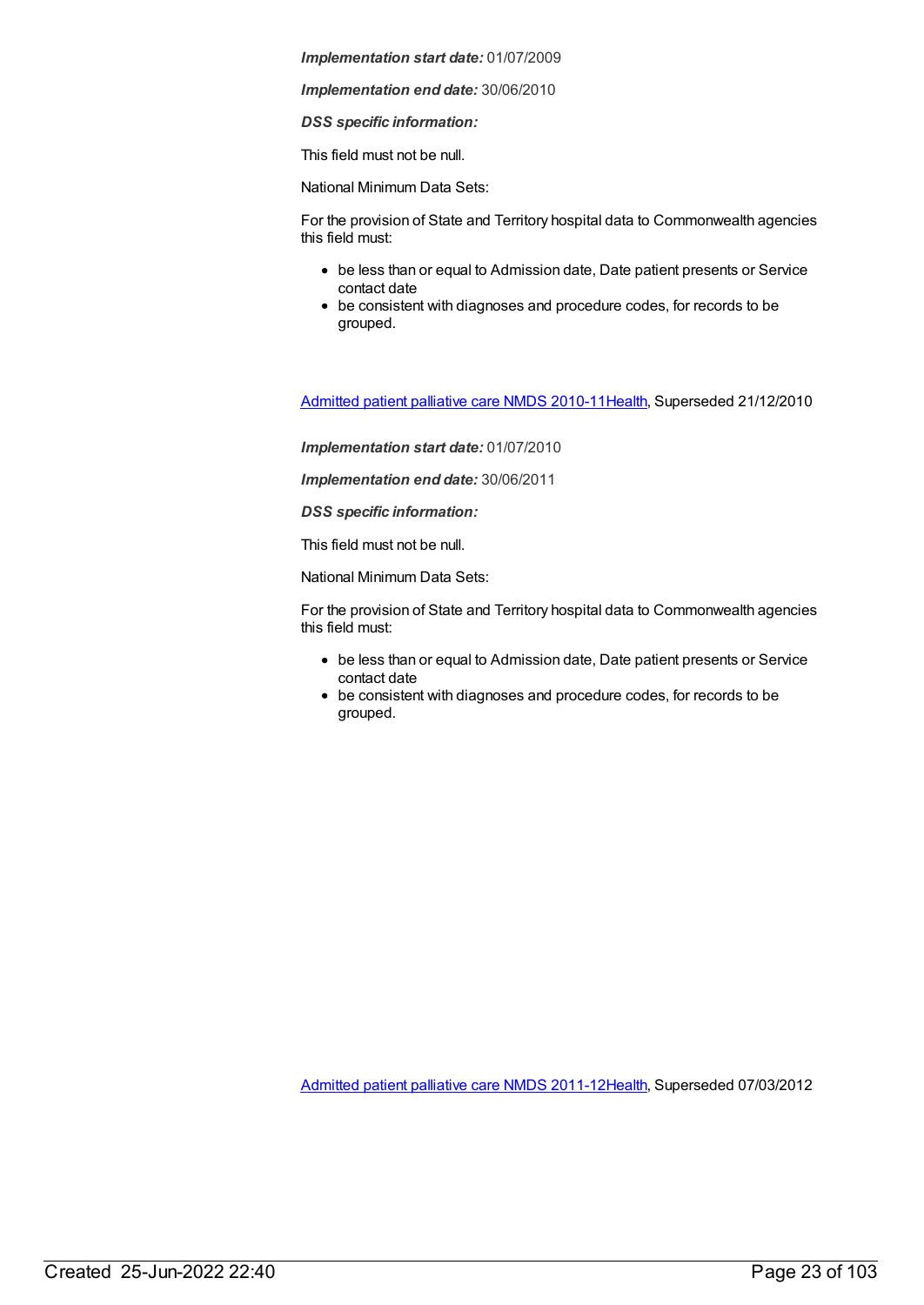*Implementation end date:* 30/06/2010

*DSS specific information:*

This field must not be null.

National Minimum Data Sets:

For the provision of State and Territory hospital data to Commonwealth agencies this field must:

- be less than or equal to Admission date, Date patient presents or Service contact date
- be consistent with diagnoses and procedure codes, for records to be grouped.

[Admitted](https://meteor.aihw.gov.au/content/386801) patient palliative care NMDS 2010-11[Health](https://meteor.aihw.gov.au/RegistrationAuthority/12), Superseded 21/12/2010

*Implementation start date:* 01/07/2010

*Implementation end date:* 30/06/2011

*DSS specific information:*

This field must not be null.

National Minimum Data Sets:

For the provision of State and Territory hospital data to Commonwealth agencies this field must:

- be less than or equal to Admission date, Date patient presents or Service contact date
- be consistent with diagnoses and procedure codes, for records to be grouped.

[Admitted](https://meteor.aihw.gov.au/content/426760) patient palliative care NMDS 2011-12[Health](https://meteor.aihw.gov.au/RegistrationAuthority/12), Superseded 07/03/2012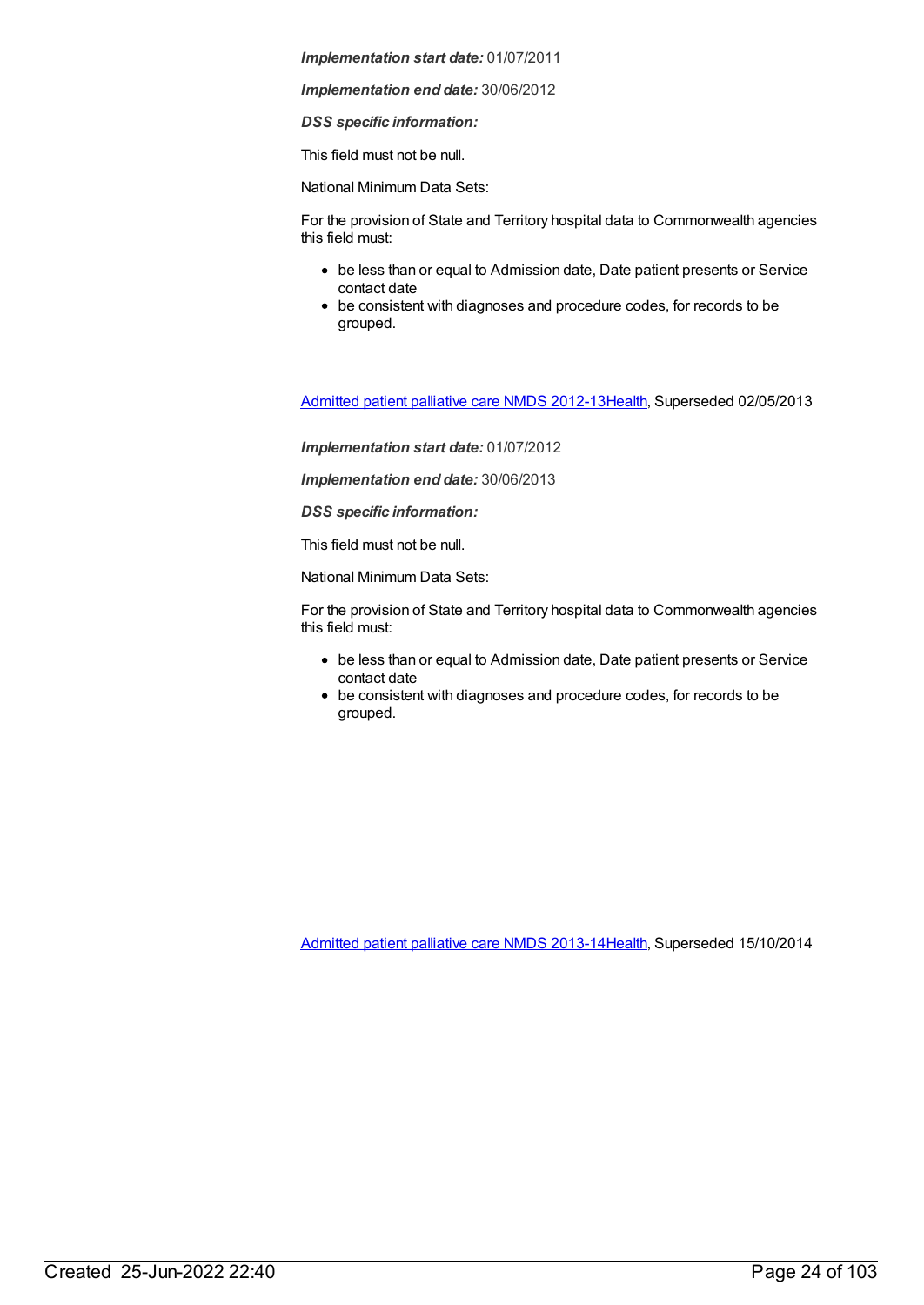*Implementation end date:* 30/06/2012

*DSS specific information:*

This field must not be null.

National Minimum Data Sets:

For the provision of State and Territory hospital data to Commonwealth agencies this field must:

- be less than or equal to Admission date, Date patient presents or Service contact date
- be consistent with diagnoses and procedure codes, for records to be grouped.

[Admitted](https://meteor.aihw.gov.au/content/471819) patient palliative care NMDS 2012-13[Health](https://meteor.aihw.gov.au/RegistrationAuthority/12), Superseded 02/05/2013

*Implementation start date:* 01/07/2012

*Implementation end date:* 30/06/2013

*DSS specific information:*

This field must not be null.

National Minimum Data Sets:

For the provision of State and Territory hospital data to Commonwealth agencies this field must:

- be less than or equal to Admission date, Date patient presents or Service contact date
- be consistent with diagnoses and procedure codes, for records to be grouped.

[Admitted](https://meteor.aihw.gov.au/content/504641) patient palliative care NMDS 2013-14[Health](https://meteor.aihw.gov.au/RegistrationAuthority/12), Superseded 15/10/2014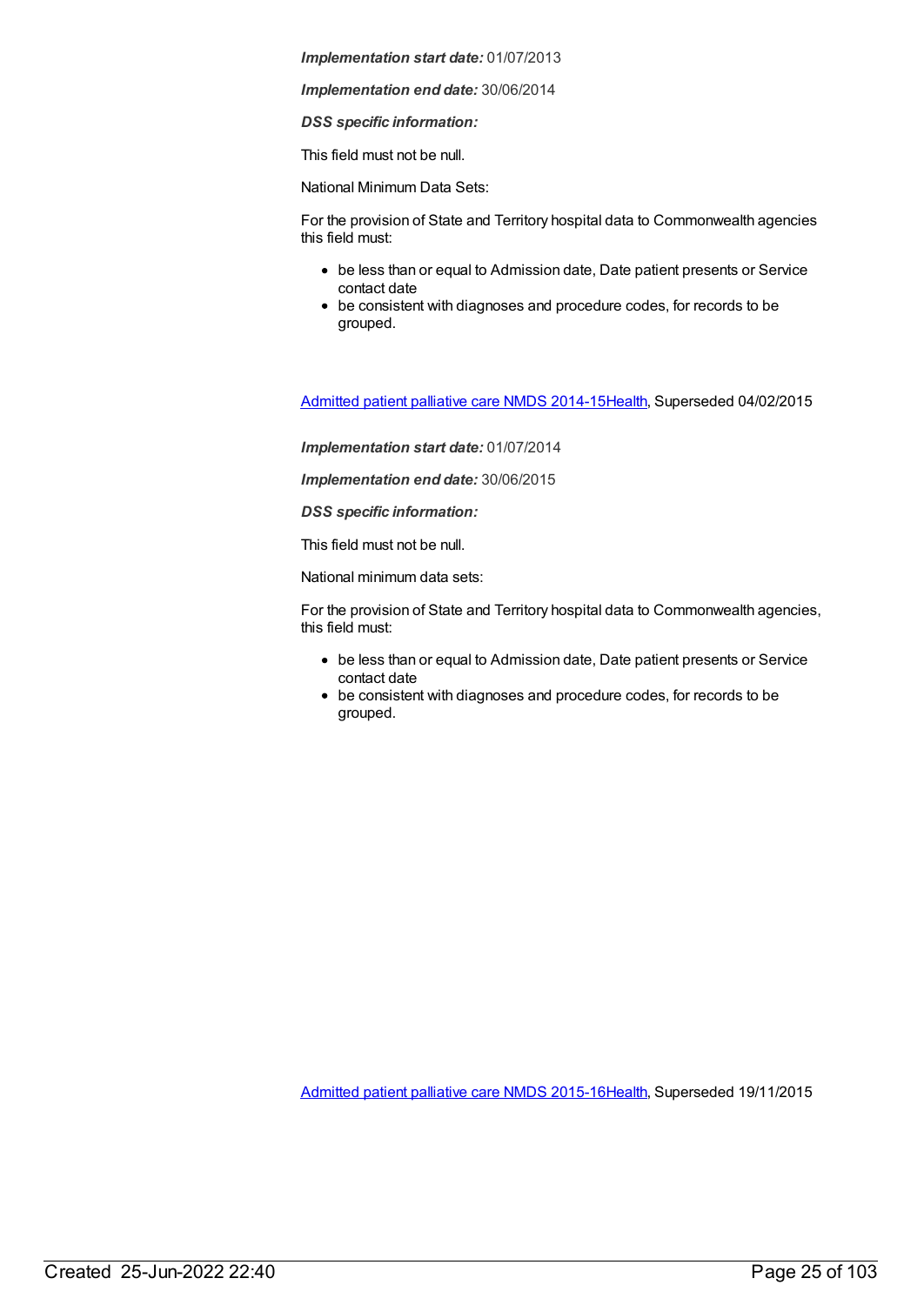*Implementation end date:* 30/06/2014

*DSS specific information:*

This field must not be null.

National Minimum Data Sets:

For the provision of State and Territory hospital data to Commonwealth agencies this field must:

- be less than or equal to Admission date, Date patient presents or Service contact date
- be consistent with diagnoses and procedure codes, for records to be grouped.

[Admitted](https://meteor.aihw.gov.au/content/553212) patient palliative care NMDS 2014-15[Health](https://meteor.aihw.gov.au/RegistrationAuthority/12), Superseded 04/02/2015

*Implementation start date:* 01/07/2014

*Implementation end date:* 30/06/2015

*DSS specific information:*

This field must not be null.

National minimum data sets:

For the provision of State and Territory hospital data to Commonwealth agencies, this field must:

- be less than or equal to Admission date, Date patient presents or Service contact date
- be consistent with diagnoses and procedure codes, for records to be grouped.

[Admitted](https://meteor.aihw.gov.au/content/590512) patient palliative care NMDS 2015-16[Health](https://meteor.aihw.gov.au/RegistrationAuthority/12), Superseded 19/11/2015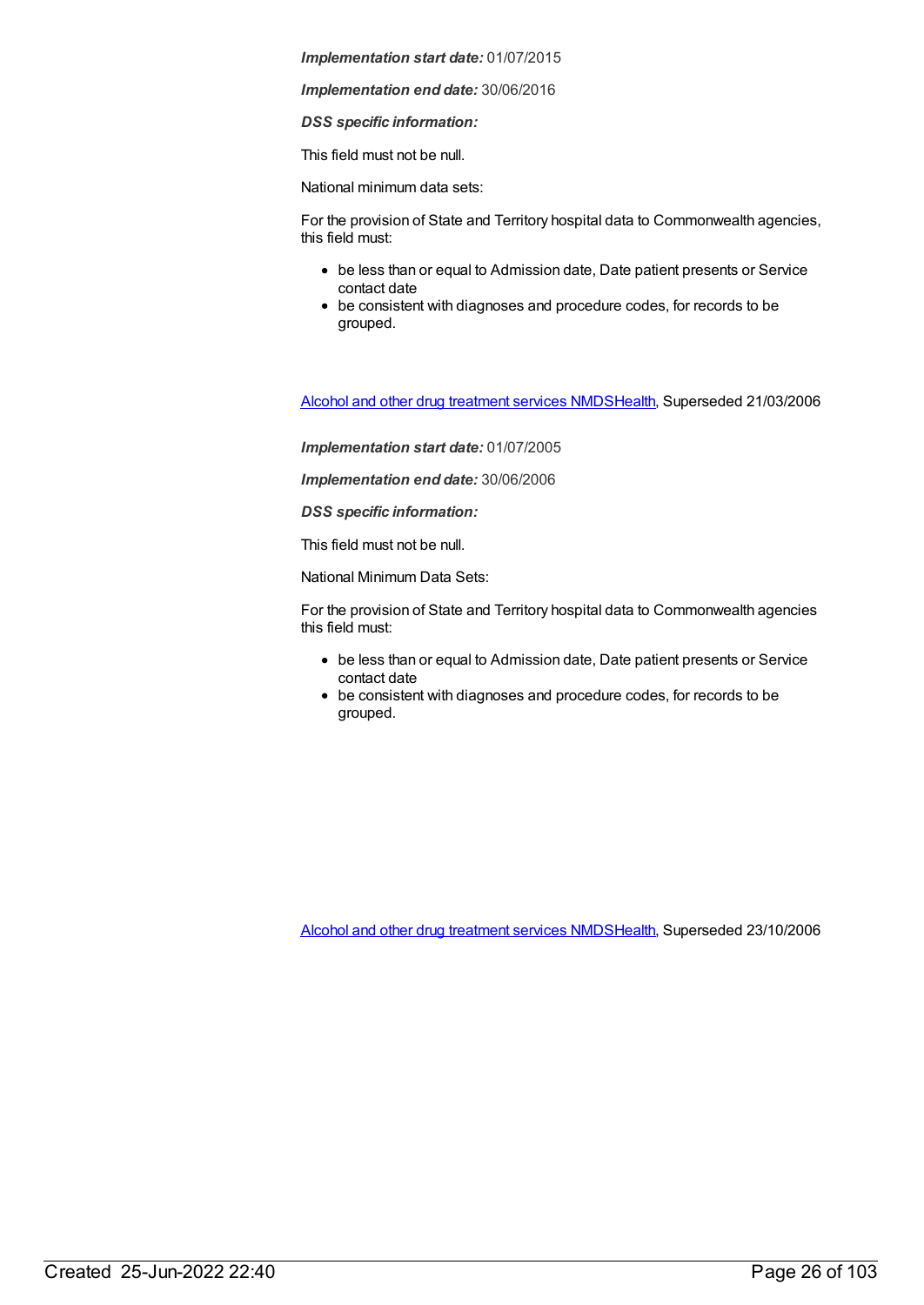*Implementation end date:* 30/06/2016

*DSS specific information:*

This field must not be null.

National minimum data sets:

For the provision of State and Territory hospital data to Commonwealth agencies, this field must:

- be less than or equal to Admission date, Date patient presents or Service contact date
- be consistent with diagnoses and procedure codes, for records to be grouped.

Alcohol and other drug [treatment](https://meteor.aihw.gov.au/content/273051) services NMD[SHealth](https://meteor.aihw.gov.au/RegistrationAuthority/12), Superseded 21/03/2006

*Implementation start date:* 01/07/2005

*Implementation end date:* 30/06/2006

*DSS specific information:*

This field must not be null.

National Minimum Data Sets:

For the provision of State and Territory hospital data to Commonwealth agencies this field must:

- be less than or equal to Admission date, Date patient presents or Service contact date
- be consistent with diagnoses and procedure codes, for records to be grouped.

Alcohol and other drug [treatment](https://meteor.aihw.gov.au/content/334288) services NMD[SHealth](https://meteor.aihw.gov.au/RegistrationAuthority/12), Superseded 23/10/2006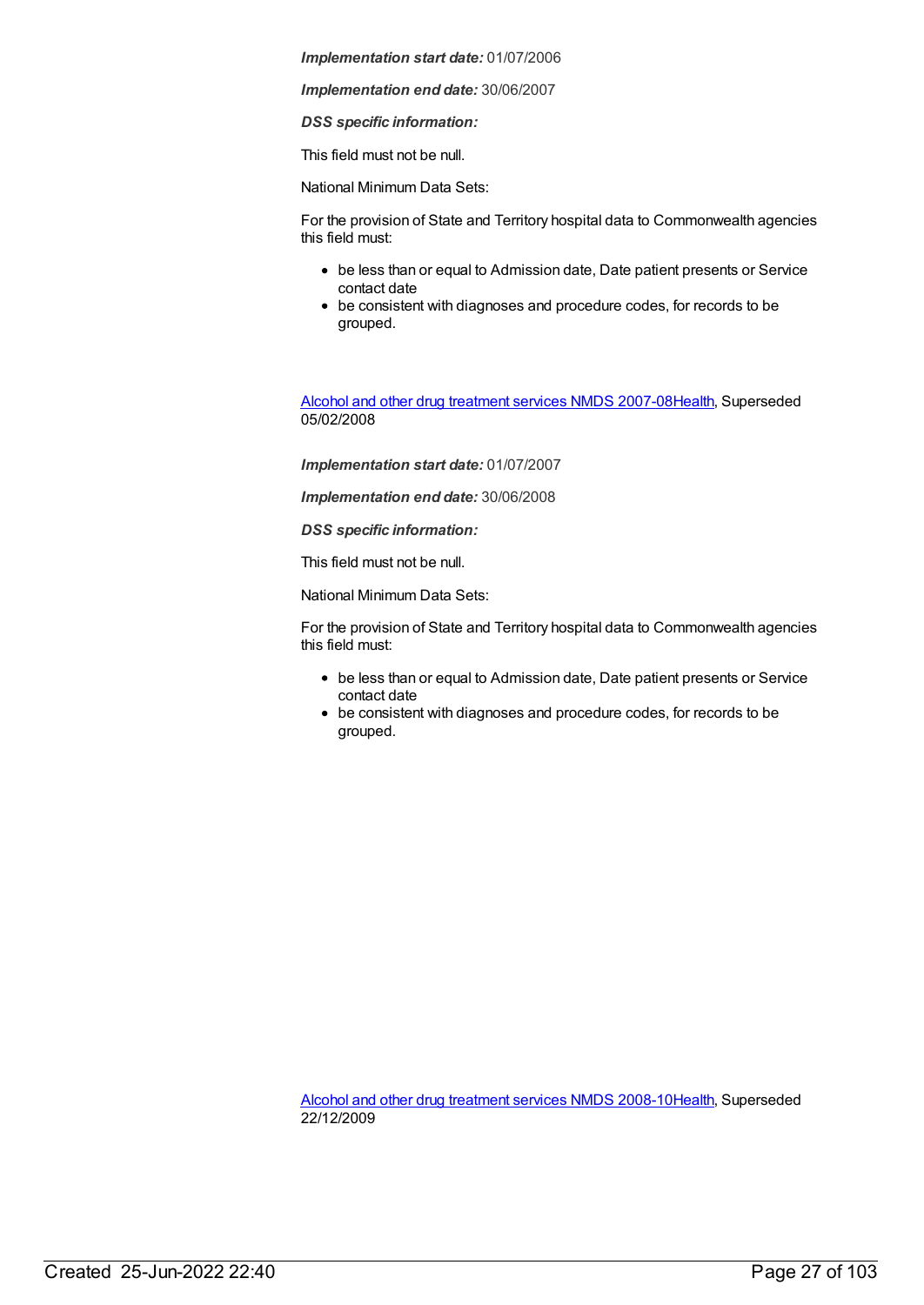*Implementation end date:* 30/06/2007

*DSS specific information:*

This field must not be null.

National Minimum Data Sets:

For the provision of State and Territory hospital data to Commonwealth agencies this field must:

- be less than or equal to Admission date, Date patient presents or Service contact date
- be consistent with diagnoses and procedure codes, for records to be grouped.

Alcohol and other drug [treatment](https://meteor.aihw.gov.au/content/345144) services NMDS 2007-0[8Health](https://meteor.aihw.gov.au/RegistrationAuthority/12), Superseded 05/02/2008

*Implementation start date:* 01/07/2007

*Implementation end date:* 30/06/2008

*DSS specific information:*

This field must not be null.

National Minimum Data Sets:

For the provision of State and Territory hospital data to Commonwealth agencies this field must:

- be less than or equal to Admission date, Date patient presents or Service contact date
- be consistent with diagnoses and procedure codes, for records to be grouped.

Alcohol and other drug [treatment](https://meteor.aihw.gov.au/content/362318) services NMDS 2008-1[0Health](https://meteor.aihw.gov.au/RegistrationAuthority/12), Superseded 22/12/2009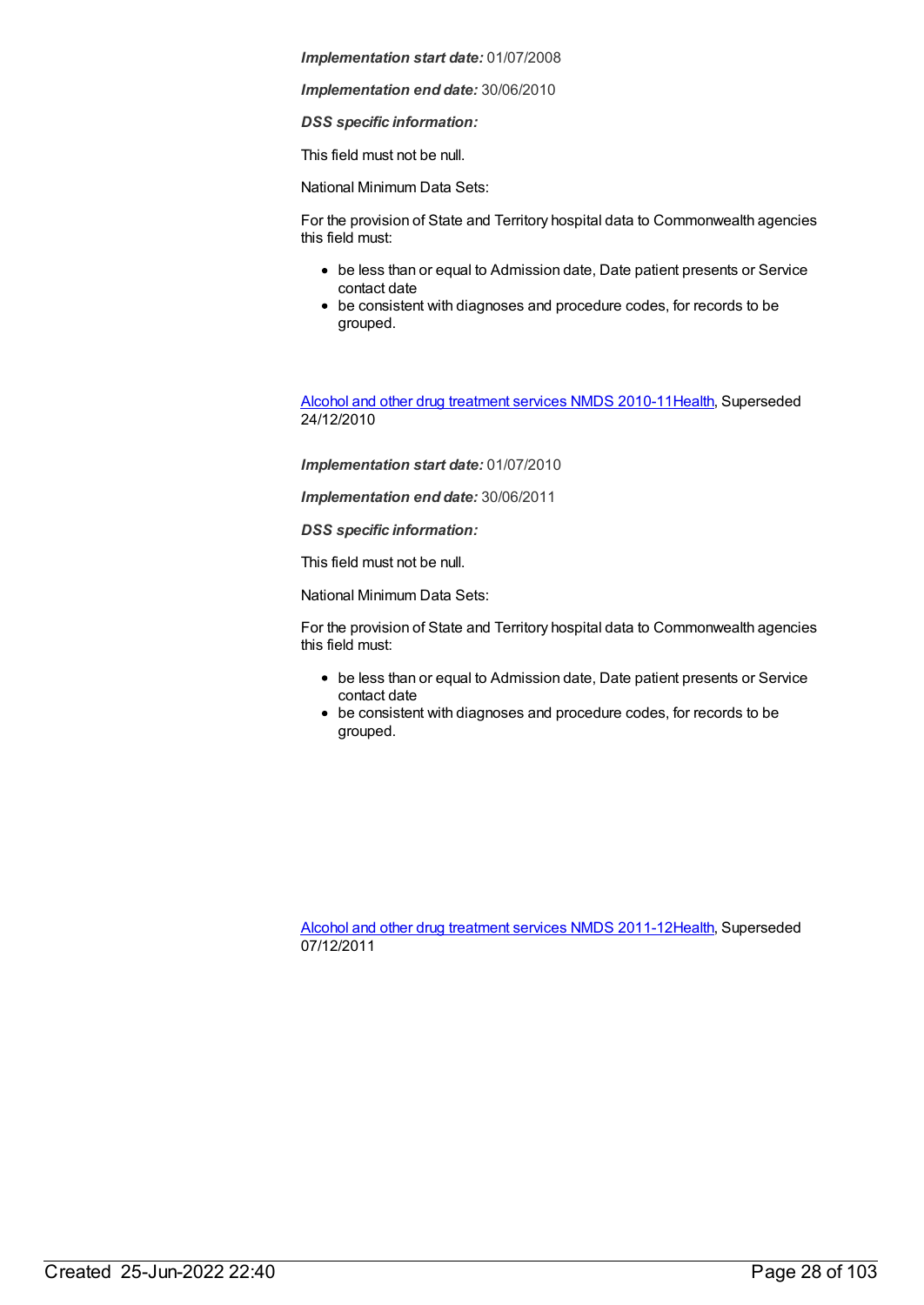*Implementation end date:* 30/06/2010

*DSS specific information:*

This field must not be null.

National Minimum Data Sets:

For the provision of State and Territory hospital data to Commonwealth agencies this field must:

- be less than or equal to Admission date, Date patient presents or Service contact date
- be consistent with diagnoses and procedure codes, for records to be grouped.

Alcohol and other drug [treatment](https://meteor.aihw.gov.au/content/374211) services NMDS 2010-1[1Health](https://meteor.aihw.gov.au/RegistrationAuthority/12), Superseded 24/12/2010

*Implementation start date:* 01/07/2010

*Implementation end date:* 30/06/2011

*DSS specific information:*

This field must not be null.

National Minimum Data Sets:

For the provision of State and Territory hospital data to Commonwealth agencies this field must:

- be less than or equal to Admission date, Date patient presents or Service contact date
- be consistent with diagnoses and procedure codes, for records to be grouped.

Alcohol and other drug [treatment](https://meteor.aihw.gov.au/content/427037) services NMDS 2011-1[2Health](https://meteor.aihw.gov.au/RegistrationAuthority/12), Superseded 07/12/2011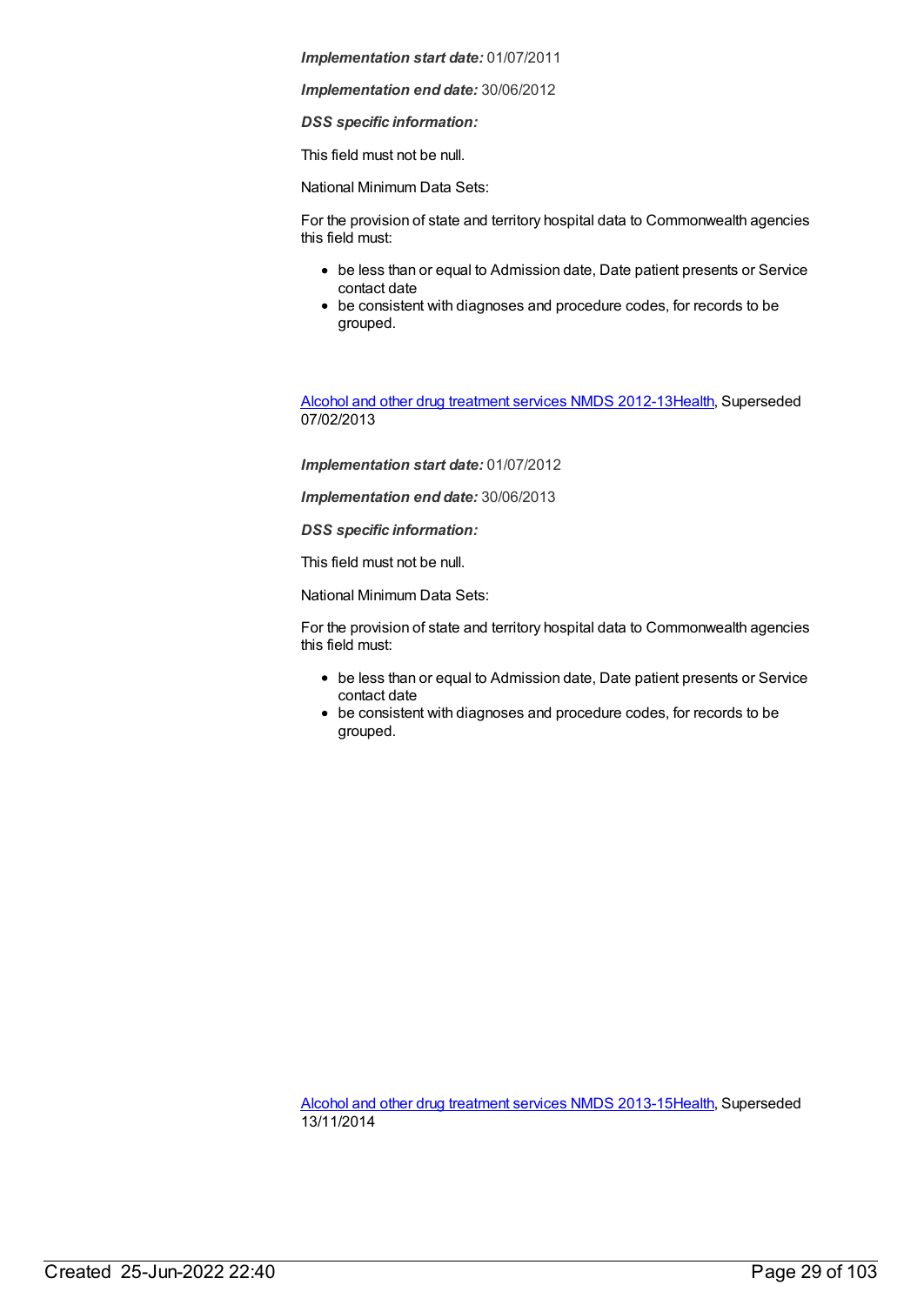*Implementation end date:* 30/06/2012

*DSS specific information:*

This field must not be null.

National Minimum Data Sets:

For the provision of state and territory hospital data to Commonwealth agencies this field must:

- be less than or equal to Admission date, Date patient presents or Service contact date
- be consistent with diagnoses and procedure codes, for records to be grouped.

Alcohol and other drug [treatment](https://meteor.aihw.gov.au/content/466861) services NMDS 2012-1[3Health](https://meteor.aihw.gov.au/RegistrationAuthority/12), Superseded 07/02/2013

*Implementation start date:* 01/07/2012

*Implementation end date:* 30/06/2013

*DSS specific information:*

This field must not be null.

National Minimum Data Sets:

For the provision of state and territory hospital data to Commonwealth agencies this field must:

- be less than or equal to Admission date, Date patient presents or Service contact date
- be consistent with diagnoses and procedure codes, for records to be grouped.

Alcohol and other drug [treatment](https://meteor.aihw.gov.au/content/498901) services NMDS 2013-1[5Health](https://meteor.aihw.gov.au/RegistrationAuthority/12), Superseded 13/11/2014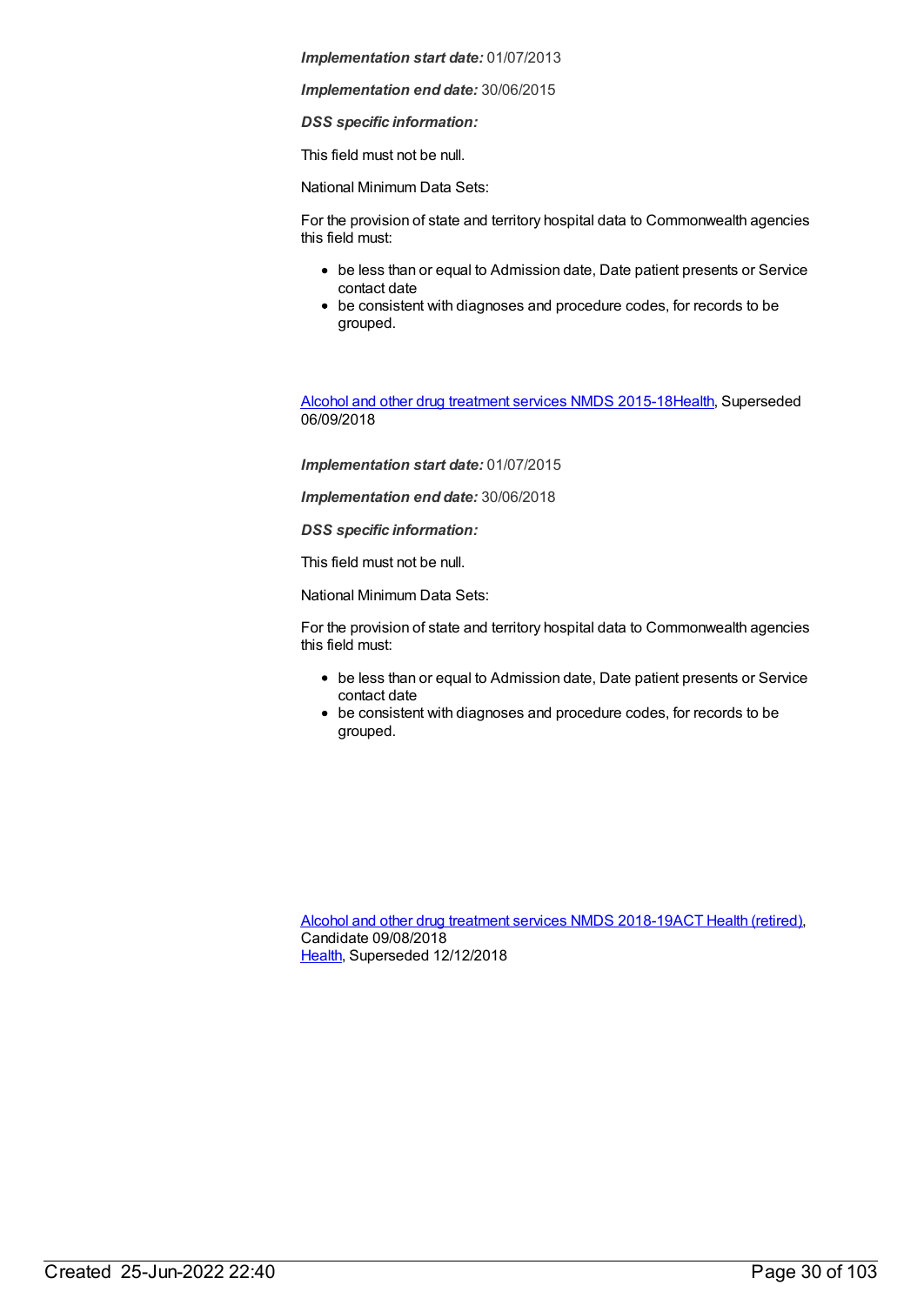*Implementation end date:* 30/06/2015

*DSS specific information:*

This field must not be null.

National Minimum Data Sets:

For the provision of state and territory hospital data to Commonwealth agencies this field must:

- be less than or equal to Admission date, Date patient presents or Service contact date
- be consistent with diagnoses and procedure codes, for records to be grouped.

Alcohol and other drug [treatment](https://meteor.aihw.gov.au/content/583090) services NMDS 2015-1[8Health](https://meteor.aihw.gov.au/RegistrationAuthority/12), Superseded 06/09/2018

*Implementation start date:* 01/07/2015

*Implementation end date:* 30/06/2018

*DSS specific information:*

This field must not be null.

National Minimum Data Sets:

For the provision of state and territory hospital data to Commonwealth agencies this field must:

- be less than or equal to Admission date, Date patient presents or Service contact date
- be consistent with diagnoses and procedure codes, for records to be grouped.

Alcohol and other drug [treatment](https://meteor.aihw.gov.au/content/686596) services NMDS 2018-19ACT Health [\(retired\)](https://meteor.aihw.gov.au/RegistrationAuthority/9), Candidate 09/08/2018 [Health](https://meteor.aihw.gov.au/RegistrationAuthority/12), Superseded 12/12/2018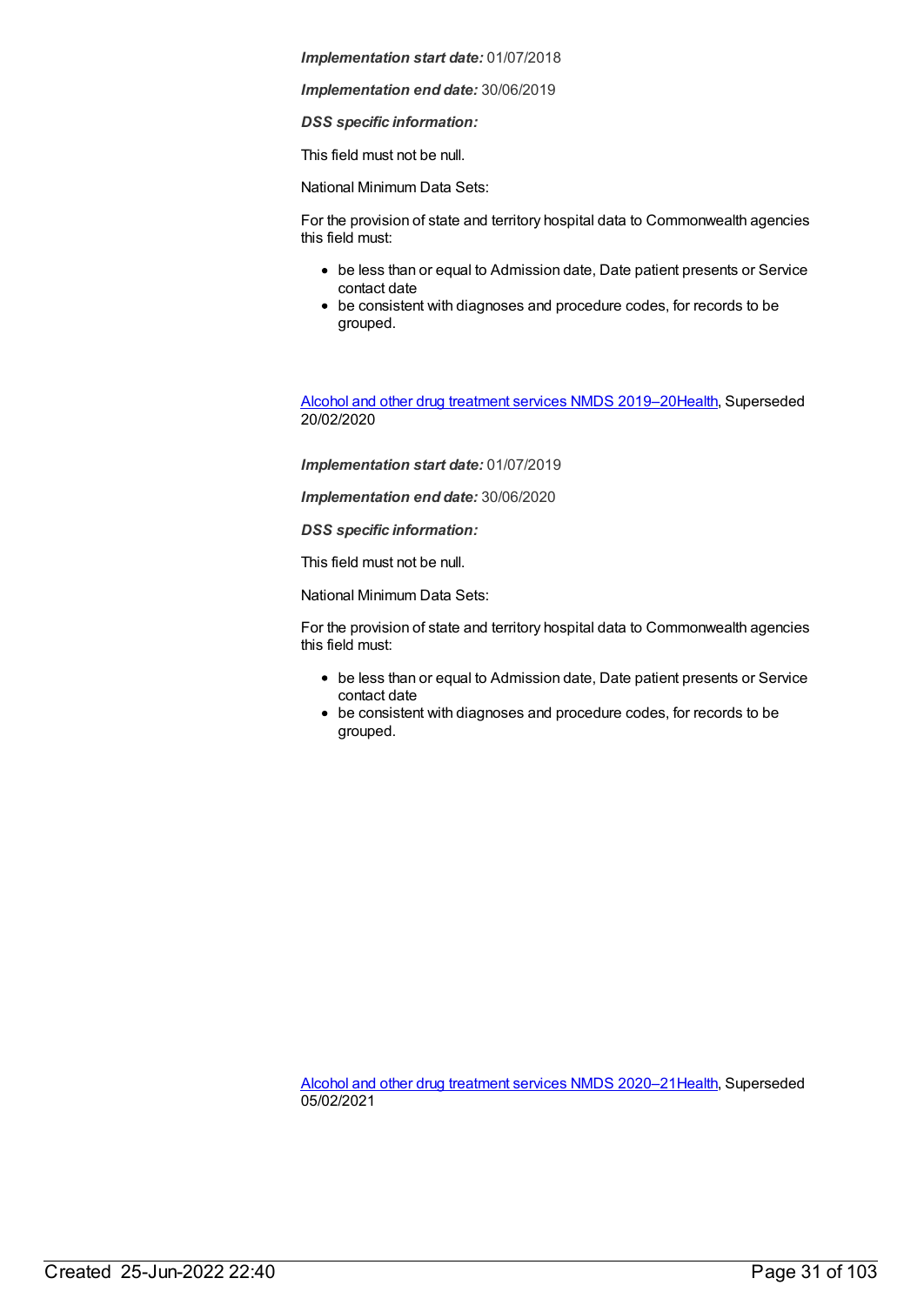*Implementation end date:* 30/06/2019

*DSS specific information:*

This field must not be null.

National Minimum Data Sets:

For the provision of state and territory hospital data to Commonwealth agencies this field must:

- be less than or equal to Admission date, Date patient presents or Service contact date
- be consistent with diagnoses and procedure codes, for records to be grouped.

Alcohol and other drug [treatment](https://meteor.aihw.gov.au/content/700931) services NMDS 2019–2[0Health](https://meteor.aihw.gov.au/RegistrationAuthority/12), Superseded 20/02/2020

*Implementation start date:* 01/07/2019

*Implementation end date:* 30/06/2020

*DSS specific information:*

This field must not be null.

National Minimum Data Sets:

For the provision of state and territory hospital data to Commonwealth agencies this field must:

- be less than or equal to Admission date, Date patient presents or Service contact date
- be consistent with diagnoses and procedure codes, for records to be grouped.

Alcohol and other drug [treatment](https://meteor.aihw.gov.au/content/717078) services NMDS 2020–2[1Health](https://meteor.aihw.gov.au/RegistrationAuthority/12), Superseded 05/02/2021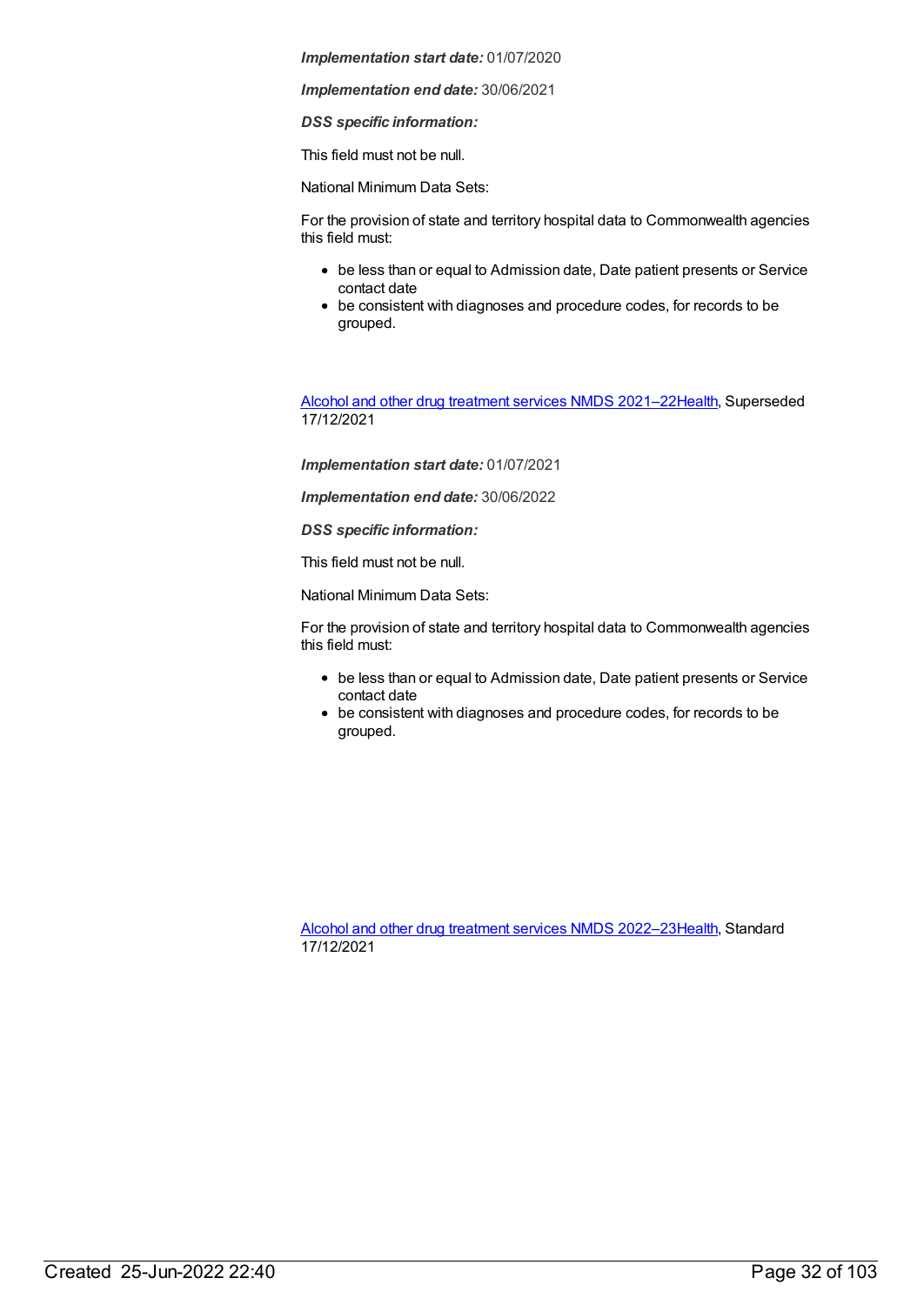*Implementation end date:* 30/06/2021

*DSS specific information:*

This field must not be null.

National Minimum Data Sets:

For the provision of state and territory hospital data to Commonwealth agencies this field must:

- be less than or equal to Admission date, Date patient presents or Service contact date
- be consistent with diagnoses and procedure codes, for records to be grouped.

Alcohol and other drug [treatment](https://meteor.aihw.gov.au/content/733903) services NMDS 2021–2[2Health](https://meteor.aihw.gov.au/RegistrationAuthority/12), Superseded 17/12/2021

*Implementation start date:* 01/07/2021

*Implementation end date:* 30/06/2022

*DSS specific information:*

This field must not be null.

National Minimum Data Sets:

For the provision of state and territory hospital data to Commonwealth agencies this field must:

- be less than or equal to Admission date, Date patient presents or Service contact date
- be consistent with diagnoses and procedure codes, for records to be grouped.

Alcohol and other drug [treatment](https://meteor.aihw.gov.au/content/742035) services NMDS 2022–2[3Health](https://meteor.aihw.gov.au/RegistrationAuthority/12), Standard 17/12/2021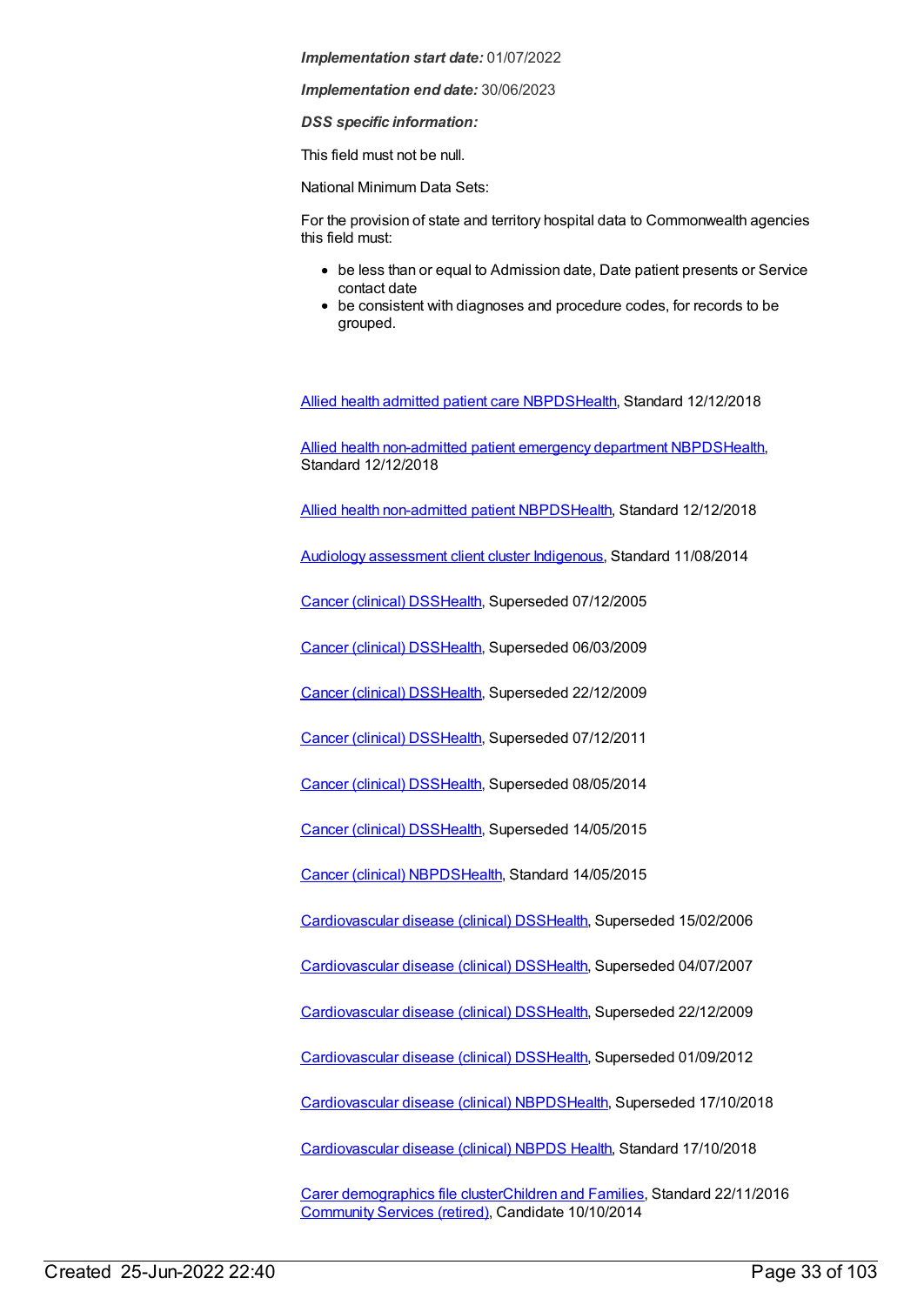*Implementation end date:* 30/06/2023

*DSS specific information:*

This field must not be null.

National Minimum Data Sets:

For the provision of state and territory hospital data to Commonwealth agencies this field must:

- be less than or equal to Admission date, Date patient presents or Service contact date
- be consistent with diagnoses and procedure codes, for records to be grouped.

Allied health [admitted](https://meteor.aihw.gov.au/content/705499) patient care NBPD[SHealth](https://meteor.aihw.gov.au/RegistrationAuthority/12), Standard 12/12/2018

Allied health [non-admitted](https://meteor.aihw.gov.au/content/705494) patient emergency department NBPD[SHealth](https://meteor.aihw.gov.au/RegistrationAuthority/12), Standard 12/12/2018

Allied health [non-admitted](https://meteor.aihw.gov.au/content/705642) patient NBPDS[Health](https://meteor.aihw.gov.au/RegistrationAuthority/12), Standard 12/12/2018

Audiology [assessment](https://meteor.aihw.gov.au/content/525056) client cluster [Indigenous](https://meteor.aihw.gov.au/RegistrationAuthority/6), Standard 11/08/2014

Cancer [\(clinical\)](https://meteor.aihw.gov.au/content/289280) DSS[Health](https://meteor.aihw.gov.au/RegistrationAuthority/12), Superseded 07/12/2005

Cancer [\(clinical\)](https://meteor.aihw.gov.au/content/334019) DSS[Health](https://meteor.aihw.gov.au/RegistrationAuthority/12), Superseded 06/03/2009

Cancer [\(clinical\)](https://meteor.aihw.gov.au/content/342187) DSS[Health](https://meteor.aihw.gov.au/RegistrationAuthority/12), Superseded 22/12/2009

Cancer [\(clinical\)](https://meteor.aihw.gov.au/content/393191) DSS[Health](https://meteor.aihw.gov.au/RegistrationAuthority/12), Superseded 07/12/2011

Cancer [\(clinical\)](https://meteor.aihw.gov.au/content/394731) DSS[Health](https://meteor.aihw.gov.au/RegistrationAuthority/12), Superseded 08/05/2014

Cancer [\(clinical\)](https://meteor.aihw.gov.au/content/560813) DSS[Health](https://meteor.aihw.gov.au/RegistrationAuthority/12), Superseded 14/05/2015

Cancer [\(clinical\)](https://meteor.aihw.gov.au/content/597861) NBPD[SHealth](https://meteor.aihw.gov.au/RegistrationAuthority/12), Standard 14/05/2015

[Cardiovascular](https://meteor.aihw.gov.au/content/273052) disease (clinical) DS[SHealth,](https://meteor.aihw.gov.au/RegistrationAuthority/12) Superseded 15/02/2006

[Cardiovascular](https://meteor.aihw.gov.au/content/348289) disease (clinical) DS[SHealth,](https://meteor.aihw.gov.au/RegistrationAuthority/12) Superseded 04/07/2007

[Cardiovascular](https://meteor.aihw.gov.au/content/353668) disease (clinical) DS[SHealth,](https://meteor.aihw.gov.au/RegistrationAuthority/12) Superseded 22/12/2009

[Cardiovascular](https://meteor.aihw.gov.au/content/374213) disease (clinical) DS[SHealth,](https://meteor.aihw.gov.au/RegistrationAuthority/12) Superseded 01/09/2012

[Cardiovascular](https://meteor.aihw.gov.au/content/470731) disease (clinical) NBPD[SHealth](https://meteor.aihw.gov.au/RegistrationAuthority/12), Superseded 17/10/2018

[Cardiovascular](https://meteor.aihw.gov.au/content/697668) disease (clinical) NBPDS [Health](https://meteor.aihw.gov.au/RegistrationAuthority/12), Standard 17/10/2018

Carer [demographics](https://meteor.aihw.gov.au/content/493178) file cluste[rChildren](https://meteor.aihw.gov.au/RegistrationAuthority/17) and Families, Standard 22/11/2016 [Community](https://meteor.aihw.gov.au/RegistrationAuthority/1) Services (retired), Candidate 10/10/2014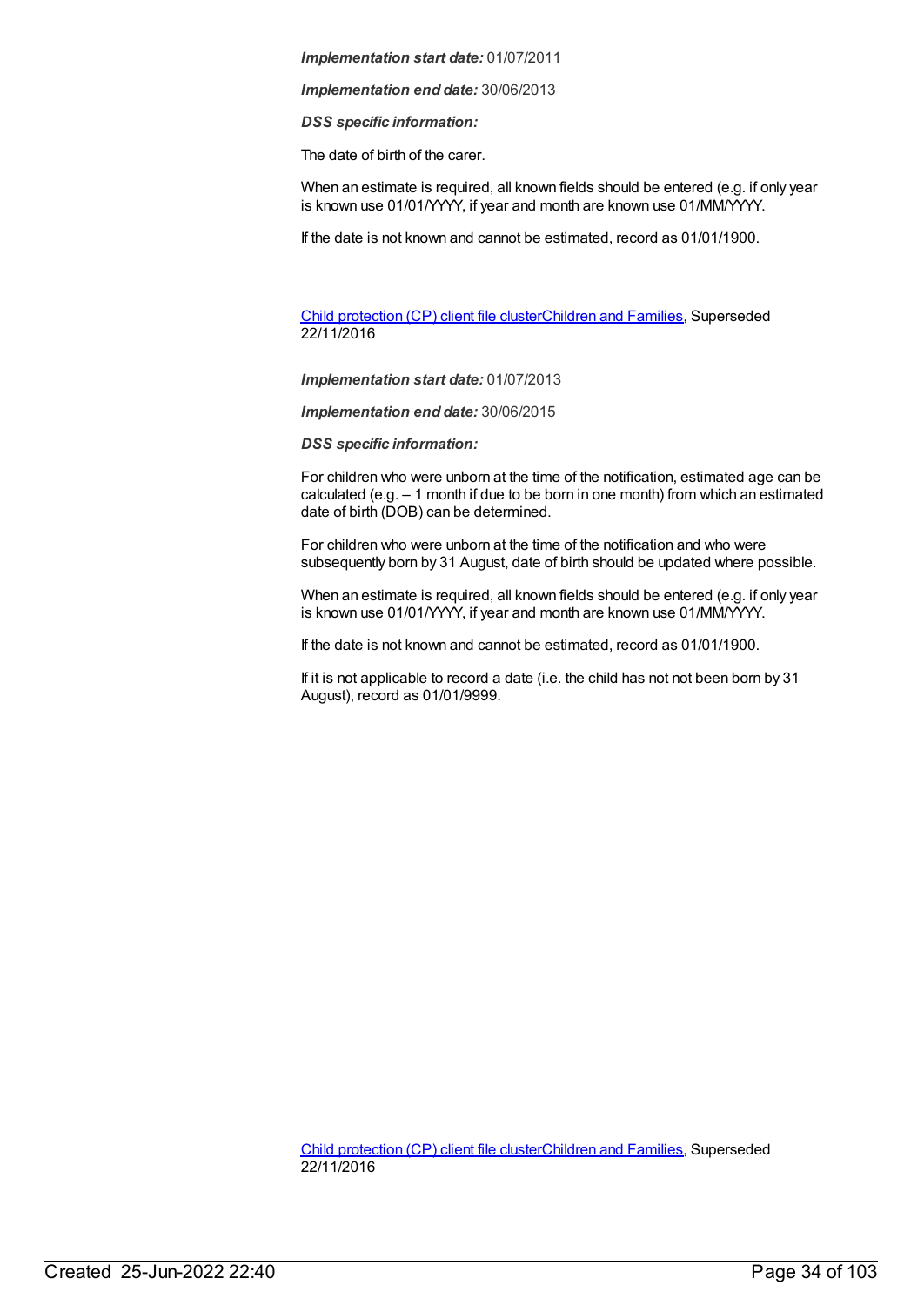*Implementation end date:* 30/06/2013

*DSS specific information:*

The date of birth of the carer.

When an estimate is required, all known fields should be entered (e.g. if only year is known use 01/01/YYY, if year and month are known use 01/MM/YYYY.

If the date is not known and cannot be estimated, record as 01/01/1900.

Child [protection](https://meteor.aihw.gov.au/content/656475) (CP) client file clusterChildren and [Families](https://meteor.aihw.gov.au/RegistrationAuthority/17), Superseded 22/11/2016

*Implementation start date:* 01/07/2013

*Implementation end date:* 30/06/2015

*DSS specific information:*

For children who were unborn at the time of the notification, estimated age can be calculated (e.g. – 1 month if due to be born in one month) from which an estimated date of birth (DOB) can be determined.

For children who were unborn at the time of the notification and who were subsequently born by 31 August, date of birth should be updated where possible.

When an estimate is required, all known fields should be entered (e.g. if only year is known use 01/01/YYYY, if year and month are known use 01/MM/YYYY.

If the date is not known and cannot be estimated, record as 01/01/1900.

If it is not applicable to record a date (i.e. the child has not not been born by 31 August), record as 01/01/9999.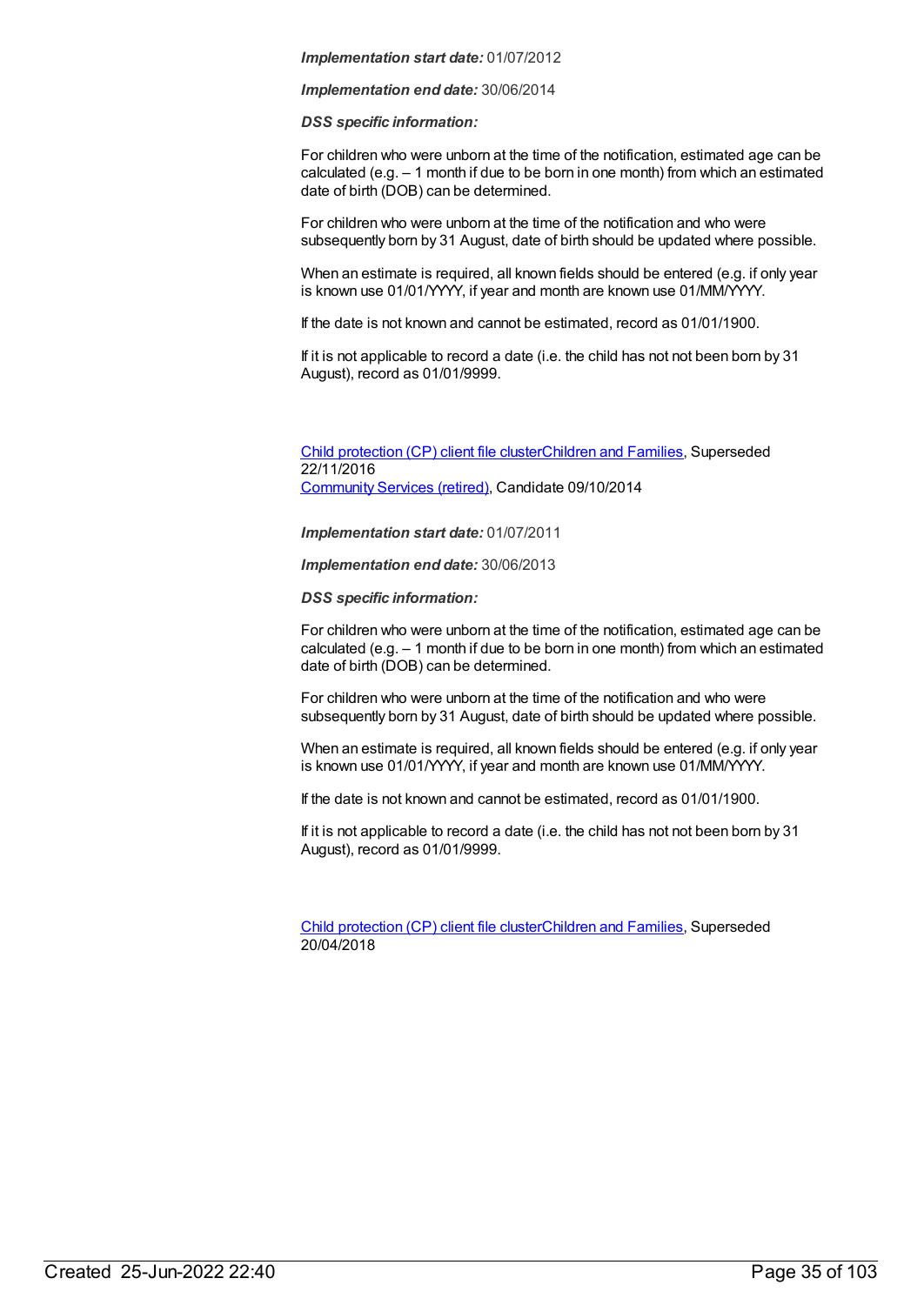*Implementation end date:* 30/06/2014

*DSS specific information:*

For children who were unborn at the time of the notification, estimated age can be calculated (e.g. – 1 month if due to be born in one month) from which an estimated date of birth (DOB) can be determined.

For children who were unborn at the time of the notification and who were subsequently born by 31 August, date of birth should be updated where possible.

When an estimate is required, all known fields should be entered (e.g. if only year is known use 01/01/YYYY, if year and month are known use 01/MM/YYYY.

If the date is not known and cannot be estimated, record as 01/01/1900.

If it is not applicable to record a date (i.e. the child has not not been born by 31 August), record as 01/01/9999.

Child [protection](https://meteor.aihw.gov.au/content/492589) (CP) client file clusterChildren and [Families](https://meteor.aihw.gov.au/RegistrationAuthority/17), Superseded 22/11/2016 [Community](https://meteor.aihw.gov.au/RegistrationAuthority/1) Services (retired), Candidate 09/10/2014

*Implementation start date:* 01/07/2011

*Implementation end date:* 30/06/2013

*DSS specific information:*

For children who were unborn at the time of the notification, estimated age can be calculated (e.g. – 1 month if due to be born in one month) from which an estimated date of birth (DOB) can be determined.

For children who were unborn at the time of the notification and who were subsequently born by 31 August, date of birth should be updated where possible.

When an estimate is required, all known fields should be entered (e.g. if only year is known use 01/01/YYYY, if year and month are known use 01/MM/YYYY.

If the date is not known and cannot be estimated, record as 01/01/1900.

If it is not applicable to record a date (i.e. the child has not not been born by 31 August), record as 01/01/9999.

Child [protection](https://meteor.aihw.gov.au/content/656496) (CP) client file clusterChildren and [Families](https://meteor.aihw.gov.au/RegistrationAuthority/17), Superseded 20/04/2018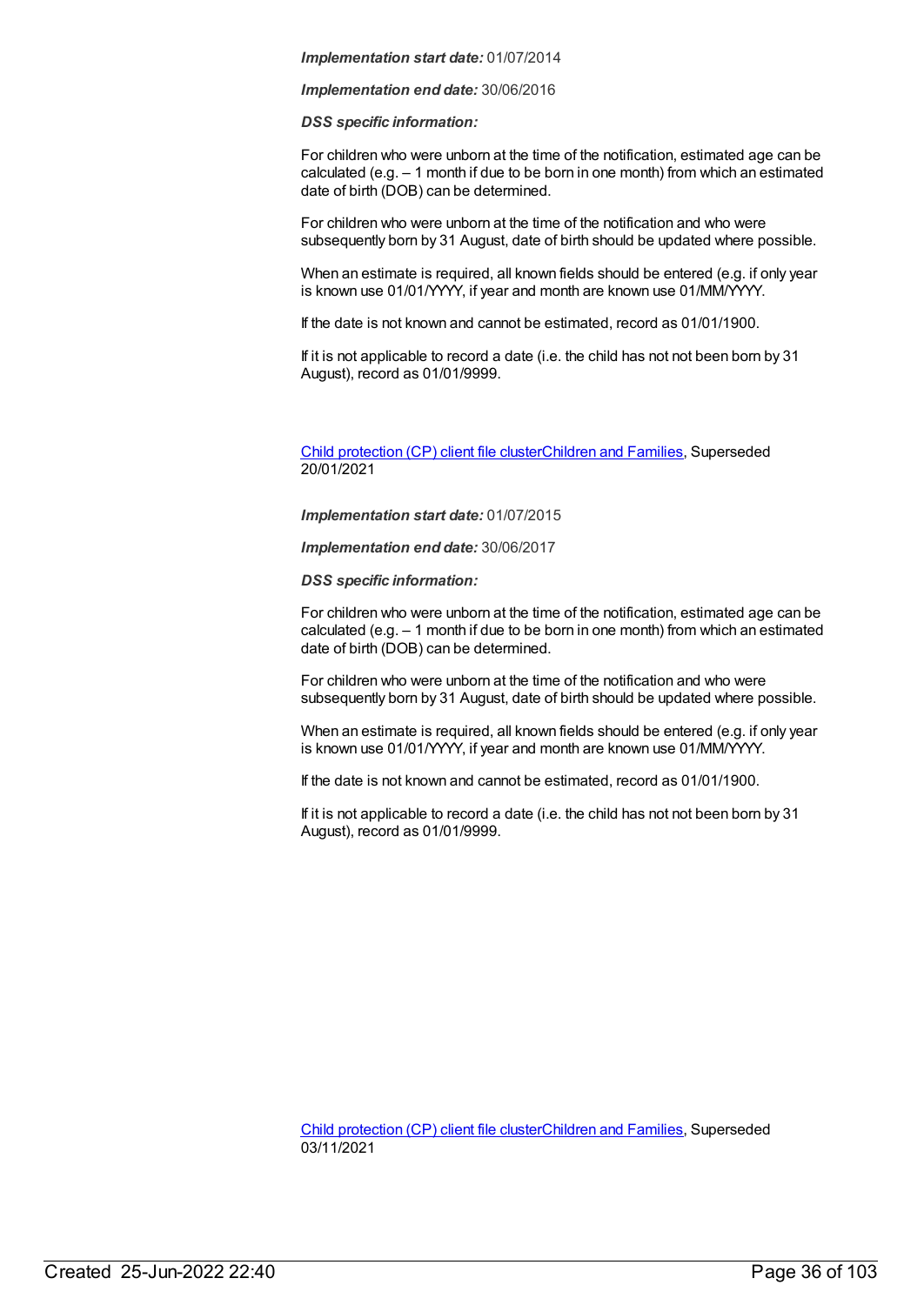*Implementation end date:* 30/06/2016

*DSS specific information:*

For children who were unborn at the time of the notification, estimated age can be calculated (e.g. – 1 month if due to be born in one month) from which an estimated date of birth (DOB) can be determined.

For children who were unborn at the time of the notification and who were subsequently born by 31 August, date of birth should be updated where possible.

When an estimate is required, all known fields should be entered (e.g. if only year is known use 01/01/YYYY, if year and month are known use 01/MM/YYYY.

If the date is not known and cannot be estimated, record as 01/01/1900.

If it is not applicable to record a date (i.e. the child has not not been born by 31 August), record as 01/01/9999.

Child [protection](https://meteor.aihw.gov.au/content/688429) (CP) client file clusterChildren and [Families](https://meteor.aihw.gov.au/RegistrationAuthority/17), Superseded 20/01/2021

*Implementation start date:* 01/07/2015

*Implementation end date:* 30/06/2017

*DSS specific information:*

For children who were unborn at the time of the notification, estimated age can be calculated (e.g. – 1 month if due to be born in one month) from which an estimated date of birth (DOB) can be determined.

For children who were unborn at the time of the notification and who were subsequently born by 31 August, date of birth should be updated where possible.

When an estimate is required, all known fields should be entered (e.g. if only year is known use 01/01/YYYY, if year and month are known use 01/MM/YYYY.

If the date is not known and cannot be estimated, record as 01/01/1900.

If it is not applicable to record a date (i.e. the child has not not been born by 31 August), record as 01/01/9999.

Child [protection](https://meteor.aihw.gov.au/content/706958) (CP) client file clusterChildren and [Families](https://meteor.aihw.gov.au/RegistrationAuthority/17), Superseded 03/11/2021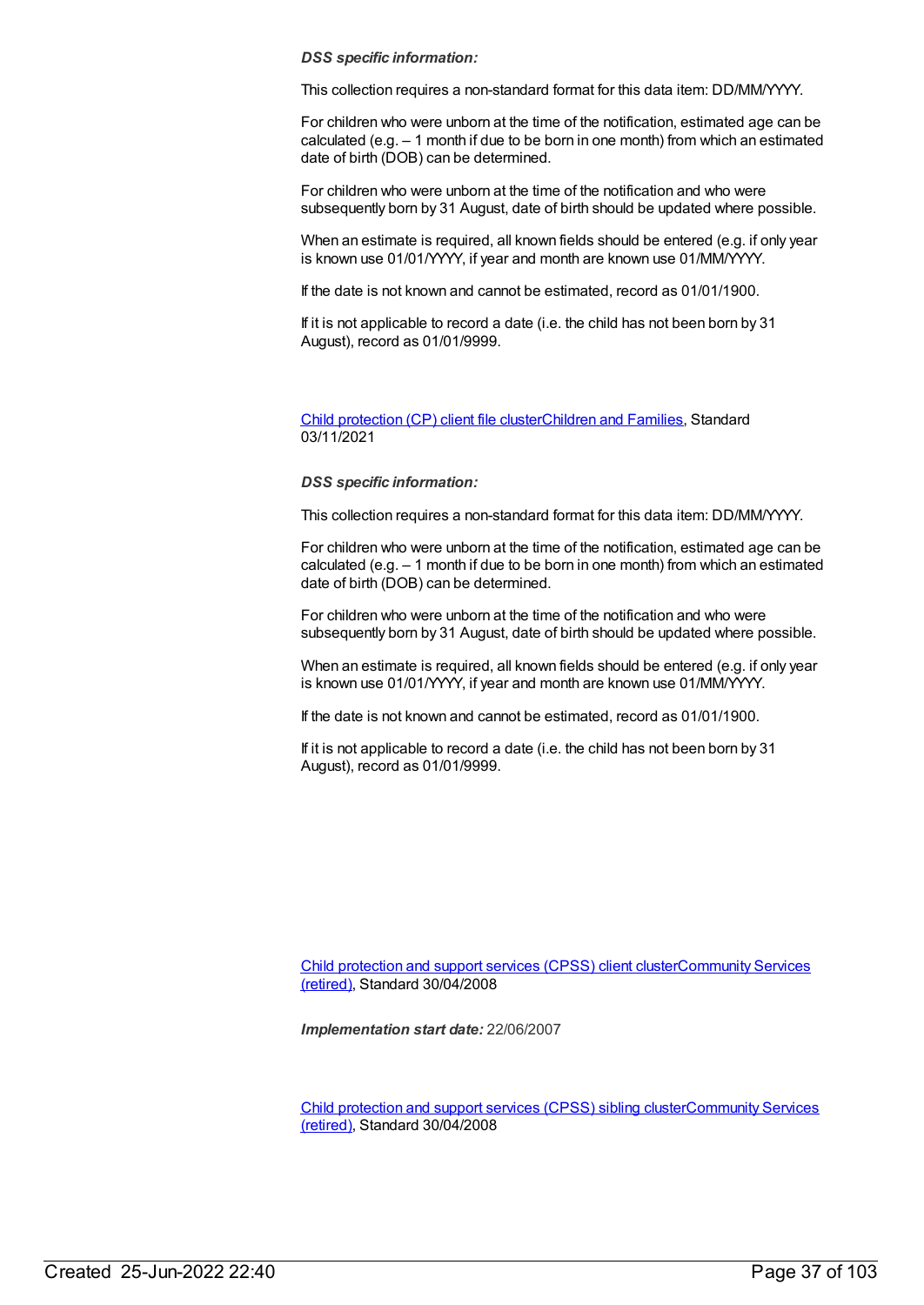## *DSS specific information:*

This collection requires a non-standard format for this data item: DD/MM/YYYY.

For children who were unborn at the time of the notification, estimated age can be calculated (e.g. – 1 month if due to be born in one month) from which an estimated date of birth (DOB) can be determined.

For children who were unborn at the time of the notification and who were subsequently born by 31 August, date of birth should be updated where possible.

When an estimate is required, all known fields should be entered (e.g. if only year is known use 01/01/YYYY, if year and month are known use 01/MM/YYYY.

If the date is not known and cannot be estimated, record as 01/01/1900.

If it is not applicable to record a date (i.e. the child has not been born by 31 August), record as 01/01/9999.

Child [protection](https://meteor.aihw.gov.au/content/748904) (CP) client file clusterChildren and [Families](https://meteor.aihw.gov.au/RegistrationAuthority/17), Standard 03/11/2021

# *DSS specific information:*

This collection requires a non-standard format for this data item: DD/MM/YYYY.

For children who were unborn at the time of the notification, estimated age can be calculated (e.g. – 1 month if due to be born in one month) from which an estimated date of birth (DOB) can be determined.

For children who were unborn at the time of the notification and who were subsequently born by 31 August, date of birth should be updated where possible.

When an estimate is required, all known fields should be entered (e.g. if only year is known use 01/01/YYYY, if year and month are known use 01/MM/YYYY.

If the date is not known and cannot be estimated, record as 01/01/1900.

If it is not applicable to record a date (i.e. the child has not been born by 31 August), record as 01/01/9999.

Child [protection](https://meteor.aihw.gov.au/content/355790) and support services (CPSS) client [clusterCommunity](https://meteor.aihw.gov.au/RegistrationAuthority/1) Services (retired), Standard 30/04/2008

*Implementation start date:* 22/06/2007

Child [protection](https://meteor.aihw.gov.au/content/355795) and support services (CPSS) sibling [clusterCommunity](https://meteor.aihw.gov.au/RegistrationAuthority/1) Services (retired), Standard 30/04/2008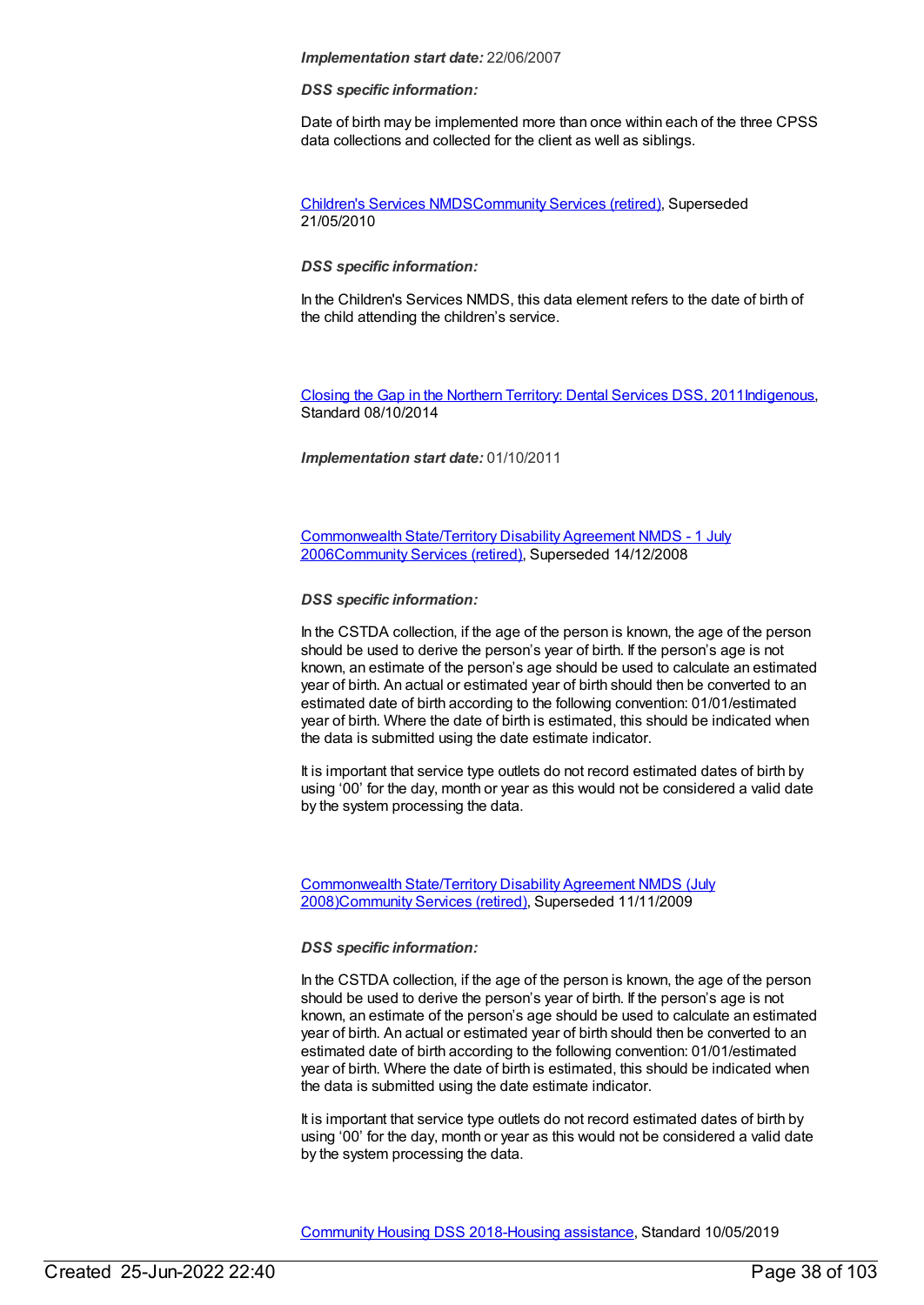#### *DSS specific information:*

Date of birth may be implemented more than once within each of the three CPSS data collections and collected for the client as well as siblings.

[Children's](https://meteor.aihw.gov.au/content/308217) Services NMD[SCommunity](https://meteor.aihw.gov.au/RegistrationAuthority/1) Services (retired), Superseded 21/05/2010

## *DSS specific information:*

In the Children's Services NMDS, this data element refers to the date of birth of the child attending the children's service.

Closing the Gap in the Northern [Territory:](https://meteor.aihw.gov.au/content/496216) Dental Services DSS, 201[1Indigenous](https://meteor.aihw.gov.au/RegistrationAuthority/6), Standard 08/10/2014

*Implementation start date:* 01/10/2011

[Commonwealth](https://meteor.aihw.gov.au/content/317350) State/Territory Disability Agreement NMDS - 1 July 200[6Community](https://meteor.aihw.gov.au/RegistrationAuthority/1) Services (retired), Superseded 14/12/2008

### *DSS specific information:*

In the CSTDA collection, if the age of the person is known, the age of the person should be used to derive the person's year of birth. If the person's age is not known, an estimate of the person's age should be used to calculate an estimated year of birth. An actual or estimated year of birth should then be converted to an estimated date of birth according to the following convention: 01/01/estimated year of birth. Where the date of birth is estimated, this should be indicated when the data is submitted using the date estimate indicator.

It is important that service type outlets do not record estimated dates of birth by using '00' for the day, month or year as this would not be considered a valid date by the system processing the data.

[Commonwealth](https://meteor.aihw.gov.au/content/372123) State/Territory Disability Agreement NMDS (July 2008[\)Community](https://meteor.aihw.gov.au/RegistrationAuthority/1) Services (retired), Superseded 11/11/2009

#### *DSS specific information:*

In the CSTDA collection, if the age of the person is known, the age of the person should be used to derive the person's year of birth. If the person's age is not known, an estimate of the person's age should be used to calculate an estimated year of birth. An actual or estimated year of birth should then be converted to an estimated date of birth according to the following convention: 01/01/estimated year of birth. Where the date of birth is estimated, this should be indicated when the data is submitted using the date estimate indicator.

It is important that service type outlets do not record estimated dates of birth by using '00' for the day, month or year as this would not be considered a valid date by the system processing the data.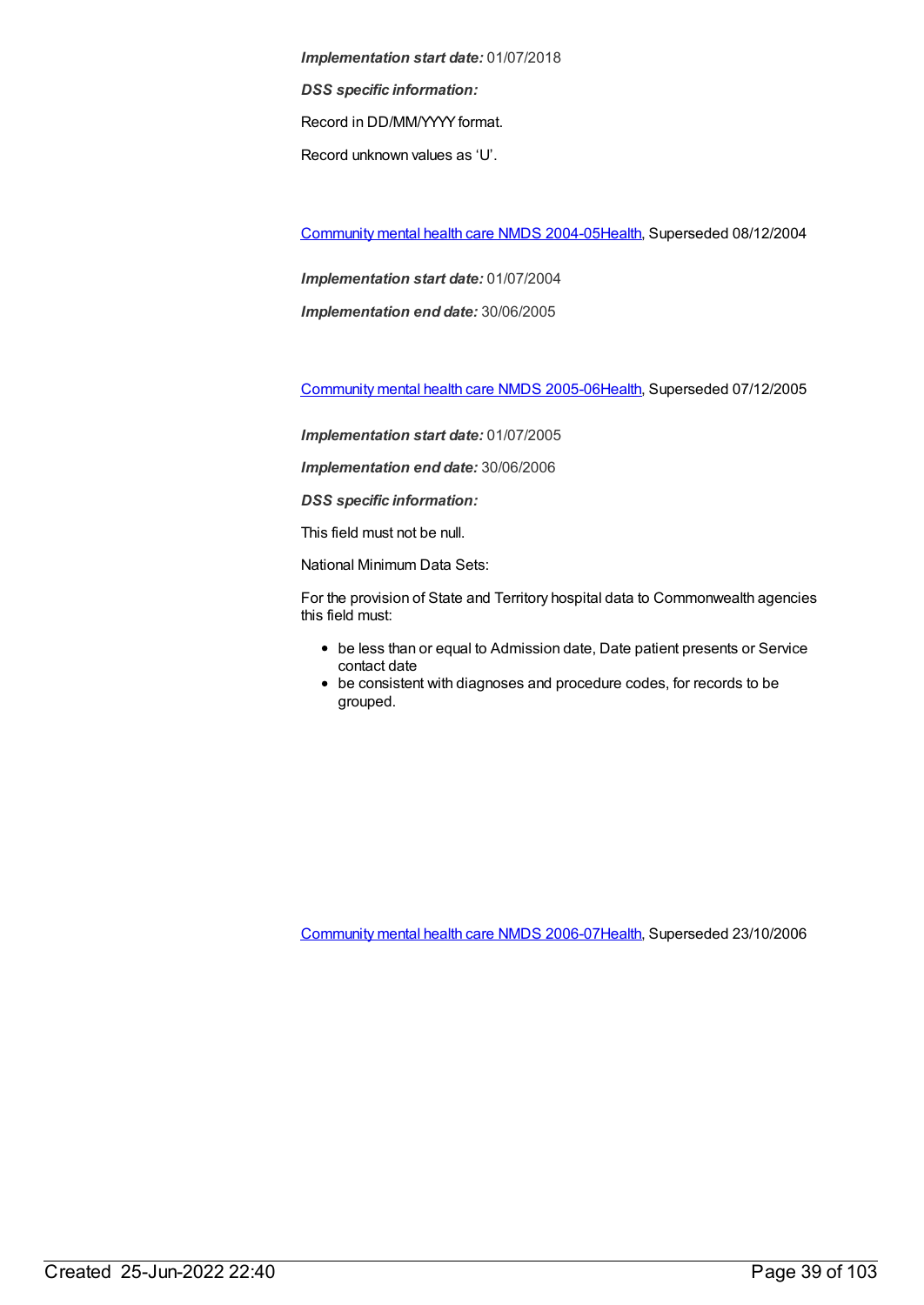*Implementation start date:* 01/07/2018 *DSS specific information:* Record in DD/MM/YYYYformat. Record unknown values as 'U'.

[Community](https://meteor.aihw.gov.au/content/273044) mental health care NMDS 2004-0[5Health](https://meteor.aihw.gov.au/RegistrationAuthority/12), Superseded 08/12/2004

*Implementation start date:* 01/07/2004

*Implementation end date:* 30/06/2005

[Community](https://meteor.aihw.gov.au/content/285489) mental health care NMDS 2005-0[6Health](https://meteor.aihw.gov.au/RegistrationAuthority/12), Superseded 07/12/2005

*Implementation start date:* 01/07/2005

*Implementation end date:* 30/06/2006

*DSS specific information:*

This field must not be null.

National Minimum Data Sets:

For the provision of State and Territory hospital data to Commonwealth agencies this field must:

- be less than or equal to Admission date, Date patient presents or Service contact date
- be consistent with diagnoses and procedure codes, for records to be grouped.

[Community](https://meteor.aihw.gov.au/content/334069) mental health care NMDS 2006-0[7Health](https://meteor.aihw.gov.au/RegistrationAuthority/12), Superseded 23/10/2006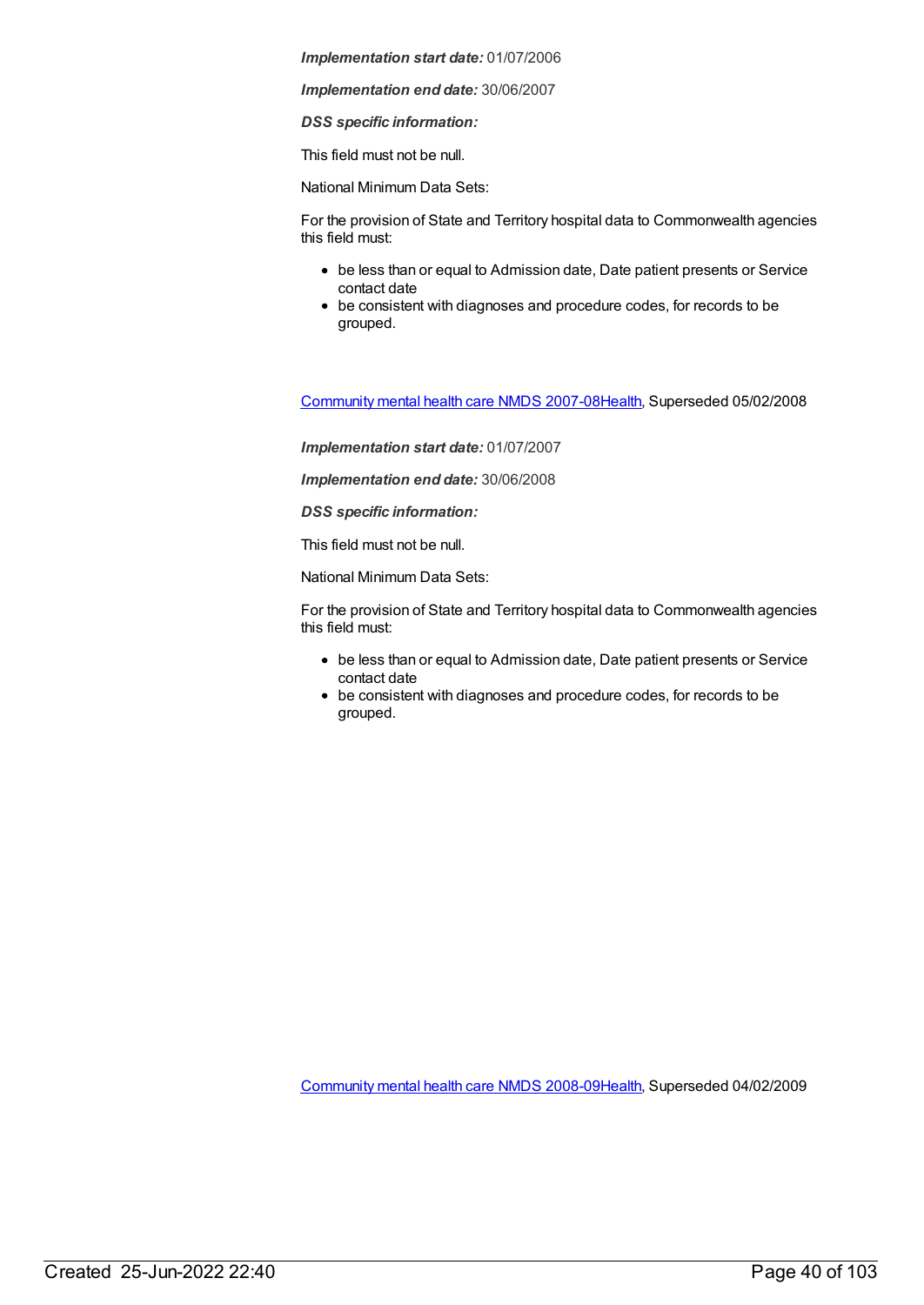*Implementation end date:* 30/06/2007

*DSS specific information:*

This field must not be null.

National Minimum Data Sets:

For the provision of State and Territory hospital data to Commonwealth agencies this field must:

- be less than or equal to Admission date, Date patient presents or Service contact date
- be consistent with diagnoses and procedure codes, for records to be grouped.

[Community](https://meteor.aihw.gov.au/content/345116) mental health care NMDS 2007-0[8Health](https://meteor.aihw.gov.au/RegistrationAuthority/12), Superseded 05/02/2008

*Implementation start date:* 01/07/2007

*Implementation end date:* 30/06/2008

*DSS specific information:*

This field must not be null.

National Minimum Data Sets:

For the provision of State and Territory hospital data to Commonwealth agencies this field must:

- be less than or equal to Admission date, Date patient presents or Service contact date
- be consistent with diagnoses and procedure codes, for records to be grouped.

[Community](https://meteor.aihw.gov.au/content/362308) mental health care NMDS 2008-0[9Health](https://meteor.aihw.gov.au/RegistrationAuthority/12), Superseded 04/02/2009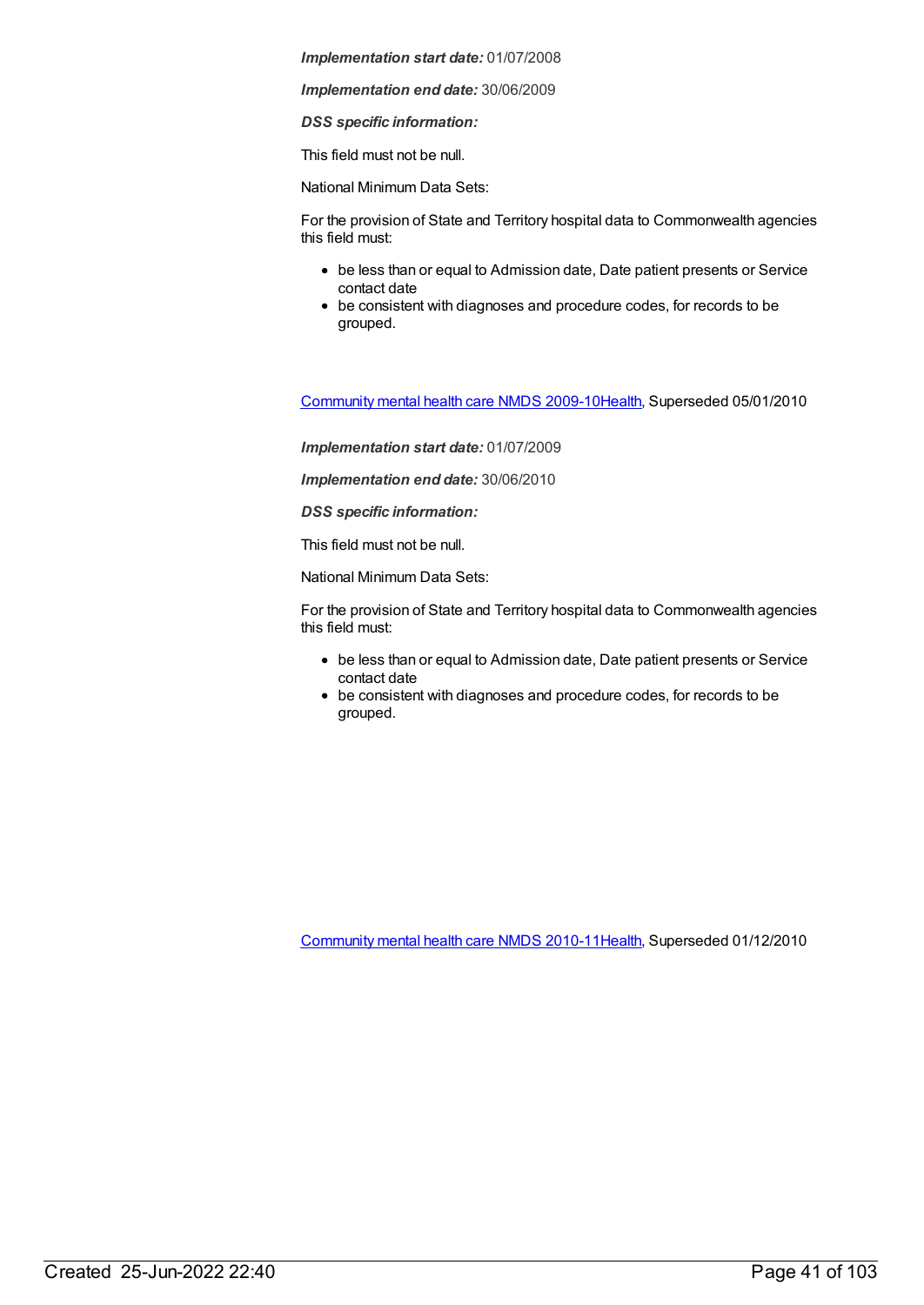*Implementation end date:* 30/06/2009

*DSS specific information:*

This field must not be null.

National Minimum Data Sets:

For the provision of State and Territory hospital data to Commonwealth agencies this field must:

- be less than or equal to Admission date, Date patient presents or Service contact date
- be consistent with diagnoses and procedure codes, for records to be grouped.

[Community](https://meteor.aihw.gov.au/content/374216) mental health care NMDS 2009-1[0Health](https://meteor.aihw.gov.au/RegistrationAuthority/12), Superseded 05/01/2010

*Implementation start date:* 01/07/2009

*Implementation end date:* 30/06/2010

*DSS specific information:*

This field must not be null.

National Minimum Data Sets:

For the provision of State and Territory hospital data to Commonwealth agencies this field must:

- be less than or equal to Admission date, Date patient presents or Service contact date
- be consistent with diagnoses and procedure codes, for records to be grouped.

[Community](https://meteor.aihw.gov.au/content/386803) mental health care NMDS 2010-1[1Health](https://meteor.aihw.gov.au/RegistrationAuthority/12), Superseded 01/12/2010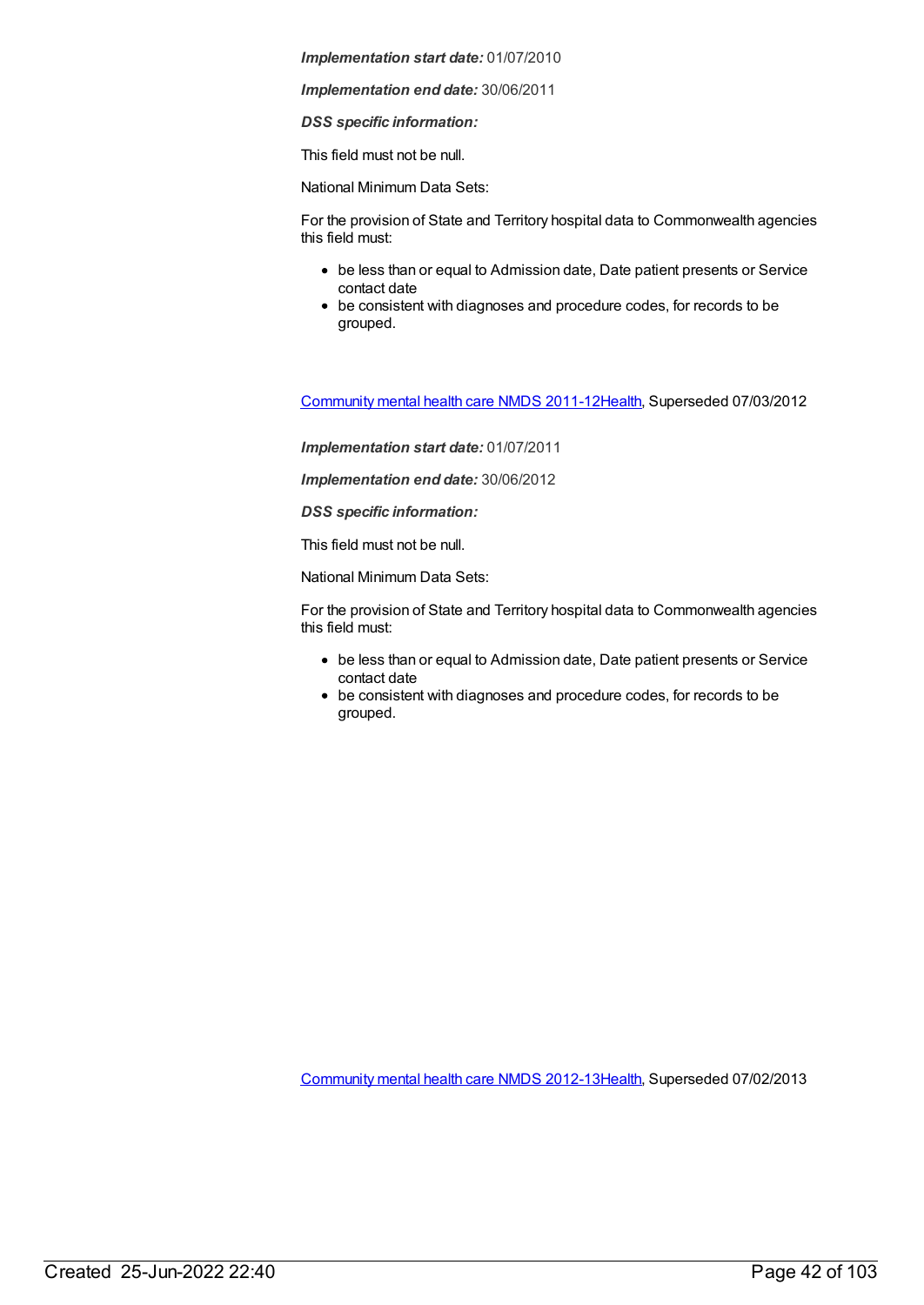*Implementation end date:* 30/06/2011

*DSS specific information:*

This field must not be null.

National Minimum Data Sets:

For the provision of State and Territory hospital data to Commonwealth agencies this field must:

- be less than or equal to Admission date, Date patient presents or Service contact date
- be consistent with diagnoses and procedure codes, for records to be grouped.

[Community](https://meteor.aihw.gov.au/content/424727) mental health care NMDS 2011-1[2Health](https://meteor.aihw.gov.au/RegistrationAuthority/12), Superseded 07/03/2012

*Implementation start date:* 01/07/2011

*Implementation end date:* 30/06/2012

*DSS specific information:*

This field must not be null.

National Minimum Data Sets:

For the provision of State and Territory hospital data to Commonwealth agencies this field must:

- be less than or equal to Admission date, Date patient presents or Service contact date
- be consistent with diagnoses and procedure codes, for records to be grouped.

[Community](https://meteor.aihw.gov.au/content/468200) mental health care NMDS 2012-1[3Health](https://meteor.aihw.gov.au/RegistrationAuthority/12), Superseded 07/02/2013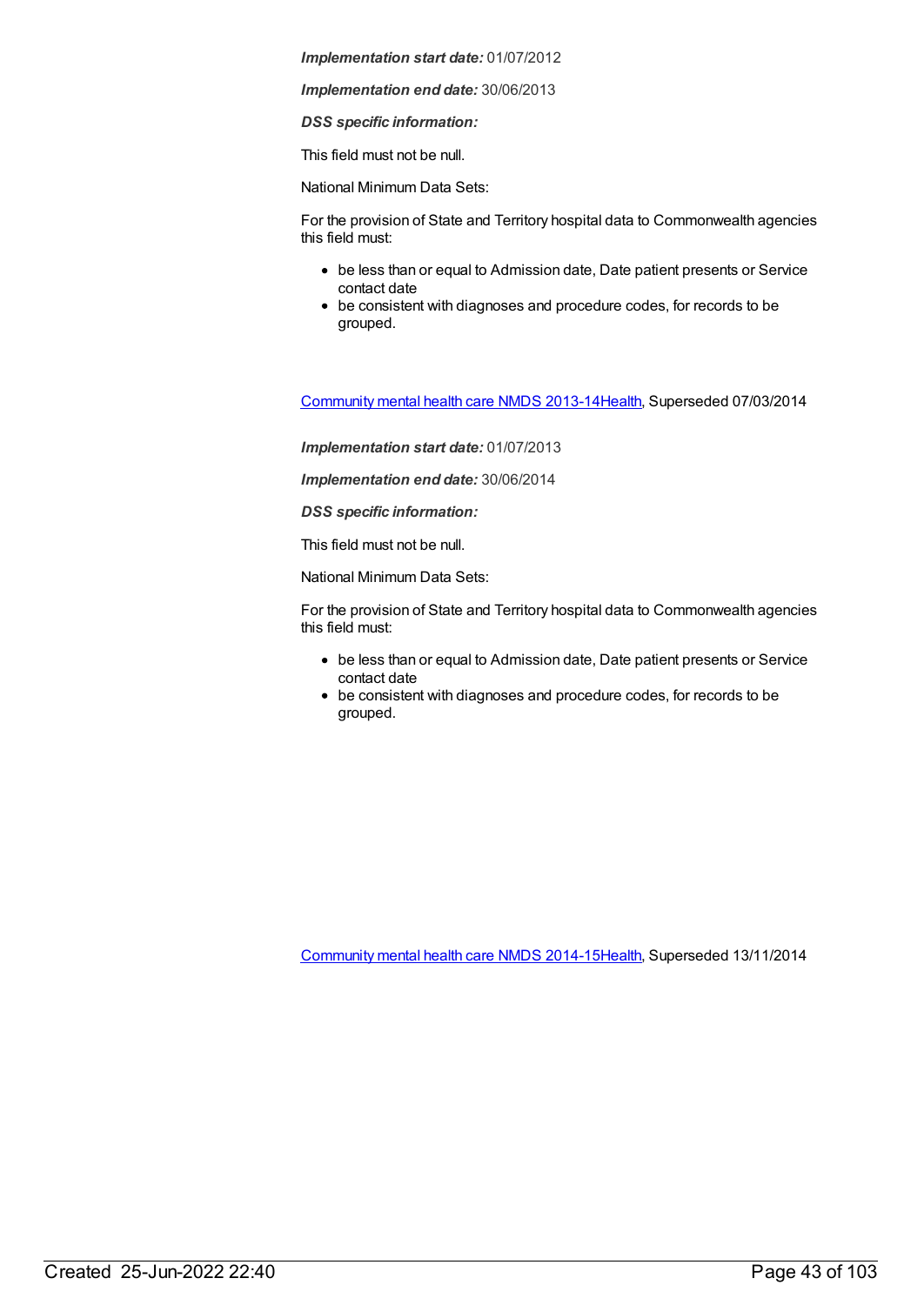*Implementation end date:* 30/06/2013

*DSS specific information:*

This field must not be null.

National Minimum Data Sets:

For the provision of State and Territory hospital data to Commonwealth agencies this field must:

- be less than or equal to Admission date, Date patient presents or Service contact date
- be consistent with diagnoses and procedure codes, for records to be grouped.

[Community](https://meteor.aihw.gov.au/content/493658) mental health care NMDS 2013-1[4Health](https://meteor.aihw.gov.au/RegistrationAuthority/12), Superseded 07/03/2014

*Implementation start date:* 01/07/2013

*Implementation end date:* 30/06/2014

*DSS specific information:*

This field must not be null.

National Minimum Data Sets:

For the provision of State and Territory hospital data to Commonwealth agencies this field must:

- be less than or equal to Admission date, Date patient presents or Service contact date
- be consistent with diagnoses and procedure codes, for records to be grouped.

[Community](https://meteor.aihw.gov.au/content/549878) mental health care NMDS 2014-1[5Health](https://meteor.aihw.gov.au/RegistrationAuthority/12), Superseded 13/11/2014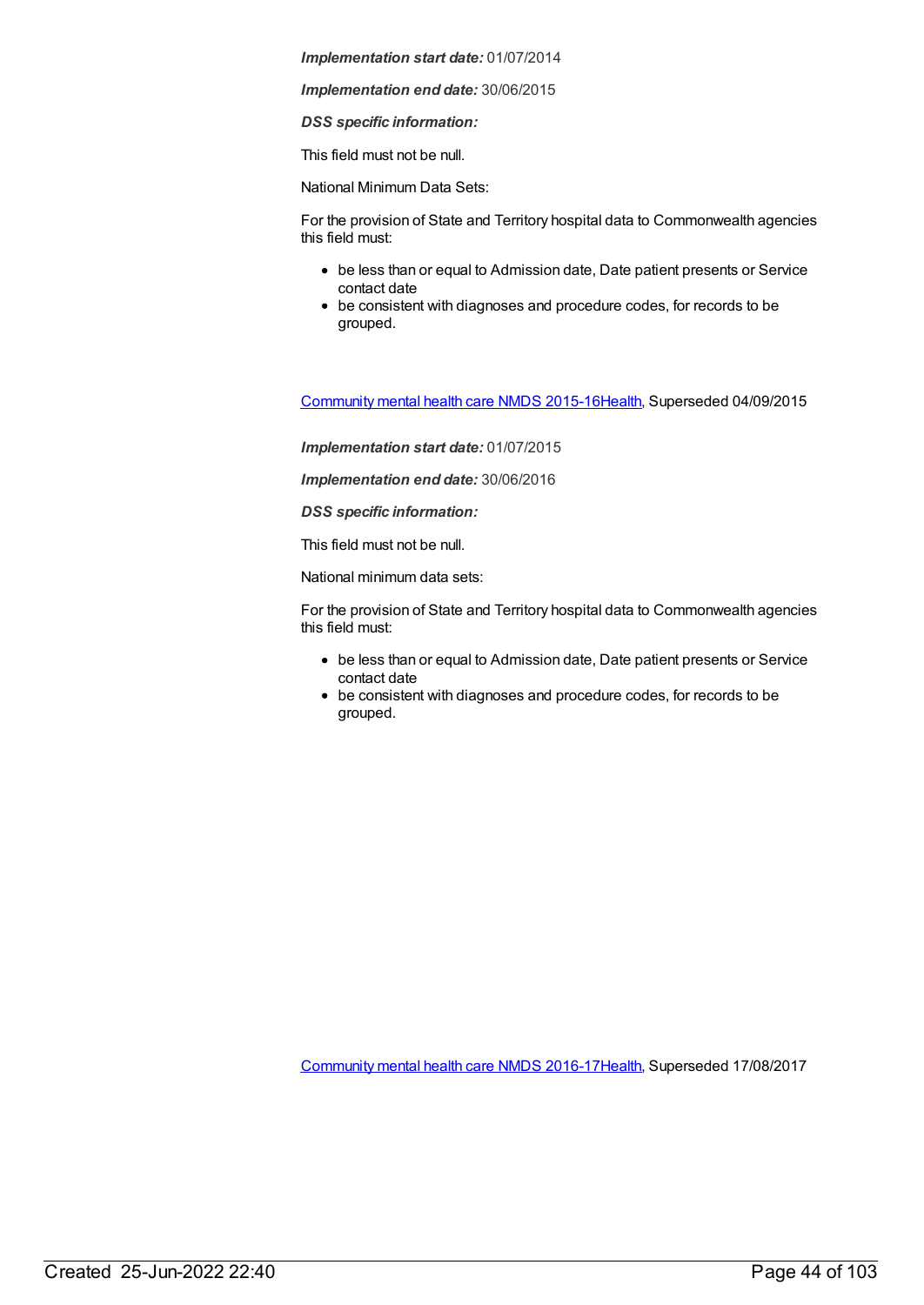*Implementation end date:* 30/06/2015

*DSS specific information:*

This field must not be null.

National Minimum Data Sets:

For the provision of State and Territory hospital data to Commonwealth agencies this field must:

- be less than or equal to Admission date, Date patient presents or Service contact date
- be consistent with diagnoses and procedure codes, for records to be grouped.

[Community](https://meteor.aihw.gov.au/content/565694) mental health care NMDS 2015-1[6Health](https://meteor.aihw.gov.au/RegistrationAuthority/12), Superseded 04/09/2015

*Implementation start date:* 01/07/2015

*Implementation end date:* 30/06/2016

*DSS specific information:*

This field must not be null.

National minimum data sets:

For the provision of State and Territory hospital data to Commonwealth agencies this field must:

- be less than or equal to Admission date, Date patient presents or Service contact date
- be consistent with diagnoses and procedure codes, for records to be grouped.

[Community](https://meteor.aihw.gov.au/content/608534) mental health care NMDS 2016-1[7Health](https://meteor.aihw.gov.au/RegistrationAuthority/12), Superseded 17/08/2017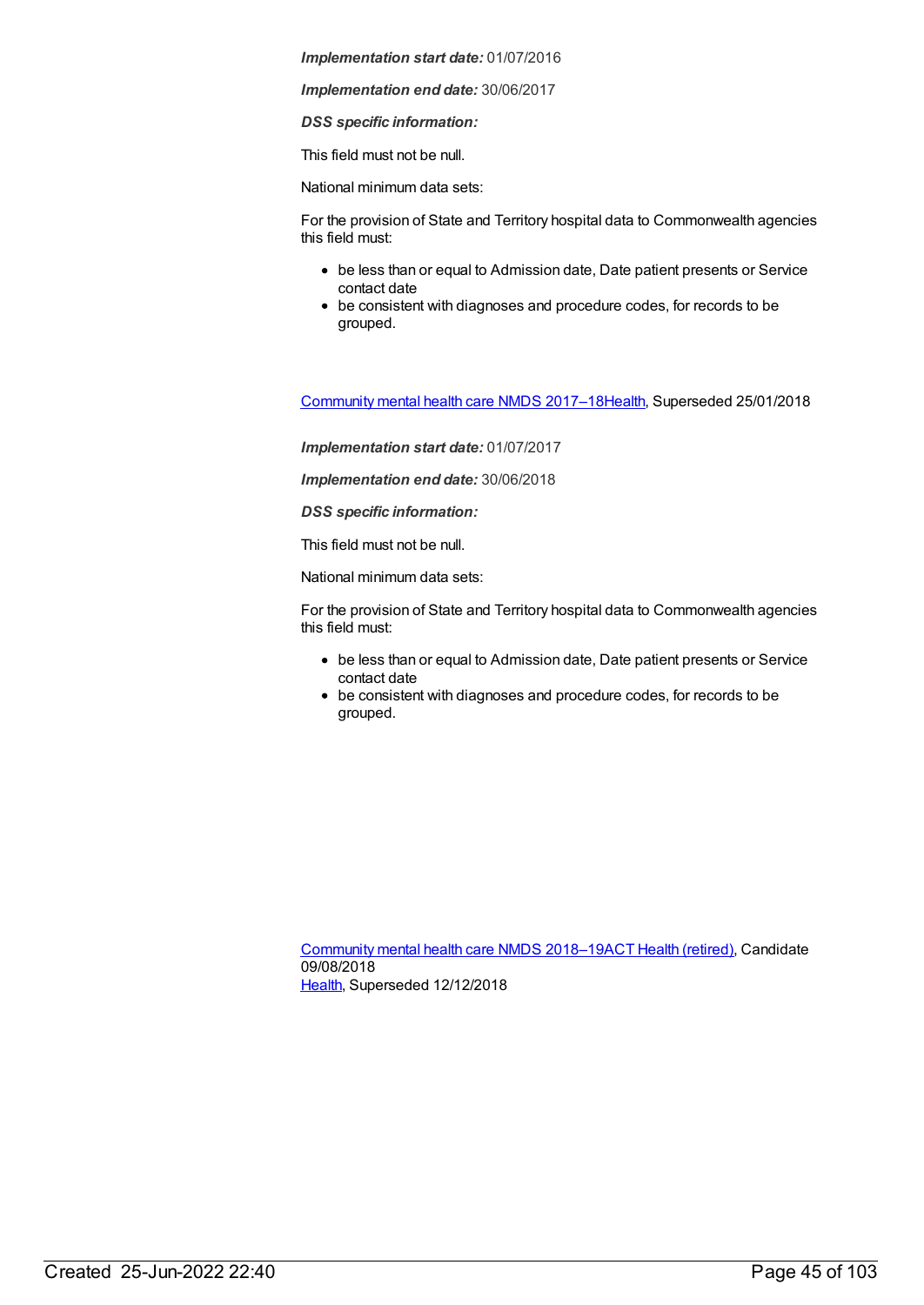*Implementation end date:* 30/06/2017

*DSS specific information:*

This field must not be null.

National minimum data sets:

For the provision of State and Territory hospital data to Commonwealth agencies this field must:

- be less than or equal to Admission date, Date patient presents or Service contact date
- be consistent with diagnoses and procedure codes, for records to be grouped.

[Community](https://meteor.aihw.gov.au/content/645692) mental health care NMDS 2017–1[8Health](https://meteor.aihw.gov.au/RegistrationAuthority/12), Superseded 25/01/2018

*Implementation start date:* 01/07/2017

*Implementation end date:* 30/06/2018

*DSS specific information:*

This field must not be null.

National minimum data sets:

For the provision of State and Territory hospital data to Commonwealth agencies this field must:

- be less than or equal to Admission date, Date patient presents or Service contact date
- be consistent with diagnoses and procedure codes, for records to be grouped.

[Community](https://meteor.aihw.gov.au/content/677802) mental health care NMDS 2018–19ACT Health [\(retired\)](https://meteor.aihw.gov.au/RegistrationAuthority/9), Candidate 09/08/2018 [Health](https://meteor.aihw.gov.au/RegistrationAuthority/12), Superseded 12/12/2018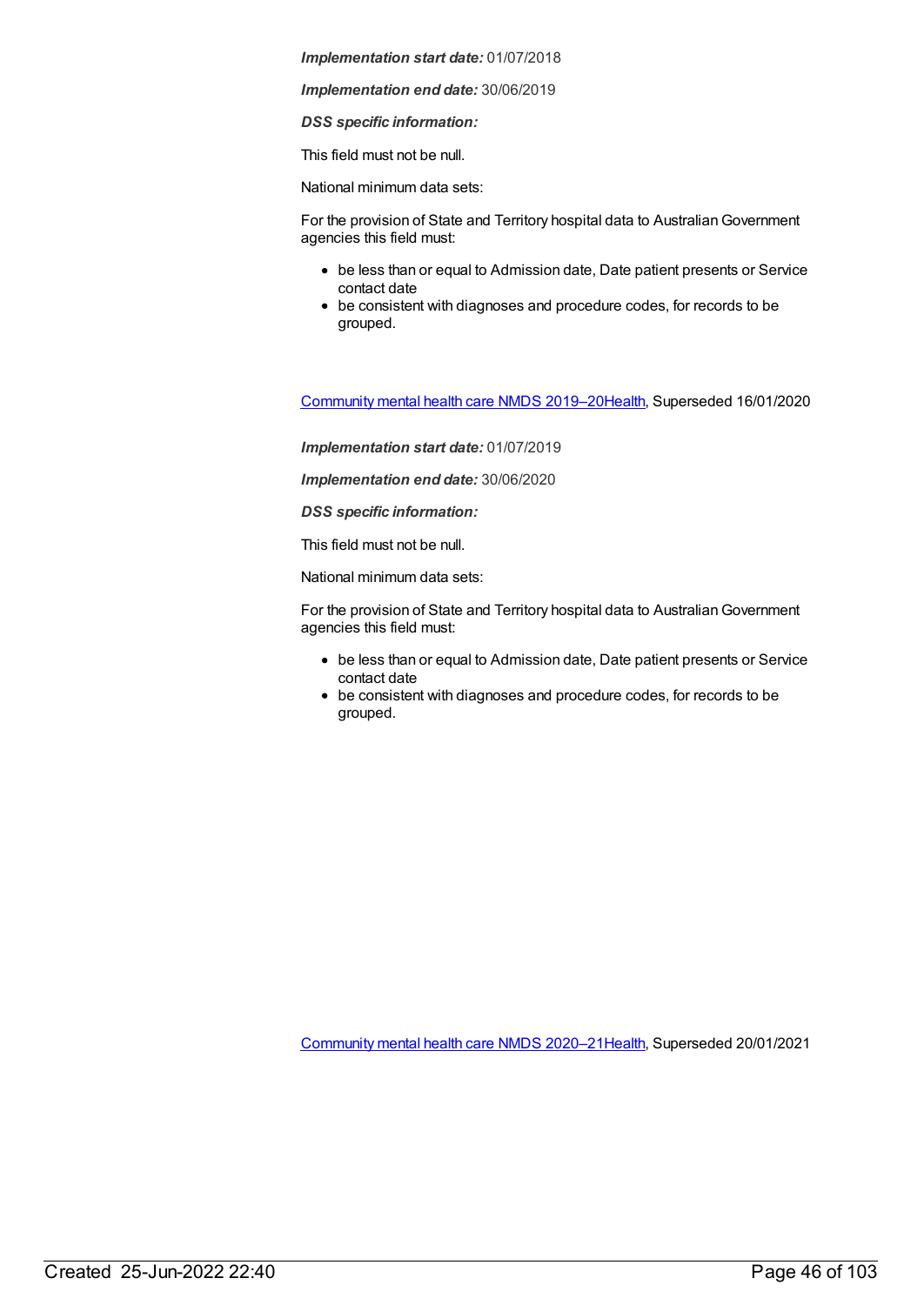*Implementation end date:* 30/06/2019

*DSS specific information:*

This field must not be null.

National minimum data sets:

For the provision of State and Territory hospital data to Australian Government agencies this field must:

- be less than or equal to Admission date, Date patient presents or Service contact date
- be consistent with diagnoses and procedure codes, for records to be grouped.

[Community](https://meteor.aihw.gov.au/content/699975) mental health care NMDS 2019–2[0Health](https://meteor.aihw.gov.au/RegistrationAuthority/12), Superseded 16/01/2020

*Implementation start date:* 01/07/2019

*Implementation end date:* 30/06/2020

*DSS specific information:*

This field must not be null.

National minimum data sets:

For the provision of State and Territory hospital data to AustralianGovernment agencies this field must:

- be less than or equal to Admission date, Date patient presents or Service contact date
- be consistent with diagnoses and procedure codes, for records to be grouped.

[Community](https://meteor.aihw.gov.au/content/722221) mental health care NMDS 2020–2[1Health](https://meteor.aihw.gov.au/RegistrationAuthority/12), Superseded 20/01/2021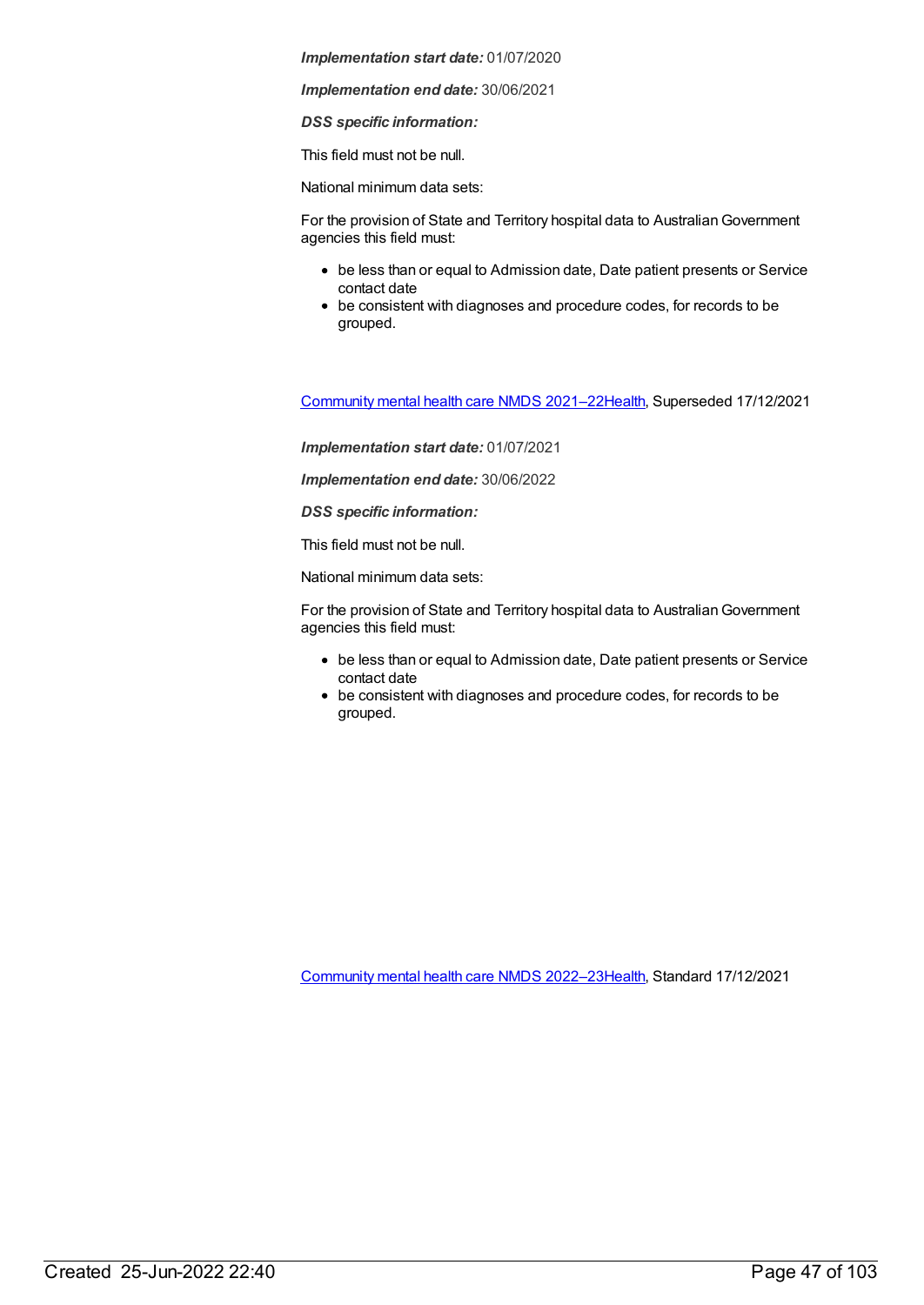*Implementation end date:* 30/06/2021

*DSS specific information:*

This field must not be null.

National minimum data sets:

For the provision of State and Territory hospital data to Australian Government agencies this field must:

- be less than or equal to Admission date, Date patient presents or Service contact date
- be consistent with diagnoses and procedure codes, for records to be grouped.

[Community](https://meteor.aihw.gov.au/content/727348) mental health care NMDS 2021–2[2Health](https://meteor.aihw.gov.au/RegistrationAuthority/12), Superseded 17/12/2021

*Implementation start date:* 01/07/2021

*Implementation end date:* 30/06/2022

*DSS specific information:*

This field must not be null.

National minimum data sets:

For the provision of State and Territory hospital data to AustralianGovernment agencies this field must:

- be less than or equal to Admission date, Date patient presents or Service contact date
- be consistent with diagnoses and procedure codes, for records to be grouped.

[Community](https://meteor.aihw.gov.au/content/742040) mental health care NMDS 2022–2[3Health](https://meteor.aihw.gov.au/RegistrationAuthority/12), Standard 17/12/2021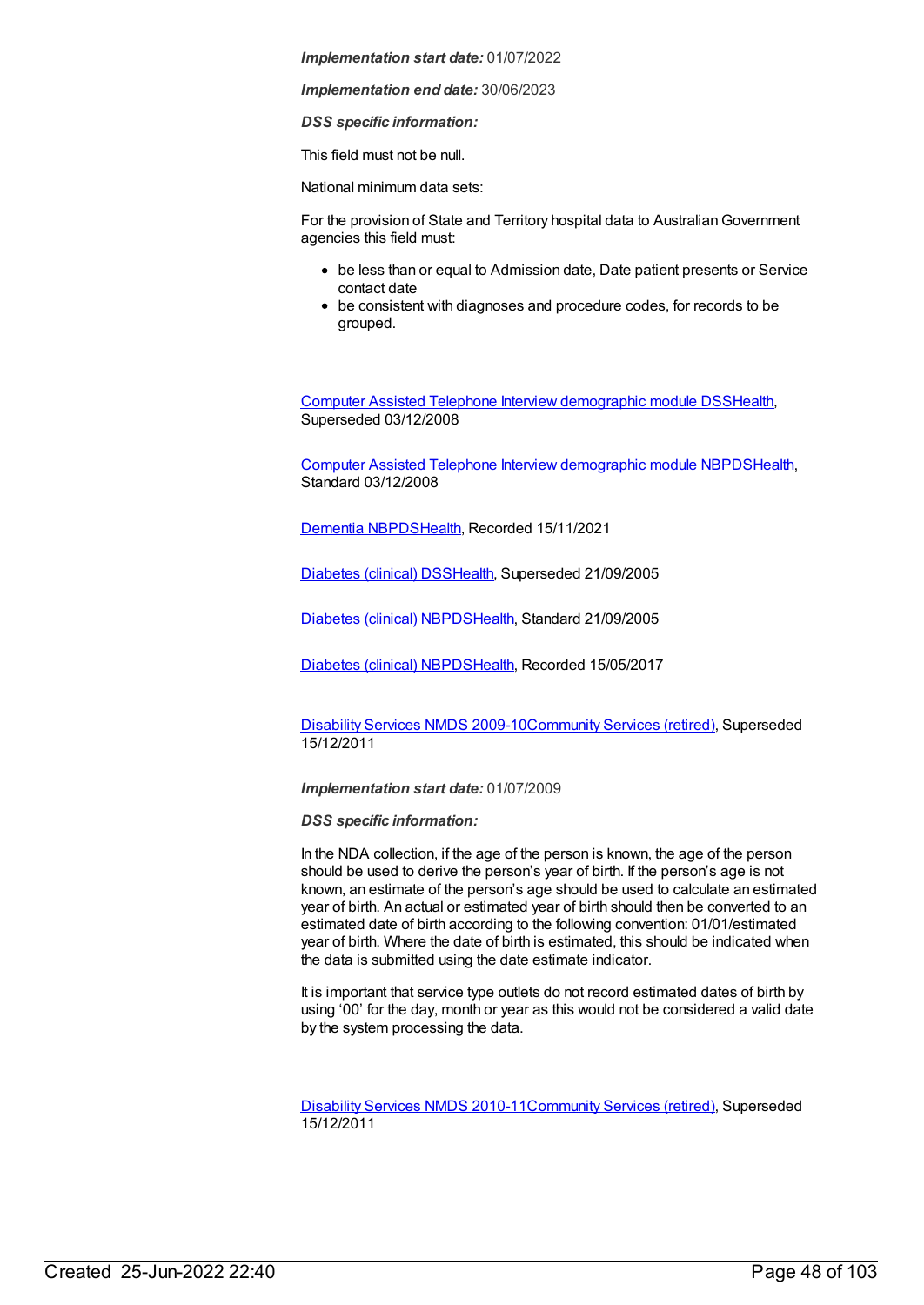*Implementation end date:* 30/06/2023

*DSS specific information:*

This field must not be null.

National minimum data sets:

For the provision of State and Territory hospital data to Australian Government agencies this field must:

- be less than or equal to Admission date, Date patient presents or Service contact date
- be consistent with diagnoses and procedure codes, for records to be grouped.

Computer Assisted Telephone Interview [demographic](https://meteor.aihw.gov.au/content/291112) module DS[SHealth](https://meteor.aihw.gov.au/RegistrationAuthority/12), Superseded 03/12/2008

Computer Assisted Telephone Interview [demographic](https://meteor.aihw.gov.au/content/374218) module NBPD[SHealth](https://meteor.aihw.gov.au/RegistrationAuthority/12), Standard 03/12/2008

[Dementia](https://meteor.aihw.gov.au/content/737872) NBPDS[Health](https://meteor.aihw.gov.au/RegistrationAuthority/12), Recorded 15/11/2021

[Diabetes](https://meteor.aihw.gov.au/content/273054) (clinical) DSS[Health](https://meteor.aihw.gov.au/RegistrationAuthority/12), Superseded 21/09/2005

[Diabetes](https://meteor.aihw.gov.au/content/304865) (clinical) NBPD[SHealth](https://meteor.aihw.gov.au/RegistrationAuthority/12), Standard 21/09/2005

[Diabetes](https://meteor.aihw.gov.au/content/621784) (clinical) NBPD[SHealth](https://meteor.aihw.gov.au/RegistrationAuthority/12), Recorded 15/05/2017

[Disability](https://meteor.aihw.gov.au/content/386485) Services NMDS 2009-10[Community](https://meteor.aihw.gov.au/RegistrationAuthority/1) Services (retired), Superseded 15/12/2011

*Implementation start date:* 01/07/2009

*DSS specific information:*

In the NDA collection, if the age of the person is known, the age of the person should be used to derive the person's year of birth. If the person's age is not known, an estimate of the person's age should be used to calculate an estimated year of birth. An actual or estimated year of birth should then be converted to an estimated date of birth according to the following convention: 01/01/estimated year of birth. Where the date of birth is estimated, this should be indicated when the data is submitted using the date estimate indicator.

It is important that service type outlets do not record estimated dates of birth by using '00' for the day, month or year as this would not be considered a valid date by the system processing the data.

[Disability](https://meteor.aihw.gov.au/content/428708) Services NMDS 2010-11[Community](https://meteor.aihw.gov.au/RegistrationAuthority/1) Services (retired), Superseded 15/12/2011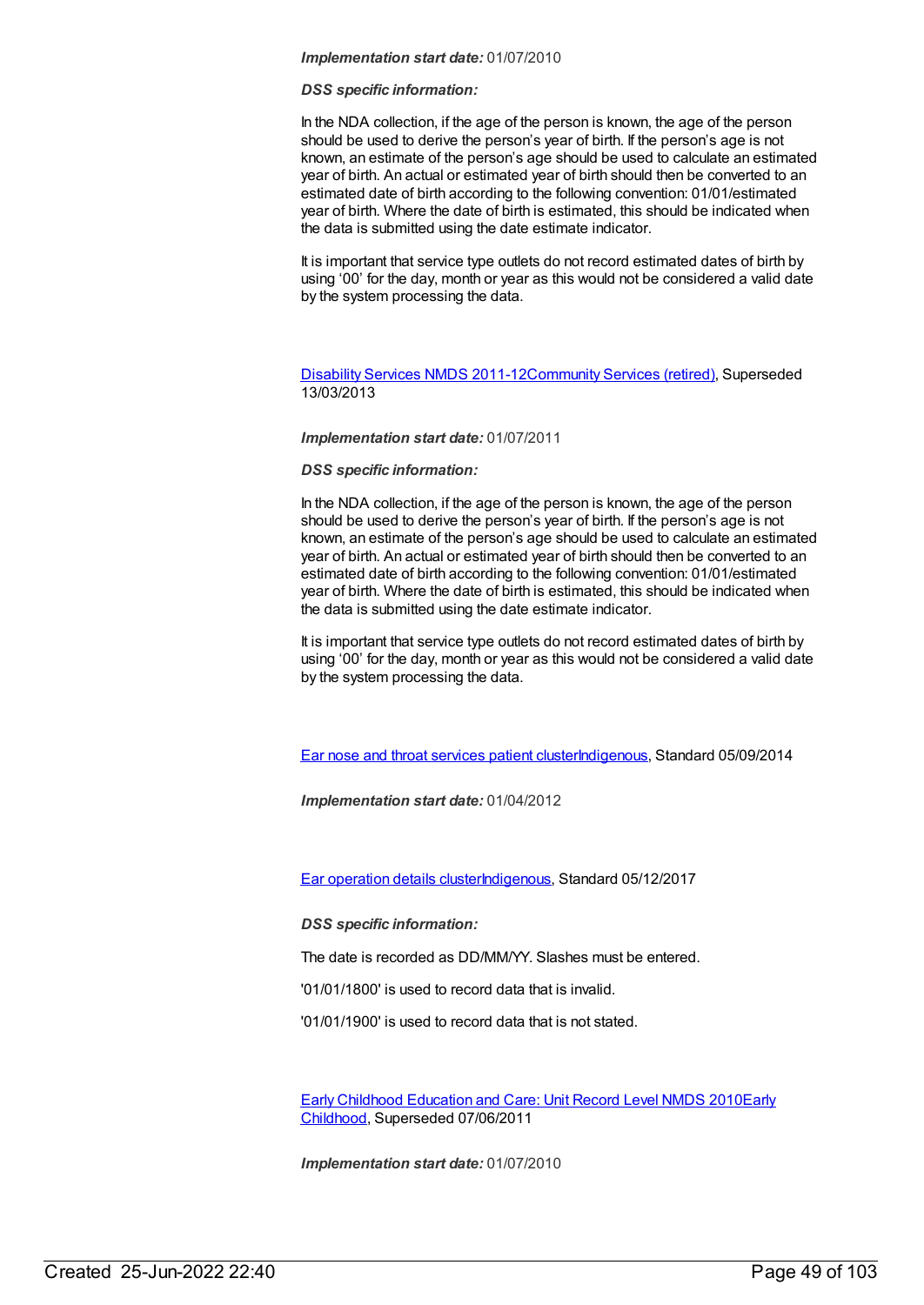## *DSS specific information:*

In the NDA collection, if the age of the person is known, the age of the person should be used to derive the person's year of birth. If the person's age is not known, an estimate of the person's age should be used to calculate an estimated year of birth. An actual or estimated year of birth should then be converted to an estimated date of birth according to the following convention: 01/01/estimated year of birth. Where the date of birth is estimated, this should be indicated when the data is submitted using the date estimate indicator.

It is important that service type outlets do not record estimated dates of birth by using '00' for the day, month or year as this would not be considered a valid date by the system processing the data.

# [Disability](https://meteor.aihw.gov.au/content/461636) Services NMDS 2011-12[Community](https://meteor.aihw.gov.au/RegistrationAuthority/1) Services (retired), Superseded 13/03/2013

# *Implementation start date:* 01/07/2011

# *DSS specific information:*

In the NDA collection, if the age of the person is known, the age of the person should be used to derive the person's year of birth. If the person's age is not known, an estimate of the person's age should be used to calculate an estimated year of birth. An actual or estimated year of birth should then be converted to an estimated date of birth according to the following convention: 01/01/estimated year of birth. Where the date of birth is estimated, this should be indicated when the data is submitted using the date estimate indicator.

It is important that service type outlets do not record estimated dates of birth by using '00' for the day, month or year as this would not be considered a valid date by the system processing the data.

Ear nose and throat [services](https://meteor.aihw.gov.au/content/521709) patient cluste[rIndigenous](https://meteor.aihw.gov.au/RegistrationAuthority/6), Standard 05/09/2014

*Implementation start date:* 01/04/2012

Ear [operation](https://meteor.aihw.gov.au/content/567130) details cluste[rIndigenous,](https://meteor.aihw.gov.au/RegistrationAuthority/6) Standard 05/12/2017

*DSS specific information:*

The date is recorded as DD/MM/YY. Slashes must be entered.

'01/01/1800' is used to record data that is invalid.

'01/01/1900' is used to record data that is not stated.

Early Childhood [Education](https://meteor.aihw.gov.au/content/396792) and Care: Unit Record Level NMDS 2010Early Childhood, [Superseded](https://meteor.aihw.gov.au/RegistrationAuthority/13) 07/06/2011

*Implementation start date:* 01/07/2010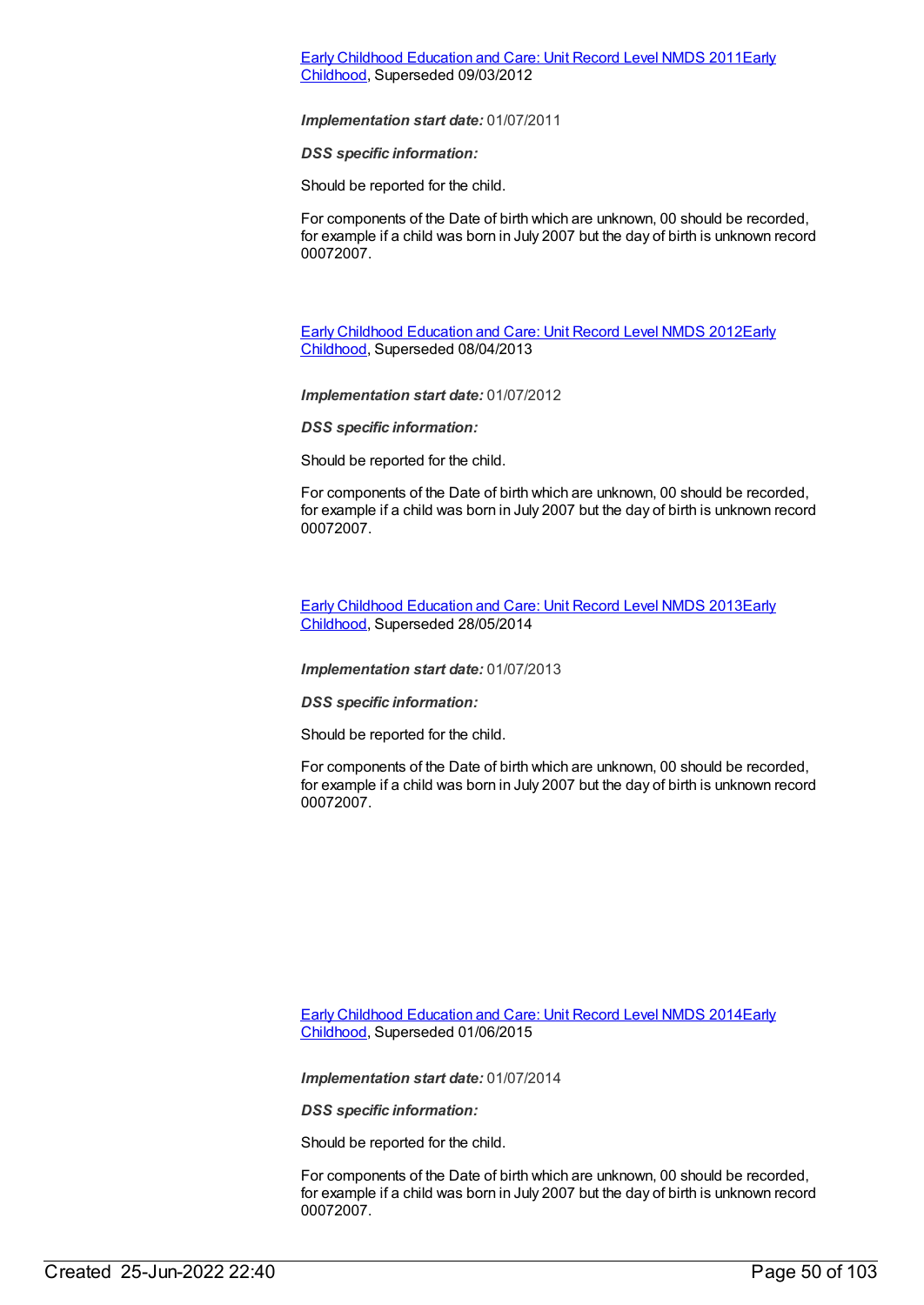# Early Childhood [Education](https://meteor.aihw.gov.au/content/438006) and Care: Unit Record Level NMDS 2011Early Childhood, [Superseded](https://meteor.aihw.gov.au/RegistrationAuthority/13) 09/03/2012

### *Implementation start date:* 01/07/2011

*DSS specific information:*

Should be reported for the child.

For components of the Date of birth which are unknown, 00 should be recorded, for example if a child was born in July 2007 but the day of birth is unknown record 00072007.

Early Childhood [Education](https://meteor.aihw.gov.au/content/466523) and Care: Unit Record Level NMDS 2012Early Childhood, [Superseded](https://meteor.aihw.gov.au/RegistrationAuthority/13) 08/04/2013

*Implementation start date:* 01/07/2012

*DSS specific information:*

Should be reported for the child.

For components of the Date of birth which are unknown, 00 should be recorded, for example if a child was born in July 2007 but the day of birth is unknown record 00072007.

Early Childhood [Education](https://meteor.aihw.gov.au/content/494147) and Care: Unit Record Level NMDS 2013Early Childhood, [Superseded](https://meteor.aihw.gov.au/RegistrationAuthority/13) 28/05/2014

*Implementation start date:* 01/07/2013

*DSS specific information:*

Should be reported for the child.

For components of the Date of birth which are unknown, 00 should be recorded, for example if a child was born in July 2007 but the day of birth is unknown record 00072007.

Early Childhood [Education](https://meteor.aihw.gov.au/RegistrationAuthority/13) and Care: Unit Record Level NMDS 2014Early Childhood, Superseded 01/06/2015

*Implementation start date:* 01/07/2014

*DSS specific information:*

Should be reported for the child.

For components of the Date of birth which are unknown, 00 should be recorded, for example if a child was born in July 2007 but the day of birth is unknown record 00072007.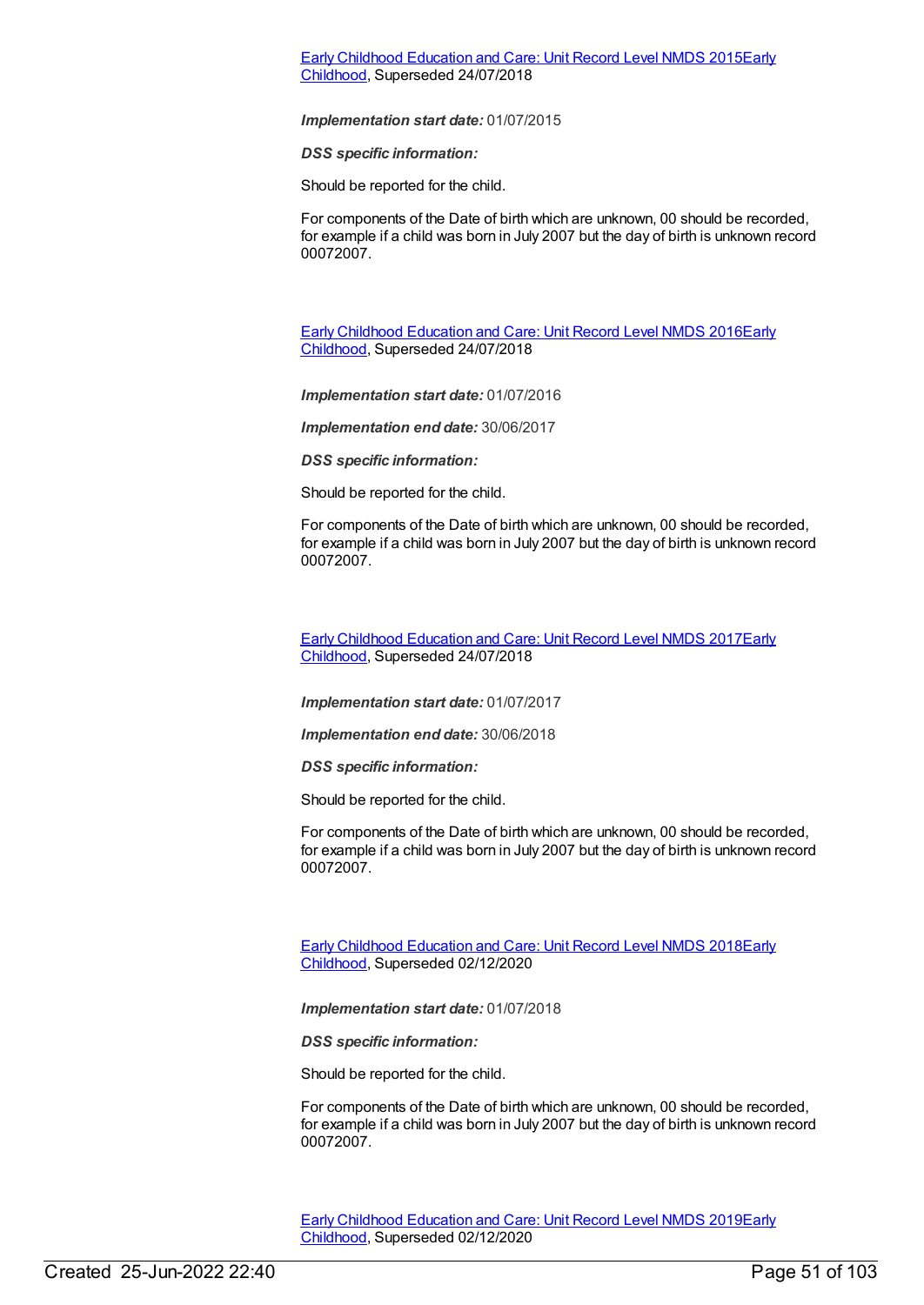# Early Childhood [Education](https://meteor.aihw.gov.au/content/602247) and Care: Unit Record Level NMDS 2015Early Childhood, [Superseded](https://meteor.aihw.gov.au/RegistrationAuthority/13) 24/07/2018

#### *Implementation start date:* 01/07/2015

*DSS specific information:*

Should be reported for the child.

For components of the Date of birth which are unknown, 00 should be recorded, for example if a child was born in July 2007 but the day of birth is unknown record 00072007.

Early Childhood [Education](https://meteor.aihw.gov.au/content/686022) and Care: Unit Record Level NMDS 2016Early Childhood, [Superseded](https://meteor.aihw.gov.au/RegistrationAuthority/13) 24/07/2018

*Implementation start date:* 01/07/2016

*Implementation end date:* 30/06/2017

*DSS specific information:*

Should be reported for the child.

For components of the Date of birth which are unknown, 00 should be recorded, for example if a child was born in July 2007 but the day of birth is unknown record 00072007.

Early Childhood [Education](https://meteor.aihw.gov.au/content/686135) and Care: Unit Record Level NMDS 2017Early Childhood, [Superseded](https://meteor.aihw.gov.au/RegistrationAuthority/13) 24/07/2018

*Implementation start date:* 01/07/2017

*Implementation end date:* 30/06/2018

*DSS specific information:*

Should be reported for the child.

For components of the Date of birth which are unknown, 00 should be recorded, for example if a child was born in July 2007 but the day of birth is unknown record 00072007.

Early Childhood [Education](https://meteor.aihw.gov.au/content/686221) and Care: Unit Record Level NMDS 2018Early Childhood, [Superseded](https://meteor.aihw.gov.au/RegistrationAuthority/13) 02/12/2020

*Implementation start date:* 01/07/2018

*DSS specific information:*

Should be reported for the child.

For components of the Date of birth which are unknown, 00 should be recorded, for example if a child was born in July 2007 but the day of birth is unknown record 00072007.

Early Childhood [Education](https://meteor.aihw.gov.au/content/731157) and Care: Unit Record Level NMDS 2019Early Childhood, [Superseded](https://meteor.aihw.gov.au/RegistrationAuthority/13) 02/12/2020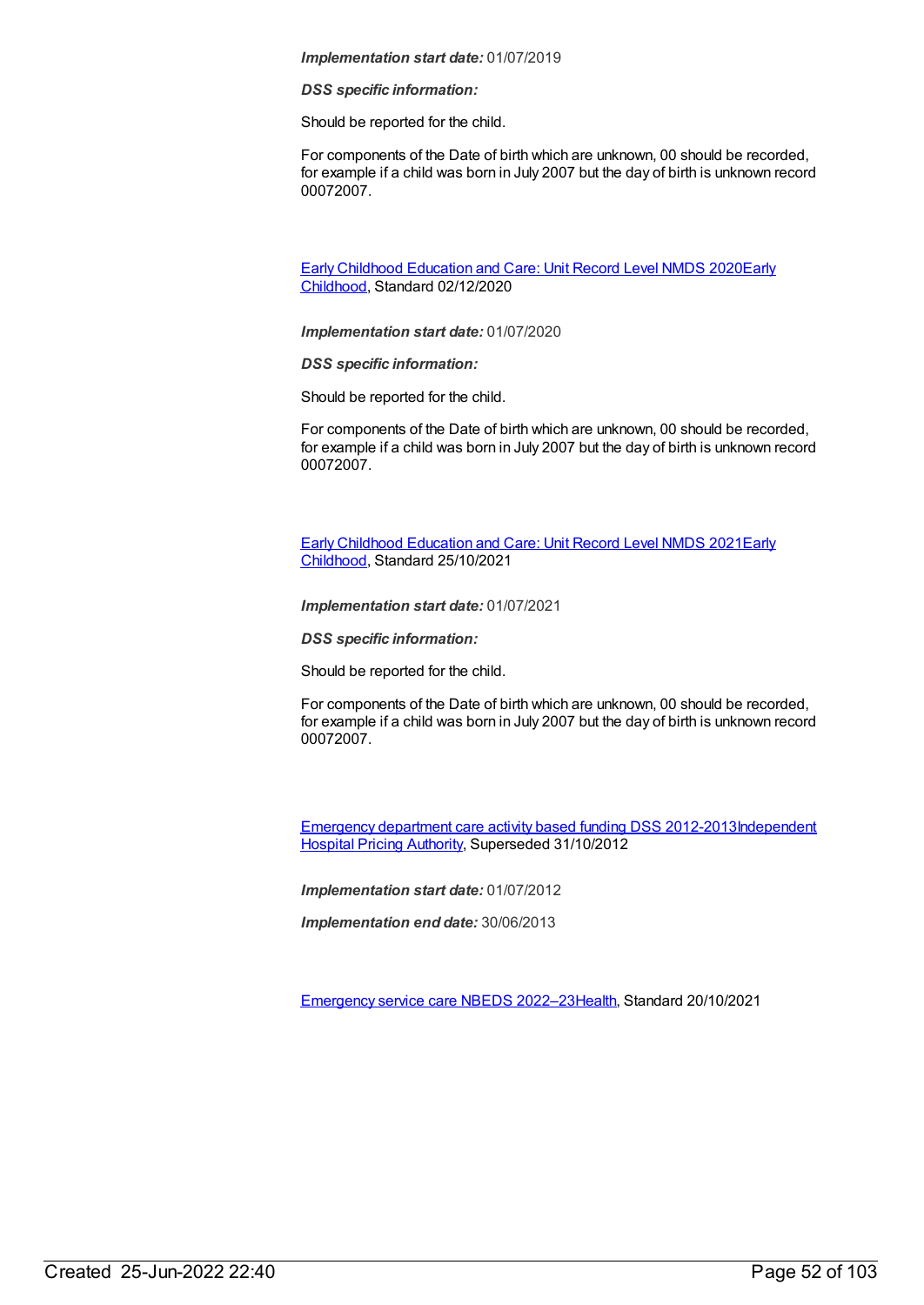*DSS specific information:*

Should be reported for the child.

For components of the Date of birth which are unknown, 00 should be recorded, for example if a child was born in July 2007 but the day of birth is unknown record 00072007.

Early Childhood [Education](https://meteor.aihw.gov.au/RegistrationAuthority/13) and Care: Unit Record Level NMDS 2020Early Childhood, Standard 02/12/2020

*Implementation start date:* 01/07/2020

*DSS specific information:*

Should be reported for the child.

For components of the Date of birth which are unknown, 00 should be recorded, for example if a child was born in July 2007 but the day of birth is unknown record 00072007.

Early Childhood [Education](https://meteor.aihw.gov.au/RegistrationAuthority/13) and Care: Unit Record Level NMDS 2021Early Childhood, Standard 25/10/2021

*Implementation start date:* 01/07/2021

*DSS specific information:*

Should be reported for the child.

For components of the Date of birth which are unknown, 00 should be recorded, for example if a child was born in July 2007 but the day of birth is unknown record 00072007.

[Emergency](https://meteor.aihw.gov.au/content/496522) department care activity based funding DSS [2012-2013Independent](https://meteor.aihw.gov.au/RegistrationAuthority/3) Hospital Pricing Authority, Superseded 31/10/2012

*Implementation start date:* 01/07/2012

*Implementation end date:* 30/06/2013

[Emergency](https://meteor.aihw.gov.au/content/742180) service care NBEDS 2022–2[3Health](https://meteor.aihw.gov.au/RegistrationAuthority/12), Standard 20/10/2021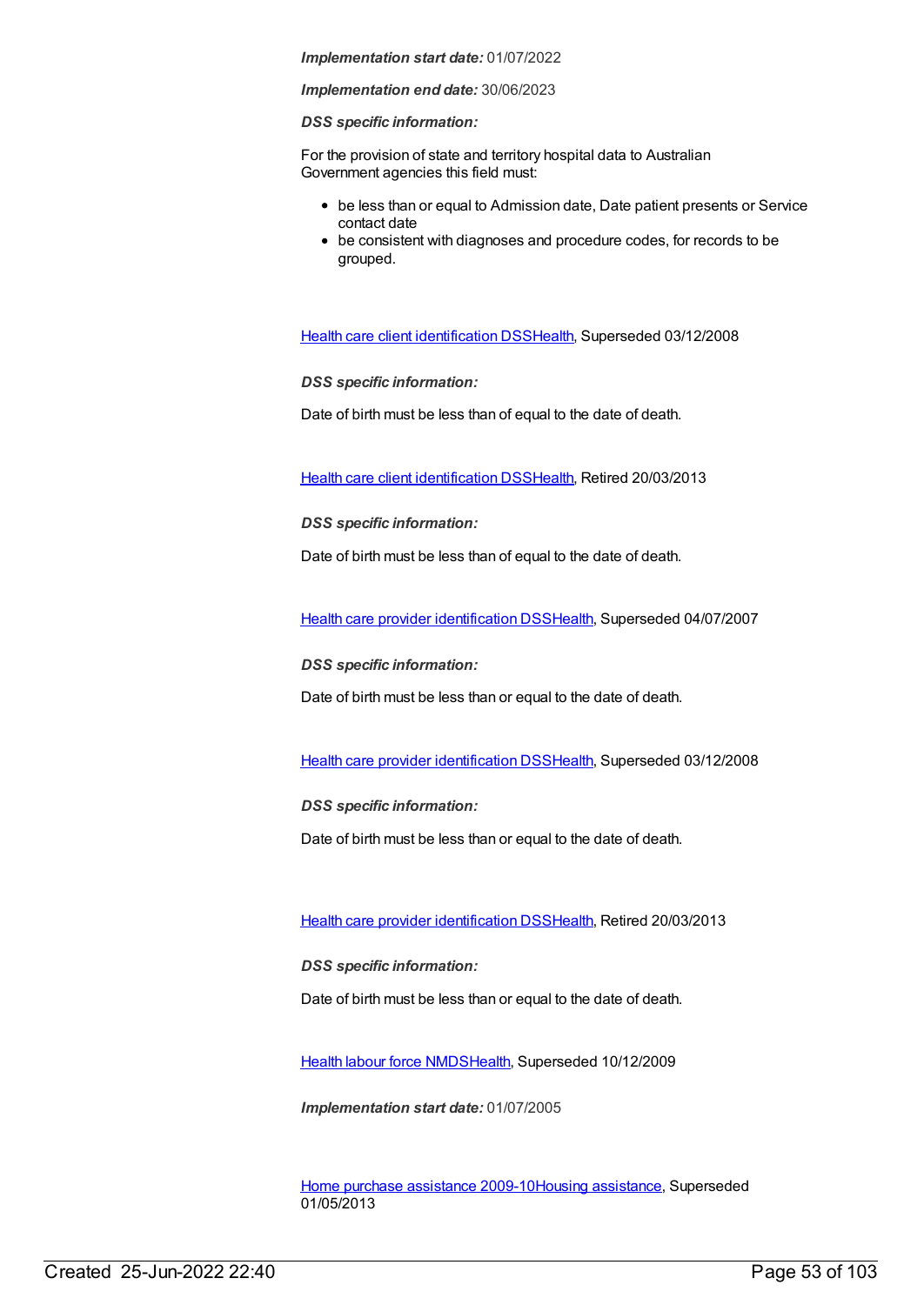## *Implementation end date:* 30/06/2023

## *DSS specific information:*

For the provision of state and territory hospital data to Australian Government agencies this field must:

- be less than or equal to Admission date, Date patient presents or Service contact date
- be consistent with diagnoses and procedure codes, for records to be grouped.

Health care client [identification](https://meteor.aihw.gov.au/content/288765) DSS[Health,](https://meteor.aihw.gov.au/RegistrationAuthority/12) Superseded 03/12/2008

*DSS specific information:*

Date of birth must be less than of equal to the date of death.

Health care client [identification](https://meteor.aihw.gov.au/content/374201) DSS[Health,](https://meteor.aihw.gov.au/RegistrationAuthority/12) Retired 20/03/2013

*DSS specific information:*

Date of birth must be less than of equal to the date of death.

Health care provider [identification](https://meteor.aihw.gov.au/content/289061) DSS[Health](https://meteor.aihw.gov.au/RegistrationAuthority/12), Superseded 04/07/2007

*DSS specific information:*

Date of birth must be less than or equal to the date of death.

Health care provider [identification](https://meteor.aihw.gov.au/content/356020) DSS[Health](https://meteor.aihw.gov.au/RegistrationAuthority/12), Superseded 03/12/2008

*DSS specific information:*

Date of birth must be less than or equal to the date of death.

Health care provider [identification](https://meteor.aihw.gov.au/content/374199) DSS[Health](https://meteor.aihw.gov.au/RegistrationAuthority/12), Retired 20/03/2013

*DSS specific information:*

Date of birth must be less than or equal to the date of death.

Health labour force [NMDS](https://meteor.aihw.gov.au/content/273041)[Health](https://meteor.aihw.gov.au/RegistrationAuthority/12), Superseded 10/12/2009

*Implementation start date:* 01/07/2005

Home purchase [assistance](https://meteor.aihw.gov.au/content/388624) 2009-10Housing [assistance](https://meteor.aihw.gov.au/RegistrationAuthority/11), Superseded 01/05/2013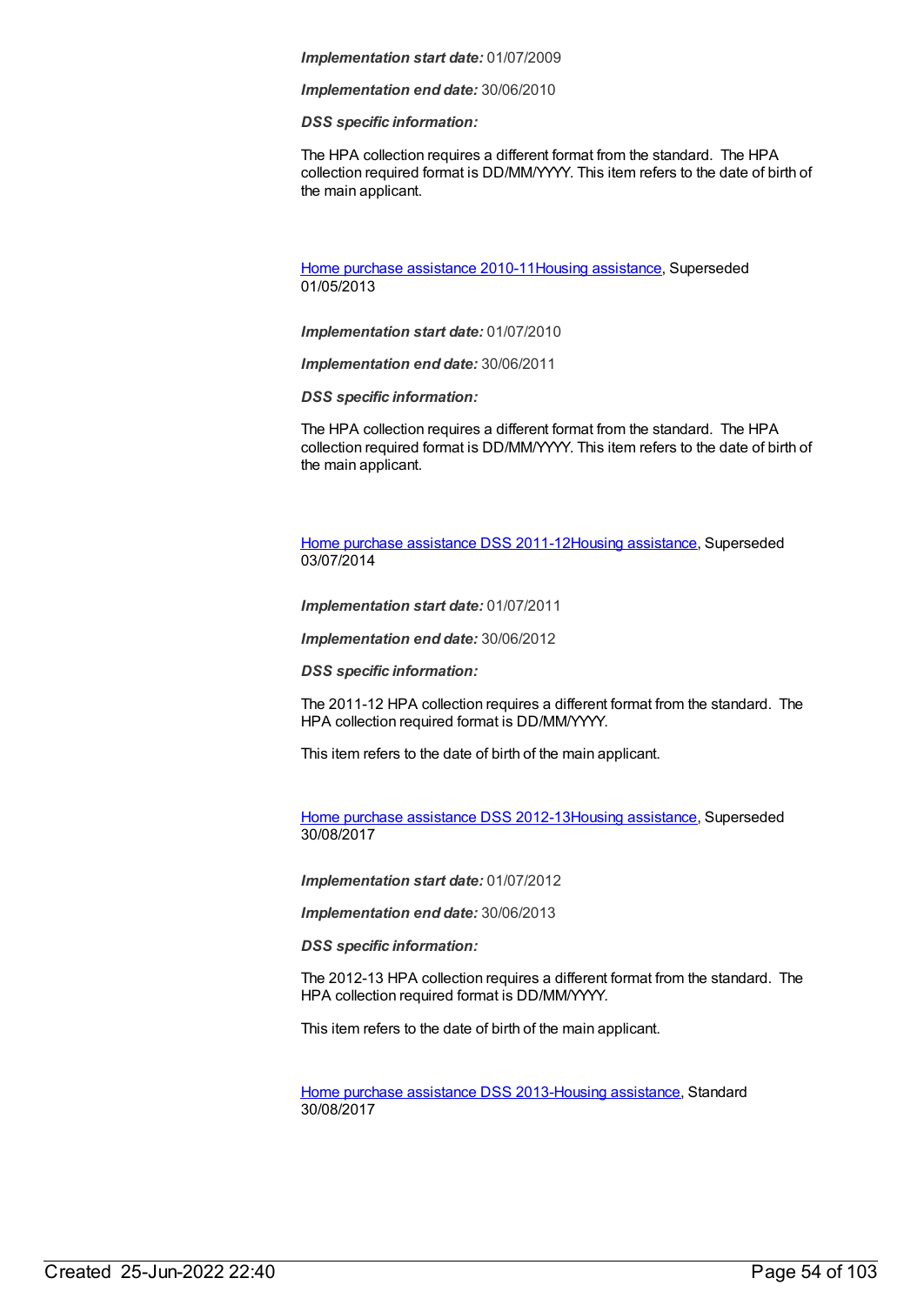*Implementation end date:* 30/06/2010

#### *DSS specific information:*

The HPA collection requires a different format from the standard. The HPA collection required format is DD/MM/YYYY. This item refers to the date of birth of the main applicant.

Home purchase [assistance](https://meteor.aihw.gov.au/content/478773) 2010-11Housing [assistance](https://meteor.aihw.gov.au/RegistrationAuthority/11), Superseded 01/05/2013

*Implementation start date:* 01/07/2010

*Implementation end date:* 30/06/2011

*DSS specific information:*

The HPA collection requires a different format from the standard. The HPA collection required format is DD/MM/YYYY. This item refers to the date of birth of the main applicant.

Home purchase [assistance](https://meteor.aihw.gov.au/content/480487) DSS 2011-12Housing [assistance](https://meteor.aihw.gov.au/RegistrationAuthority/11), Superseded 03/07/2014

*Implementation start date:* 01/07/2011

*Implementation end date:* 30/06/2012

*DSS specific information:*

The 2011-12 HPA collection requires a different format from the standard. The HPA collection required format is DD/MM/YYYY.

This item refers to the date of birth of the main applicant.

Home purchase [assistance](https://meteor.aihw.gov.au/content/563456) DSS 2012-13Housing [assistance](https://meteor.aihw.gov.au/RegistrationAuthority/11), Superseded 30/08/2017

*Implementation start date:* 01/07/2012

*Implementation end date:* 30/06/2013

*DSS specific information:*

The 2012-13 HPA collection requires a different format from the standard. The HPA collection required format is DD/MM/YYYY.

This item refers to the date of birth of the main applicant.

Home purchase [assistance](https://meteor.aihw.gov.au/content/596710) DSS 2013-Housing [assistance](https://meteor.aihw.gov.au/RegistrationAuthority/11), Standard 30/08/2017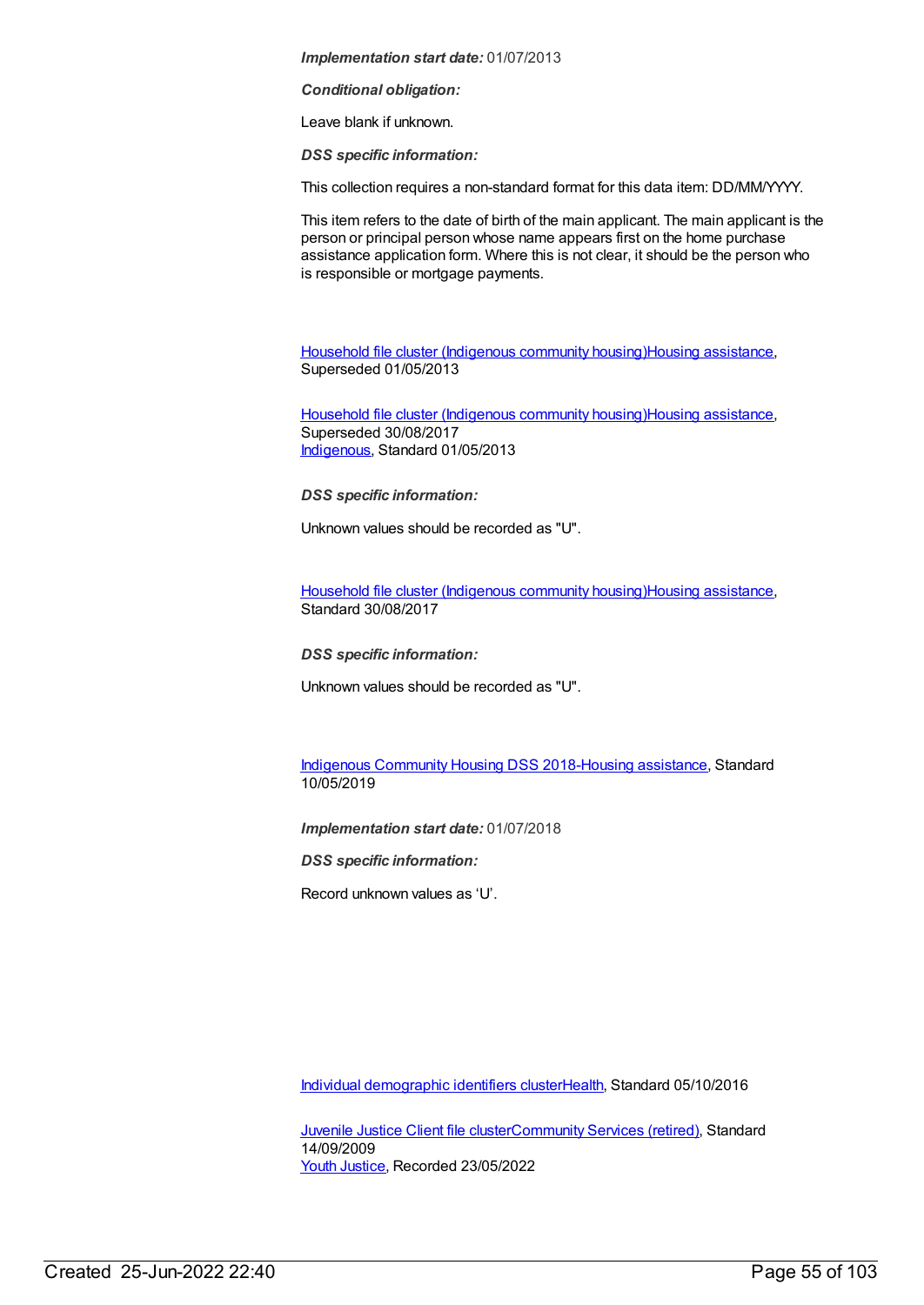#### *Conditional obligation:*

Leave blank if unknown.

*DSS specific information:*

This collection requires a non-standard format for this data item: DD/MM/YYYY.

This item refers to the date of birth of the main applicant. The main applicant is the person or principal person whose name appears first on the home purchase assistance application form. Where this is not clear, it should be the person who is responsible or mortgage payments.

Household file cluster [\(Indigenous](https://meteor.aihw.gov.au/content/464709) community housing)Housing [assistance](https://meteor.aihw.gov.au/RegistrationAuthority/11), Superseded 01/05/2013

Household file cluster [\(Indigenous](https://meteor.aihw.gov.au/content/480535) community housing)Housing [assistance](https://meteor.aihw.gov.au/RegistrationAuthority/11), Superseded 30/08/2017 [Indigenous](https://meteor.aihw.gov.au/RegistrationAuthority/6), Standard 01/05/2013

*DSS specific information:*

Unknown values should be recorded as "U".

Household file cluster [\(Indigenous](https://meteor.aihw.gov.au/content/605356) community housing)Housing [assistance](https://meteor.aihw.gov.au/RegistrationAuthority/11), Standard 30/08/2017

*DSS specific information:*

Unknown values should be recorded as "U".

Indigenous [Community](https://meteor.aihw.gov.au/content/711226) Housing DSS 2018-Housing [assistance](https://meteor.aihw.gov.au/RegistrationAuthority/11), Standard 10/05/2019

*Implementation start date:* 01/07/2018

*DSS specific information:*

Record unknown values as 'U'.

Individual [demographic](https://meteor.aihw.gov.au/content/528542) identifiers cluste[rHealth](https://meteor.aihw.gov.au/RegistrationAuthority/12), Standard 05/10/2016

**[Juvenile](https://meteor.aihw.gov.au/content/386845) Justice Client file cluste[rCommunity](https://meteor.aihw.gov.au/RegistrationAuthority/1) Services (retired), Standard** 14/09/2009 Youth [Justice](https://meteor.aihw.gov.au/RegistrationAuthority/4), Recorded 23/05/2022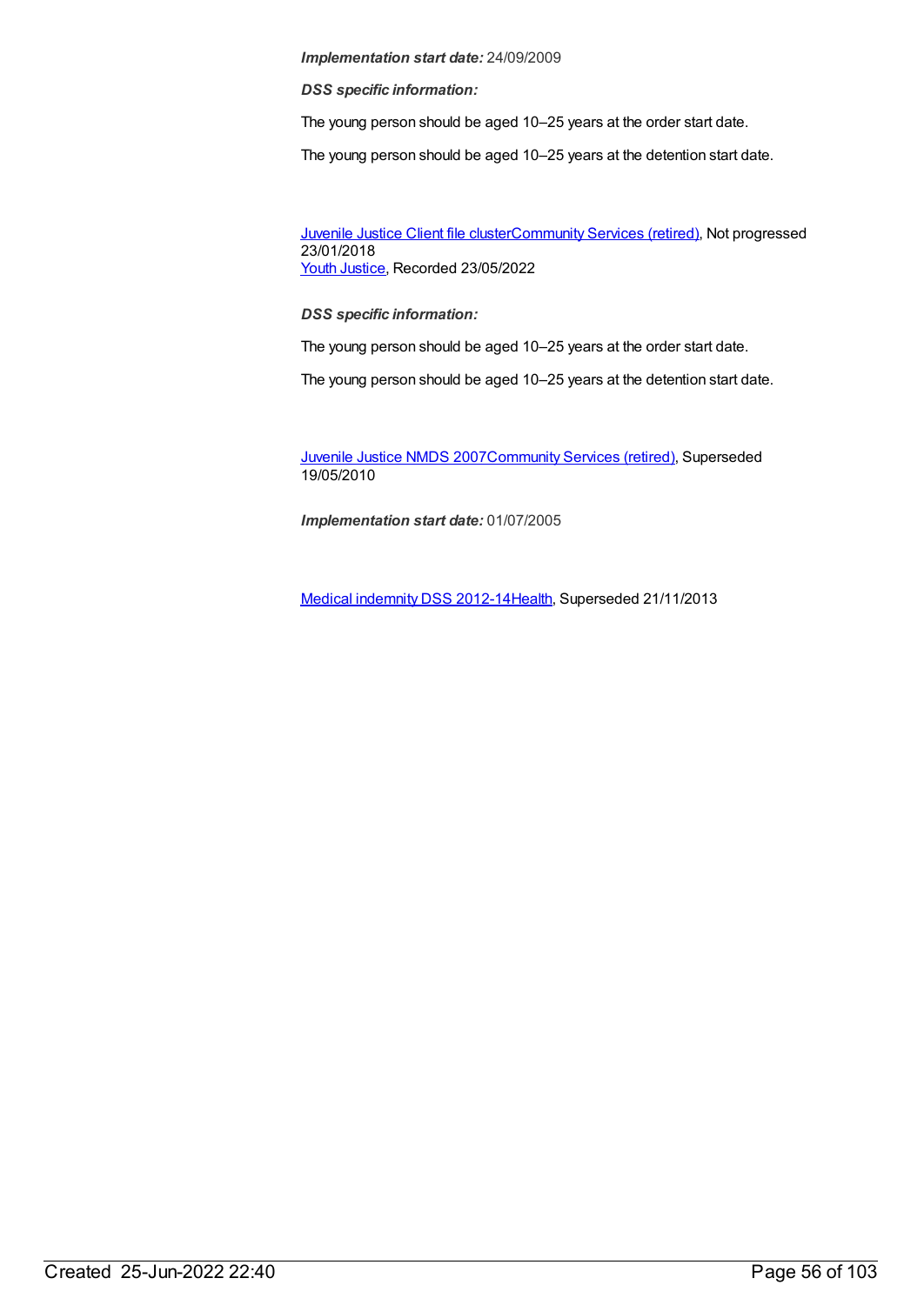*DSS specific information:*

The young person should be aged 10–25 years at the order start date.

The young person should be aged 10–25 years at the detention start date.

[Juvenile](https://meteor.aihw.gov.au/content/513199) Justice Client file cluste[rCommunity](https://meteor.aihw.gov.au/RegistrationAuthority/1) Services (retired), Not progressed 23/01/2018 Youth [Justice](https://meteor.aihw.gov.au/RegistrationAuthority/4), Recorded 23/05/2022

# *DSS specific information:*

The young person should be aged 10–25 years at the order start date.

The young person should be aged 10–25 years at the detention start date.

[Juvenile](https://meteor.aihw.gov.au/content/314122) Justice NMDS 200[7Community](https://meteor.aihw.gov.au/RegistrationAuthority/1) Services (retired), Superseded 19/05/2010

*Implementation start date:* 01/07/2005

Medical [indemnity](https://meteor.aihw.gov.au/content/329638) DSS 2012-1[4Health](https://meteor.aihw.gov.au/RegistrationAuthority/12), Superseded 21/11/2013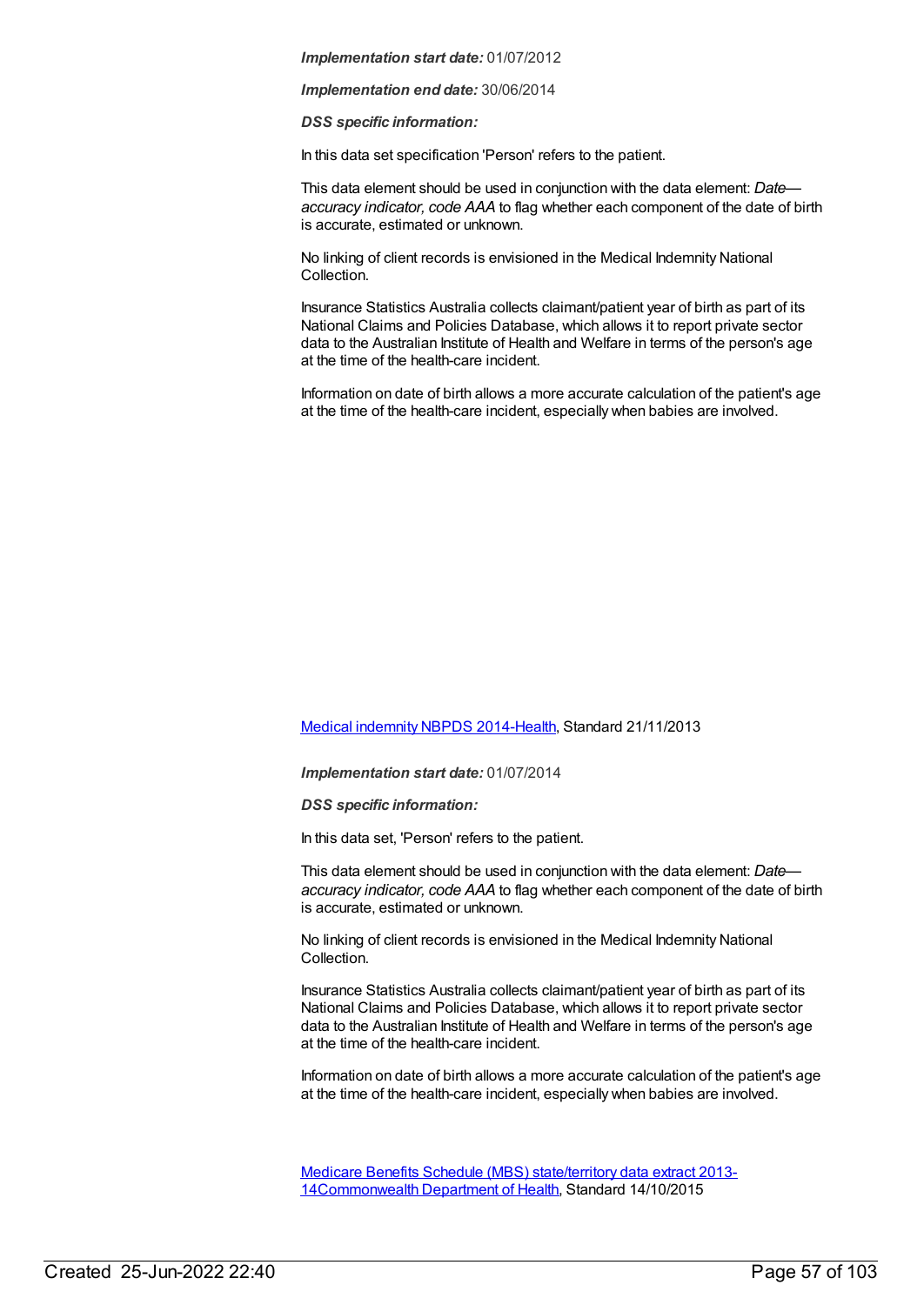*Implementation end date:* 30/06/2014

*DSS specific information:*

In this data set specification 'Person' refers to the patient.

This data element should be used in conjunction with the data element: *Date accuracy indicator, code AAA* to flag whether each component of the date of birth is accurate, estimated or unknown.

No linking of client records is envisioned in the Medical Indemnity National Collection.

Insurance Statistics Australia collects claimant/patient year of birth as part of its National Claims and Policies Database, which allows it to report private sector data to the Australian Institute of Health and Welfare in terms of the person's age at the time of the health-care incident.

Information on date of birth allows a more accurate calculation of the patient's age at the time of the health-care incident, especially when babies are involved.

## Medical [indemnity](https://meteor.aihw.gov.au/content/531844) NBPDS 2014[-Health](https://meteor.aihw.gov.au/RegistrationAuthority/12), Standard 21/11/2013

*Implementation start date:* 01/07/2014

*DSS specific information:*

In this data set, 'Person' refers to the patient.

This data element should be used in conjunction with the data element: *Date accuracy indicator, code AAA* to flag whether each component of the date of birth is accurate, estimated or unknown.

No linking of client records is envisioned in the Medical Indemnity National Collection.

Insurance Statistics Australia collects claimant/patient year of birth as part of its National Claims and Policies Database, which allows it to report private sector data to the Australian Institute of Health and Welfare in terms of the person's age at the time of the health-care incident.

Information on date of birth allows a more accurate calculation of the patient's age at the time of the health-care incident, especially when babies are involved.

Medicare Benefits Schedule (MBS) state/territory data extract 2013- [14Commonwealth](https://meteor.aihw.gov.au/content/603356) Department of Health, Standard 14/10/2015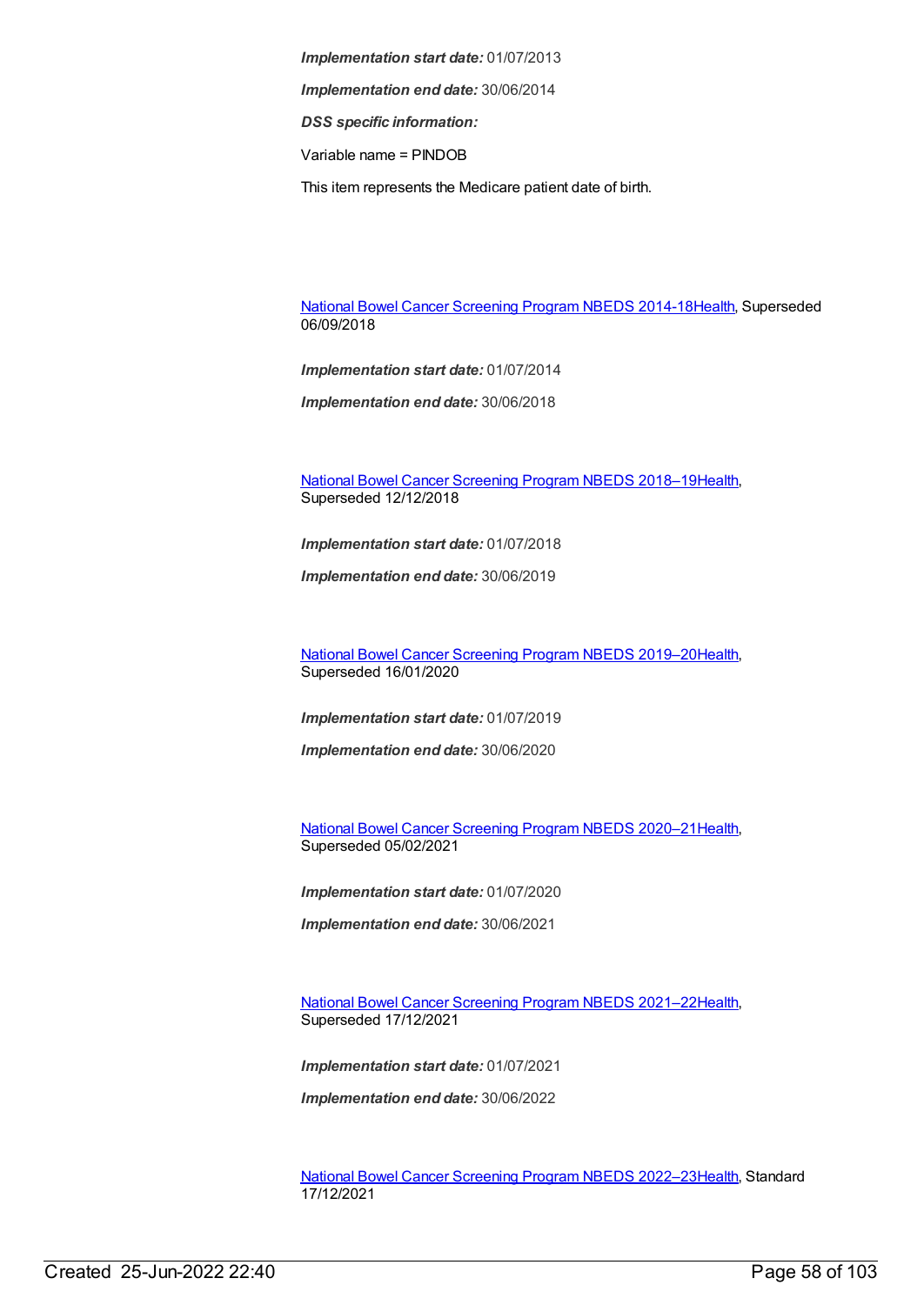*Implementation start date:* 01/07/2013 *Implementation end date:* 30/06/2014

*DSS specific information:*

Variable name = PINDOB

This item represents the Medicare patient date of birth.

National Bowel Cancer [Screening](https://meteor.aihw.gov.au/content/529201) Program NBEDS 2014-1[8Health](https://meteor.aihw.gov.au/RegistrationAuthority/12), Superseded 06/09/2018

*Implementation start date:* 01/07/2014

*Implementation end date:* 30/06/2018

National Bowel Cancer [Screening](https://meteor.aihw.gov.au/content/694107) Program NBEDS 2018–1[9Health](https://meteor.aihw.gov.au/RegistrationAuthority/12), Superseded 12/12/2018

*Implementation start date:* 01/07/2018

*Implementation end date:* 30/06/2019

National Bowel Cancer [Screening](https://meteor.aihw.gov.au/content/707481) Program NBEDS 2019–2[0Health](https://meteor.aihw.gov.au/RegistrationAuthority/12), Superseded 16/01/2020

*Implementation start date:* 01/07/2019

*Implementation end date:* 30/06/2020

National Bowel Cancer [Screening](https://meteor.aihw.gov.au/content/715323) Program NBEDS 2020–2[1Health](https://meteor.aihw.gov.au/RegistrationAuthority/12), Superseded 05/02/2021

*Implementation start date:* 01/07/2020

*Implementation end date:* 30/06/2021

National Bowel Cancer [Screening](https://meteor.aihw.gov.au/content/727407) Program NBEDS 2021–2[2Health](https://meteor.aihw.gov.au/RegistrationAuthority/12), Superseded 17/12/2021

*Implementation start date:* 01/07/2021

*Implementation end date:* 30/06/2022

National Bowel Cancer [Screening](https://meteor.aihw.gov.au/content/742048) Program NBEDS 2022–2[3Health](https://meteor.aihw.gov.au/RegistrationAuthority/12), Standard 17/12/2021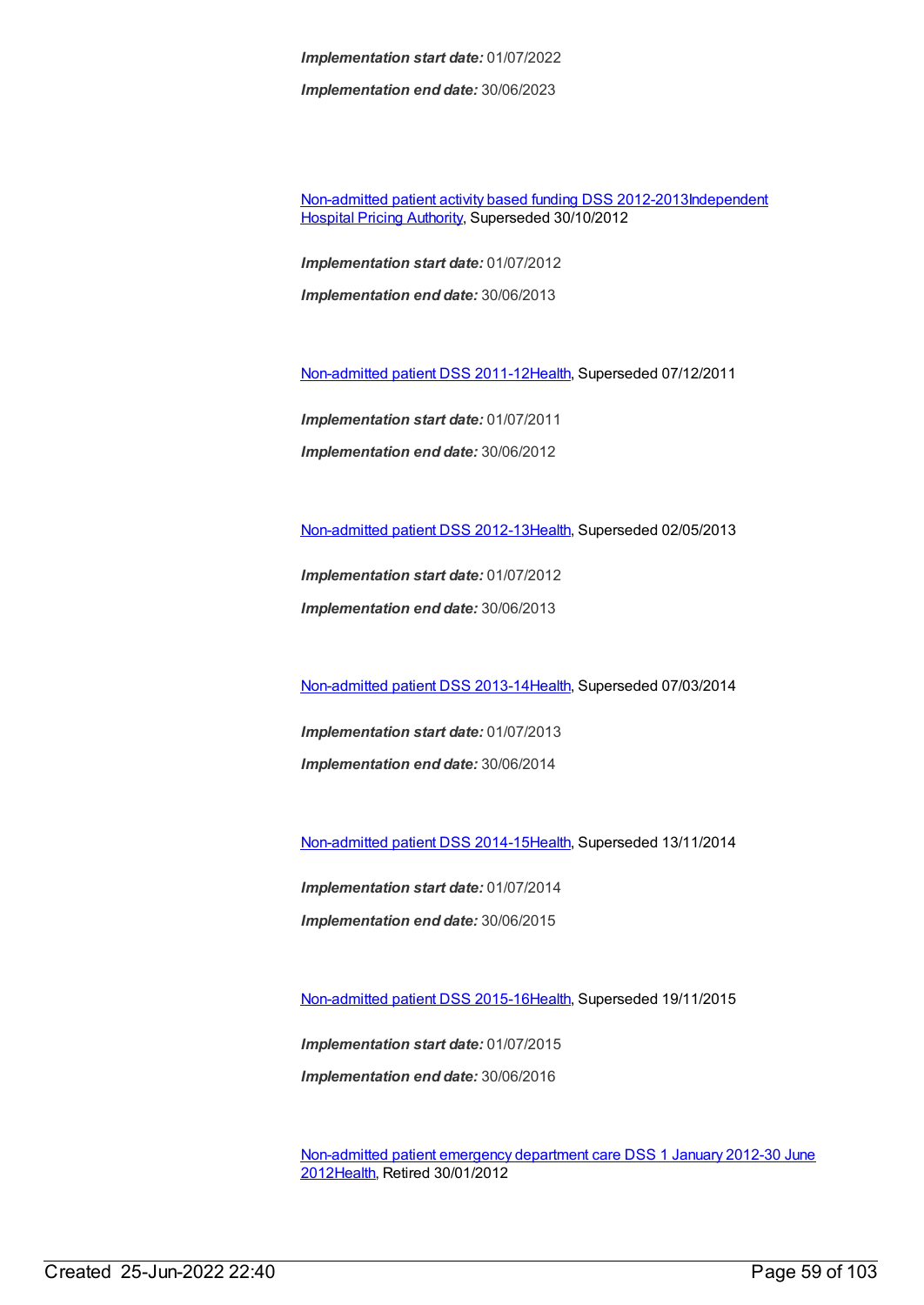*Implementation end date:* 30/06/2023

[Non-admitted](https://meteor.aihw.gov.au/content/453284) patient activity based funding DSS [2012-2013Independent](https://meteor.aihw.gov.au/RegistrationAuthority/3) Hospital Pricing Authority, Superseded 30/10/2012

*Implementation start date:* 01/07/2012 *Implementation end date:* 30/06/2013

[Non-admitted](https://meteor.aihw.gov.au/content/399390) patient DSS 2011-1[2Health](https://meteor.aihw.gov.au/RegistrationAuthority/12), Superseded 07/12/2011

*Implementation start date:* 01/07/2011 *Implementation end date:* 30/06/2012

[Non-admitted](https://meteor.aihw.gov.au/content/471846) patient DSS 2012-1[3Health](https://meteor.aihw.gov.au/RegistrationAuthority/12), Superseded 02/05/2013

*Implementation start date:* 01/07/2012

*Implementation end date:* 30/06/2013

[Non-admitted](https://meteor.aihw.gov.au/content/509071) patient DSS 2013-1[4Health](https://meteor.aihw.gov.au/RegistrationAuthority/12), Superseded 07/03/2014

*Implementation start date:* 01/07/2013 *Implementation end date:* 30/06/2014

[Non-admitted](https://meteor.aihw.gov.au/content/548176) patient DSS 2014-1[5Health](https://meteor.aihw.gov.au/RegistrationAuthority/12), Superseded 13/11/2014

*Implementation start date:* 01/07/2014 *Implementation end date:* 30/06/2015

[Non-admitted](https://meteor.aihw.gov.au/content/584108) patient DSS 2015-1[6Health](https://meteor.aihw.gov.au/RegistrationAuthority/12), Superseded 19/11/2015

*Implementation start date:* 01/07/2015 *Implementation end date:* 30/06/2016

[Non-admitted](https://meteor.aihw.gov.au/content/471595) patient emergency department care DSS 1 January 2012-30 June 201[2Health](https://meteor.aihw.gov.au/RegistrationAuthority/12), Retired 30/01/2012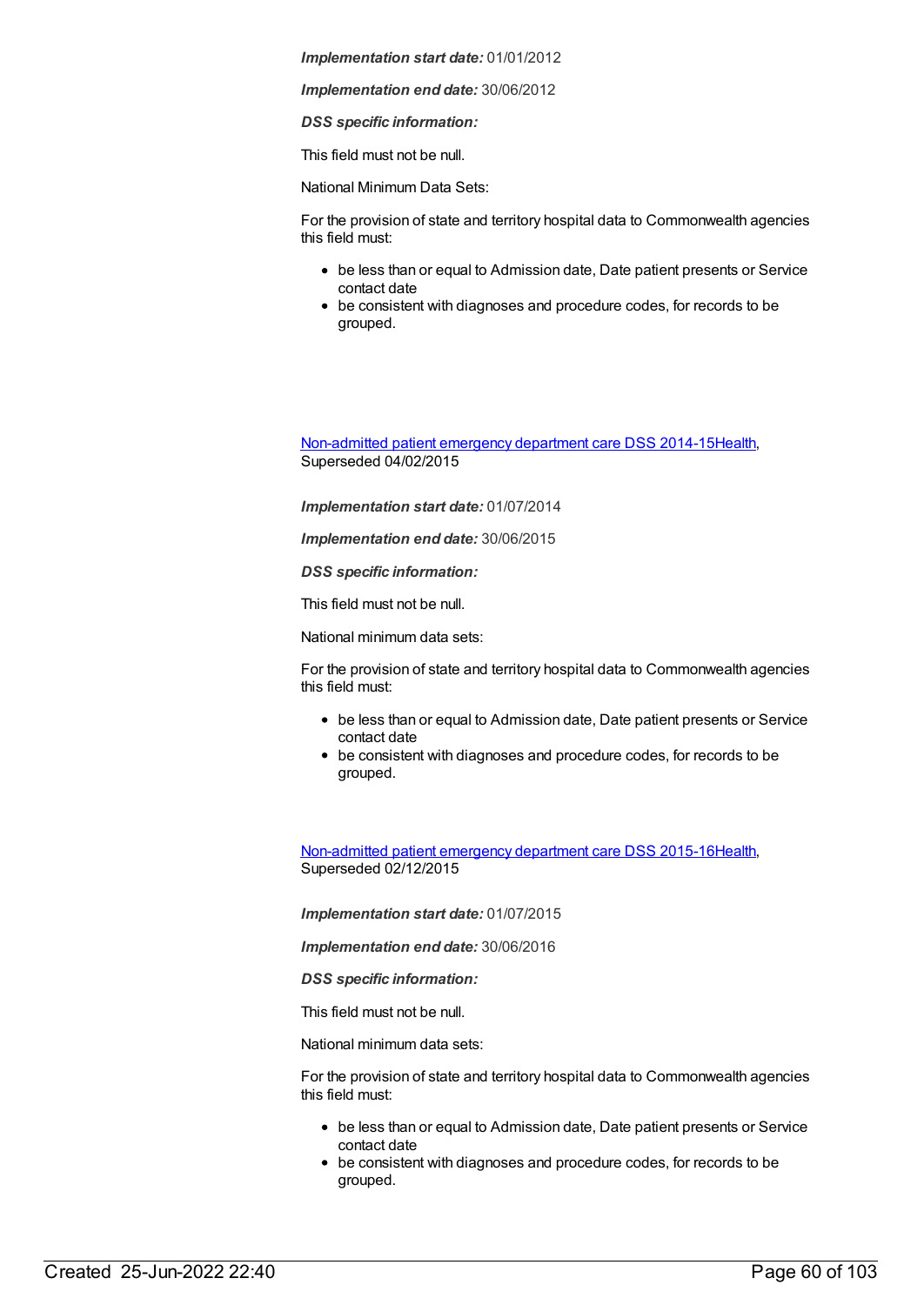*Implementation end date:* 30/06/2012

*DSS specific information:*

This field must not be null.

National Minimum Data Sets:

For the provision of state and territory hospital data to Commonwealth agencies this field must:

- be less than or equal to Admission date, Date patient presents or Service contact date
- be consistent with diagnoses and procedure codes, for records to be grouped.

[Non-admitted](https://meteor.aihw.gov.au/content/567462) patient emergency department care DSS 2014-1[5Health](https://meteor.aihw.gov.au/RegistrationAuthority/12), Superseded 04/02/2015

*Implementation start date:* 01/07/2014

*Implementation end date:* 30/06/2015

*DSS specific information:*

This field must not be null.

National minimum data sets:

For the provision of state and territory hospital data to Commonwealth agencies this field must:

- be less than or equal to Admission date, Date patient presents or Service contact date
- be consistent with diagnoses and procedure codes, for records to be grouped.

[Non-admitted](https://meteor.aihw.gov.au/content/590675) patient emergency department care DSS 2015-1[6Health](https://meteor.aihw.gov.au/RegistrationAuthority/12), Superseded 02/12/2015

*Implementation start date:* 01/07/2015

*Implementation end date:* 30/06/2016

*DSS specific information:*

This field must not be null.

National minimum data sets:

For the provision of state and territory hospital data to Commonwealth agencies this field must:

- be less than or equal to Admission date, Date patient presents or Service contact date
- be consistent with diagnoses and procedure codes, for records to be grouped.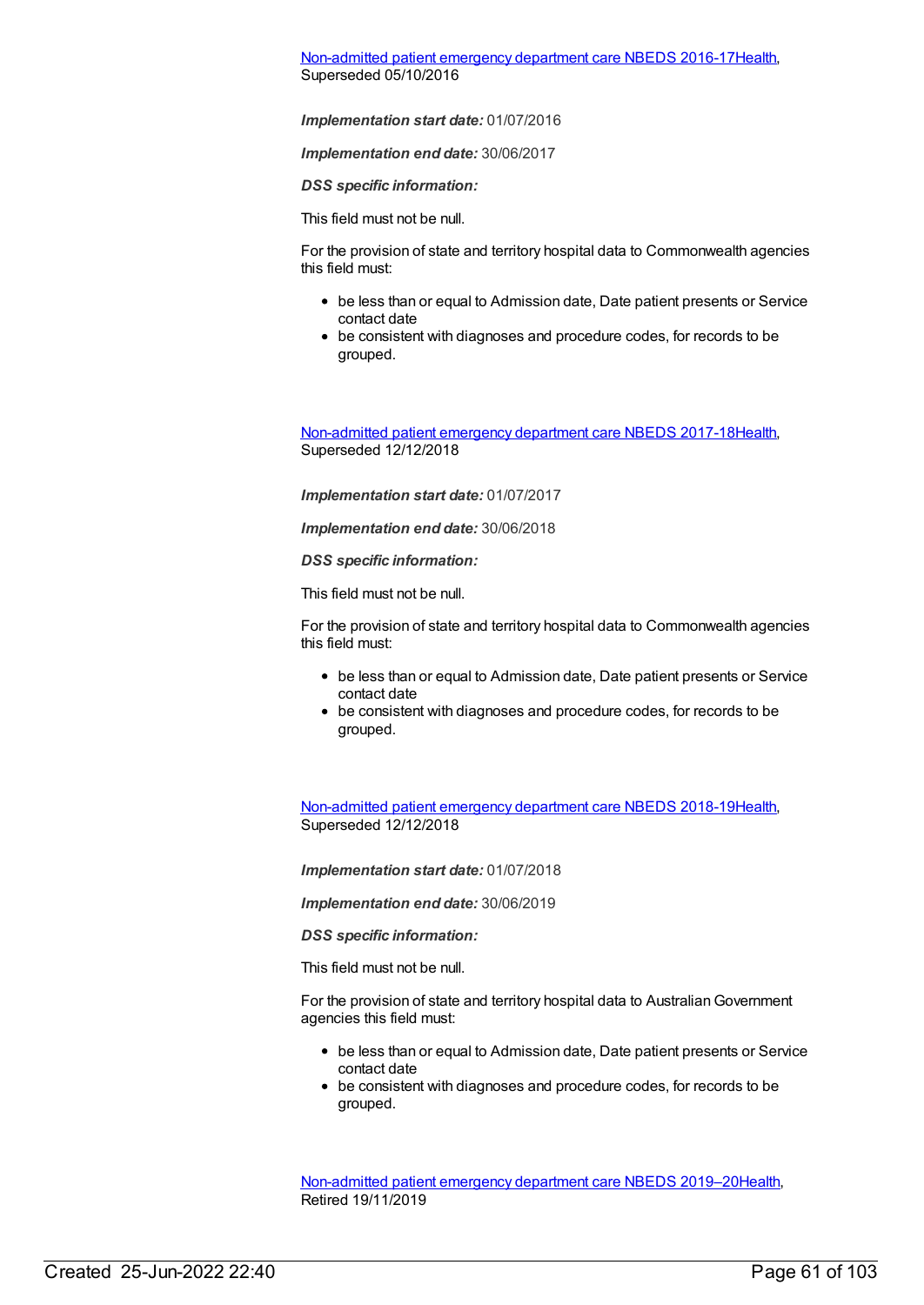# [Non-admitted](https://meteor.aihw.gov.au/content/617933) patient emergency department care NBEDS 2016-1[7Health](https://meteor.aihw.gov.au/RegistrationAuthority/12), Superseded 05/10/2016

## *Implementation start date:* 01/07/2016

*Implementation end date:* 30/06/2017

*DSS specific information:*

This field must not be null.

For the provision of state and territory hospital data to Commonwealth agencies this field must:

- be less than or equal to Admission date, Date patient presents or Service contact date
- be consistent with diagnoses and procedure codes, for records to be grouped.

[Non-admitted](https://meteor.aihw.gov.au/content/655704) patient emergency department care NBEDS 2017-1[8Health](https://meteor.aihw.gov.au/RegistrationAuthority/12), Superseded 12/12/2018

*Implementation start date:* 01/07/2017

*Implementation end date:* 30/06/2018

*DSS specific information:*

This field must not be null.

For the provision of state and territory hospital data to Commonwealth agencies this field must:

- be less than or equal to Admission date, Date patient presents or Service contact date
- be consistent with diagnoses and procedure codes, for records to be grouped.

[Non-admitted](https://meteor.aihw.gov.au/content/676384) patient emergency department care NBEDS 2018-1[9Health](https://meteor.aihw.gov.au/RegistrationAuthority/12), Superseded 12/12/2018

*Implementation start date:* 01/07/2018

*Implementation end date:* 30/06/2019

*DSS specific information:*

This field must not be null.

For the provision of state and territory hospital data to AustralianGovernment agencies this field must:

- be less than or equal to Admission date, Date patient presents or Service contact date
- be consistent with diagnoses and procedure codes, for records to be grouped.

[Non-admitted](https://meteor.aihw.gov.au/content/708556) patient emergency department care NBEDS 2019–2[0Health](https://meteor.aihw.gov.au/RegistrationAuthority/12), Retired 19/11/2019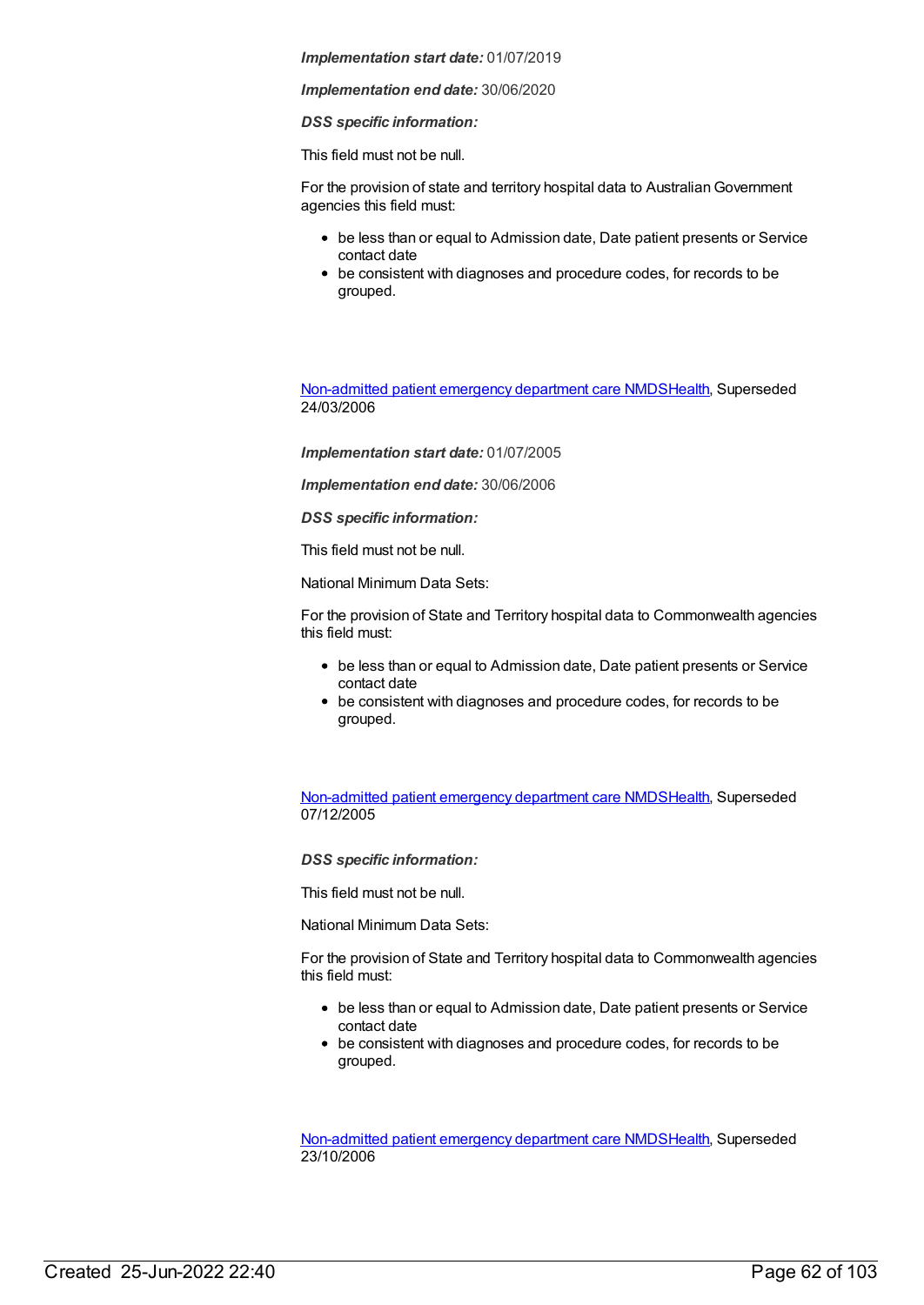*Implementation end date:* 30/06/2020

*DSS specific information:*

This field must not be null.

For the provision of state and territory hospital data to Australian Government agencies this field must:

- be less than or equal to Admission date, Date patient presents or Service contact date
- be consistent with diagnoses and procedure codes, for records to be grouped.

[Non-admitted](https://meteor.aihw.gov.au/content/319769) patient emergency department care NMD[SHealth](https://meteor.aihw.gov.au/RegistrationAuthority/12), Superseded 24/03/2006

*Implementation start date:* 01/07/2005

*Implementation end date:* 30/06/2006

*DSS specific information:*

This field must not be null.

National Minimum Data Sets:

For the provision of State and Territory hospital data to Commonwealth agencies this field must:

- be less than or equal to Admission date, Date patient presents or Service contact date
- be consistent with diagnoses and procedure codes, for records to be grouped.

[Non-admitted](https://meteor.aihw.gov.au/content/273053) patient emergency department care NMD[SHealth](https://meteor.aihw.gov.au/RegistrationAuthority/12), Superseded 07/12/2005

*DSS specific information:*

This field must not be null.

National Minimum Data Sets:

For the provision of State and Territory hospital data to Commonwealth agencies this field must:

- be less than or equal to Admission date, Date patient presents or Service contact date
- be consistent with diagnoses and procedure codes, for records to be grouped.

[Non-admitted](https://meteor.aihw.gov.au/content/322655) patient emergency department care NMD[SHealth](https://meteor.aihw.gov.au/RegistrationAuthority/12), Superseded 23/10/2006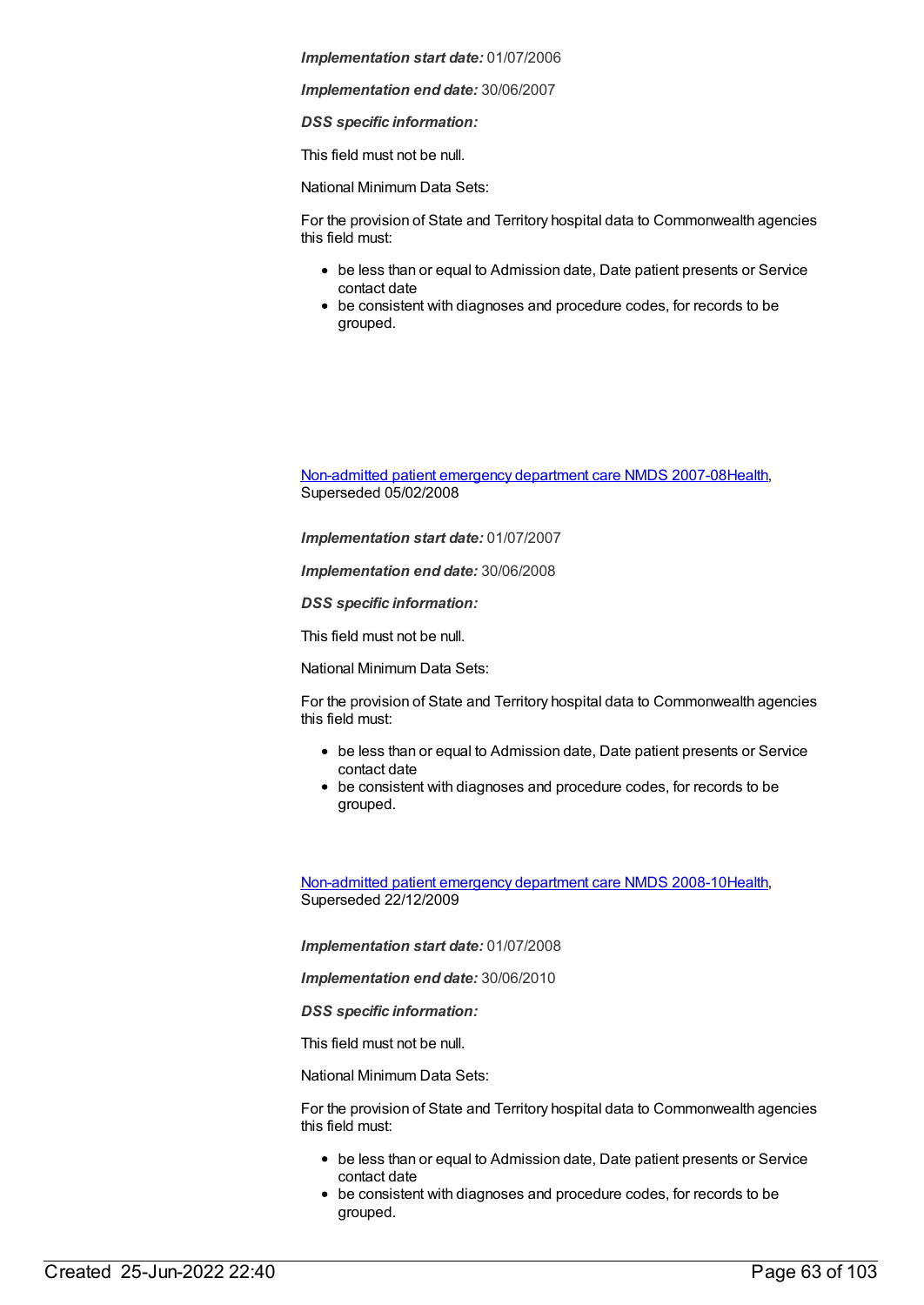*Implementation end date:* 30/06/2007

*DSS specific information:*

This field must not be null.

National Minimum Data Sets:

For the provision of State and Territory hospital data to Commonwealth agencies this field must:

- be less than or equal to Admission date, Date patient presents or Service contact date
- be consistent with diagnoses and procedure codes, for records to be grouped.

[Non-admitted](https://meteor.aihw.gov.au/content/349836) patient emergency department care NMDS 2007-08[Health](https://meteor.aihw.gov.au/RegistrationAuthority/12), Superseded 05/02/2008

*Implementation start date:* 01/07/2007

*Implementation end date:* 30/06/2008

*DSS specific information:*

This field must not be null.

National Minimum Data Sets:

For the provision of State and Territory hospital data to Commonwealth agencies this field must:

- be less than or equal to Admission date, Date patient presents or Service contact date
- be consistent with diagnoses and procedure codes, for records to be grouped.

[Non-admitted](https://meteor.aihw.gov.au/content/363530) patient emergency department care NMDS 2008-10[Health](https://meteor.aihw.gov.au/RegistrationAuthority/12), Superseded 22/12/2009

*Implementation start date:* 01/07/2008

*Implementation end date:* 30/06/2010

*DSS specific information:*

This field must not be null.

National Minimum Data Sets:

For the provision of State and Territory hospital data to Commonwealth agencies this field must:

- be less than or equal to Admission date, Date patient presents or Service contact date
- be consistent with diagnoses and procedure codes, for records to be grouped.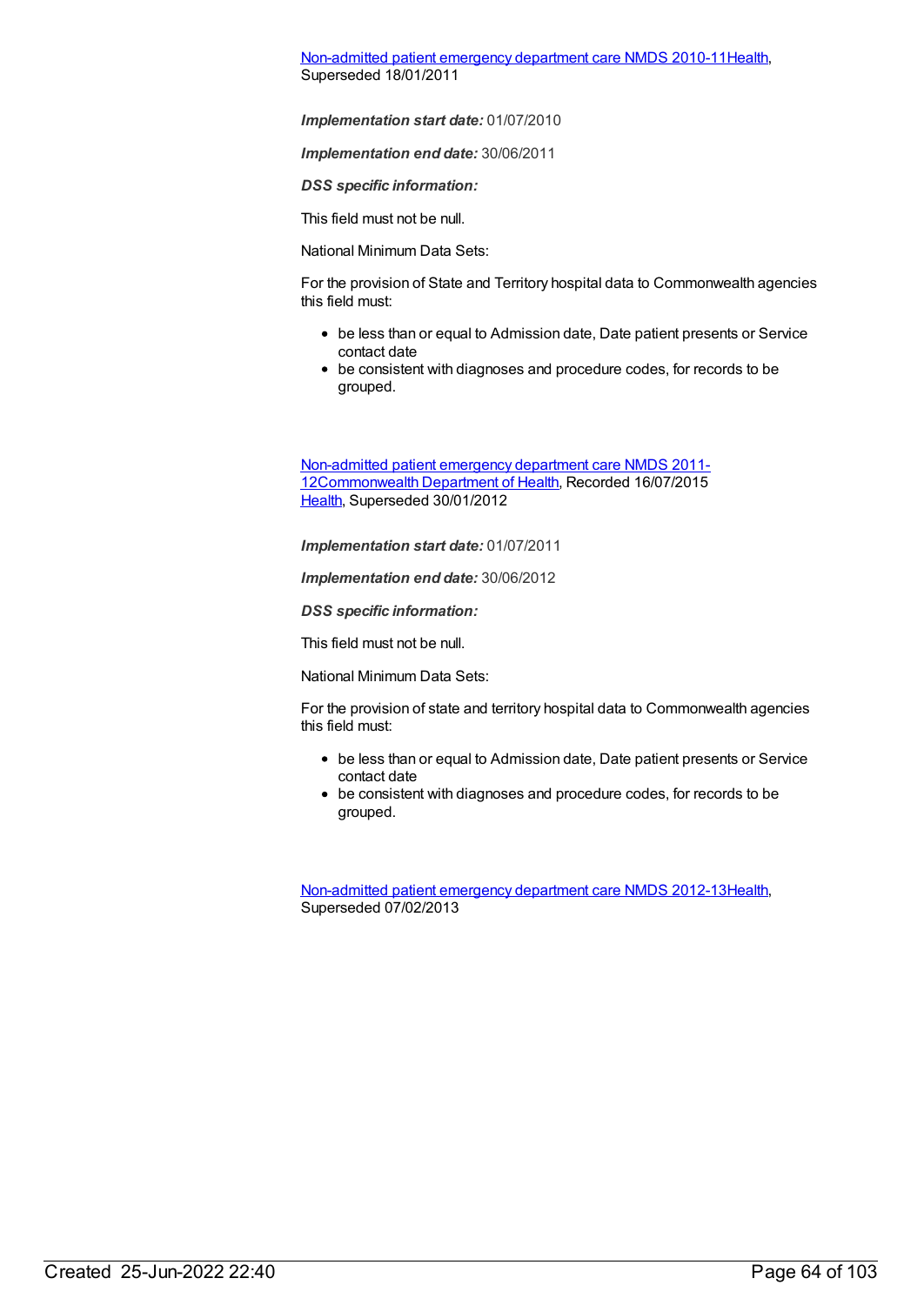[Non-admitted](https://meteor.aihw.gov.au/content/374220) patient emergency department care NMDS 2010-11[Health](https://meteor.aihw.gov.au/RegistrationAuthority/12), Superseded 18/01/2011

*Implementation start date:* 01/07/2010

*Implementation end date:* 30/06/2011

*DSS specific information:*

This field must not be null.

National Minimum Data Sets:

For the provision of State and Territory hospital data to Commonwealth agencies this field must:

- be less than or equal to Admission date, Date patient presents or Service contact date
- be consistent with diagnoses and procedure codes, for records to be grouped.

Non-admitted patient emergency department care NMDS 2011- [12Commonwealth](https://meteor.aihw.gov.au/content/426881) Department of Health, Recorded 16/07/2015 [Health](https://meteor.aihw.gov.au/RegistrationAuthority/12), Superseded 30/01/2012

*Implementation start date:* 01/07/2011

*Implementation end date:* 30/06/2012

*DSS specific information:*

This field must not be null.

National Minimum Data Sets:

For the provision of state and territory hospital data to Commonwealth agencies this field must:

- be less than or equal to Admission date, Date patient presents or Service contact date
- be consistent with diagnoses and procedure codes, for records to be grouped.

[Non-admitted](https://meteor.aihw.gov.au/content/474371) patient emergency department care NMDS 2012-13[Health](https://meteor.aihw.gov.au/RegistrationAuthority/12), Superseded 07/02/2013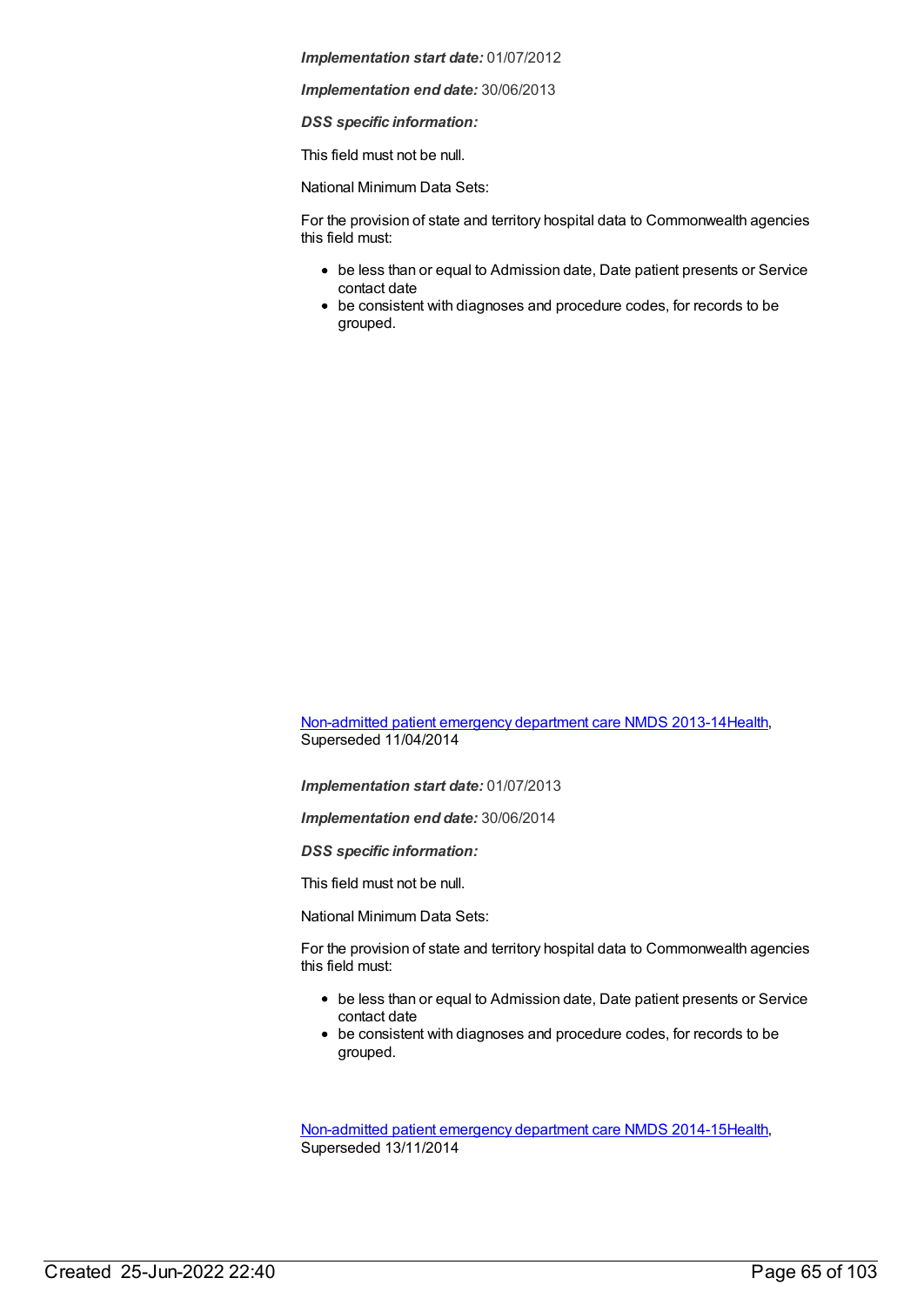*Implementation end date:* 30/06/2013

*DSS specific information:*

This field must not be null.

National Minimum Data Sets:

For the provision of state and territory hospital data to Commonwealth agencies this field must:

- be less than or equal to Admission date, Date patient presents or Service contact date
- be consistent with diagnoses and procedure codes, for records to be grouped.

[Non-admitted](https://meteor.aihw.gov.au/content/509116) patient emergency department care NMDS 2013-14[Health](https://meteor.aihw.gov.au/RegistrationAuthority/12), Superseded 11/04/2014

*Implementation start date:* 01/07/2013

*Implementation end date:* 30/06/2014

*DSS specific information:*

This field must not be null.

National Minimum Data Sets:

For the provision of state and territory hospital data to Commonwealth agencies this field must:

- be less than or equal to Admission date, Date patient presents or Service contact date
- be consistent with diagnoses and procedure codes, for records to be grouped.

[Non-admitted](https://meteor.aihw.gov.au/content/566909) patient emergency department care NMDS 2014-15[Health](https://meteor.aihw.gov.au/RegistrationAuthority/12), Superseded 13/11/2014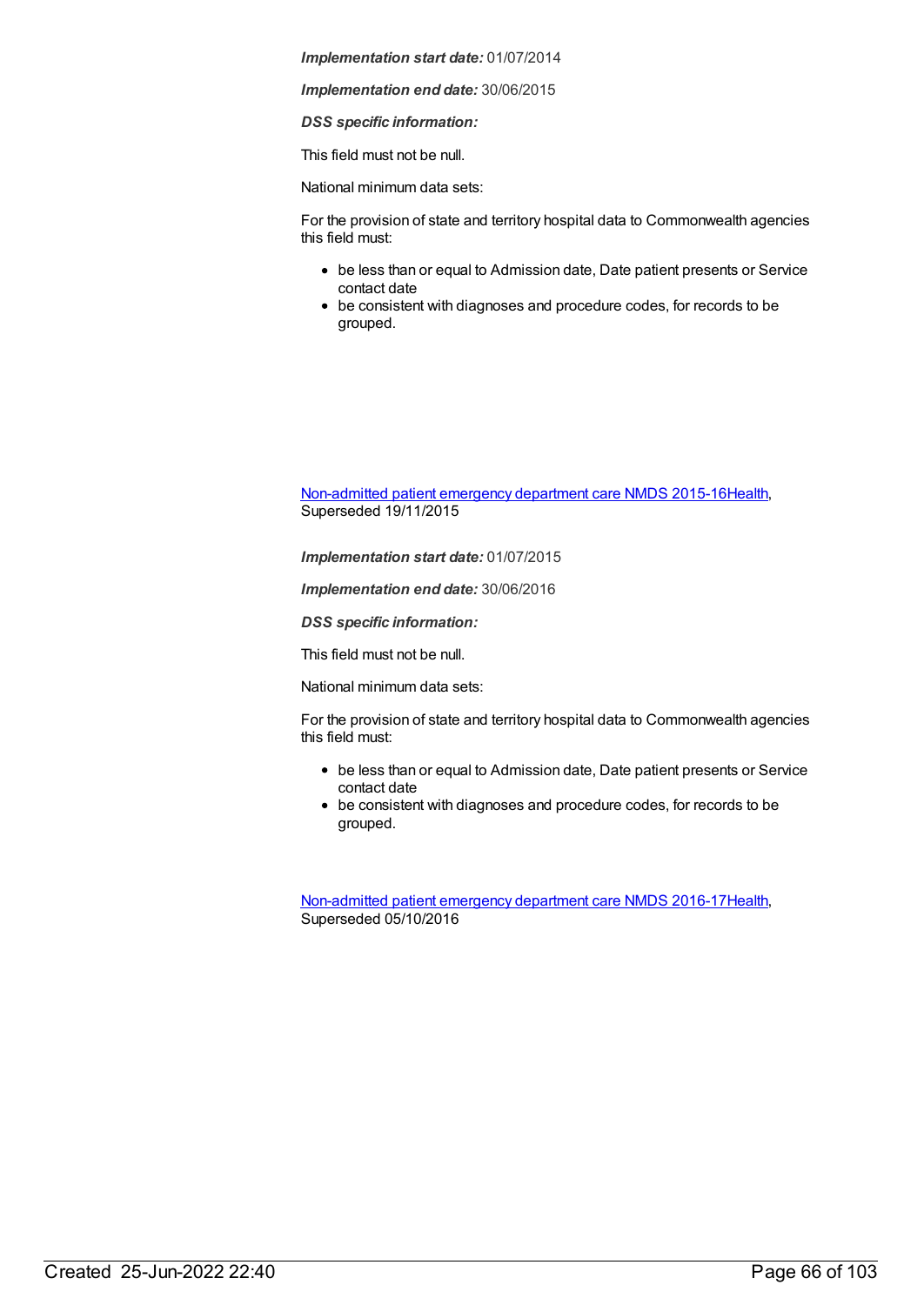*Implementation end date:* 30/06/2015

*DSS specific information:*

This field must not be null.

National minimum data sets:

For the provision of state and territory hospital data to Commonwealth agencies this field must:

- be less than or equal to Admission date, Date patient presents or Service contact date
- be consistent with diagnoses and procedure codes, for records to be grouped.

[Non-admitted](https://meteor.aihw.gov.au/content/588932) patient emergency department care NMDS 2015-16[Health](https://meteor.aihw.gov.au/RegistrationAuthority/12), Superseded 19/11/2015

*Implementation start date:* 01/07/2015

*Implementation end date:* 30/06/2016

*DSS specific information:*

This field must not be null.

National minimum data sets:

For the provision of state and territory hospital data to Commonwealth agencies this field must:

- be less than or equal to Admission date, Date patient presents or Service contact date
- be consistent with diagnoses and procedure codes, for records to be grouped.

[Non-admitted](https://meteor.aihw.gov.au/content/612346) patient emergency department care NMDS 2016-17[Health](https://meteor.aihw.gov.au/RegistrationAuthority/12), Superseded 05/10/2016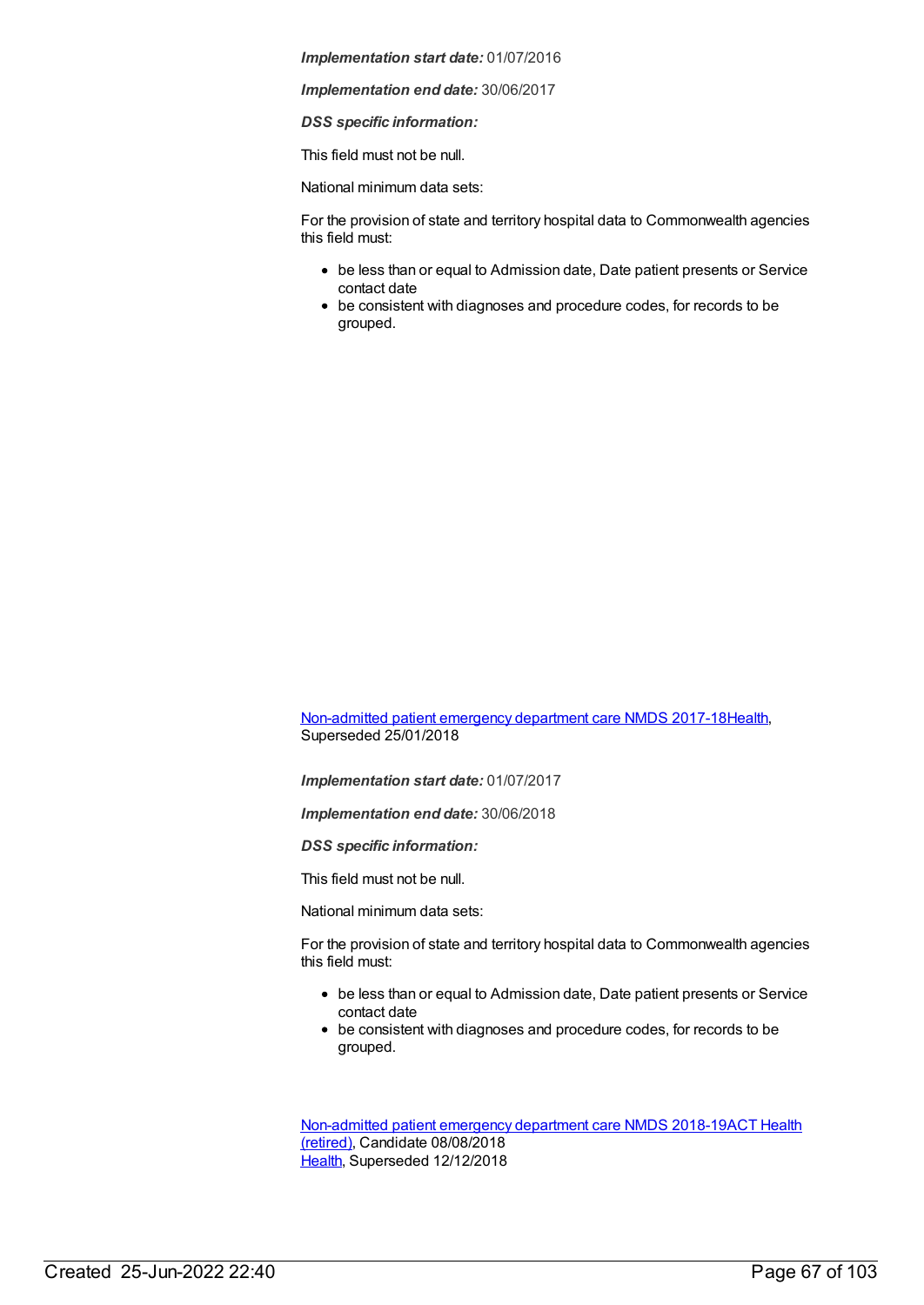*Implementation end date:* 30/06/2017

*DSS specific information:*

This field must not be null.

National minimum data sets:

For the provision of state and territory hospital data to Commonwealth agencies this field must:

- be less than or equal to Admission date, Date patient presents or Service contact date
- be consistent with diagnoses and procedure codes, for records to be grouped.

[Non-admitted](https://meteor.aihw.gov.au/content/651856) patient emergency department care NMDS 2017-18[Health](https://meteor.aihw.gov.au/RegistrationAuthority/12), Superseded 25/01/2018

*Implementation start date:* 01/07/2017

*Implementation end date:* 30/06/2018

*DSS specific information:*

This field must not be null.

National minimum data sets:

For the provision of state and territory hospital data to Commonwealth agencies this field must:

- be less than or equal to Admission date, Date patient presents or Service contact date
- be consistent with diagnoses and procedure codes, for records to be grouped.

[Non-admitted](https://meteor.aihw.gov.au/RegistrationAuthority/9) patient emergency department care NMDS 2018-19ACT Health (retired), Candidate 08/08/2018 [Health](https://meteor.aihw.gov.au/RegistrationAuthority/12), Superseded 12/12/2018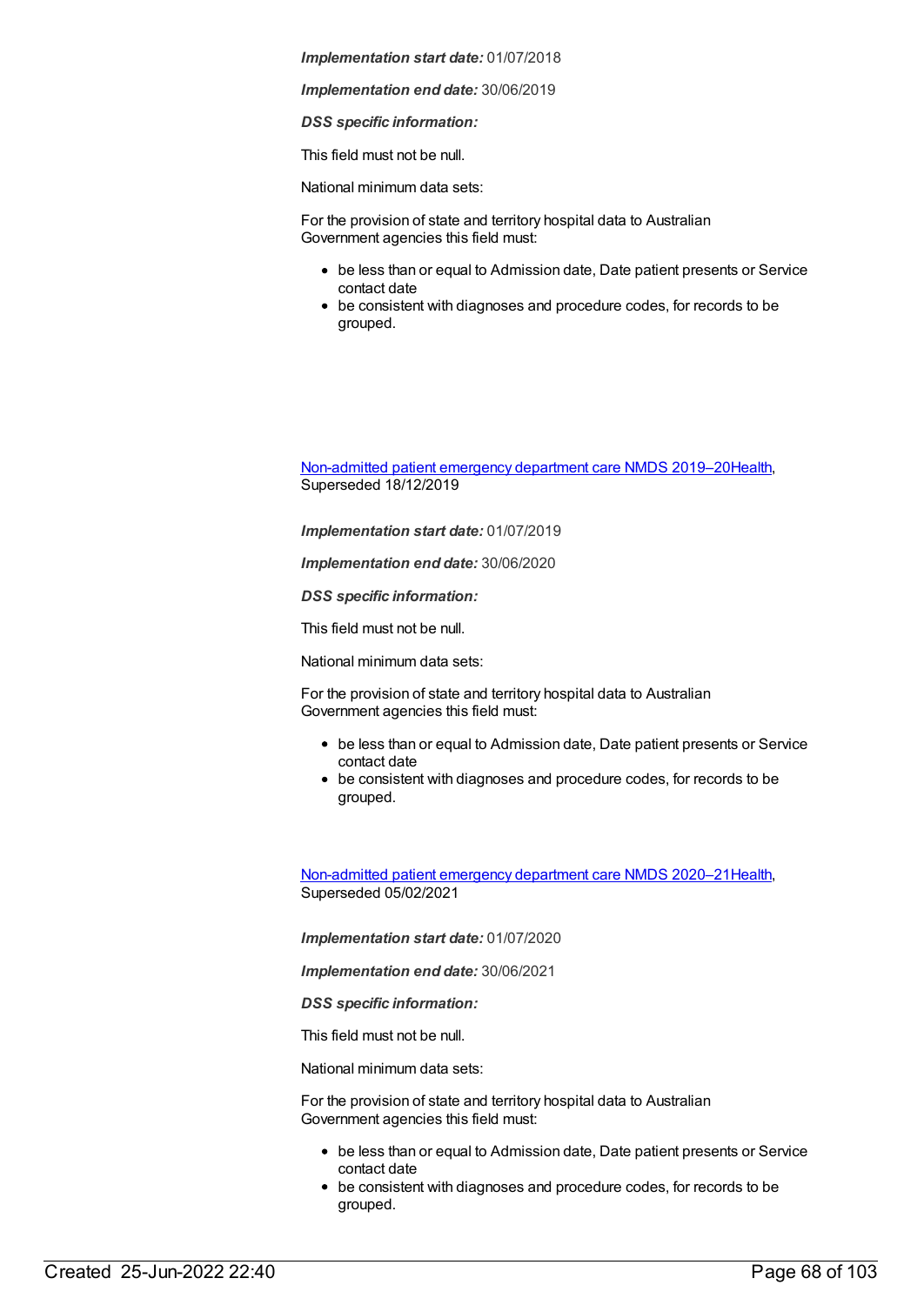*Implementation end date:* 30/06/2019

*DSS specific information:*

This field must not be null.

National minimum data sets:

For the provision of state and territory hospital data to Australian Government agencies this field must:

- be less than or equal to Admission date, Date patient presents or Service contact date
- be consistent with diagnoses and procedure codes, for records to be grouped.

[Non-admitted](https://meteor.aihw.gov.au/content/699738) patient emergency department care NMDS 2019–2[0Health](https://meteor.aihw.gov.au/RegistrationAuthority/12), Superseded 18/12/2019

*Implementation start date:* 01/07/2019

*Implementation end date:* 30/06/2020

*DSS specific information:*

This field must not be null.

National minimum data sets:

For the provision of state and territory hospital data to Australian Government agencies this field must:

- be less than or equal to Admission date, Date patient presents or Service contact date
- be consistent with diagnoses and procedure codes, for records to be grouped.

[Non-admitted](https://meteor.aihw.gov.au/content/713860) patient emergency department care NMDS 2020–2[1Health](https://meteor.aihw.gov.au/RegistrationAuthority/12), Superseded 05/02/2021

*Implementation start date:* 01/07/2020

*Implementation end date:* 30/06/2021

*DSS specific information:*

This field must not be null.

National minimum data sets:

For the provision of state and territory hospital data to Australian Government agencies this field must:

- be less than or equal to Admission date, Date patient presents or Service contact date
- be consistent with diagnoses and procedure codes, for records to be grouped.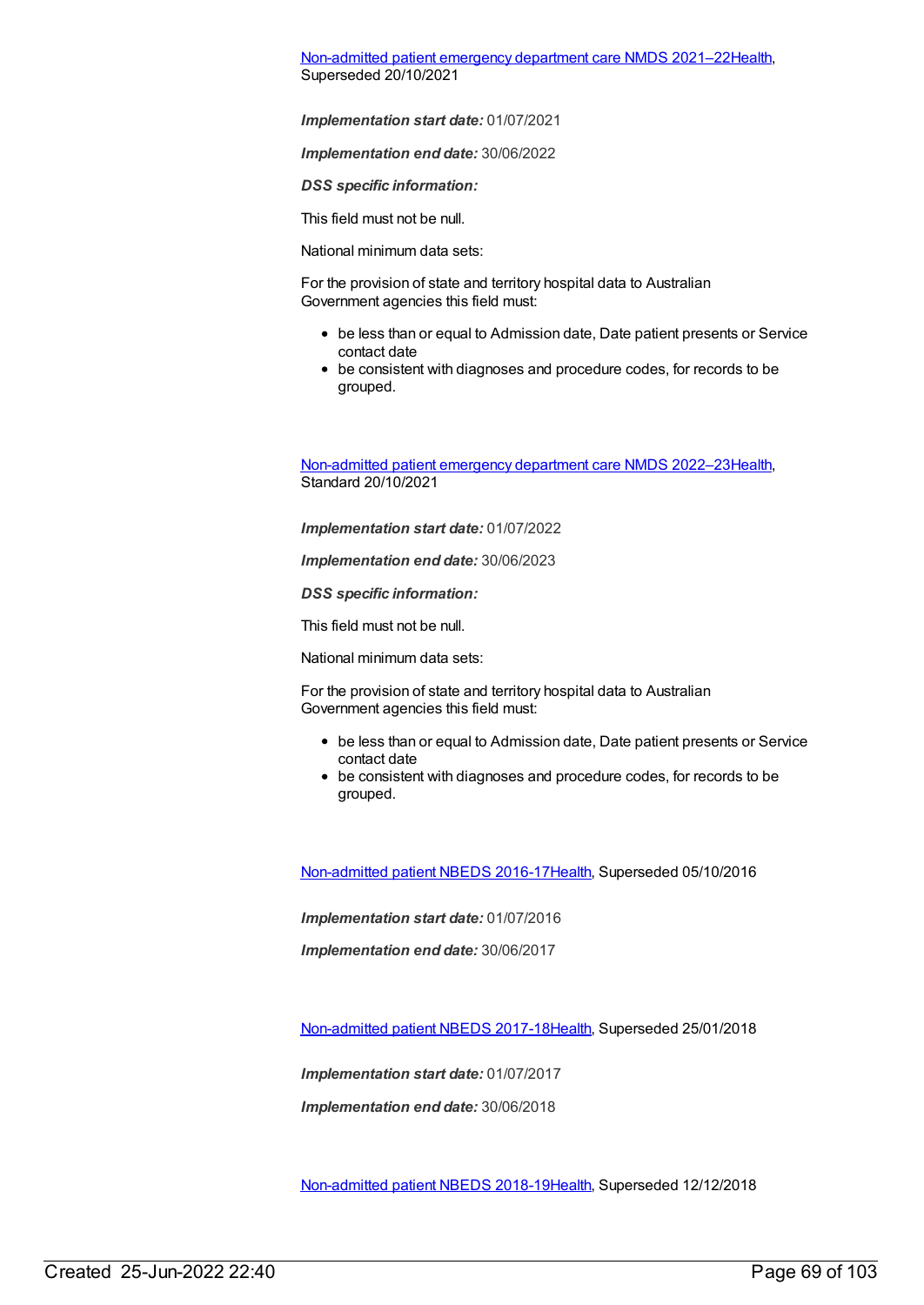[Non-admitted](https://meteor.aihw.gov.au/content/727360) patient emergency department care NMDS 2021–2[2Health](https://meteor.aihw.gov.au/RegistrationAuthority/12), Superseded 20/10/2021

*Implementation start date:* 01/07/2021

*Implementation end date:* 30/06/2022

*DSS specific information:*

This field must not be null.

National minimum data sets:

For the provision of state and territory hospital data to Australian Government agencies this field must:

- be less than or equal to Admission date, Date patient presents or Service contact date
- be consistent with diagnoses and procedure codes, for records to be grouped.

[Non-admitted](https://meteor.aihw.gov.au/content/742184) patient emergency department care NMDS 2022–2[3Health](https://meteor.aihw.gov.au/RegistrationAuthority/12), Standard 20/10/2021

*Implementation start date:* 01/07/2022

*Implementation end date:* 30/06/2023

*DSS specific information:*

This field must not be null.

National minimum data sets:

For the provision of state and territory hospital data to Australian Government agencies this field must:

- be less than or equal to Admission date, Date patient presents or Service contact date
- be consistent with diagnoses and procedure codes, for records to be grouped.

[Non-admitted](https://meteor.aihw.gov.au/content/612297) patient NBEDS 2016-17[Health](https://meteor.aihw.gov.au/RegistrationAuthority/12), Superseded 05/10/2016

*Implementation start date:* 01/07/2016

*Implementation end date:* 30/06/2017

[Non-admitted](https://meteor.aihw.gov.au/content/650086) patient NBEDS 2017-18[Health](https://meteor.aihw.gov.au/RegistrationAuthority/12), Superseded 25/01/2018

*Implementation start date:* 01/07/2017

*Implementation end date:* 30/06/2018

[Non-admitted](https://meteor.aihw.gov.au/content/672552) patient NBEDS 2018-19[Health](https://meteor.aihw.gov.au/RegistrationAuthority/12), Superseded 12/12/2018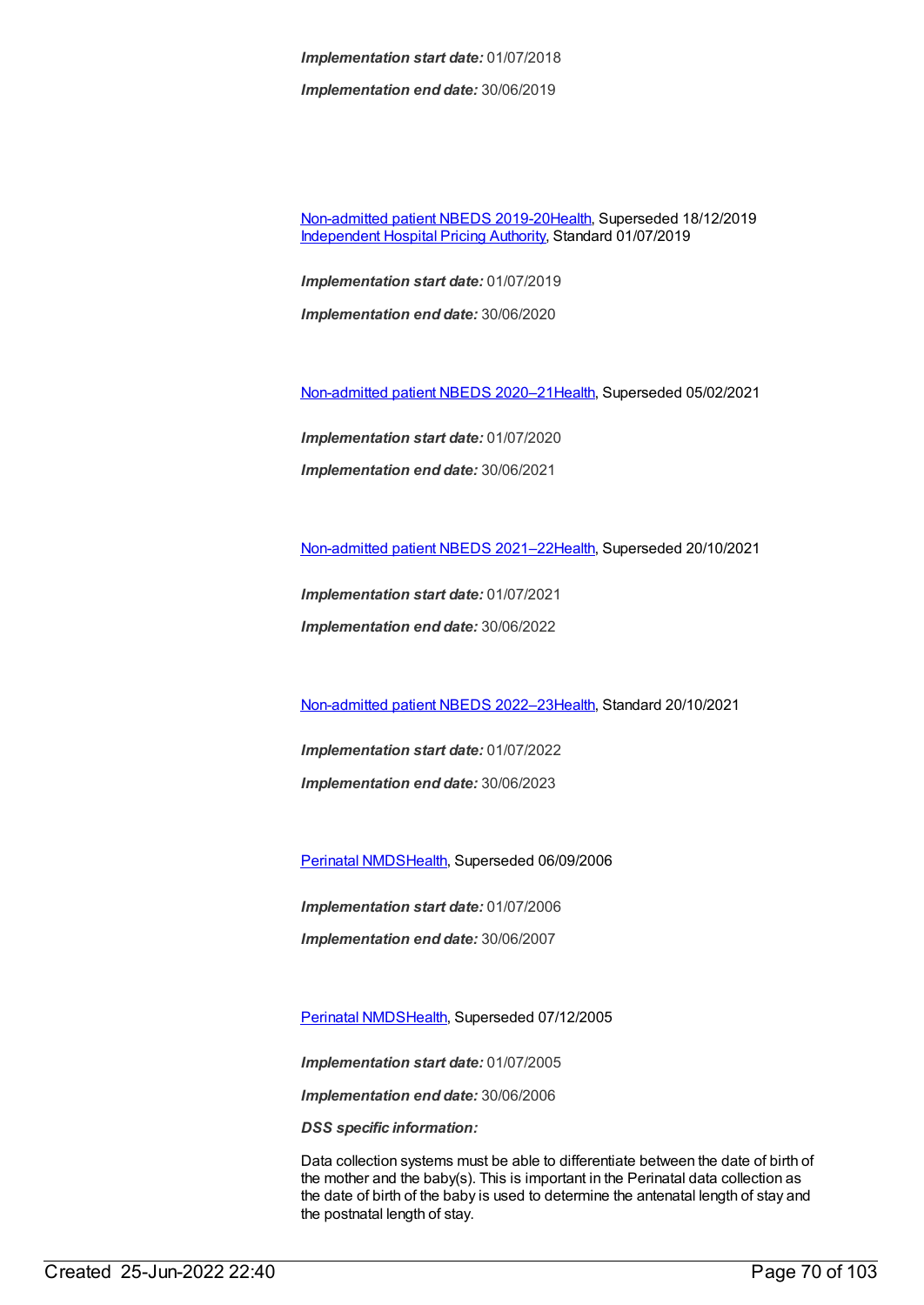*Implementation end date:* 30/06/2019

[Non-admitted](https://meteor.aihw.gov.au/content/699590) patient NBEDS 2019-20[Health](https://meteor.aihw.gov.au/RegistrationAuthority/12), Superseded 18/12/2019 [Independent](https://meteor.aihw.gov.au/RegistrationAuthority/3) Hospital Pricing Authority, Standard 01/07/2019

*Implementation start date:* 01/07/2019 *Implementation end date:* 30/06/2020

[Non-admitted](https://meteor.aihw.gov.au/content/713856) patient NBEDS 2020–2[1Health](https://meteor.aihw.gov.au/RegistrationAuthority/12), Superseded 05/02/2021

*Implementation start date:* 01/07/2020 *Implementation end date:* 30/06/2021

[Non-admitted](https://meteor.aihw.gov.au/content/727331) patient NBEDS 2021–2[2Health](https://meteor.aihw.gov.au/RegistrationAuthority/12), Superseded 20/10/2021

*Implementation start date:* 01/07/2021

*Implementation end date:* 30/06/2022

[Non-admitted](https://meteor.aihw.gov.au/content/742186) patient NBEDS 2022–2[3Health](https://meteor.aihw.gov.au/RegistrationAuthority/12), Standard 20/10/2021

*Implementation start date:* 01/07/2022 *Implementation end date:* 30/06/2023

[Perinatal](https://meteor.aihw.gov.au/content/290828) NMDS[Health](https://meteor.aihw.gov.au/RegistrationAuthority/12), Superseded 06/09/2006

*Implementation start date:* 01/07/2006

*Implementation end date:* 30/06/2007

[Perinatal](https://meteor.aihw.gov.au/content/273043) NMDS[Health](https://meteor.aihw.gov.au/RegistrationAuthority/12), Superseded 07/12/2005

*Implementation start date:* 01/07/2005

*Implementation end date:* 30/06/2006

*DSS specific information:*

Data collection systems must be able to differentiate between the date of birth of the mother and the baby(s). This is important in the Perinatal data collection as the date of birth of the baby is used to determine the antenatal length of stay and the postnatal length of stay.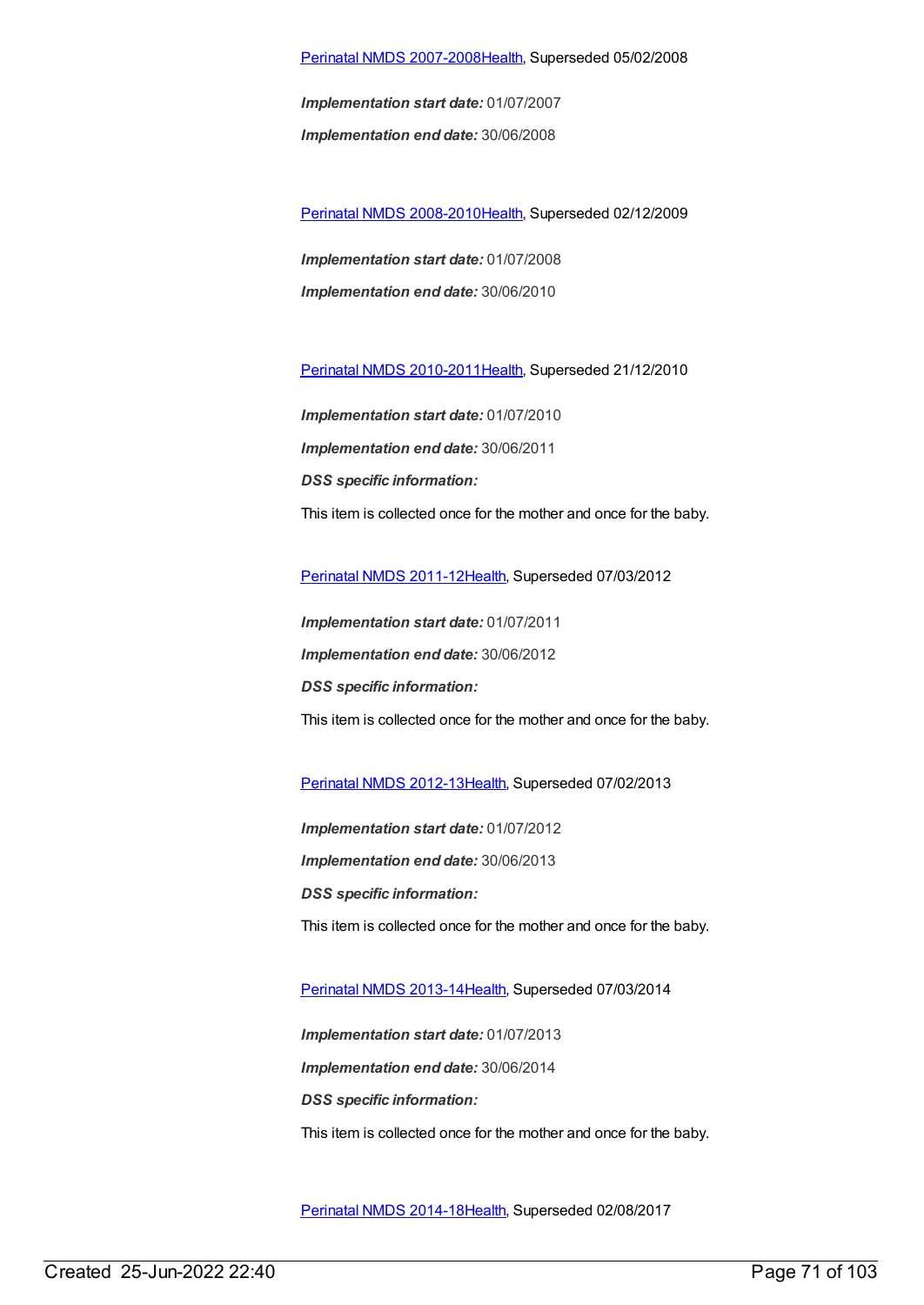## Perinatal NMDS [2007-2008](https://meteor.aihw.gov.au/content/340684)[Health,](https://meteor.aihw.gov.au/RegistrationAuthority/12) Superseded 05/02/2008

*Implementation start date:* 01/07/2007 *Implementation end date:* 30/06/2008

Perinatal NMDS [2008-2010](https://meteor.aihw.gov.au/content/362313)[Health,](https://meteor.aihw.gov.au/RegistrationAuthority/12) Superseded 02/12/2009

*Implementation start date:* 01/07/2008 *Implementation end date:* 30/06/2010

Perinatal NMDS [2010-2011](https://meteor.aihw.gov.au/content/363256)[Health,](https://meteor.aihw.gov.au/RegistrationAuthority/12) Superseded 21/12/2010

*Implementation start date:* 01/07/2010 *Implementation end date:* 30/06/2011 *DSS specific information:* This item is collected once for the mother and once for the baby.

[Perinatal](https://meteor.aihw.gov.au/content/426735) NMDS 2011-1[2Health](https://meteor.aihw.gov.au/RegistrationAuthority/12), Superseded 07/03/2012

*Implementation start date:* 01/07/2011 *Implementation end date:* 30/06/2012 *DSS specific information:* This item is collected once for the mother and once for the baby.

[Perinatal](https://meteor.aihw.gov.au/content/461787) NMDS 2012-1[3Health](https://meteor.aihw.gov.au/RegistrationAuthority/12), Superseded 07/02/2013

*Implementation start date:* 01/07/2012 *Implementation end date:* 30/06/2013 *DSS specific information:* This item is collected once for the mother and once for the baby.

[Perinatal](https://meteor.aihw.gov.au/content/489433) NMDS 2013-1[4Health](https://meteor.aihw.gov.au/RegistrationAuthority/12), Superseded 07/03/2014

*Implementation start date:* 01/07/2013 *Implementation end date:* 30/06/2014 *DSS specific information:* This item is collected once for the mother and once for the baby.

[Perinatal](https://meteor.aihw.gov.au/content/517456) NMDS 2014-1[8Health](https://meteor.aihw.gov.au/RegistrationAuthority/12), Superseded 02/08/2017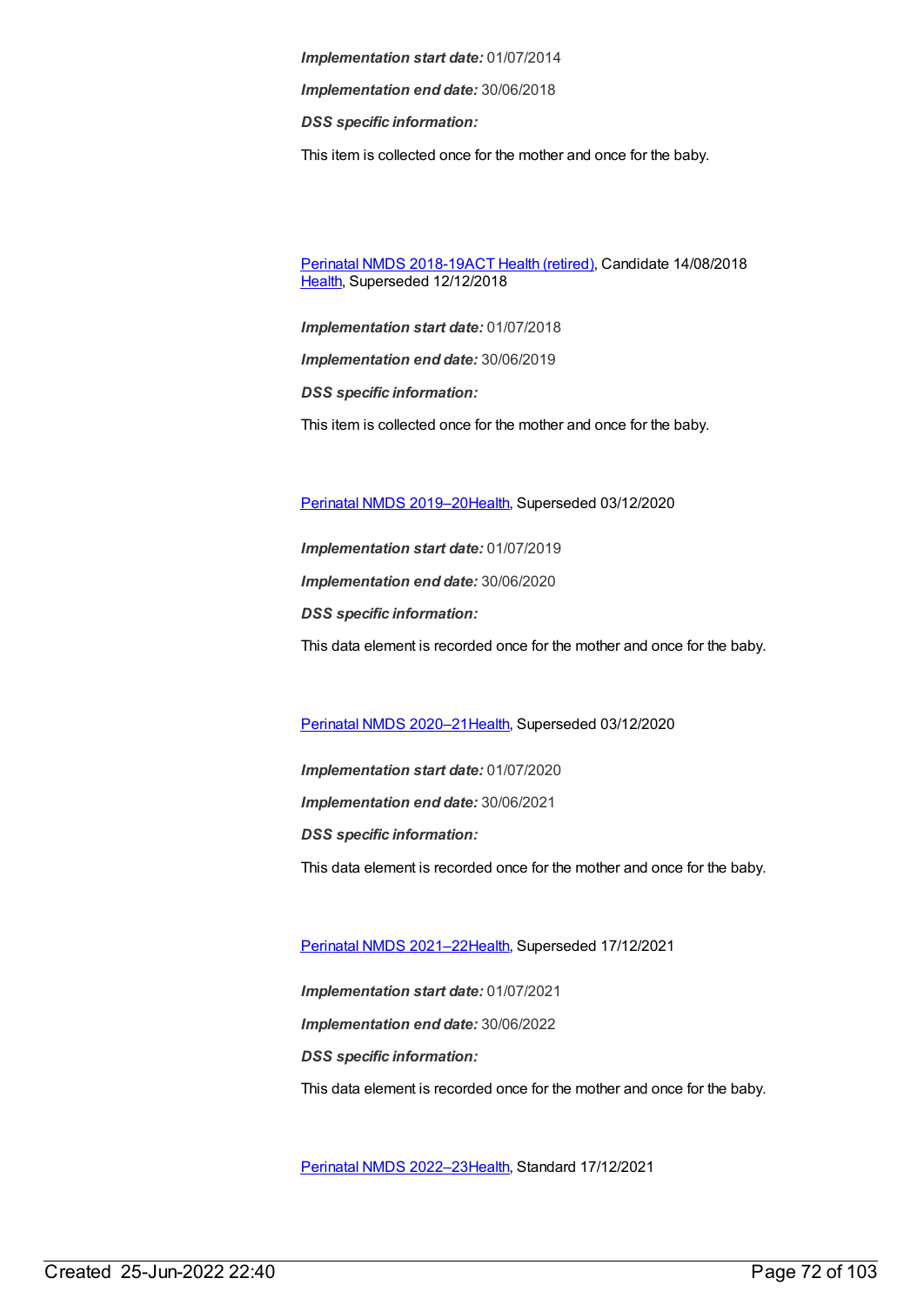*Implementation end date:* 30/06/2018

*DSS specific information:*

This item is collected once for the mother and once for the baby.

[Perinatal](https://meteor.aihw.gov.au/content/668811) NMDS 2018-19ACT Health [\(retired\)](https://meteor.aihw.gov.au/RegistrationAuthority/9), Candidate 14/08/2018 [Health](https://meteor.aihw.gov.au/RegistrationAuthority/12), Superseded 12/12/2018

*Implementation start date:* 01/07/2018

*Implementation end date:* 30/06/2019

*DSS specific information:*

This item is collected once for the mother and once for the baby.

Perinatal NMDS [2019–20](https://meteor.aihw.gov.au/content/694988)[Health](https://meteor.aihw.gov.au/RegistrationAuthority/12), Superseded 03/12/2020

*Implementation start date:* 01/07/2019 *Implementation end date:* 30/06/2020 *DSS specific information:* This data element is recorded once for the mother and once for the baby.

Perinatal NMDS [2020–21](https://meteor.aihw.gov.au/content/716081)[Health](https://meteor.aihw.gov.au/RegistrationAuthority/12), Superseded 03/12/2020

*Implementation start date:* 01/07/2020 *Implementation end date:* 30/06/2021 *DSS specific information:* This data element is recorded once for the mother and once for the baby.

Perinatal NMDS [2021–22](https://meteor.aihw.gov.au/content/727291)[Health](https://meteor.aihw.gov.au/RegistrationAuthority/12), Superseded 17/12/2021

*Implementation start date:* 01/07/2021 *Implementation end date:* 30/06/2022 *DSS specific information:* This data element is recorded once for the mother and once for the baby.

Perinatal NMDS [2022–23](https://meteor.aihw.gov.au/content/742052)[Health](https://meteor.aihw.gov.au/RegistrationAuthority/12), Standard 17/12/2021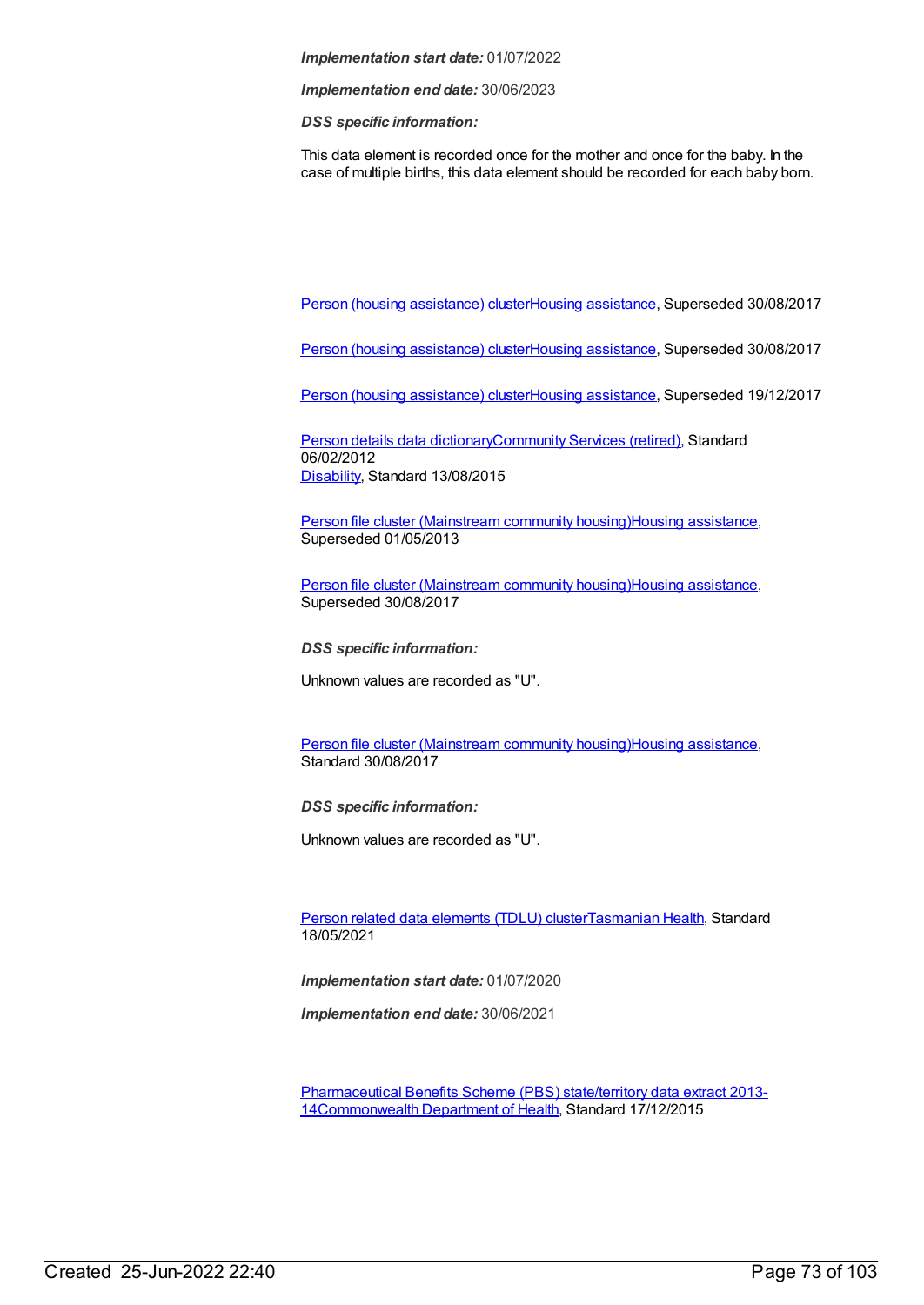*Implementation end date:* 30/06/2023

*DSS specific information:*

This data element is recorded once for the mother and once for the baby. In the case of multiple births, this data element should be recorded for each baby born.

Person (housing [assistance\)](https://meteor.aihw.gov.au/content/459133) clusterHousing [assistance](https://meteor.aihw.gov.au/RegistrationAuthority/11), Superseded 30/08/2017

Person (housing [assistance\)](https://meteor.aihw.gov.au/content/605260) clusterHousing [assistance](https://meteor.aihw.gov.au/RegistrationAuthority/11), Superseded 30/08/2017

Person (housing [assistance\)](https://meteor.aihw.gov.au/content/635954) clusterHousing [assistance](https://meteor.aihw.gov.au/RegistrationAuthority/11), Superseded 19/12/2017

Person details data [dictionary](https://meteor.aihw.gov.au/content/430772)[Community](https://meteor.aihw.gov.au/RegistrationAuthority/1) Services (retired), Standard 06/02/2012 [Disability](https://meteor.aihw.gov.au/RegistrationAuthority/16), Standard 13/08/2015

Person file cluster [\(Mainstream](https://meteor.aihw.gov.au/content/463082) community housing)Housing [assistance](https://meteor.aihw.gov.au/RegistrationAuthority/11), Superseded 01/05/2013

Person file cluster [\(Mainstream](https://meteor.aihw.gov.au/content/480125) community housing)Housing [assistance](https://meteor.aihw.gov.au/RegistrationAuthority/11), Superseded 30/08/2017

*DSS specific information:*

Unknown values are recorded as "U".

Person file cluster [\(Mainstream](https://meteor.aihw.gov.au/content/605348) community housing)Housing [assistance](https://meteor.aihw.gov.au/RegistrationAuthority/11), Standard 30/08/2017

*DSS specific information:*

Unknown values are recorded as "U".

Person related data [elements](https://meteor.aihw.gov.au/content/743771) (TDLU) cluste[rTasmanian](https://meteor.aihw.gov.au/RegistrationAuthority/15) Health, Standard 18/05/2021

*Implementation start date:* 01/07/2020

*Implementation end date:* 30/06/2021

[Pharmaceutical](https://meteor.aihw.gov.au/content/602524) Benefits Scheme (PBS) state/territory data extract 2013- 14[Commonwealth](https://meteor.aihw.gov.au/RegistrationAuthority/10) Department of Health, Standard 17/12/2015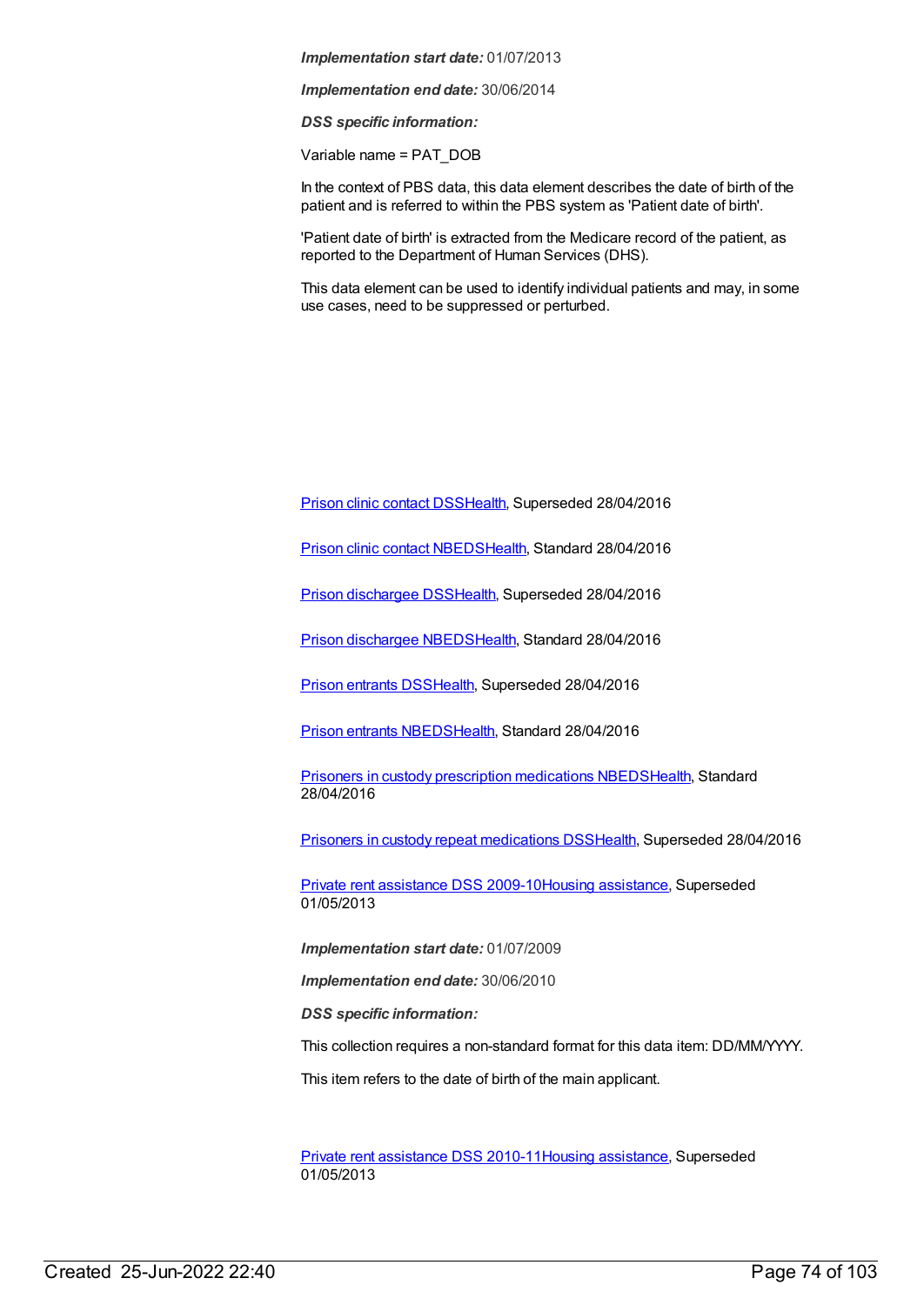*Implementation end date:* 30/06/2014

*DSS specific information:*

Variable name = PAT\_DOB

In the context of PBS data, this data element describes the date of birth of the patient and is referred to within the PBS system as 'Patient date of birth'.

'Patient date of birth' is extracted from the Medicare record of the patient, as reported to the Department of Human Services (DHS).

This data element can be used to identify individual patients and may, in some use cases, need to be suppressed or perturbed.

Prison clinic [contact](https://meteor.aihw.gov.au/content/396072) DS[SHealth](https://meteor.aihw.gov.au/RegistrationAuthority/12), Superseded 28/04/2016

Prison clinic contact [NBEDS](https://meteor.aihw.gov.au/content/482314)[Health](https://meteor.aihw.gov.au/RegistrationAuthority/12), Standard 28/04/2016

Prison [dischargee](https://meteor.aihw.gov.au/content/482303) DS[SHealth](https://meteor.aihw.gov.au/RegistrationAuthority/12), Superseded 28/04/2016

Prison [dischargee](https://meteor.aihw.gov.au/content/624543) NBED[SHealth](https://meteor.aihw.gov.au/RegistrationAuthority/12), Standard 28/04/2016

Prison [entrants](https://meteor.aihw.gov.au/content/395955) DS[SHealth](https://meteor.aihw.gov.au/RegistrationAuthority/12), Superseded 28/04/2016

Prison entrants [NBEDS](https://meteor.aihw.gov.au/content/482353)[Health,](https://meteor.aihw.gov.au/RegistrationAuthority/12) Standard 28/04/2016

**Prisoners in custody prescription [medications](https://meteor.aihw.gov.au/content/618258) NBED[SHealth](https://meteor.aihw.gov.au/RegistrationAuthority/12), Standard** 28/04/2016

Prisoners in custody repeat [medications](https://meteor.aihw.gov.au/content/396074) DS[SHealth](https://meteor.aihw.gov.au/RegistrationAuthority/12), Superseded 28/04/2016

Private rent [assistance](https://meteor.aihw.gov.au/content/385238) DSS 2009-10Housing [assistance](https://meteor.aihw.gov.au/RegistrationAuthority/11), Superseded 01/05/2013

*Implementation start date:* 01/07/2009

*Implementation end date:* 30/06/2010

*DSS specific information:*

This collection requires a non-standard format for this data item: DD/MM/YYYY.

This item refers to the date of birth of the main applicant.

Private rent [assistance](https://meteor.aihw.gov.au/content/478801) DSS 2010-11Housing [assistance](https://meteor.aihw.gov.au/RegistrationAuthority/11), Superseded 01/05/2013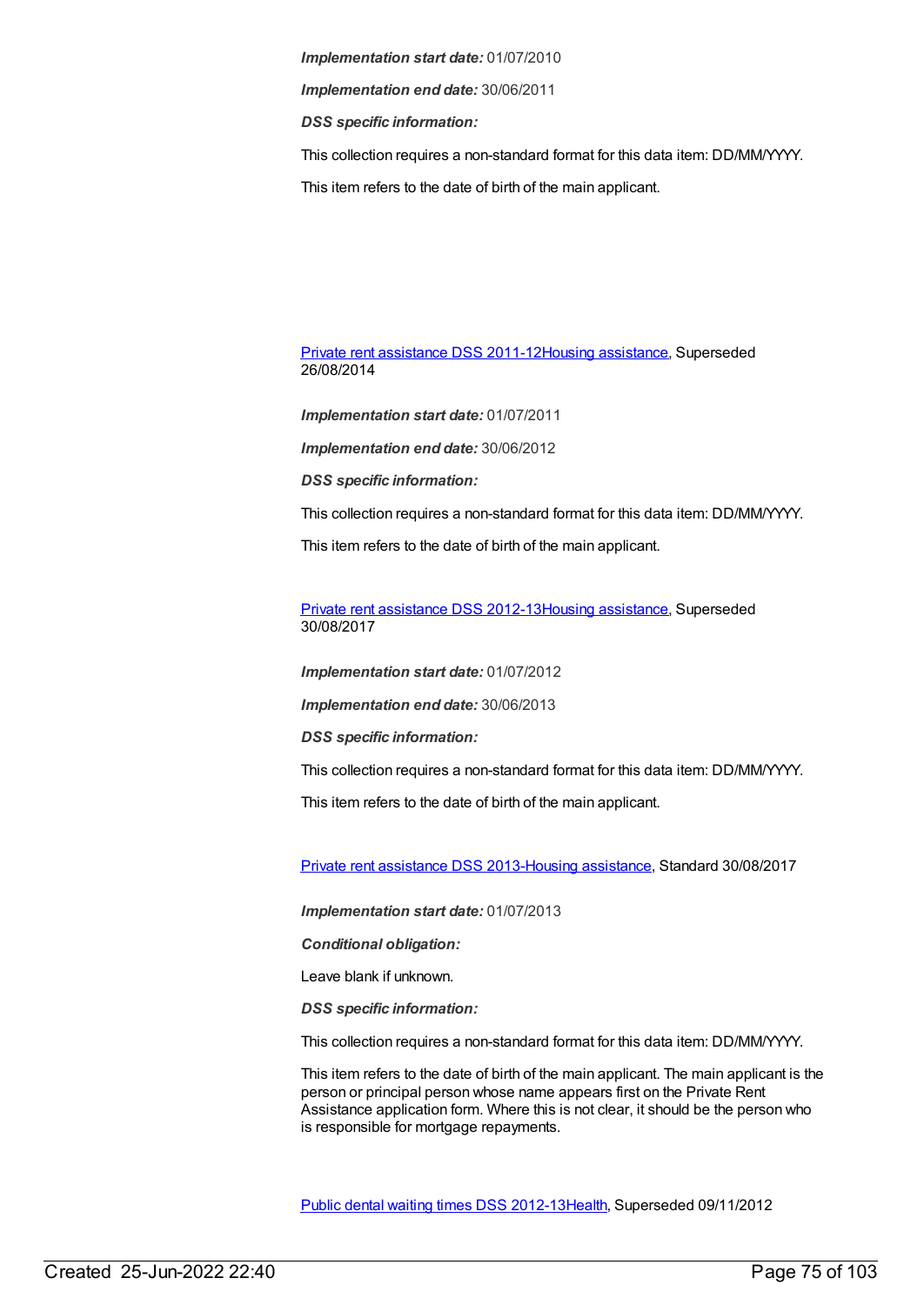*Implementation end date:* 30/06/2011

*DSS specific information:*

This collection requires a non-standard format for this data item: DD/MM/YYYY.

This item refers to the date of birth of the main applicant.

Private rent [assistance](https://meteor.aihw.gov.au/content/480492) DSS 2011-12Housing [assistance](https://meteor.aihw.gov.au/RegistrationAuthority/11), Superseded 26/08/2014

*Implementation start date:* 01/07/2011

*Implementation end date:* 30/06/2012

*DSS specific information:*

This collection requires a non-standard format for this data item: DD/MM/YYYY.

This item refers to the date of birth of the main applicant.

Private rent [assistance](https://meteor.aihw.gov.au/content/565255) DSS 2012-13Housing [assistance](https://meteor.aihw.gov.au/RegistrationAuthority/11), Superseded 30/08/2017

*Implementation start date:* 01/07/2012

*Implementation end date:* 30/06/2013

*DSS specific information:*

This collection requires a non-standard format for this data item: DD/MM/YYYY.

This item refers to the date of birth of the main applicant.

Private rent [assistance](https://meteor.aihw.gov.au/content/596529) DSS 2013-Housing [assistance](https://meteor.aihw.gov.au/RegistrationAuthority/11), Standard 30/08/2017

*Implementation start date:* 01/07/2013

*Conditional obligation:*

Leave blank if unknown.

*DSS specific information:*

This collection requires a non-standard format for this data item: DD/MM/YYYY.

This item refers to the date of birth of the main applicant. The main applicant is the person or principal person whose name appears first on the Private Rent Assistance application form. Where this is not clear, it should be the person who is responsible for mortgage repayments.

Public dental waiting times DSS [2012-13](https://meteor.aihw.gov.au/content/424019)[Health](https://meteor.aihw.gov.au/RegistrationAuthority/12), Superseded 09/11/2012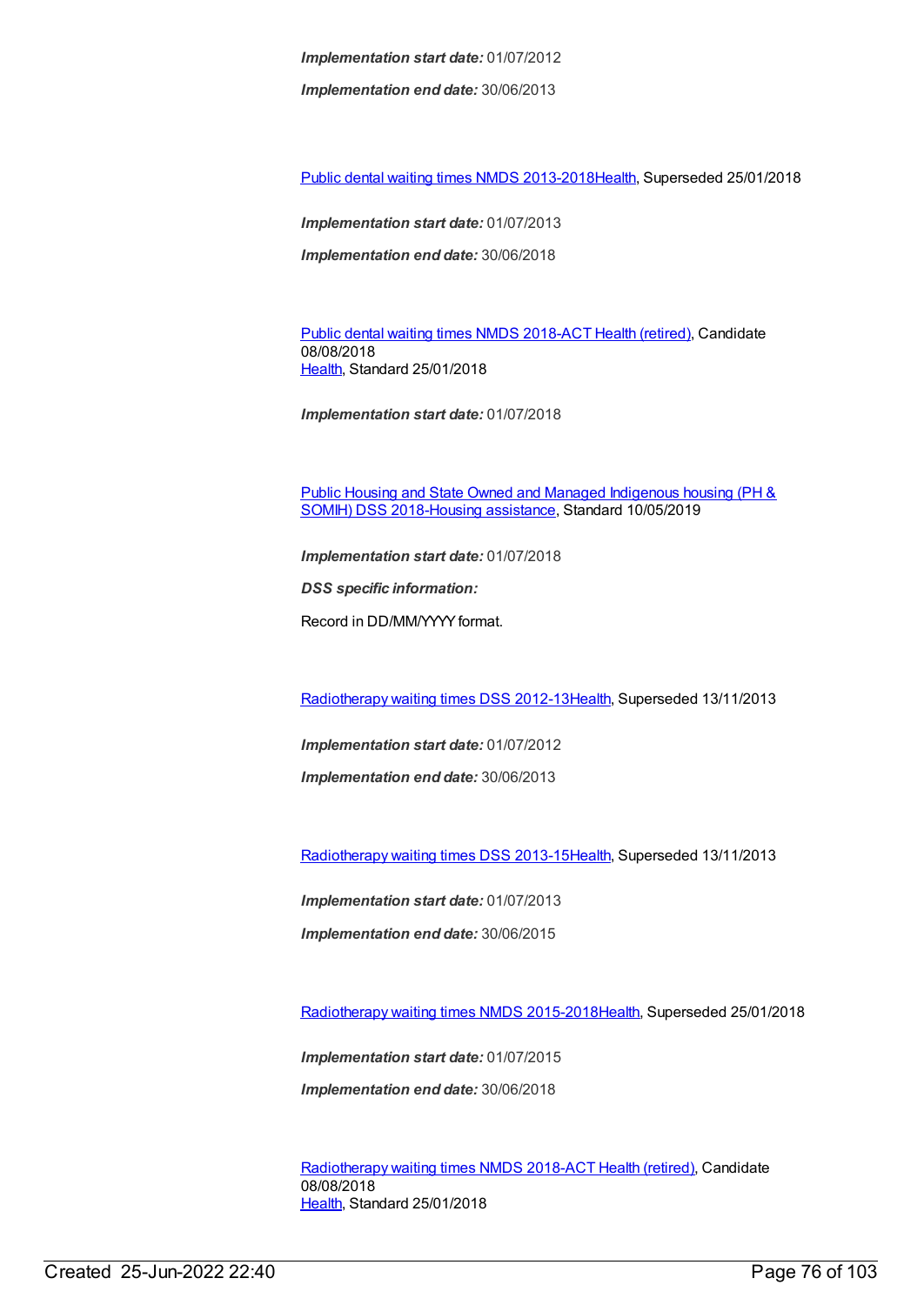*Implementation end date:* 30/06/2013

Public dental waiting times NMDS [2013-2018](https://meteor.aihw.gov.au/content/494562)[Health](https://meteor.aihw.gov.au/RegistrationAuthority/12), Superseded 25/01/2018

*Implementation start date:* 01/07/2013 *Implementation end date:* 30/06/2018

Public dental [waiting](https://meteor.aihw.gov.au/content/686200) times NMDS 2018-ACT Health [\(retired\)](https://meteor.aihw.gov.au/RegistrationAuthority/9), Candidate 08/08/2018 [Health](https://meteor.aihw.gov.au/RegistrationAuthority/12), Standard 25/01/2018

*Implementation start date:* 01/07/2018

Public Housing and State Owned and Managed Indigenous housing (PH & SOMIH) DSS [2018-Housing](https://meteor.aihw.gov.au/content/711016) [assistance](https://meteor.aihw.gov.au/RegistrationAuthority/11), Standard 10/05/2019

*Implementation start date:* 01/07/2018

*DSS specific information:*

Record in DD/MM/YYYYformat.

[Radiotherapy](https://meteor.aihw.gov.au/content/447921) waiting times DSS 2012-13[Health](https://meteor.aihw.gov.au/RegistrationAuthority/12), Superseded 13/11/2013

*Implementation start date:* 01/07/2012

*Implementation end date:* 30/06/2013

[Radiotherapy](https://meteor.aihw.gov.au/content/517220) waiting times DSS 2013-15[Health](https://meteor.aihw.gov.au/RegistrationAuthority/12), Superseded 13/11/2013

*Implementation start date:* 01/07/2013

*Implementation end date:* 30/06/2015

[Radiotherapy](https://meteor.aihw.gov.au/content/579304) waiting times NMDS 2015-201[8Health](https://meteor.aihw.gov.au/RegistrationAuthority/12), Superseded 25/01/2018

*Implementation start date:* 01/07/2015

*Implementation end date:* 30/06/2018

[Radiotherapy](https://meteor.aihw.gov.au/content/686202) waiting times NMDS 2018-ACT Health [\(retired\)](https://meteor.aihw.gov.au/RegistrationAuthority/9), Candidate 08/08/2018 [Health](https://meteor.aihw.gov.au/RegistrationAuthority/12), Standard 25/01/2018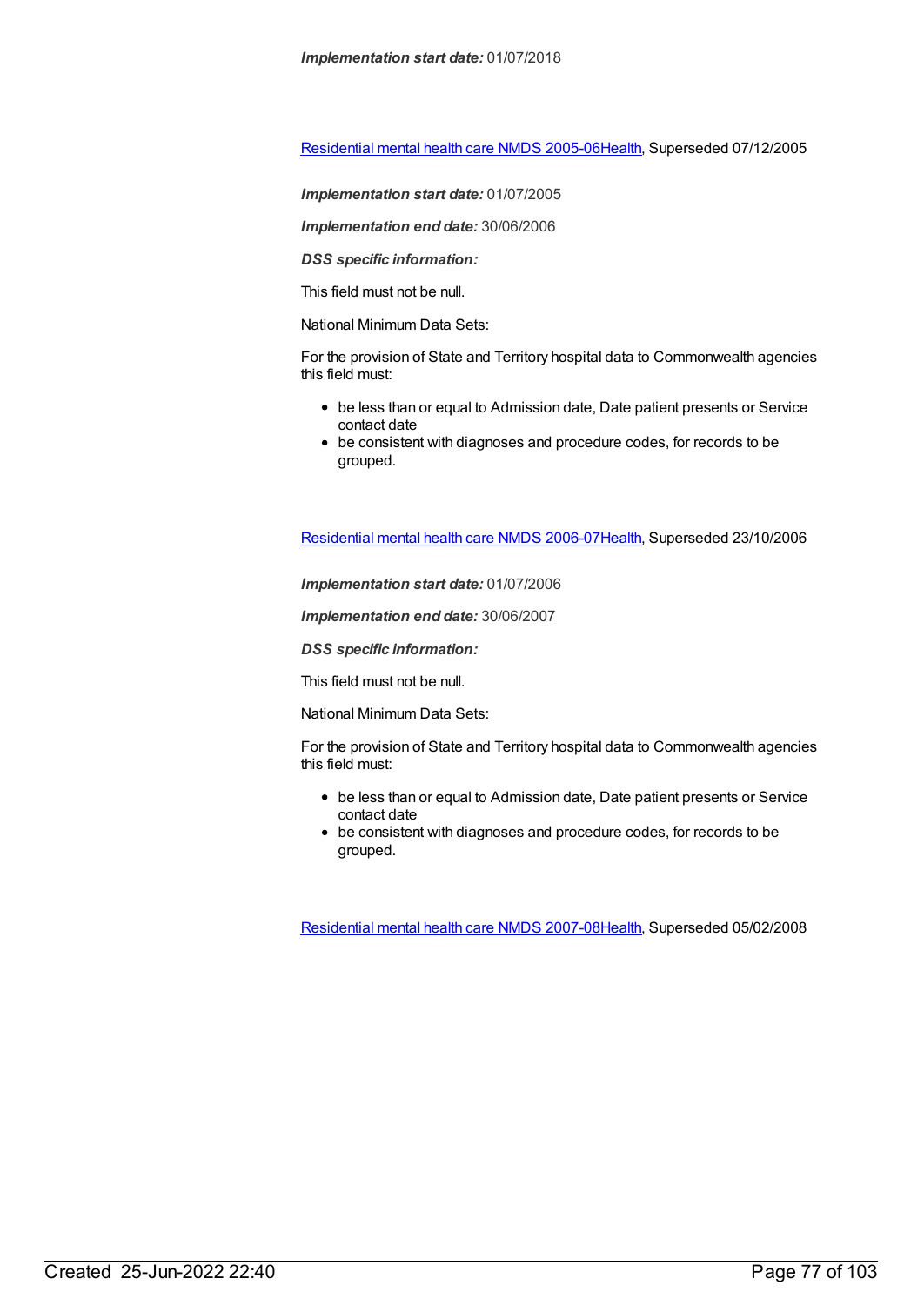[Residential](https://meteor.aihw.gov.au/content/273056) mental health care NMDS 2005-0[6Health](https://meteor.aihw.gov.au/RegistrationAuthority/12), Superseded 07/12/2005

*Implementation start date:* 01/07/2005

*Implementation end date:* 30/06/2006

*DSS specific information:*

This field must not be null.

National Minimum Data Sets:

For the provision of State and Territory hospital data to Commonwealth agencies this field must:

- be less than or equal to Admission date, Date patient presents or Service contact date
- be consistent with diagnoses and procedure codes, for records to be grouped.

[Residential](https://meteor.aihw.gov.au/content/334067) mental health care NMDS 2006-0[7Health](https://meteor.aihw.gov.au/RegistrationAuthority/12), Superseded 23/10/2006

*Implementation start date:* 01/07/2006

*Implementation end date:* 30/06/2007

*DSS specific information:*

This field must not be null.

National Minimum Data Sets:

For the provision of State and Territory hospital data to Commonwealth agencies this field must:

- be less than or equal to Admission date, Date patient presents or Service contact date
- be consistent with diagnoses and procedure codes, for records to be grouped.

[Residential](https://meteor.aihw.gov.au/content/345122) mental health care NMDS 2007-0[8Health](https://meteor.aihw.gov.au/RegistrationAuthority/12), Superseded 05/02/2008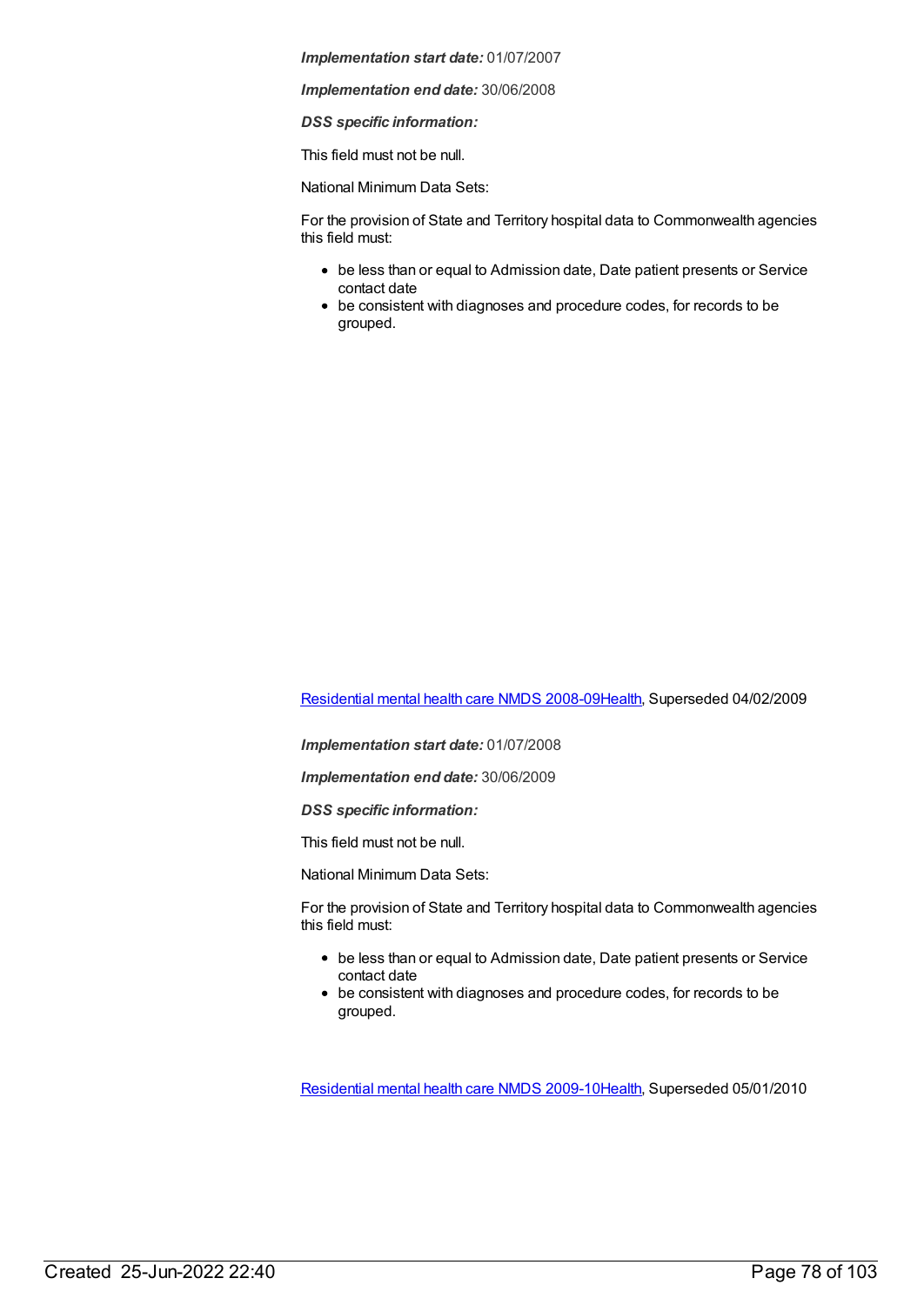*Implementation end date:* 30/06/2008

*DSS specific information:*

This field must not be null.

National Minimum Data Sets:

For the provision of State and Territory hospital data to Commonwealth agencies this field must:

- be less than or equal to Admission date, Date patient presents or Service contact date
- be consistent with diagnoses and procedure codes, for records to be grouped.

[Residential](https://meteor.aihw.gov.au/content/362316) mental health care NMDS 2008-0[9Health](https://meteor.aihw.gov.au/RegistrationAuthority/12), Superseded 04/02/2009

*Implementation start date:* 01/07/2008

*Implementation end date:* 30/06/2009

*DSS specific information:*

This field must not be null.

National Minimum Data Sets:

For the provision of State and Territory hospital data to Commonwealth agencies this field must:

- be less than or equal to Admission date, Date patient presents or Service contact date
- be consistent with diagnoses and procedure codes, for records to be grouped.

[Residential](https://meteor.aihw.gov.au/content/374223) mental health care NMDS 2009-1[0Health](https://meteor.aihw.gov.au/RegistrationAuthority/12), Superseded 05/01/2010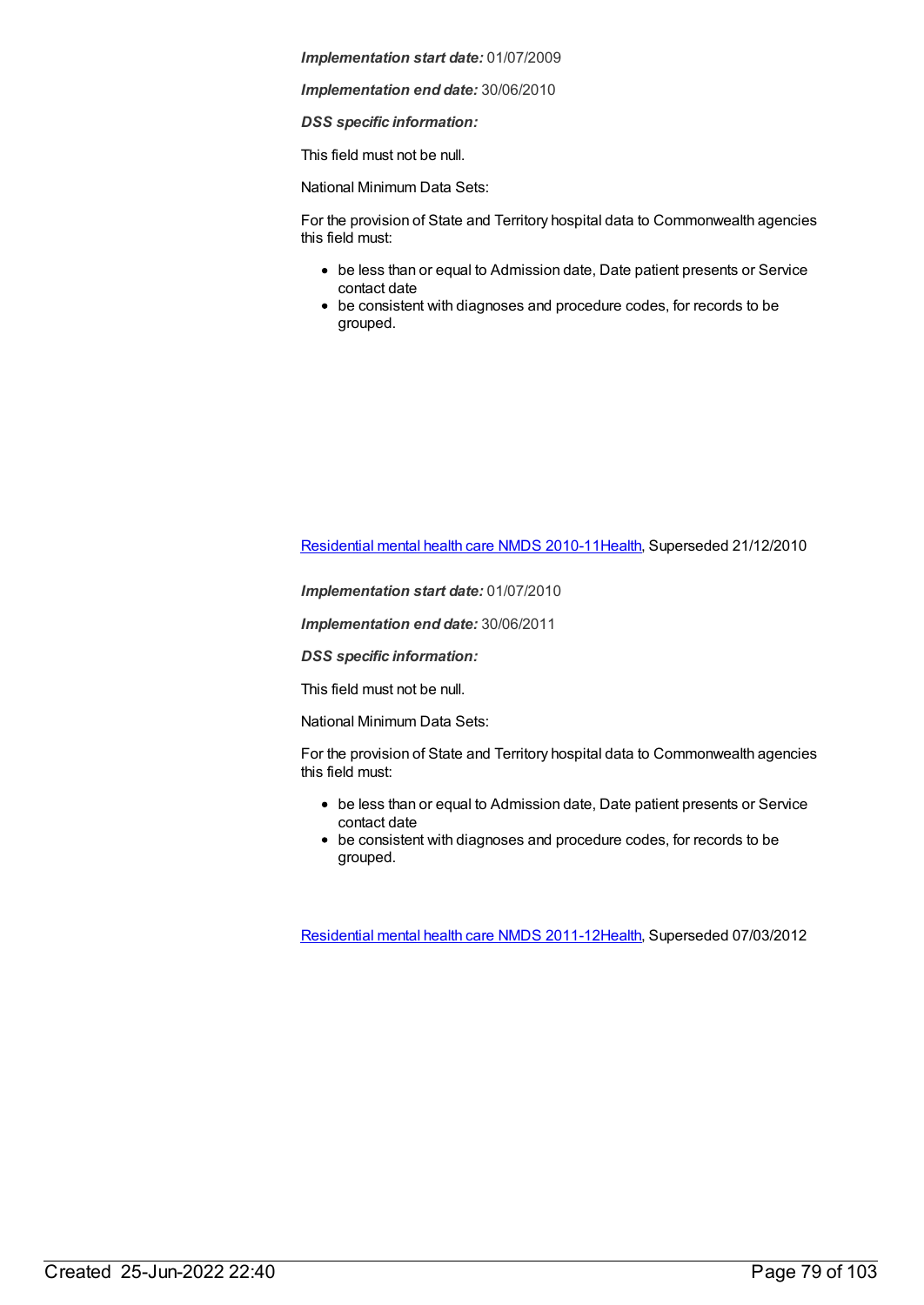*Implementation end date:* 30/06/2010

*DSS specific information:*

This field must not be null.

National Minimum Data Sets:

For the provision of State and Territory hospital data to Commonwealth agencies this field must:

- be less than or equal to Admission date, Date patient presents or Service contact date
- be consistent with diagnoses and procedure codes, for records to be grouped.

[Residential](https://meteor.aihw.gov.au/content/386809) mental health care NMDS 2010-1[1Health](https://meteor.aihw.gov.au/RegistrationAuthority/12), Superseded 21/12/2010

*Implementation start date:* 01/07/2010

*Implementation end date:* 30/06/2011

*DSS specific information:*

This field must not be null.

National Minimum Data Sets:

For the provision of State and Territory hospital data to Commonwealth agencies this field must:

- be less than or equal to Admission date, Date patient presents or Service contact date
- be consistent with diagnoses and procedure codes, for records to be grouped.

[Residential](https://meteor.aihw.gov.au/content/426754) mental health care NMDS 2011-1[2Health](https://meteor.aihw.gov.au/RegistrationAuthority/12), Superseded 07/03/2012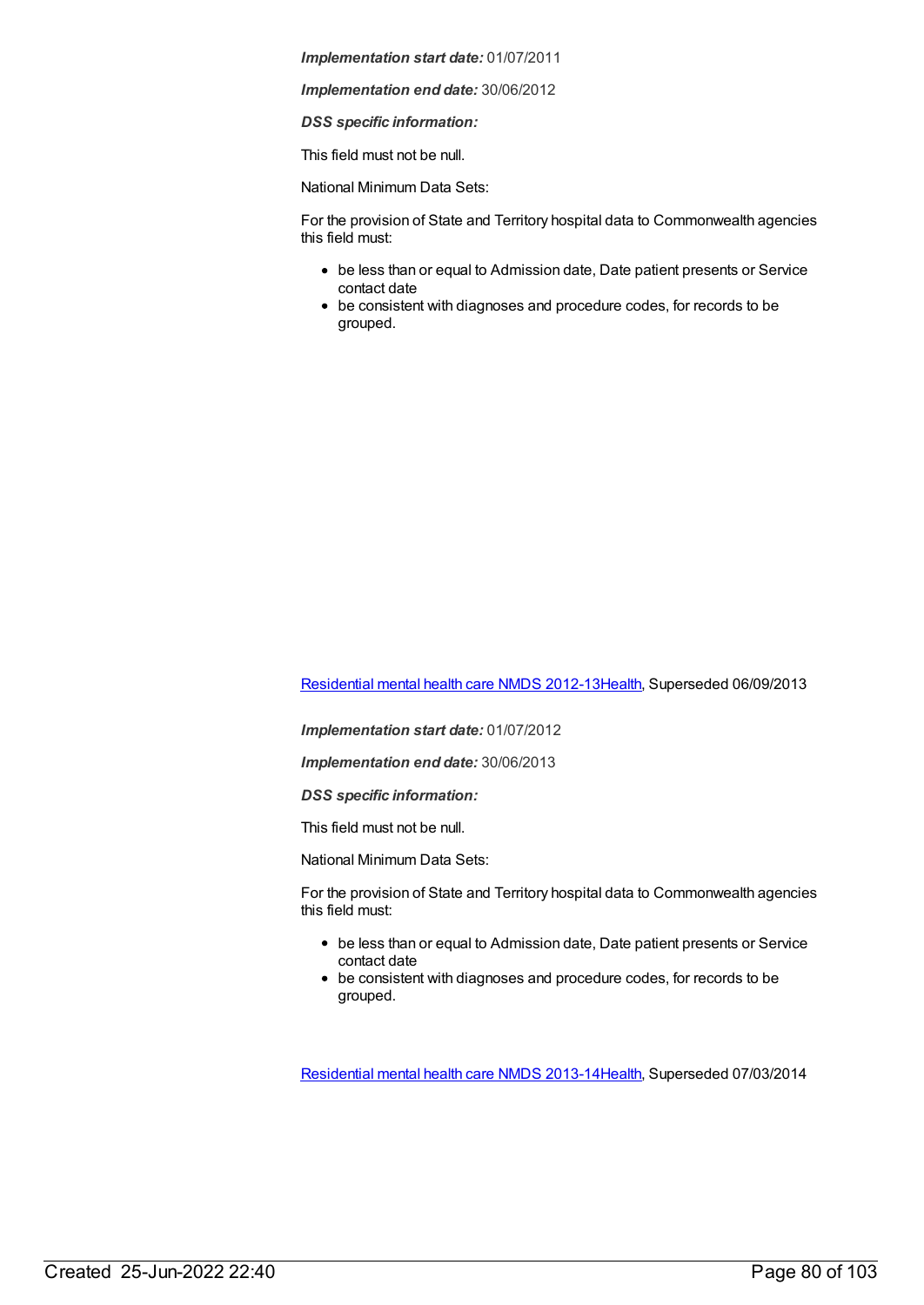*Implementation end date:* 30/06/2012

*DSS specific information:*

This field must not be null.

National Minimum Data Sets:

For the provision of State and Territory hospital data to Commonwealth agencies this field must:

- be less than or equal to Admission date, Date patient presents or Service contact date
- be consistent with diagnoses and procedure codes, for records to be grouped.

[Residential](https://meteor.aihw.gov.au/content/468206) mental health care NMDS 2012-1[3Health](https://meteor.aihw.gov.au/RegistrationAuthority/12), Superseded 06/09/2013

*Implementation start date:* 01/07/2012

*Implementation end date:* 30/06/2013

*DSS specific information:*

This field must not be null.

National Minimum Data Sets:

For the provision of State and Territory hospital data to Commonwealth agencies this field must:

- be less than or equal to Admission date, Date patient presents or Service contact date
- be consistent with diagnoses and procedure codes, for records to be grouped.

[Residential](https://meteor.aihw.gov.au/content/539453) mental health care NMDS 2013-1[4Health](https://meteor.aihw.gov.au/RegistrationAuthority/12), Superseded 07/03/2014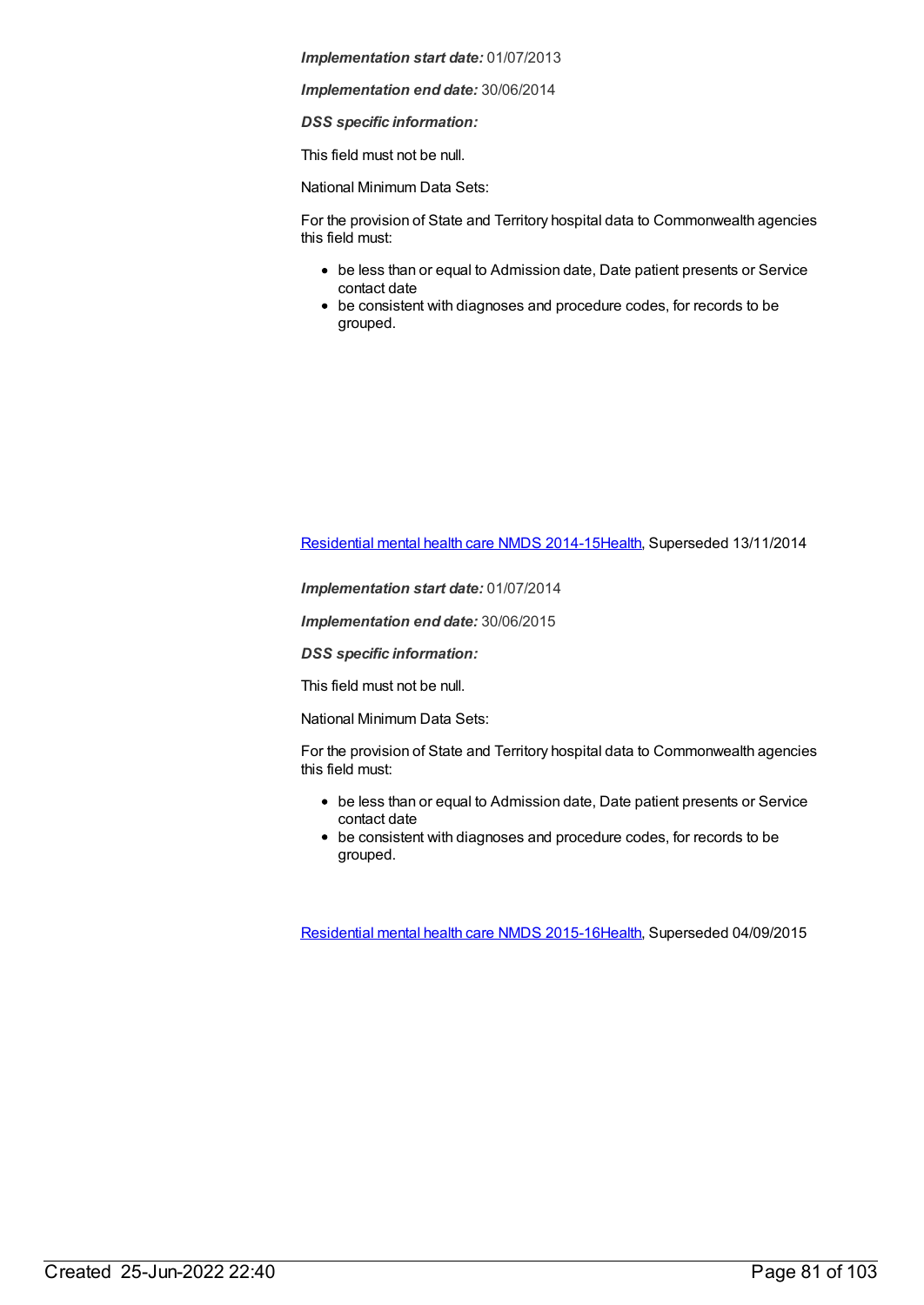*Implementation end date:* 30/06/2014

*DSS specific information:*

This field must not be null.

National Minimum Data Sets:

For the provision of State and Territory hospital data to Commonwealth agencies this field must:

- be less than or equal to Admission date, Date patient presents or Service contact date
- be consistent with diagnoses and procedure codes, for records to be grouped.

[Residential](https://meteor.aihw.gov.au/content/525052) mental health care NMDS 2014-1[5Health](https://meteor.aihw.gov.au/RegistrationAuthority/12), Superseded 13/11/2014

*Implementation start date:* 01/07/2014

*Implementation end date:* 30/06/2015

*DSS specific information:*

This field must not be null.

National Minimum Data Sets:

For the provision of State and Territory hospital data to Commonwealth agencies this field must:

- be less than or equal to Admission date, Date patient presents or Service contact date
- be consistent with diagnoses and procedure codes, for records to be grouped.

[Residential](https://meteor.aihw.gov.au/content/565678) mental health care NMDS 2015-1[6Health](https://meteor.aihw.gov.au/RegistrationAuthority/12), Superseded 04/09/2015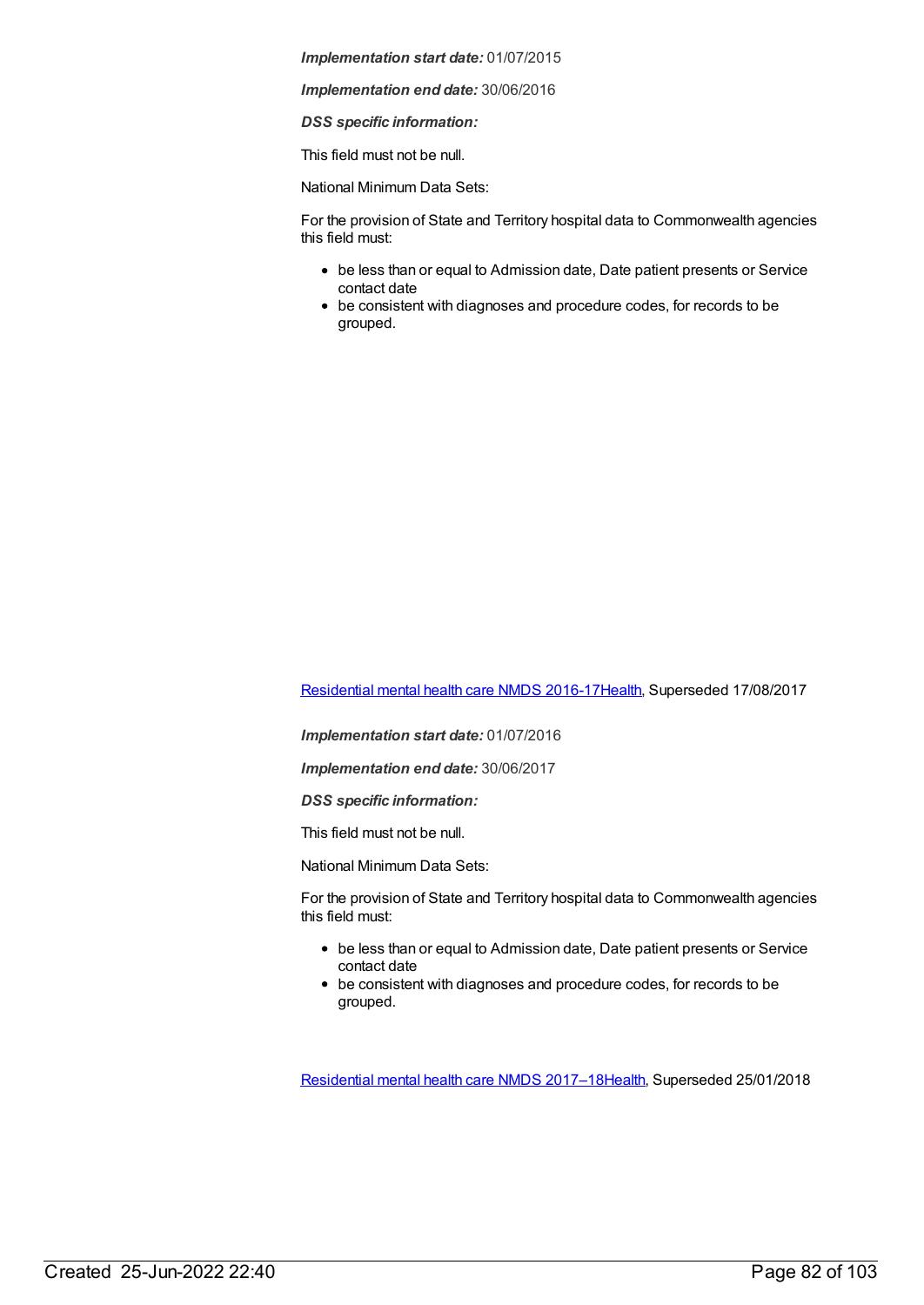*Implementation end date:* 30/06/2016

*DSS specific information:*

This field must not be null.

National Minimum Data Sets:

For the provision of State and Territory hospital data to Commonwealth agencies this field must:

- be less than or equal to Admission date, Date patient presents or Service contact date
- be consistent with diagnoses and procedure codes, for records to be grouped.

[Residential](https://meteor.aihw.gov.au/content/608539) mental health care NMDS 2016-1[7Health](https://meteor.aihw.gov.au/RegistrationAuthority/12), Superseded 17/08/2017

*Implementation start date:* 01/07/2016

*Implementation end date:* 30/06/2017

*DSS specific information:*

This field must not be null.

National Minimum Data Sets:

For the provision of State and Territory hospital data to Commonwealth agencies this field must:

- be less than or equal to Admission date, Date patient presents or Service contact date
- be consistent with diagnoses and procedure codes, for records to be grouped.

[Residential](https://meteor.aihw.gov.au/content/645718) mental health care NMDS 2017–1[8Health](https://meteor.aihw.gov.au/RegistrationAuthority/12), Superseded 25/01/2018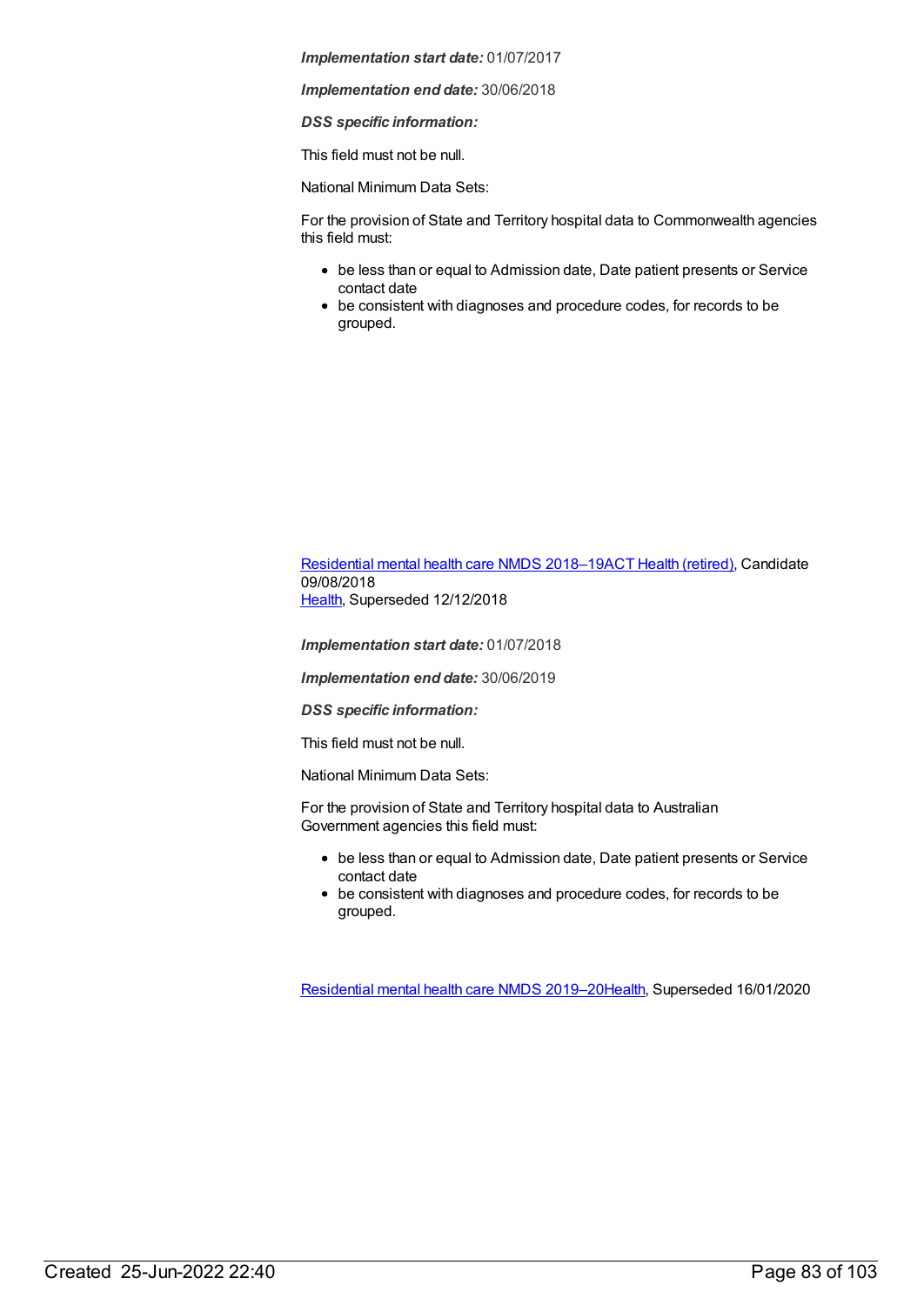*Implementation end date:* 30/06/2018

*DSS specific information:*

This field must not be null.

National Minimum Data Sets:

For the provision of State and Territory hospital data to Commonwealth agencies this field must:

- be less than or equal to Admission date, Date patient presents or Service contact date
- be consistent with diagnoses and procedure codes, for records to be grouped.

[Residential](https://meteor.aihw.gov.au/content/685927) mental health care NMDS 2018–19ACT Health [\(retired\)](https://meteor.aihw.gov.au/RegistrationAuthority/9), Candidate 09/08/2018 [Health](https://meteor.aihw.gov.au/RegistrationAuthority/12), Superseded 12/12/2018

*Implementation start date:* 01/07/2018

*Implementation end date:* 30/06/2019

*DSS specific information:*

This field must not be null.

National Minimum Data Sets:

For the provision of State and Territory hospital data to Australian Government agencies this field must:

- be less than or equal to Admission date, Date patient presents or Service contact date
- be consistent with diagnoses and procedure codes, for records to be grouped.

[Residential](https://meteor.aihw.gov.au/content/707512) mental health care NMDS 2019–2[0Health](https://meteor.aihw.gov.au/RegistrationAuthority/12), Superseded 16/01/2020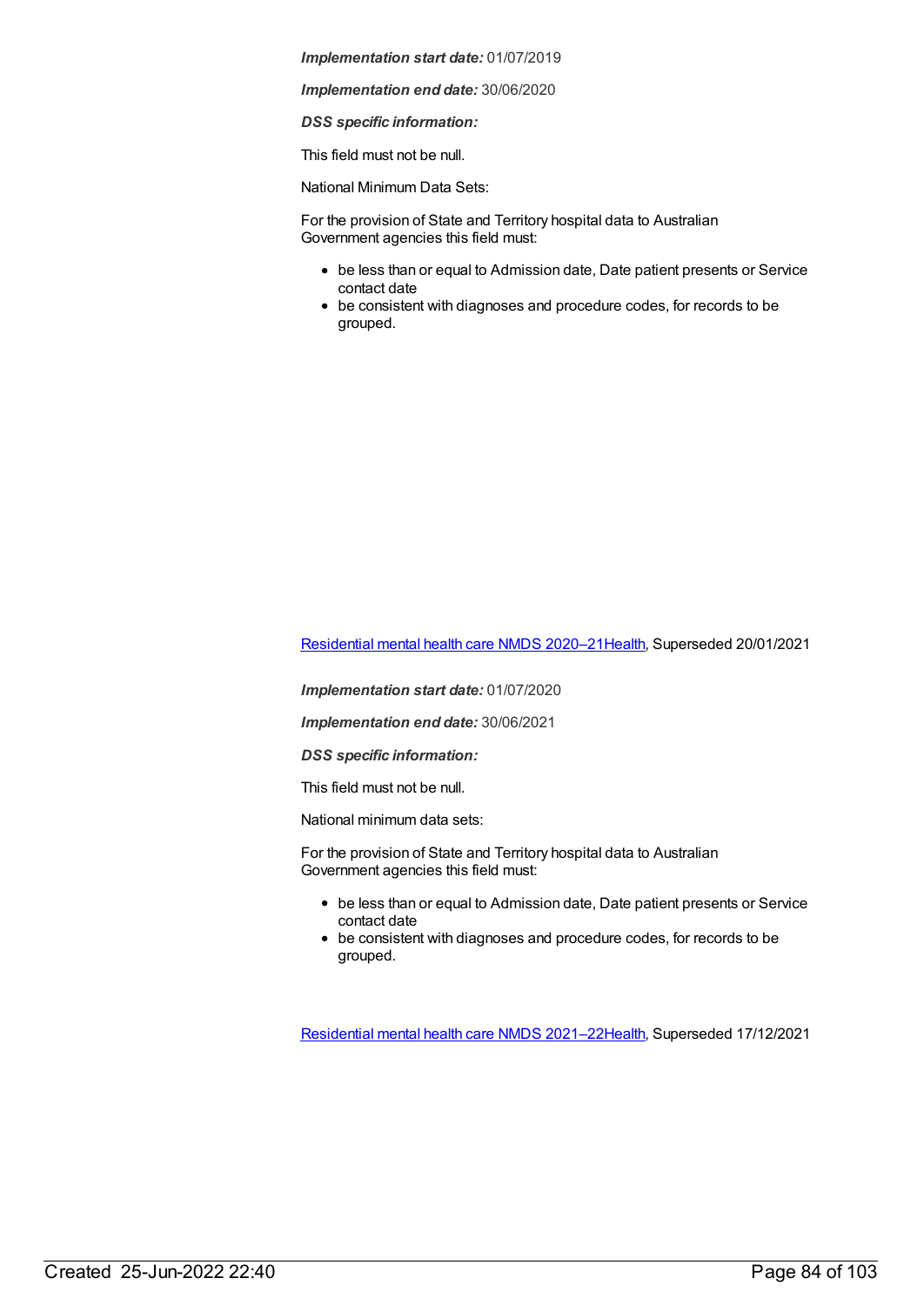*Implementation end date:* 30/06/2020

*DSS specific information:*

This field must not be null.

National Minimum Data Sets:

For the provision of State and Territory hospital data to Australian Government agencies this field must:

- be less than or equal to Admission date, Date patient presents or Service contact date
- be consistent with diagnoses and procedure codes, for records to be grouped.

[Residential](https://meteor.aihw.gov.au/content/722224) mental health care NMDS 2020–2[1Health](https://meteor.aihw.gov.au/RegistrationAuthority/12), Superseded 20/01/2021

*Implementation start date:* 01/07/2020

*Implementation end date:* 30/06/2021

*DSS specific information:*

This field must not be null.

National minimum data sets:

For the provision of State and Territory hospital data to Australian Government agencies this field must:

- be less than or equal to Admission date, Date patient presents or Service contact date
- be consistent with diagnoses and procedure codes, for records to be grouped.

[Residential](https://meteor.aihw.gov.au/content/727354) mental health care NMDS 2021–2[2Health](https://meteor.aihw.gov.au/RegistrationAuthority/12), Superseded 17/12/2021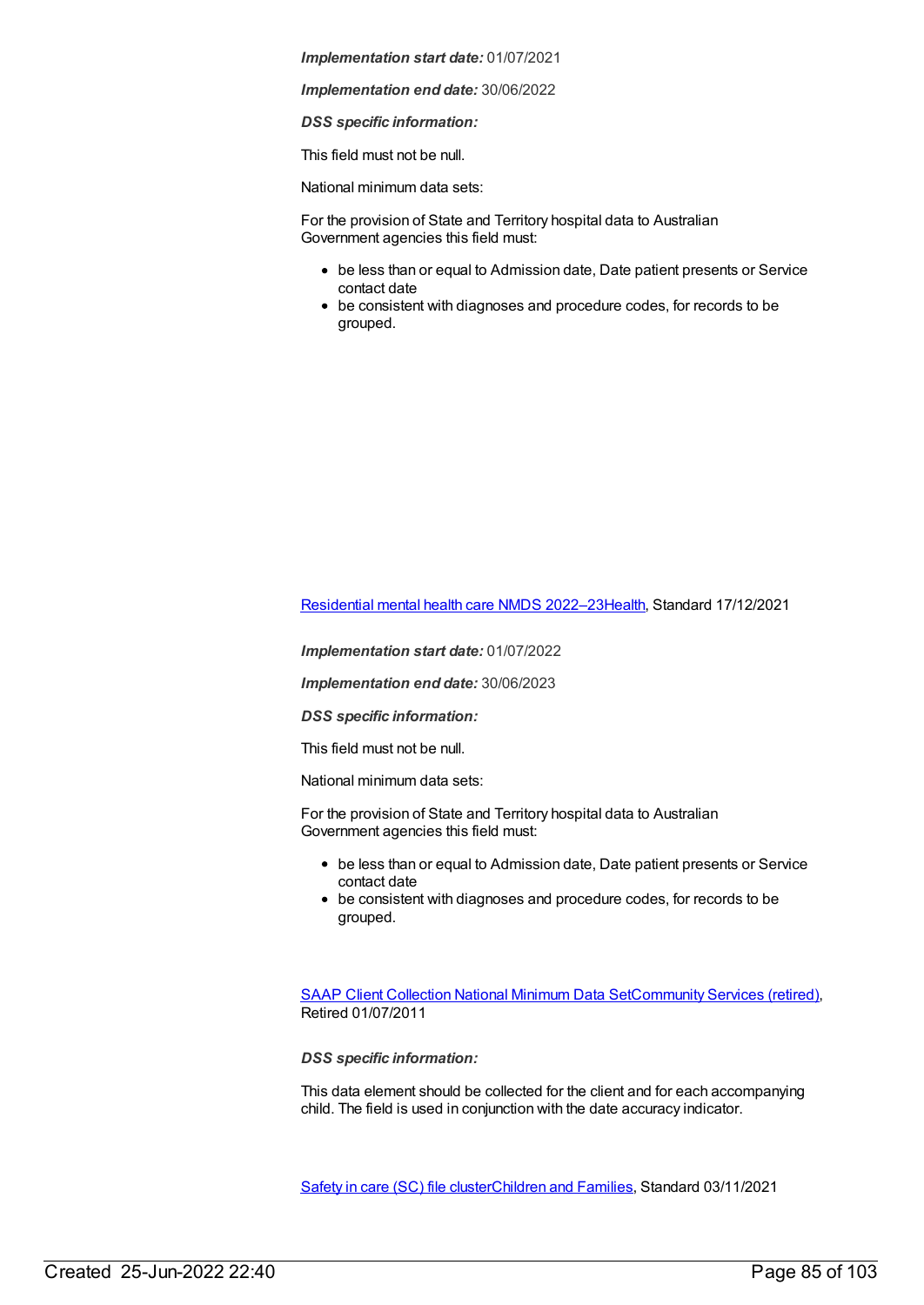*Implementation end date:* 30/06/2022

*DSS specific information:*

This field must not be null.

National minimum data sets:

For the provision of State and Territory hospital data to Australian Government agencies this field must:

- be less than or equal to Admission date, Date patient presents or Service contact date
- be consistent with diagnoses and procedure codes, for records to be grouped.

[Residential](https://meteor.aihw.gov.au/content/742165) mental health care NMDS 2022–2[3Health](https://meteor.aihw.gov.au/RegistrationAuthority/12), Standard 17/12/2021

*Implementation start date:* 01/07/2022

*Implementation end date:* 30/06/2023

*DSS specific information:*

This field must not be null.

National minimum data sets:

For the provision of State and Territory hospital data to Australian Government agencies this field must:

- be less than or equal to Admission date, Date patient presents or Service contact date
- be consistent with diagnoses and procedure codes, for records to be grouped.

SAAP Client [Collection](https://meteor.aihw.gov.au/content/339019) National Minimum Data Se[tCommunity](https://meteor.aihw.gov.au/RegistrationAuthority/1) Services (retired), Retired 01/07/2011

*DSS specific information:*

This data element should be collected for the client and for each accompanying child. The field is used in conjunction with the date accuracy indicator.

[Safety](https://meteor.aihw.gov.au/content/748884) in care (SC) file cluste[rChildren](https://meteor.aihw.gov.au/RegistrationAuthority/17) and Families, Standard 03/11/2021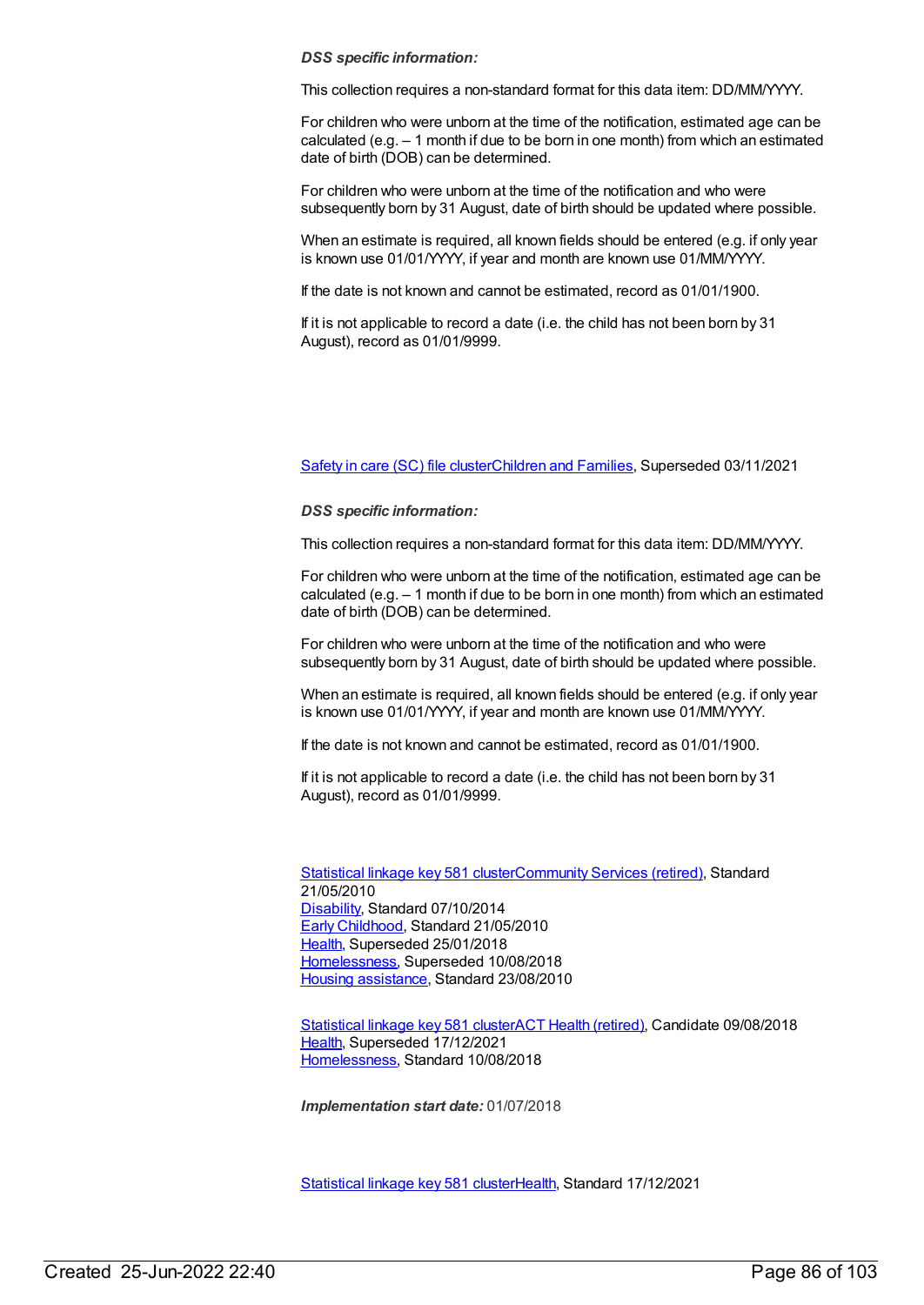## *DSS specific information:*

This collection requires a non-standard format for this data item: DD/MM/YYYY.

For children who were unborn at the time of the notification, estimated age can be calculated (e.g. – 1 month if due to be born in one month) from which an estimated date of birth (DOB) can be determined.

For children who were unborn at the time of the notification and who were subsequently born by 31 August, date of birth should be updated where possible.

When an estimate is required, all known fields should be entered (e.g. if only year is known use 01/01/YYYY, if year and month are known use 01/MM/YYYY.

If the date is not known and cannot be estimated, record as 01/01/1900.

If it is not applicable to record a date (i.e. the child has not been born by 31 August), record as 01/01/9999.

[Safety](https://meteor.aihw.gov.au/content/740182) in care (SC) file cluste[rChildren](https://meteor.aihw.gov.au/RegistrationAuthority/17) and Families, Superseded 03/11/2021

## *DSS specific information:*

This collection requires a non-standard format for this data item: DD/MM/YYYY.

For children who were unborn at the time of the notification, estimated age can be calculated (e.g. – 1 month if due to be born in one month) from which an estimated date of birth (DOB) can be determined.

For children who were unborn at the time of the notification and who were subsequently born by 31 August, date of birth should be updated where possible.

When an estimate is required, all known fields should be entered (e.g. if only year is known use 01/01/YYYY, if year and month are known use 01/MM/YYYY.

If the date is not known and cannot be estimated, record as 01/01/1900.

If it is not applicable to record a date (i.e. the child has not been born by 31 August), record as 01/01/9999.

[Statistical](https://meteor.aihw.gov.au/content/349510) linkage key 581 cluste[rCommunity](https://meteor.aihw.gov.au/RegistrationAuthority/1) Services (retired), Standard 21/05/2010 [Disability](https://meteor.aihw.gov.au/RegistrationAuthority/16), Standard 07/10/2014 Early [Childhood](https://meteor.aihw.gov.au/RegistrationAuthority/13), Standard 21/05/2010 [Health](https://meteor.aihw.gov.au/RegistrationAuthority/12), Superseded 25/01/2018 [Homelessness](https://meteor.aihw.gov.au/RegistrationAuthority/14), Superseded 10/08/2018 Housing [assistance](https://meteor.aihw.gov.au/RegistrationAuthority/11), Standard 23/08/2010

[Statistical](https://meteor.aihw.gov.au/content/686238) linkage key 581 clusterACT Health [\(retired\)](https://meteor.aihw.gov.au/RegistrationAuthority/9), Candidate 09/08/2018 [Health](https://meteor.aihw.gov.au/RegistrationAuthority/12), Superseded 17/12/2021 [Homelessness](https://meteor.aihw.gov.au/RegistrationAuthority/14), Standard 10/08/2018

*Implementation start date:* 01/07/2018

[Statistical](https://meteor.aihw.gov.au/content/750410) linkage key 581 cluste[rHealth](https://meteor.aihw.gov.au/RegistrationAuthority/12), Standard 17/12/2021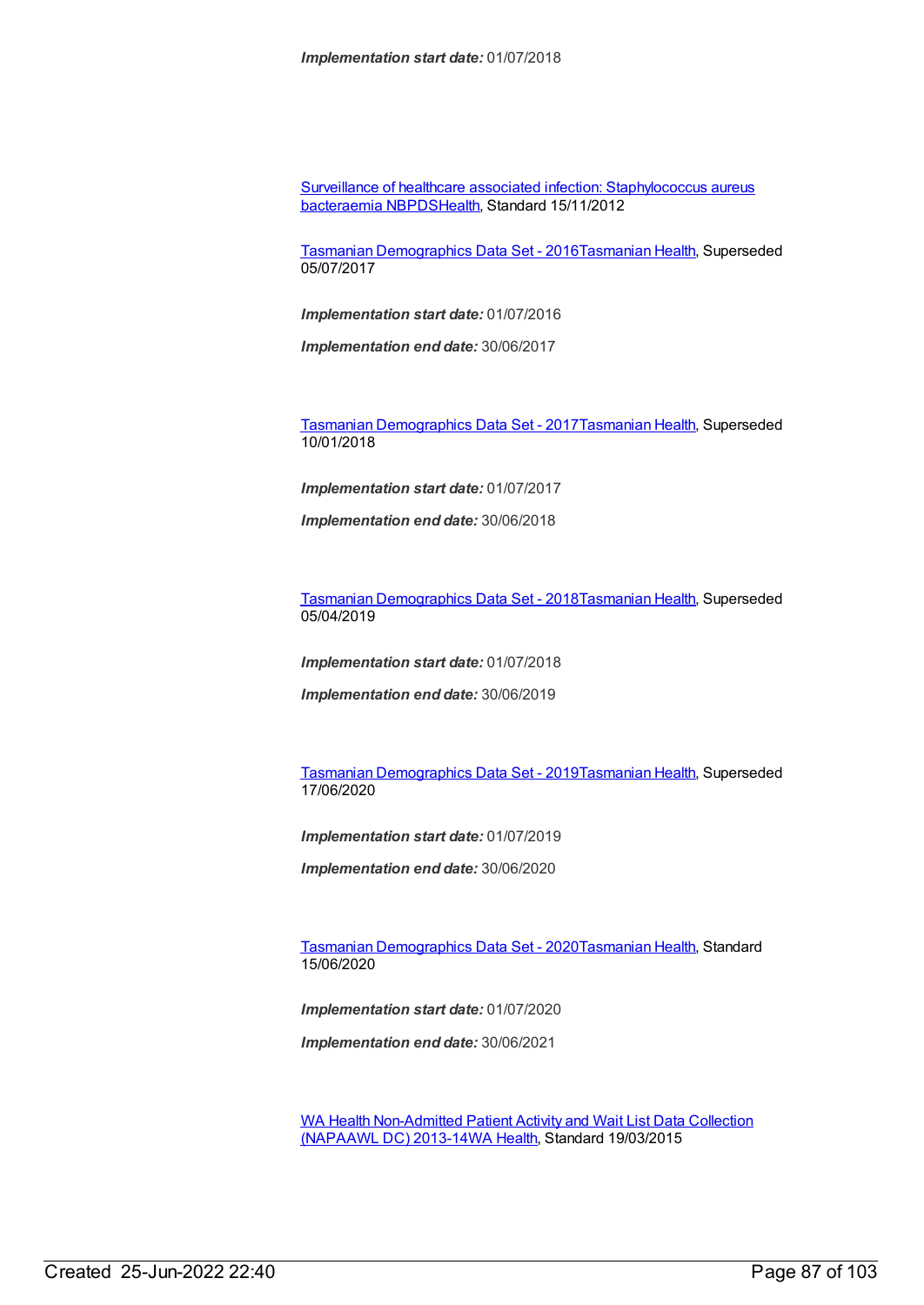Surveillance of healthcare associated infection: [Staphylococcus](https://meteor.aihw.gov.au/content/391133) aureus bacteraemia NBPDS[Health](https://meteor.aihw.gov.au/RegistrationAuthority/12), Standard 15/11/2012

Tasmanian [Demographics](https://meteor.aihw.gov.au/content/662705) Data Set - 2016[Tasmanian](https://meteor.aihw.gov.au/RegistrationAuthority/15) Health, Superseded 05/07/2017

*Implementation start date:* 01/07/2016

*Implementation end date:* 30/06/2017

Tasmanian [Demographics](https://meteor.aihw.gov.au/content/667436) Data Set - 2017[Tasmanian](https://meteor.aihw.gov.au/RegistrationAuthority/15) Health, Superseded 10/01/2018

*Implementation start date:* 01/07/2017

*Implementation end date:* 30/06/2018

Tasmanian [Demographics](https://meteor.aihw.gov.au/content/689859) Data Set - 2018[Tasmanian](https://meteor.aihw.gov.au/RegistrationAuthority/15) Health, Superseded 05/04/2019

*Implementation start date:* 01/07/2018

*Implementation end date:* 30/06/2019

Tasmanian [Demographics](https://meteor.aihw.gov.au/content/714887) Data Set - 2019[Tasmanian](https://meteor.aihw.gov.au/RegistrationAuthority/15) Health, Superseded 17/06/2020

*Implementation start date:* 01/07/2019

*Implementation end date:* 30/06/2020

Tasmanian [Demographics](https://meteor.aihw.gov.au/content/727080) Data Set - 2020[Tasmanian](https://meteor.aihw.gov.au/RegistrationAuthority/15) Health, Standard 15/06/2020

*Implementation start date:* 01/07/2020

*Implementation end date:* 30/06/2021

WA Health [Non-Admitted](https://meteor.aihw.gov.au/content/490816) Patient Activity and Wait List Data Collection (NAPAAWL DC) 2013-14WA [Health](https://meteor.aihw.gov.au/RegistrationAuthority/2), Standard 19/03/2015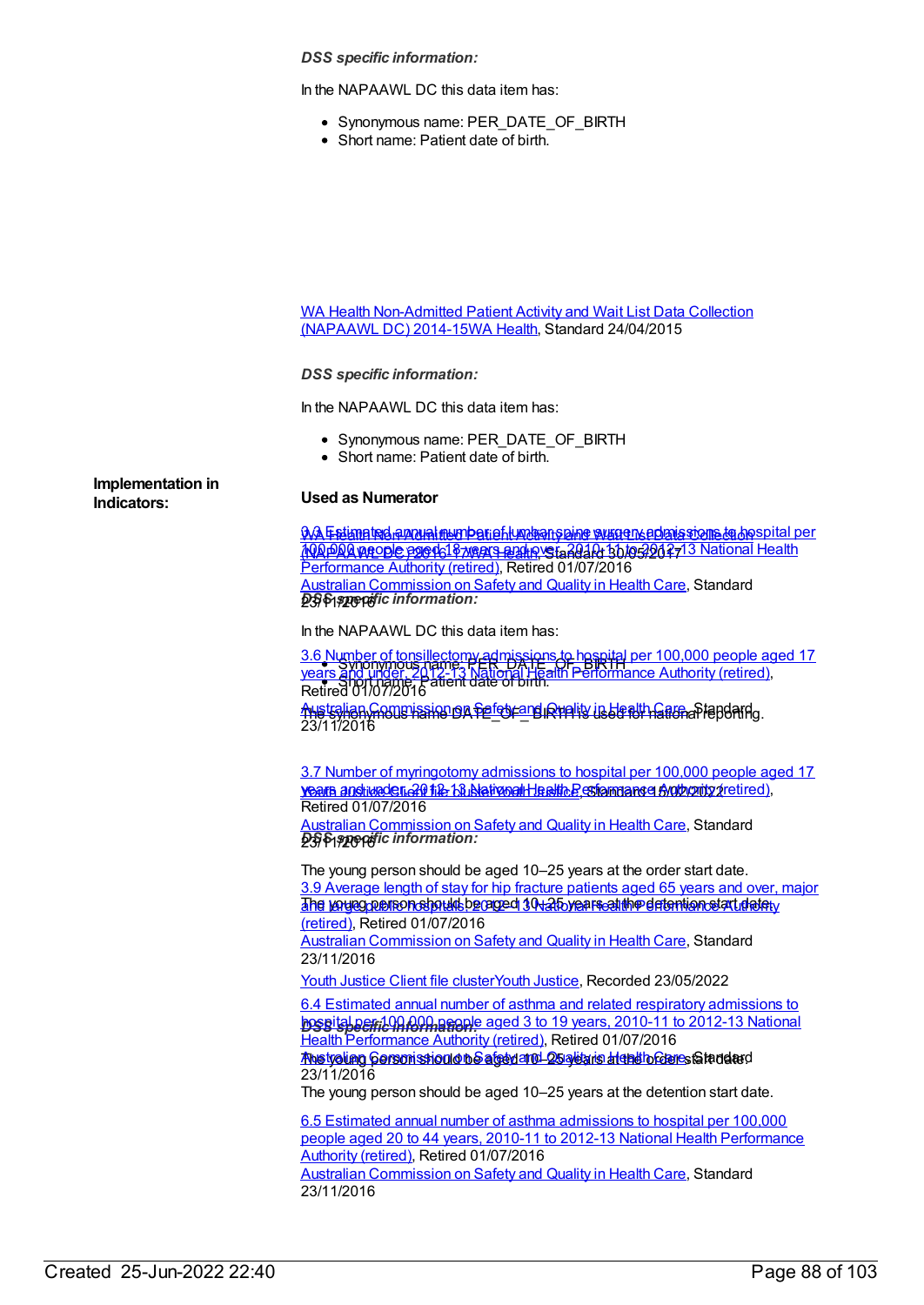*DSS specific information:*

In the NAPAAWL DC this data item has:

- Synonymous name: PER\_DATE\_OF\_BIRTH
- Short name: Patient date of birth.

WA Health [Non-Admitted](https://meteor.aihw.gov.au/content/605977) Patient Activity and Wait List Data Collection (NAPAAWL DC) 2014-15WA [Health](https://meteor.aihw.gov.au/RegistrationAuthority/2), Standard 24/04/2015

*DSS specific information:*

In the NAPAAWL DC this data item has:

- Synonymous name: PER\_DATE\_OF\_BIRTH
- Short name: Patient date of birth.

**Implementation in**

## **Indicators: Used as Numerator**

<u>3.3 Estimated annual number of lumbar spine surger sponissions to hospital per</u> <u>(NAPAAWEODE P2G4618 wears and health, Standard 30/05/2027 3 National [Health](https://meteor.aihw.gov.au/RegistrationAuthority/2)</u> *DSS specific information:* 23/11/2016 Performance Authority (retired), Retired 01/07/2016 Australian [Commission](https://meteor.aihw.gov.au/RegistrationAuthority/18) on Safety and Quality in Health Care, Standard

In the NAPAAWL DC this data item has:

Synonymous name: [PER\\_DATE\\_OF\\_BIRTH](https://meteor.aihw.gov.au/content/612118) Short name: Patient date of birth. Australian [Commission](https://meteor.aihw.gov.au/RegistrationAuthority/18) on <del>felon</del> and Duality in Health Garnafiepdard<sub>s.</sub> 3.6 Number of tonsillectomy admissions to hospital per 100,000 people aged 17 years and under, 2012-13 National Health Performance Authority (retired), Retired 01/07/2016 23/11/2016

<u>vears and wader, 2011 file bil blativoal Health P</u>erformance Aut<u>hority (retired),</u> 3.7 Number of [myringotomy](https://meteor.aihw.gov.au/content/612121) admissions to hospital per 100,000 people aged 17 Retired 01/07/2016

*DSS specific information:* 23/11/2016 Australian [Commission](https://meteor.aihw.gov.au/RegistrationAuthority/18) on Safety and Quality in Health Care, Standard

The young person should be aged 10–25 years at the order start date. <u>The voyeg person should be aged 10–25 years at the detention start dately in the </u> 3.9 Average length of stay for hip fracture patients aged 65 years and over, major (retired), Retired 01/07/2016

Australian [Commission](https://meteor.aihw.gov.au/RegistrationAuthority/18) on Safety and Quality in Health Care, Standard 23/11/2016

Youth [Justice](https://meteor.aihw.gov.au/RegistrationAuthority/4) Client file clusterYouth Justice, Recorded 23/05/2022

**hospital per 100 mg mg ple aged 3 to 19 years, 2010-11 to 2012-13 National** 6.4 Estimated annual number of asthma and related respiratory [admissions](https://meteor.aihw.gov.au/content/611782) to Health Performance Authority (retired), Retired 01/07/2016

<u>Anstralian Cerson stion on Safety and Quality is Health Care,</u> Standard 23/11/2016

The young person should be aged 10–25 years at the detention start date.

6.5 Estimated annual number of asthma [admissions](https://meteor.aihw.gov.au/content/601159) to hospital per 100,000 people aged 20 to 44 years, 2010-11 to 2012-13 National Health [Performance](https://meteor.aihw.gov.au/RegistrationAuthority/8) Authority (retired), Retired 01/07/2016 Australian [Commission](https://meteor.aihw.gov.au/RegistrationAuthority/18) on Safety and Quality in Health Care, Standard 23/11/2016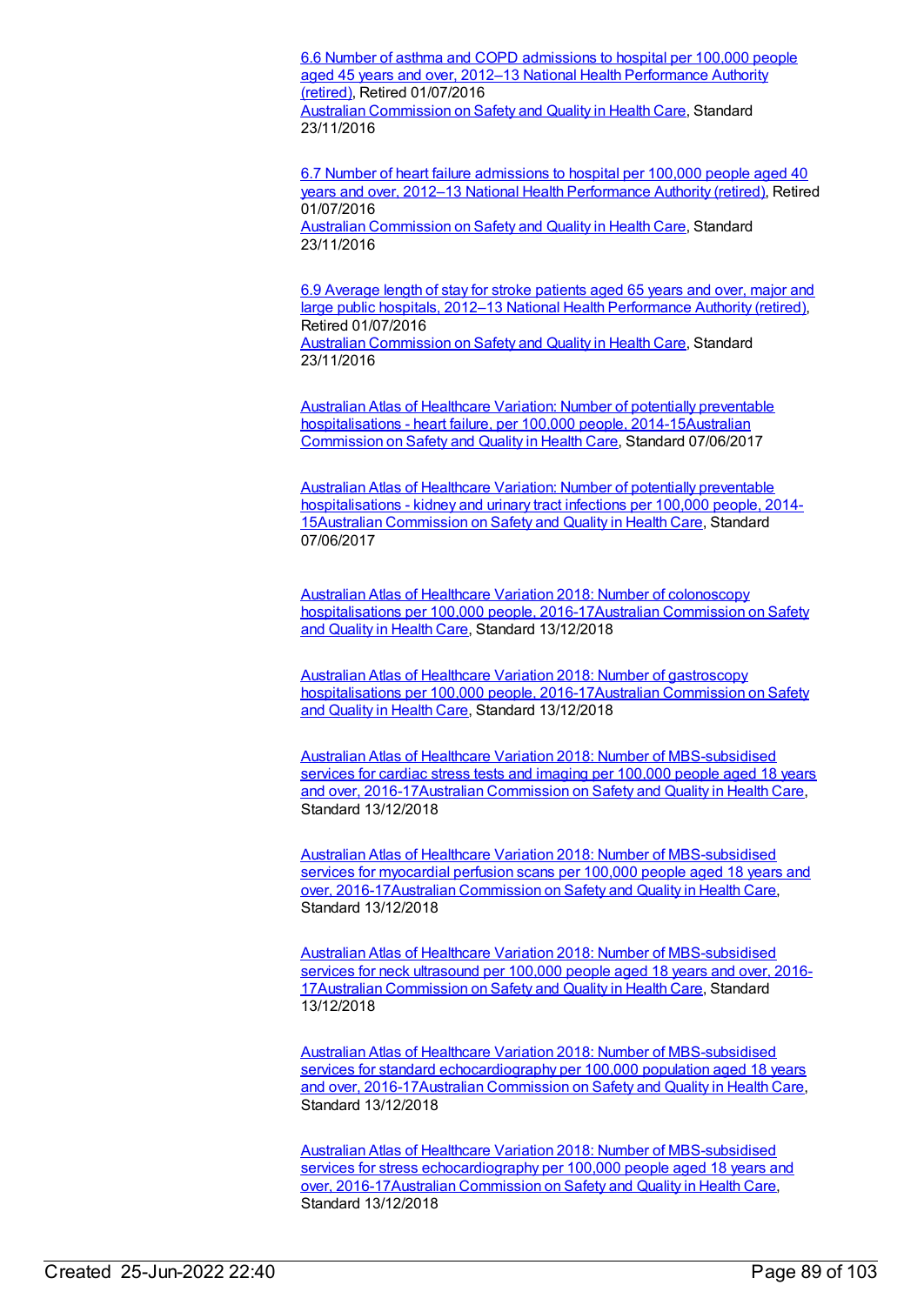6.6 Number of asthma and COPD [admissions](https://meteor.aihw.gov.au/content/611786) to hospital per 100,000 people aged 45 years and over, 2012–13 National Health [Performance](https://meteor.aihw.gov.au/RegistrationAuthority/8) Authority (retired), Retired 01/07/2016 Australian [Commission](https://meteor.aihw.gov.au/RegistrationAuthority/18) on Safety and Quality in Health Care, Standard 23/11/2016

6.7 Number of heart failure [admissions](https://meteor.aihw.gov.au/content/611789) to hospital per 100,000 people aged 40 years and over, 2012–13 National Health [Performance](https://meteor.aihw.gov.au/RegistrationAuthority/8) Authority (retired), Retired 01/07/2016

Australian [Commission](https://meteor.aihw.gov.au/RegistrationAuthority/18) on Safety and Quality in Health Care, Standard 23/11/2016

6.9 Average length of stay for stroke patients aged 65 years and over, major and large public hospitals, 2012–13 National Health [Performance](https://meteor.aihw.gov.au/content/601266) Authority (retired), Retired 01/07/2016

Australian [Commission](https://meteor.aihw.gov.au/RegistrationAuthority/18) on Safety and Quality in Health Care, Standard 23/11/2016

Australian Atlas of Healthcare Variation: Number of potentially preventable hospitalisations - heart failure, per 100,000 people, [2014-15Australia](https://meteor.aihw.gov.au/RegistrationAuthority/18)[n](https://meteor.aihw.gov.au/content/638941) Commission on Safety and Quality in Health Care, Standard 07/06/2017

Australian Atlas of Healthcare Variation: Number of potentially preventable [hospitalisations](https://meteor.aihw.gov.au/content/638929) - kidney and urinary tract infections per 100,000 people, 2014- 15Australian [Commission](https://meteor.aihw.gov.au/RegistrationAuthority/18) on Safety and Quality in Health Care, Standard 07/06/2017

Australian Atlas of Healthcare Variation 2018: Number of colonoscopy hospitalisations per 100,000 people, [2016-17Australian](https://meteor.aihw.gov.au/RegistrationAuthority/18) Commission on Safety and Quality in Health Care, Standard 13/12/2018

Australian Atlas of Healthcare Variation 2018: Number of gastroscopy hospitalisations per 100,000 people, [2016-17Australian](https://meteor.aihw.gov.au/RegistrationAuthority/18) Commission on Safety and Quality in Health Care, Standard 13/12/2018

Australian Atlas of Healthcare Variation 2018: Number of [MBS-subsidised](https://meteor.aihw.gov.au/content/709452) services for cardiac stress tests and imaging per 100,000 people aged 18 years and over, 2016-17Australian [Commission](https://meteor.aihw.gov.au/RegistrationAuthority/18) on Safety and Quality in Health Care, Standard 13/12/2018

Australian Atlas of Healthcare Variation 2018: Number of [MBS-subsidised](https://meteor.aihw.gov.au/content/709466) services for myocardial perfusion scans per 100,000 people aged 18 years and over, 2016-17Australian [Commission](https://meteor.aihw.gov.au/RegistrationAuthority/18) on Safety and Quality in Health Care, Standard 13/12/2018

Australian Atlas of Healthcare Variation 2018: Number of [MBS-subsidised](https://meteor.aihw.gov.au/content/709434) services for neck ultrasound per 100,000 people aged 18 years and over, 2016- 17Australian [Commission](https://meteor.aihw.gov.au/RegistrationAuthority/18) on Safety and Quality in Health Care, Standard 13/12/2018

Australian Atlas of Healthcare Variation 2018: Number of MBS-subsidised services for standard [echocardiography](https://meteor.aihw.gov.au/content/709478) per 100,000 population aged 18 years and over, 2016-17Australian [Commission](https://meteor.aihw.gov.au/RegistrationAuthority/18) on Safety and Quality in Health Care, Standard 13/12/2018

Australian Atlas of Healthcare Variation 2018: Number of MBS-subsidised services for stress [echocardiography](https://meteor.aihw.gov.au/content/709463) per 100,000 people aged 18 years and over, 2016-17Australian [Commission](https://meteor.aihw.gov.au/RegistrationAuthority/18) on Safety and Quality in Health Care, Standard 13/12/2018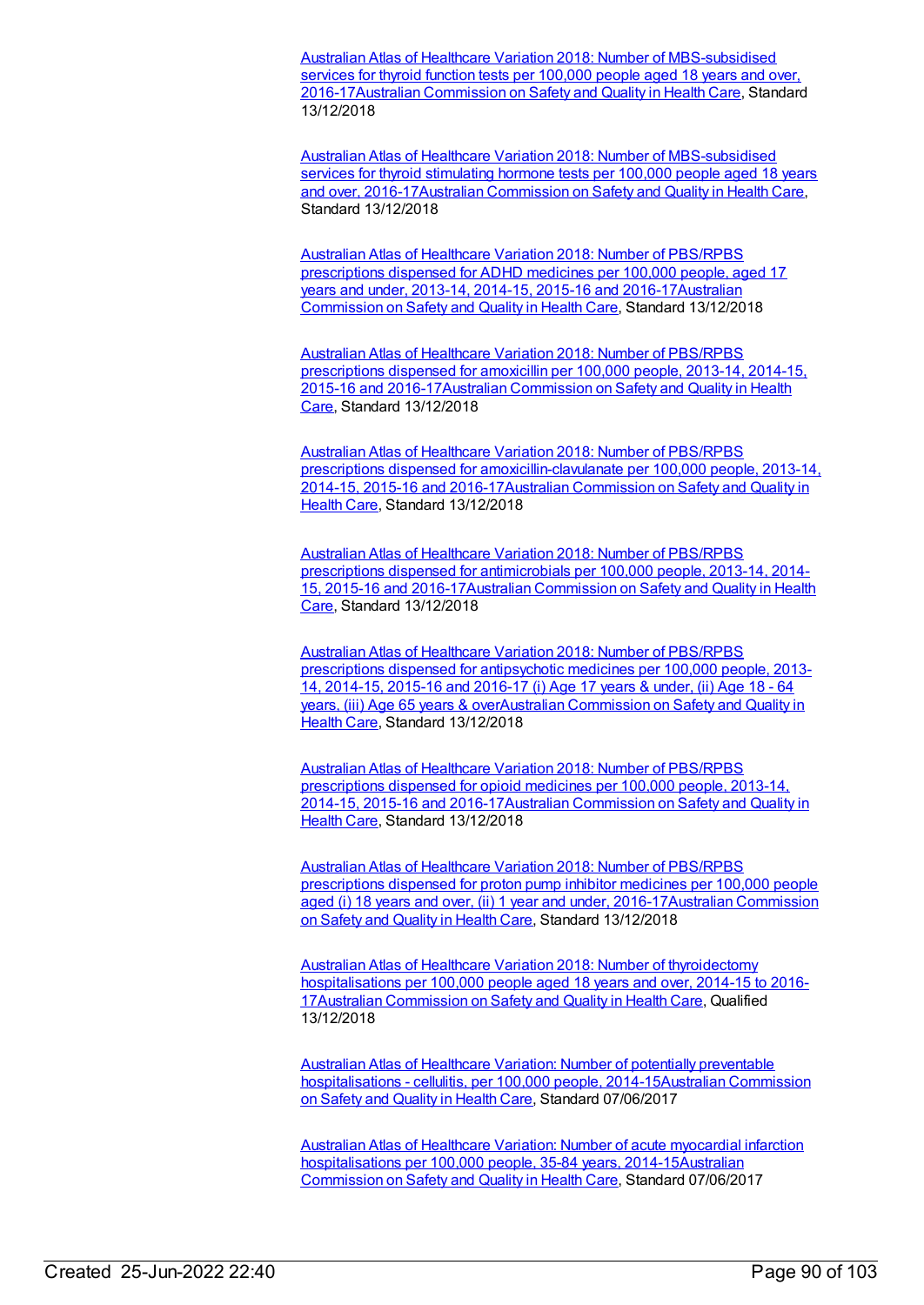Australian Atlas of Healthcare Variation 2018: Number of [MBS-subsidised](https://meteor.aihw.gov.au/content/709388) services for thyroid function tests per 100,000 people aged 18 years and over, 2016-17Australian [Commission](https://meteor.aihw.gov.au/RegistrationAuthority/18) on Safety and Quality in Health Care, Standard 13/12/2018

Australian Atlas of Healthcare Variation 2018: Number of [MBS-subsidised](https://meteor.aihw.gov.au/content/709368) services for thyroid stimulating hormone tests per 100,000 people aged 18 years and over, 2016-17Australian [Commission](https://meteor.aihw.gov.au/RegistrationAuthority/18) on Safety and Quality in Health Care, Standard 13/12/2018

Australian Atlas of Healthcare Variation 2018: Number of PBS/RPBS prescriptions dispensed for ADHD medicines per 100,000 people, aged 17 years and under, 2013-14, 2014-15, 2015-16 and [2016-17Australia](https://meteor.aihw.gov.au/RegistrationAuthority/18)[n](https://meteor.aihw.gov.au/content/709507) Commission on Safety and Quality in Health Care, Standard 13/12/2018

Australian Atlas of Healthcare Variation 2018: Number of PBS/RPBS prescriptions dispensed for amoxicillin per 100,000 people, 2013-14, 2014-15, 2015-16 and [2016-17Australian](https://meteor.aihw.gov.au/RegistrationAuthority/18) Commission on Safety and Quality in Health Care, Standard 13/12/2018

Australian Atlas of Healthcare Variation 2018: Number of PBS/RPBS prescriptions dispensed for [amoxicillin-clavulanate](https://meteor.aihw.gov.au/content/709500) per 100,000 people, 2013-14, 2014-15, 2015-16 and [2016-17Australian](https://meteor.aihw.gov.au/RegistrationAuthority/18) Commission on Safety and Quality in Health Care, Standard 13/12/2018

Australian Atlas of Healthcare Variation 2018: Number of PBS/RPBS prescriptions dispensed for antimicrobials per 100,000 people, 2013-14, 2014- 15, 2015-16 and [2016-17Australian](https://meteor.aihw.gov.au/RegistrationAuthority/18) Commission on Safety and Quality in Health Care, Standard 13/12/2018

Australian Atlas of Healthcare Variation 2018: Number of PBS/RPBS prescriptions dispensed for antipsychotic medicines per 100,000 people, 2013- 14, 2014-15, 2015-16 and 2016-17 (i) Age 17 years & under, (ii) Age 18 - 64 years, (iii) Age 65 years & [overAustralian](https://meteor.aihw.gov.au/RegistrationAuthority/18) Commission on Safety and Quality in Health Care, Standard 13/12/2018

Australian Atlas of Healthcare Variation 2018: Number of PBS/RPBS prescriptions dispensed for opioid medicines per 100,000 people, 2013-14, 2014-15, 2015-16 and [2016-17Australian](https://meteor.aihw.gov.au/RegistrationAuthority/18) Commission on Safety and Quality in Health Care, Standard 13/12/2018

Australian Atlas of Healthcare Variation 2018: Number of PBS/RPBS prescriptions dispensed for proton pump inhibitor medicines per 100,000 people aged (i) 18 years and over, (ii) 1 year and under, 2016-17 Australian Commission on Safety and Quality in Health Care, Standard 13/12/2018

Australian Atlas of Healthcare Variation 2018: Number of thyroidectomy [hospitalisations](https://meteor.aihw.gov.au/content/709436) per 100,000 people aged 18 years and over, 2014-15 to 2016- 17Australian [Commission](https://meteor.aihw.gov.au/RegistrationAuthority/18) on Safety and Quality in Health Care, Qualified 13/12/2018

Australian Atlas of Healthcare Variation: Number of potentially preventable hospitalisations - cellulitis, per 100,000 people, [2014-15Australian](https://meteor.aihw.gov.au/RegistrationAuthority/18) Commission on Safety and Quality in Health Care, Standard 07/06/2017

Australian Atlas of Healthcare Variation: Number of acute myocardial infarction hospitalisations per 100,000 people, 35-84 years, [2014-15Australia](https://meteor.aihw.gov.au/RegistrationAuthority/18)[n](https://meteor.aihw.gov.au/content/640939) Commission on Safety and Quality in Health Care, Standard 07/06/2017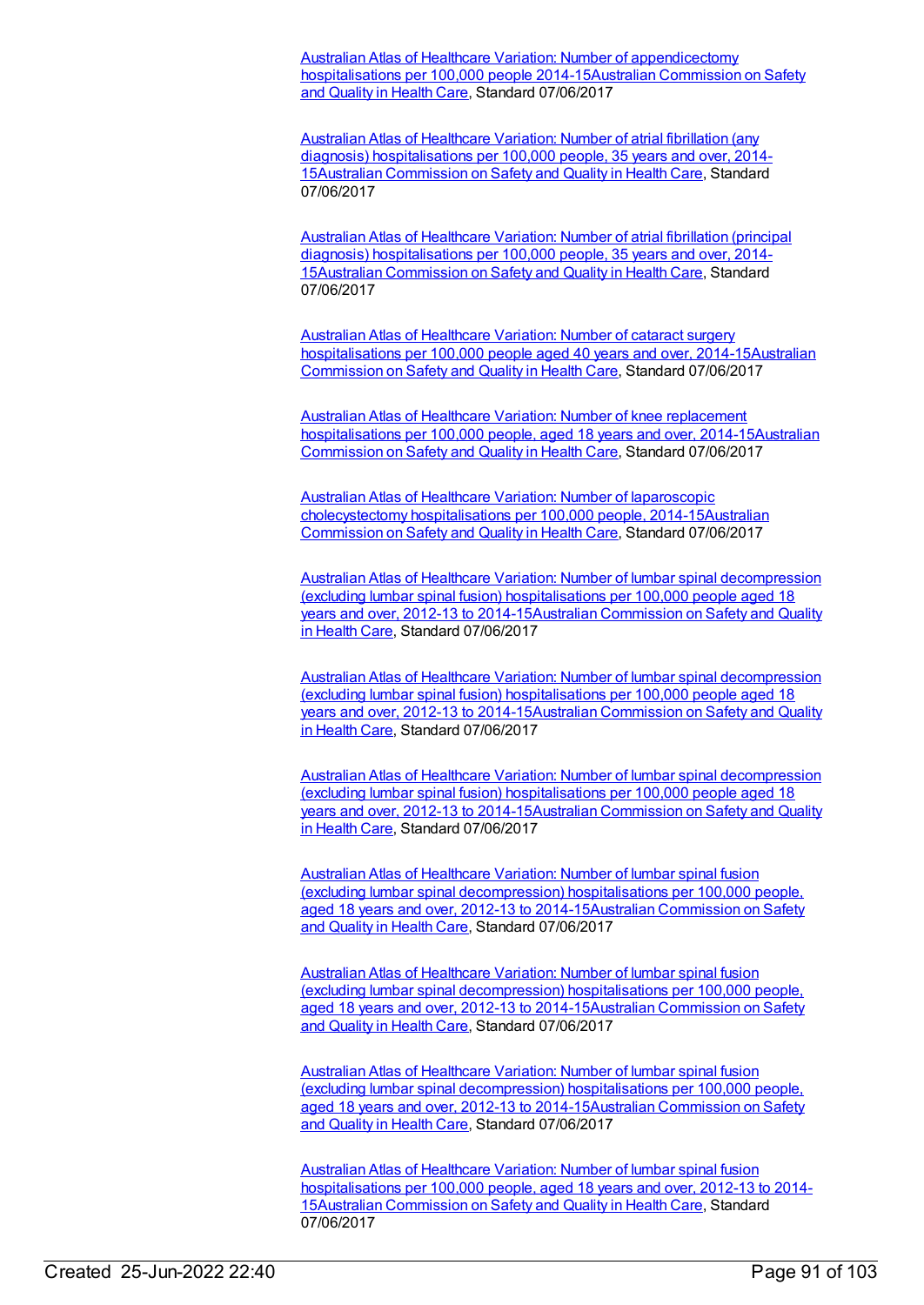Australian Atlas of Healthcare Variation: Number of [appendicectomy](https://meteor.aihw.gov.au/content/674692) hospitalisations per 100,000 people [2014-15Australian](https://meteor.aihw.gov.au/RegistrationAuthority/18) Commission on Safety and Quality in Health Care, Standard 07/06/2017

Australian Atlas of Healthcare Variation: Number of atrial fibrillation (any diagnosis) [hospitalisations](https://meteor.aihw.gov.au/content/640201) per 100,000 people, 35 years and over, 2014- 15Australian [Commission](https://meteor.aihw.gov.au/RegistrationAuthority/18) on Safety and Quality in Health Care, Standard 07/06/2017

Australian Atlas of Healthcare Variation: Number of atrial fibrillation (principal diagnosis) [hospitalisations](https://meteor.aihw.gov.au/content/640183) per 100,000 people, 35 years and over, 2014- 15Australian [Commission](https://meteor.aihw.gov.au/RegistrationAuthority/18) on Safety and Quality in Health Care, Standard 07/06/2017

Australian Atlas of Healthcare Variation: Number of cataract surgery [hospitalisations](https://meteor.aihw.gov.au/content/639090) per 100,000 people aged 40 years and over, [2014-15Australian](https://meteor.aihw.gov.au/RegistrationAuthority/18) Commission on Safety and Quality in Health Care, Standard 07/06/2017

Australian Atlas of Healthcare Variation: Number of knee replacement [hospitalisations](https://meteor.aihw.gov.au/content/641165) per 100,000 people, aged 18 years and over, [2014-15Australian](https://meteor.aihw.gov.au/RegistrationAuthority/18) Commission on Safety and Quality in Health Care, Standard 07/06/2017

Australian Atlas of Healthcare Variation: Number of laparoscopic [cholecystectomy](https://meteor.aihw.gov.au/content/640134) hospitalisations per 100,000 people, [2014-15Australian](https://meteor.aihw.gov.au/RegistrationAuthority/18) Commission on Safety and Quality in Health Care, Standard 07/06/2017

Australian Atlas of Healthcare Variation: Number of lumbar spinal decompression (excluding lumbar spinal fusion) [hospitalisations](https://meteor.aihw.gov.au/content/640142) per 100,000 people aged 18 years and over, 2012-13 to [2014-15Australian](https://meteor.aihw.gov.au/RegistrationAuthority/18) Commission on Safety and Quality in Health Care, Standard 07/06/2017

Australian Atlas of Healthcare Variation: Number of lumbar spinal decompression (excluding lumbar spinal fusion) hospitalisations per 100,000 people aged 18 years and over, 2012-13 to [2014-15Australian](https://meteor.aihw.gov.au/RegistrationAuthority/18) Commission on Safety and Quality in Health Care, Standard 07/06/2017

Australian Atlas of Healthcare Variation: Number of lumbar spinal decompression (excluding lumbar spinal fusion) [hospitalisations](https://meteor.aihw.gov.au/content/640142) per 100,000 people aged 18 years and over, 2012-13 to [2014-15Australian](https://meteor.aihw.gov.au/RegistrationAuthority/18) Commission on Safety and Quality in Health Care, Standard 07/06/2017

Australian Atlas of Healthcare Variation: Number of lumbar spinal fusion (excluding lumbar spinal [decompression\)](https://meteor.aihw.gov.au/content/675493) hospitalisations per 100,000 people, aged 18 years and over, 2012-13 to [2014-15Australian](https://meteor.aihw.gov.au/RegistrationAuthority/18) Commission on Safety and Quality in Health Care, Standard 07/06/2017

Australian Atlas of Healthcare Variation: Number of lumbar spinal fusion (excluding lumbar spinal decompression) hospitalisations per 100,000 people, aged 18 years and over, 2012-13 to [2014-15Australian](https://meteor.aihw.gov.au/RegistrationAuthority/18) Commission on Safety and Quality in Health Care, Standard 07/06/2017

Australian Atlas of Healthcare Variation: Number of lumbar spinal fusion (excluding lumbar spinal [decompression\)](https://meteor.aihw.gov.au/content/675493) hospitalisations per 100,000 people, aged 18 years and over, 2012-13 to [2014-15Australian](https://meteor.aihw.gov.au/RegistrationAuthority/18) Commission on Safety and Quality in Health Care, Standard 07/06/2017

Australian Atlas of Healthcare Variation: Number of lumbar spinal fusion [hospitalisations](https://meteor.aihw.gov.au/content/639980) per 100,000 people, aged 18 years and over, 2012-13 to 2014- 15Australian [Commission](https://meteor.aihw.gov.au/RegistrationAuthority/18) on Safety and Quality in Health Care, Standard 07/06/2017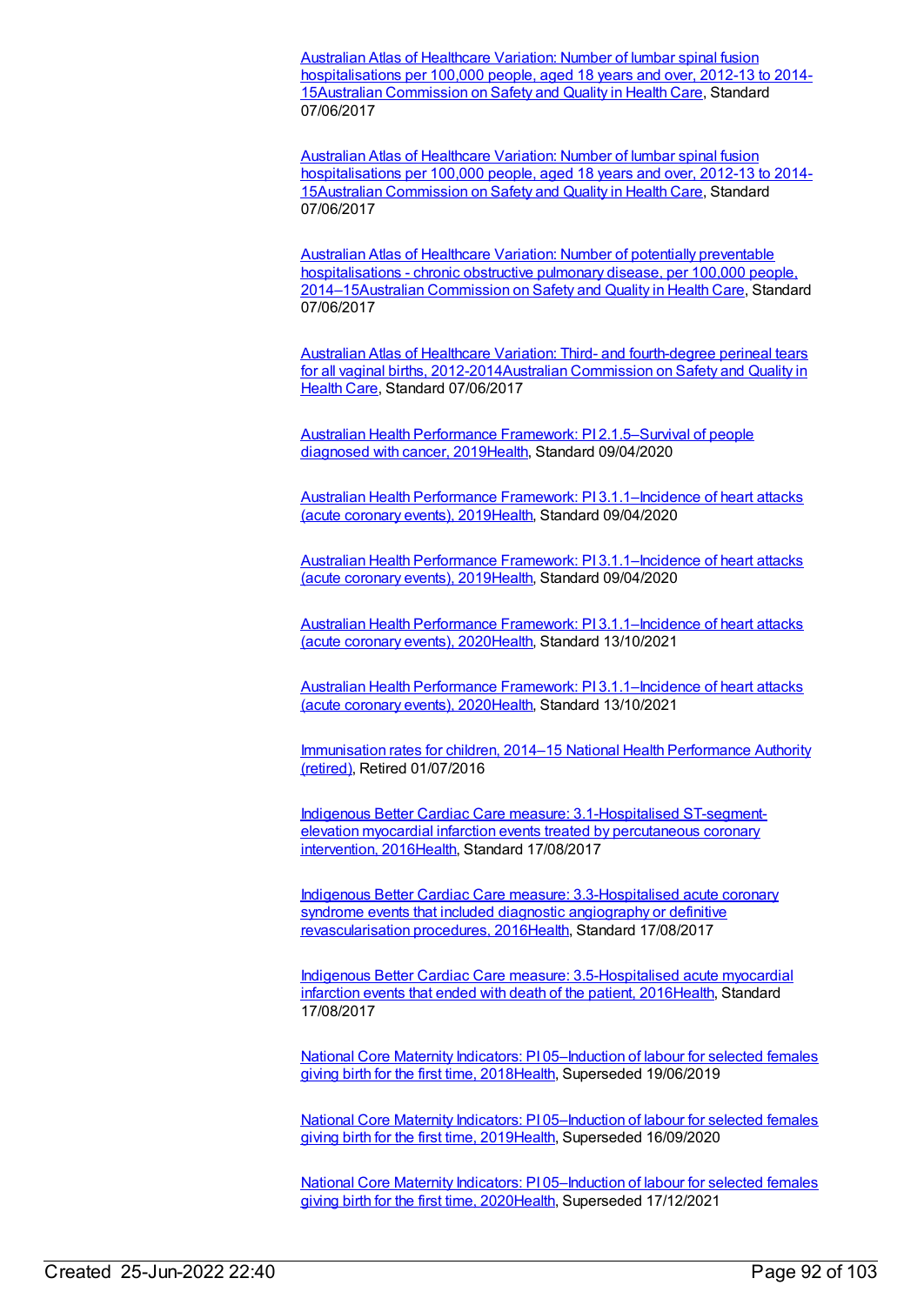Australian Atlas of Healthcare Variation: Number of lumbar spinal fusion [hospitalisations](https://meteor.aihw.gov.au/content/639980) per 100,000 people, aged 18 years and over, 2012-13 to 2014- 15Australian [Commission](https://meteor.aihw.gov.au/RegistrationAuthority/18) on Safety and Quality in Health Care, Standard 07/06/2017

Australian Atlas of Healthcare Variation: Number of lumbar spinal fusion [hospitalisations](https://meteor.aihw.gov.au/content/639980) per 100,000 people, aged 18 years and over, 2012-13 to 2014- 15Australian [Commission](https://meteor.aihw.gov.au/RegistrationAuthority/18) on Safety and Quality in Health Care, Standard 07/06/2017

Australian Atlas of Healthcare Variation: Number of potentially preventable hospitalisations - chronic obstructive pulmonary disease, per 100,000 people, [2014–15Australian](https://meteor.aihw.gov.au/content/638732) [Commission](https://meteor.aihw.gov.au/RegistrationAuthority/18) on Safety and Quality in Health Care, Standard 07/06/2017

Australian Atlas of Healthcare Variation: Third- and fourth-degree perineal tears for all vaginal births, [2012-2014Australian](https://meteor.aihw.gov.au/RegistrationAuthority/18) Commission on Safety and Quality in Health Care, Standard 07/06/2017

Australian Health Performance Framework: PI [2.1.5–Survival](https://meteor.aihw.gov.au/content/715188) of people diagnosed with cancer, 201[9Health](https://meteor.aihw.gov.au/RegistrationAuthority/12), Standard 09/04/2020

Australian Health Performance Framework: PI [3.1.1–Incidence](https://meteor.aihw.gov.au/content/715234) of heart attacks (acute coronary events), 201[9Health](https://meteor.aihw.gov.au/RegistrationAuthority/12), Standard 09/04/2020

Australian Health Performance Framework: PI [3.1.1–Incidence](https://meteor.aihw.gov.au/content/715234) of heart attacks (acute coronary events), 201[9Health](https://meteor.aihw.gov.au/RegistrationAuthority/12), Standard 09/04/2020

Australian Health Performance Framework: PI [3.1.1–Incidence](https://meteor.aihw.gov.au/content/728383) of heart attacks (acute coronary events), 202[0Health](https://meteor.aihw.gov.au/RegistrationAuthority/12), Standard 13/10/2021

Australian Health Performance Framework: PI [3.1.1–Incidence](https://meteor.aihw.gov.au/content/728383) of heart attacks (acute coronary events), 202[0Health](https://meteor.aihw.gov.au/RegistrationAuthority/12), Standard 13/10/2021

[Immunisation](https://meteor.aihw.gov.au/RegistrationAuthority/8) rates for children, 2014–15 National Health Performance Authority (retired), Retired 01/07/2016

Indigenous Better Cardiac Care measure: [3.1-Hospitalised](https://meteor.aihw.gov.au/content/657003) ST-segmentelevation myocardial infarction events treated by percutaneous coronary intervention, 2016[Health](https://meteor.aihw.gov.au/RegistrationAuthority/12), Standard 17/08/2017

Indigenous Better Cardiac Care measure: [3.3-Hospitalised](https://meteor.aihw.gov.au/content/657007) acute coronary syndrome events that included diagnostic angiography or definitive revascularisation procedures, 201[6Health,](https://meteor.aihw.gov.au/RegistrationAuthority/12) Standard 17/08/2017

Indigenous Better Cardiac Care measure: [3.5-Hospitalised](https://meteor.aihw.gov.au/content/657036) acute myocardial infarction events that ended with death of the patient, 201[6Health](https://meteor.aihw.gov.au/RegistrationAuthority/12), Standard 17/08/2017

National Core Maternity Indicators: PI [05–Induction](https://meteor.aihw.gov.au/content/690112) of labour for selected females giving birth for the first time, 2018[Health,](https://meteor.aihw.gov.au/RegistrationAuthority/12) Superseded 19/06/2019

National Core Maternity Indicators: PI 05-Induction of labour for selected females giving birth for the first time, 2019[Health,](https://meteor.aihw.gov.au/RegistrationAuthority/12) Superseded 16/09/2020

National Core Maternity Indicators: PI 05-Induction of labour for selected females giving birth for the first time, 2020[Health,](https://meteor.aihw.gov.au/RegistrationAuthority/12) Superseded 17/12/2021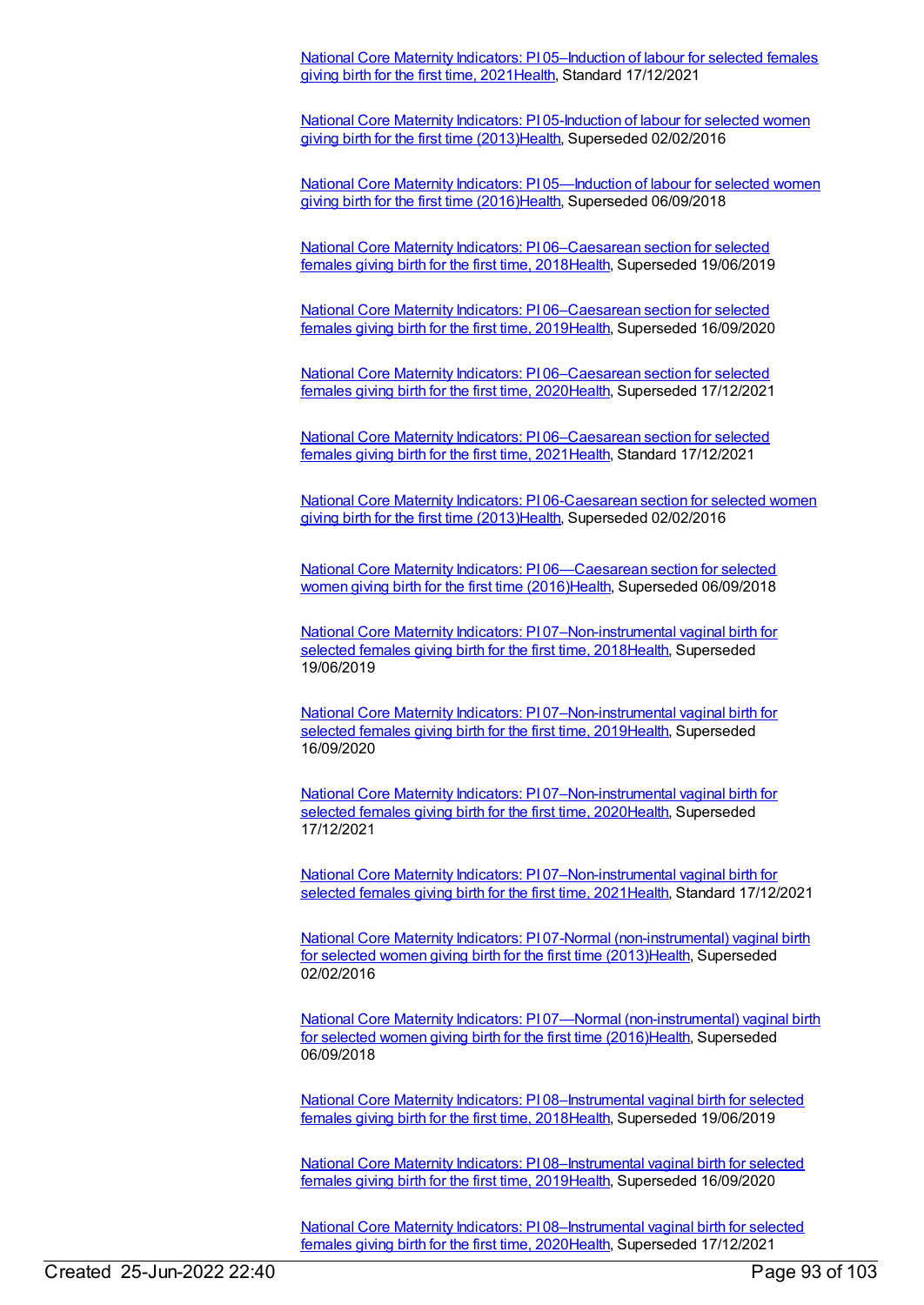National Core Maternity Indicators: PI [05–Induction](https://meteor.aihw.gov.au/content/747732) of labour for selected females giving birth for the first time, 2021 [Health,](https://meteor.aihw.gov.au/RegistrationAuthority/12) Standard 17/12/2021

National Core Maternity Indicators: PI [05-Induction](https://meteor.aihw.gov.au/content/557087) of labour for selected women giving birth for the first time (2013[\)Health](https://meteor.aihw.gov.au/RegistrationAuthority/12), Superseded 02/02/2016

National Core Maternity Indicators: PI 05-Induction of labour for selected women giving birth for the first time (2016[\)Health](https://meteor.aihw.gov.au/RegistrationAuthority/12), Superseded 06/09/2018

National Core Maternity Indicators: PI [06–Caesarean](https://meteor.aihw.gov.au/content/690119) section for selected females giving birth for the first time, 2018[Health](https://meteor.aihw.gov.au/RegistrationAuthority/12), Superseded 19/06/2019

National Core Maternity Indicators: PI [06–Caesarean](https://meteor.aihw.gov.au/content/717538) section for selected females giving birth for the first time, 2019[Health](https://meteor.aihw.gov.au/RegistrationAuthority/12), Superseded 16/09/2020

National Core Maternity Indicators: PI [06–Caesarean](https://meteor.aihw.gov.au/content/728723) section for selected females giving birth for the first time, 2020[Health](https://meteor.aihw.gov.au/RegistrationAuthority/12), Superseded 17/12/2021

National Core Maternity Indicators: PI [06–Caesarean](https://meteor.aihw.gov.au/content/747739) section for selected females giving birth for the first time, 2021 [Health](https://meteor.aihw.gov.au/RegistrationAuthority/12), Standard 17/12/2021

National Core Maternity Indicators: PI [06-Caesarean](https://meteor.aihw.gov.au/content/557089) section for selected women giving birth for the first time (2013[\)Health](https://meteor.aihw.gov.au/RegistrationAuthority/12), Superseded 02/02/2016

National Core Maternity Indicators: PI [06—Caesarean](https://meteor.aihw.gov.au/content/613184) section for selected women giving birth for the first time (2016)[Health](https://meteor.aihw.gov.au/RegistrationAuthority/12), Superseded 06/09/2018

National Core Maternity Indicators: PI [07–Non-instrumental](https://meteor.aihw.gov.au/content/690125) vaginal birth for selected females giving birth for the first time, 201[8Health](https://meteor.aihw.gov.au/RegistrationAuthority/12), Superseded 19/06/2019

National Core Maternity Indicators: PI [07–Non-instrumental](https://meteor.aihw.gov.au/content/717540) vaginal birth for selected females giving birth for the first time, 201[9Health](https://meteor.aihw.gov.au/RegistrationAuthority/12), Superseded 16/09/2020

National Core Maternity Indicators: PI [07–Non-instrumental](https://meteor.aihw.gov.au/content/728725) vaginal birth for selected females giving birth for the first time, 202[0Health](https://meteor.aihw.gov.au/RegistrationAuthority/12), Superseded 17/12/2021

National Core Maternity Indicators: PI [07–Non-instrumental](https://meteor.aihw.gov.au/content/747909) vaginal birth for selected females giving birth for the first time, 2021 Health, Standard 17/12/2021

National Core Maternity Indicators: PI 07-Normal [\(non-instrumental\)](https://meteor.aihw.gov.au/content/557091) vaginal birth for selected women giving birth for the first time (2013[\)Health](https://meteor.aihw.gov.au/RegistrationAuthority/12), Superseded 02/02/2016

National Core Maternity Indicators: PI 07—Normal [\(non-instrumental\)](https://meteor.aihw.gov.au/content/613186) vaginal birth for selected women giving birth for the first time (2016[\)Health](https://meteor.aihw.gov.au/RegistrationAuthority/12), Superseded 06/09/2018

National Core Maternity Indicators: PI [08–Instrumental](https://meteor.aihw.gov.au/content/690166) vaginal birth for selected females giving birth for the first time, 2018[Health](https://meteor.aihw.gov.au/RegistrationAuthority/12), Superseded 19/06/2019

National Core Maternity Indicators: PI [08–Instrumental](https://meteor.aihw.gov.au/content/717542) vaginal birth for selected females giving birth for the first time, 2019[Health](https://meteor.aihw.gov.au/RegistrationAuthority/12), Superseded 16/09/2020

National Core Maternity Indicators: PI [08–Instrumental](https://meteor.aihw.gov.au/content/728728) vaginal birth for selected females giving birth for the first time, 2020[Health](https://meteor.aihw.gov.au/RegistrationAuthority/12), Superseded 17/12/2021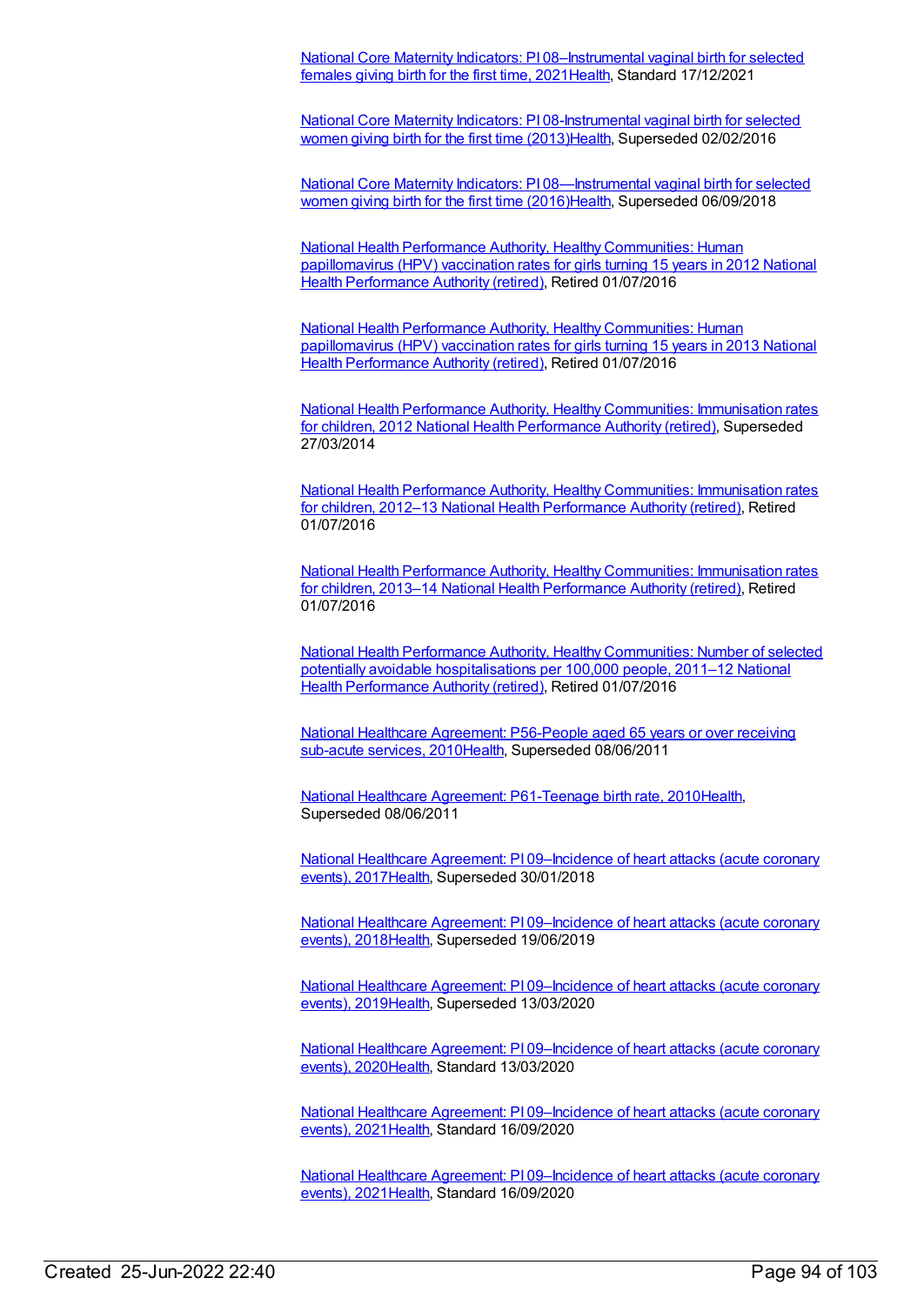National Core Maternity Indicators: PI [08–Instrumental](https://meteor.aihw.gov.au/content/747911) vaginal birth for selected females giving birth for the first time, 2021 [Health](https://meteor.aihw.gov.au/RegistrationAuthority/12), Standard 17/12/2021

National Core Maternity Indicators: PI [08-Instrumental](https://meteor.aihw.gov.au/content/557093) vaginal birth for selected women giving birth for the first time (2013)[Health](https://meteor.aihw.gov.au/RegistrationAuthority/12), Superseded 02/02/2016

National Core Maternity Indicators: PI [08—Instrumental](https://meteor.aihw.gov.au/content/613188) vaginal birth for selected women giving birth for the first time (2016)[Health](https://meteor.aihw.gov.au/RegistrationAuthority/12), Superseded 06/09/2018

National Health Performance Authority, Healthy [Communities:](https://meteor.aihw.gov.au/content/564385) Human [papillomavirus](https://meteor.aihw.gov.au/RegistrationAuthority/8) (HPV) vaccination rates for girls turning 15 years in 2012 National Health Performance Authority (retired), Retired 01/07/2016

National Health Performance Authority, Healthy [Communities:](https://meteor.aihw.gov.au/content/611806) Human [papillomavirus](https://meteor.aihw.gov.au/RegistrationAuthority/8) (HPV) vaccination rates for girls turning 15 years in 2013 National Health Performance Authority (retired), Retired 01/07/2016

National Health Performance Authority, Healthy [Communities:](https://meteor.aihw.gov.au/content/515538) Immunisation rates for children, 2012 National Health [Performance](https://meteor.aihw.gov.au/RegistrationAuthority/8) Authority (retired), Superseded 27/03/2014

National Health Performance Authority, Healthy [Communities:](https://meteor.aihw.gov.au/content/564342) Immunisation rates for children, 2012–13 National Health [Performance](https://meteor.aihw.gov.au/RegistrationAuthority/8) Authority (retired), Retired 01/07/2016

National Health Performance Authority, Healthy [Communities:](https://meteor.aihw.gov.au/content/611799) Immunisation rates for children, 2013–14 National Health [Performance](https://meteor.aihw.gov.au/RegistrationAuthority/8) Authority (retired), Retired 01/07/2016

National Health Performance Authority, Healthy [Communities:](https://meteor.aihw.gov.au/content/549587) Number of selected potentially avoidable [hospitalisations](https://meteor.aihw.gov.au/RegistrationAuthority/8) per 100,000 people, 2011–12 National Health Performance Authority (retired), Retired 01/07/2016

National Healthcare Agreement: [P56-People](https://meteor.aihw.gov.au/content/400219) aged 65 years or over receiving sub-acute services, 201[0Health,](https://meteor.aihw.gov.au/RegistrationAuthority/12) Superseded 08/06/2011

National Healthcare Agreement: [P61-Teenage](https://meteor.aihw.gov.au/content/395103) birth rate, 201[0Health](https://meteor.aihw.gov.au/RegistrationAuthority/12), Superseded 08/06/2011

National Healthcare Agreement: PI [09–Incidence](https://meteor.aihw.gov.au/content/630008) of heart attacks (acute coronary events), 201[7Health,](https://meteor.aihw.gov.au/RegistrationAuthority/12) Superseded 30/01/2018

National Healthcare Agreement: PI [09–Incidence](https://meteor.aihw.gov.au/content/658517) of heart attacks (acute coronary events), 201[8Health,](https://meteor.aihw.gov.au/RegistrationAuthority/12) Superseded 19/06/2019

National Healthcare Agreement: PI [09–Incidence](https://meteor.aihw.gov.au/content/698922) of heart attacks (acute coronary events), 201[9Health,](https://meteor.aihw.gov.au/RegistrationAuthority/12) Superseded 13/03/2020

National Healthcare Agreement: PI [09–Incidence](https://meteor.aihw.gov.au/content/716355) of heart attacks (acute coronary events), 202[0Health,](https://meteor.aihw.gov.au/RegistrationAuthority/12) Standard 13/03/2020

National Healthcare Agreement: PI [09–Incidence](https://meteor.aihw.gov.au/content/725811) of heart attacks (acute coronary events), 202[1Health,](https://meteor.aihw.gov.au/RegistrationAuthority/12) Standard 16/09/2020

National Healthcare Agreement: PI [09–Incidence](https://meteor.aihw.gov.au/content/725811) of heart attacks (acute coronary events), 202[1Health,](https://meteor.aihw.gov.au/RegistrationAuthority/12) Standard 16/09/2020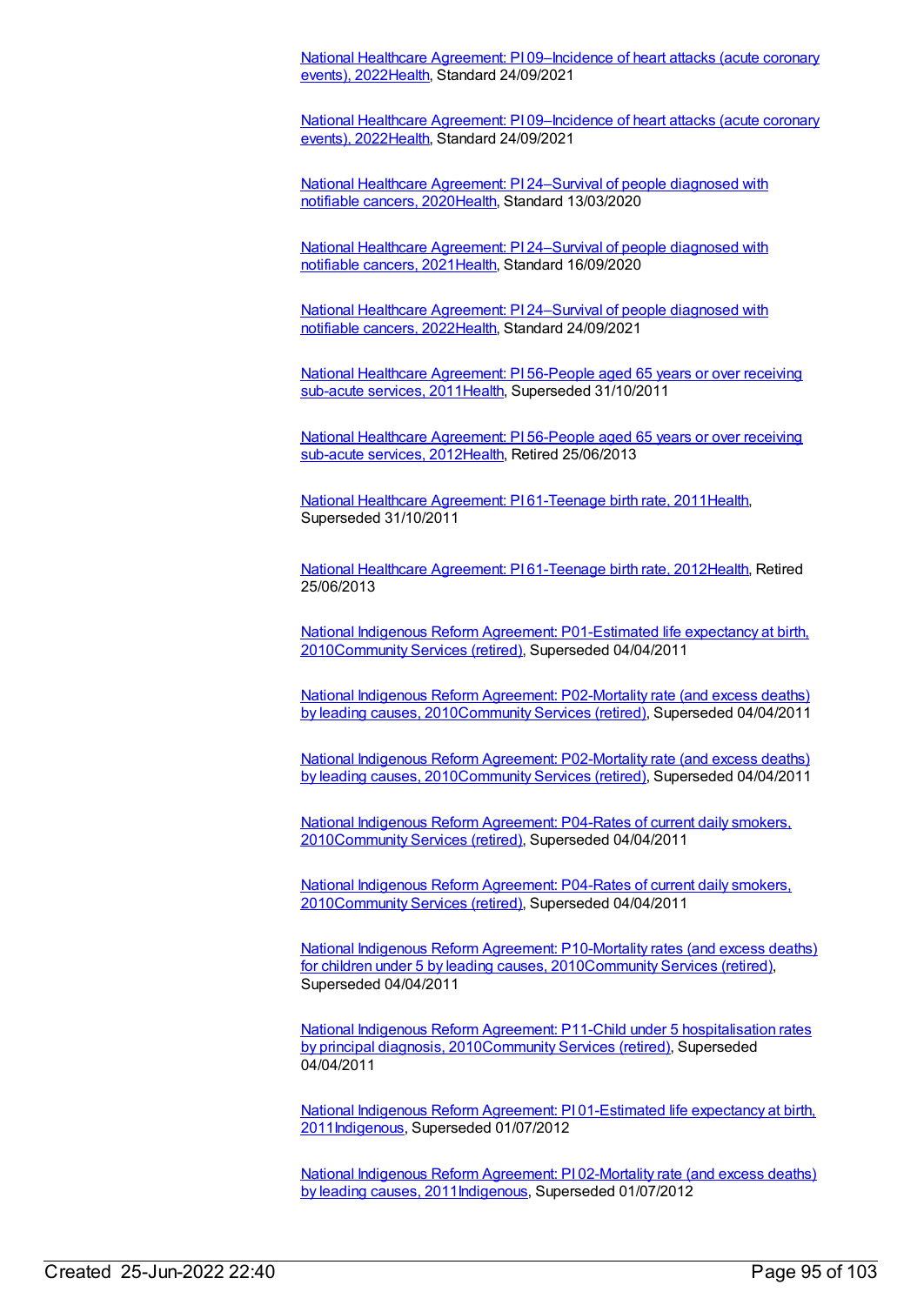National Healthcare Agreement: PI [09–Incidence](https://meteor.aihw.gov.au/content/740878) of heart attacks (acute coronary events), 202[2Health,](https://meteor.aihw.gov.au/RegistrationAuthority/12) Standard 24/09/2021

National Healthcare Agreement: PI [09–Incidence](https://meteor.aihw.gov.au/content/740878) of heart attacks (acute coronary events), 202[2Health,](https://meteor.aihw.gov.au/RegistrationAuthority/12) Standard 24/09/2021

National Healthcare Agreement: PI [24–Survival](https://meteor.aihw.gov.au/content/716829) of people diagnosed with notifiable cancers, 202[0Health](https://meteor.aihw.gov.au/RegistrationAuthority/12), Standard 13/03/2020

National Healthcare Agreement: PI [24–Survival](https://meteor.aihw.gov.au/content/725775) of people diagnosed with notifiable cancers, 202[1Health](https://meteor.aihw.gov.au/RegistrationAuthority/12), Standard 16/09/2020

National Healthcare Agreement: PI [24–Survival](https://meteor.aihw.gov.au/content/740830) of people diagnosed with notifiable cancers, 202[2Health](https://meteor.aihw.gov.au/RegistrationAuthority/12), Standard 24/09/2021

National Healthcare [Agreement:](https://meteor.aihw.gov.au/content/421544) PI 56-People aged 65 years or over receiving sub-acute services, 201[1Health,](https://meteor.aihw.gov.au/RegistrationAuthority/12) Superseded 31/10/2011

National Healthcare [Agreement:](https://meteor.aihw.gov.au/content/435895) PI 56-People aged 65 years or over receiving sub-acute services, 201[2Health,](https://meteor.aihw.gov.au/RegistrationAuthority/12) Retired 25/06/2013

National Healthcare Agreement: PI [61-Teenage](https://meteor.aihw.gov.au/content/421590) birth rate, 201[1Health](https://meteor.aihw.gov.au/RegistrationAuthority/12), Superseded 31/10/2011

National Healthcare Agreement: PI [61-Teenage](https://meteor.aihw.gov.au/content/435899) birth rate, 201[2Health](https://meteor.aihw.gov.au/RegistrationAuthority/12), Retired 25/06/2013

National Indigenous Reform Agreement: [P01-Estimated](https://meteor.aihw.gov.au/content/396100) life expectancy at birth, 201[0Community](https://meteor.aihw.gov.au/RegistrationAuthority/1) Services (retired), Superseded 04/04/2011

National Indigenous Reform Agreement: P02-Mortality rate (and excess deaths) by leading causes, [2010](https://meteor.aihw.gov.au/content/396109)[Community](https://meteor.aihw.gov.au/RegistrationAuthority/1) Services (retired), Superseded 04/04/2011

National Indigenous Reform Agreement: P02-Mortality rate (and excess deaths) by leading causes, [2010Community](https://meteor.aihw.gov.au/content/396109) Services (retired), Superseded 04/04/2011

National Indigenous Reform Agreement: P04-Rates of current daily smokers, [2010Community](https://meteor.aihw.gov.au/content/396393) Services (retired), Superseded 04/04/2011

National Indigenous Reform Agreement: P04-Rates of current daily smokers, [2010Community](https://meteor.aihw.gov.au/content/396393) Services (retired), Superseded 04/04/2011

National Indigenous Reform Agreement: P10-Mortality rates (and excess deaths) for children under 5 by leading causes, [2010Community](https://meteor.aihw.gov.au/content/396468) Services (retired), Superseded 04/04/2011

National Indigenous Reform Agreement: P11-Child under 5 [hospitalisation](https://meteor.aihw.gov.au/content/396470) rates by principal diagnosis, 201[0Community](https://meteor.aihw.gov.au/RegistrationAuthority/1) Services (retired), Superseded 04/04/2011

National Indigenous Reform Agreement: PI 01-Estimated life expectancy at birth, [2011](https://meteor.aihw.gov.au/content/425733)[Indigenou](https://meteor.aihw.gov.au/RegistrationAuthority/6)[s,](https://meteor.aihw.gov.au/content/425733) Superseded 01/07/2012

National Indigenous Reform Agreement: PI 02-Mortality rate (and excess deaths) by leading causes, [2011Indigenous,](https://meteor.aihw.gov.au/content/425739) Superseded 01/07/2012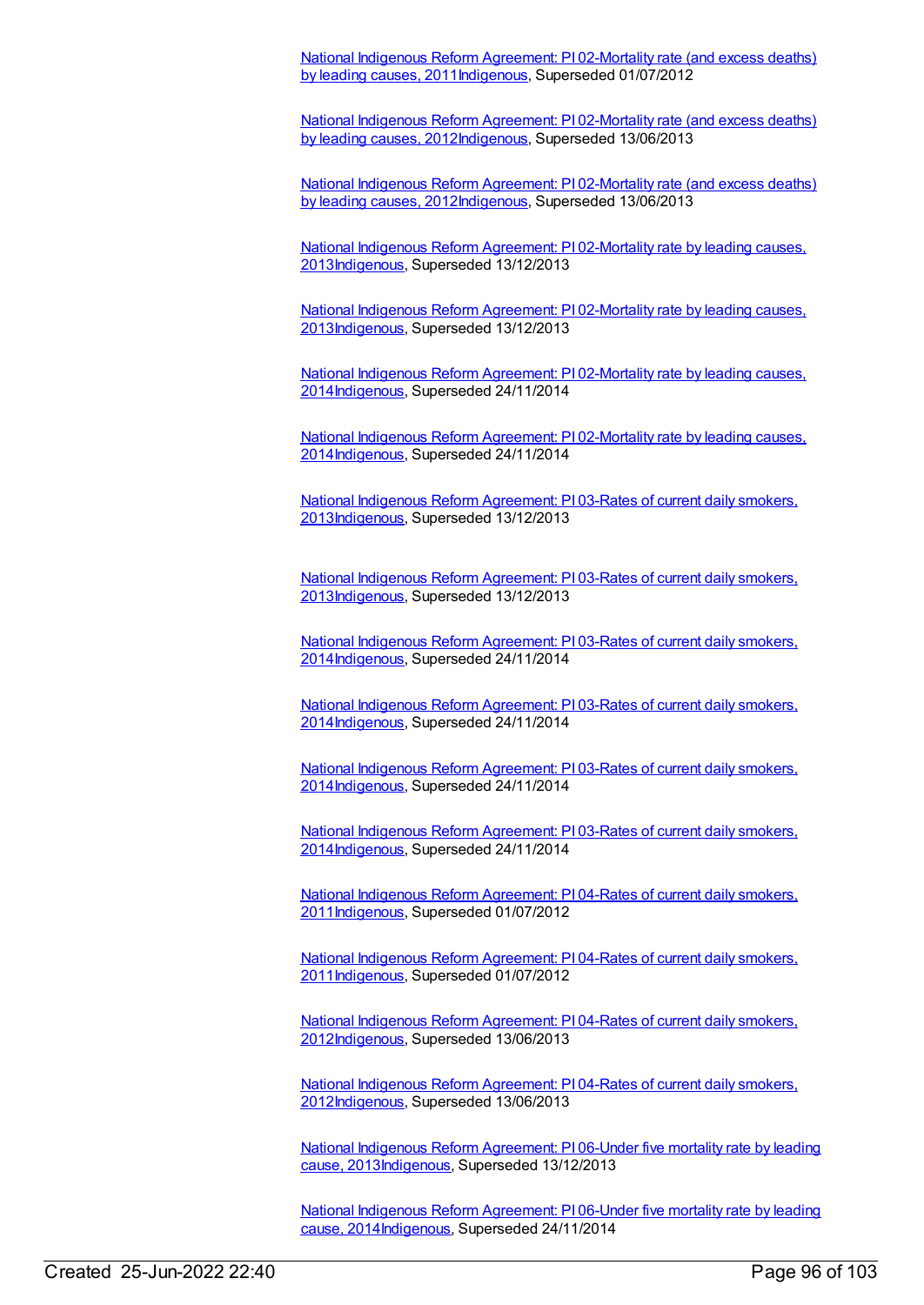National Indigenous Reform Agreement: PI 02-Mortality rate (and excess deaths) by leading causes, [2011Indigenous,](https://meteor.aihw.gov.au/content/425739) Superseded 01/07/2012

National Indigenous Reform Agreement: PI 02-Mortality rate (and excess deaths) by leading causes, [2012Indigenous,](https://meteor.aihw.gov.au/content/438560) Superseded 13/06/2013

National Indigenous Reform Agreement: PI 02-Mortality rate (and excess deaths) by leading causes, [2012I](https://meteor.aihw.gov.au/content/438560)[ndigenou](https://meteor.aihw.gov.au/RegistrationAuthority/6)[s,](https://meteor.aihw.gov.au/content/438560) Superseded 13/06/2013

National Indigenous Reform Agreement: PI 02-Mortality rate by leading causes, [2013Indigenous,](https://meteor.aihw.gov.au/content/481149) Superseded 13/12/2013

National Indigenous Reform Agreement: PI 02-Mortality rate by leading causes, [2013Indigenous,](https://meteor.aihw.gov.au/content/481149) Superseded 13/12/2013

National Indigenous Reform Agreement: PI 02-Mortality rate by leading causes, [2014Indigenous,](https://meteor.aihw.gov.au/content/525824) Superseded 24/11/2014

National Indigenous Reform Agreement: PI 02-Mortality rate by leading causes, [2014Indigenous,](https://meteor.aihw.gov.au/content/525824) Superseded 24/11/2014

National Indigenous Reform Agreement: PI 03-Rates of current daily smokers, [2013](https://meteor.aihw.gov.au/content/482972)[Indigenou](https://meteor.aihw.gov.au/RegistrationAuthority/6)[s,](https://meteor.aihw.gov.au/content/482972) Superseded 13/12/2013

National Indigenous Reform Agreement: PI 03-Rates of current daily smokers, [2013Indigenous,](https://meteor.aihw.gov.au/content/482972) Superseded 13/12/2013

National Indigenous Reform Agreement: PI 03-Rates of current daily smokers, [2014Indigenous,](https://meteor.aihw.gov.au/content/525831) Superseded 24/11/2014

National Indigenous Reform Agreement: PI 03-Rates of current daily smokers, [2014](https://meteor.aihw.gov.au/content/525831)[Indigenou](https://meteor.aihw.gov.au/RegistrationAuthority/6)[s,](https://meteor.aihw.gov.au/content/525831) Superseded 24/11/2014

National Indigenous Reform Agreement: PI 03-Rates of current daily smokers, [2014Indigenous,](https://meteor.aihw.gov.au/content/525831) Superseded 24/11/2014

National Indigenous Reform Agreement: PI 03-Rates of current daily smokers, [2014Indigenous,](https://meteor.aihw.gov.au/content/525831) Superseded 24/11/2014

National Indigenous Reform Agreement: PI 04-Rates of current daily smokers, [2011Indigenous,](https://meteor.aihw.gov.au/content/425769) Superseded 01/07/2012

National Indigenous Reform Agreement: PI 04-Rates of current daily smokers, [2011Indigenous,](https://meteor.aihw.gov.au/content/425769) Superseded 01/07/2012

National Indigenous Reform Agreement: PI 04-Rates of current daily smokers, [2012Indigenous,](https://meteor.aihw.gov.au/content/438495) Superseded 13/06/2013

National Indigenous Reform Agreement: PI 04-Rates of current daily smokers, [2012Indigenous,](https://meteor.aihw.gov.au/content/438495) Superseded 13/06/2013

National Indigenous Reform Agreement: PI 06-Under five mortality rate by leading cause, [2013](https://meteor.aihw.gov.au/content/481154)[Indigenou](https://meteor.aihw.gov.au/RegistrationAuthority/6)[s,](https://meteor.aihw.gov.au/content/481154) Superseded 13/12/2013

National Indigenous Reform Agreement: PI 06-Under five mortality rate by leading cause, [2014Indigenous,](https://meteor.aihw.gov.au/content/525845) Superseded 24/11/2014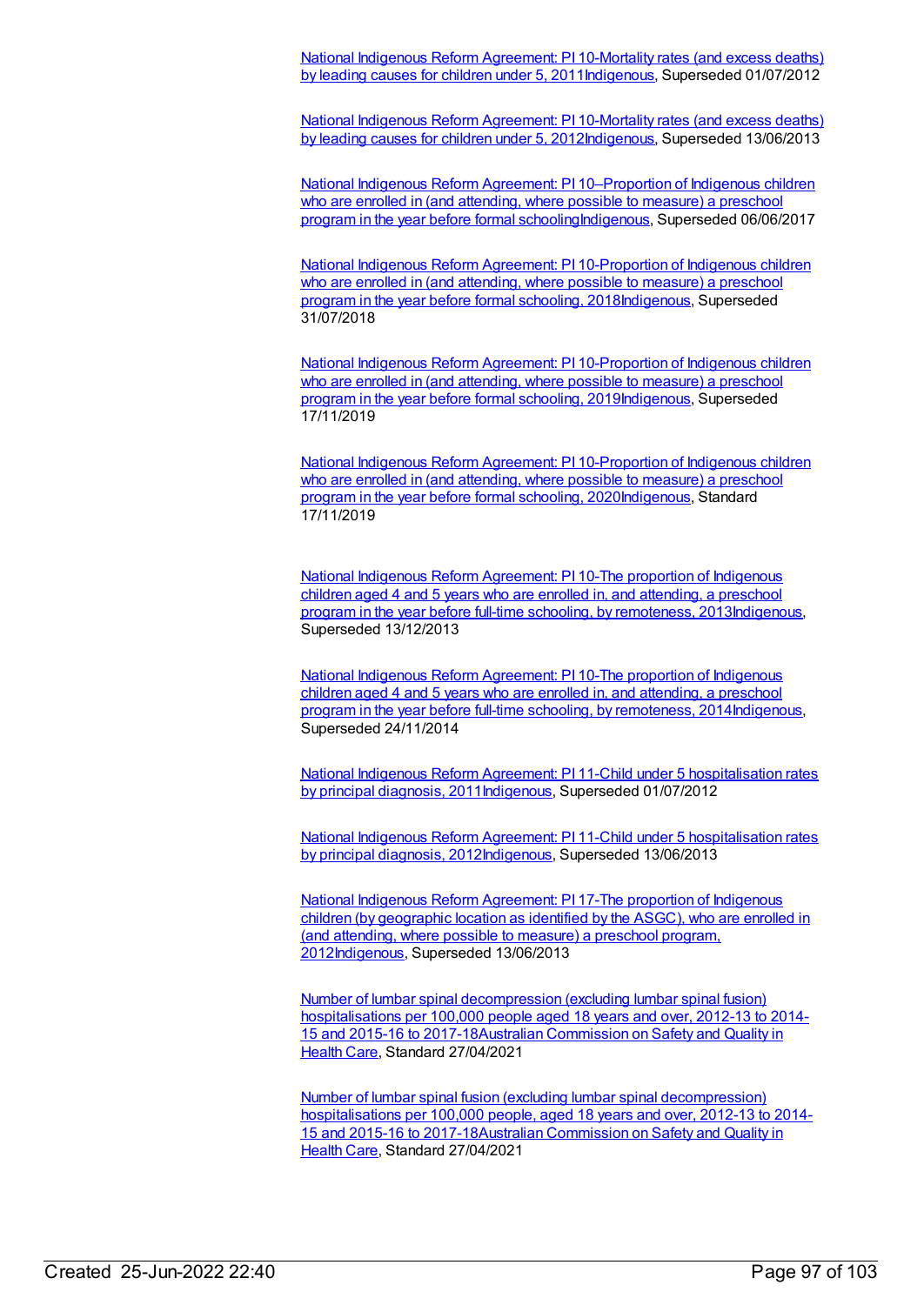National Indigenous Reform Agreement: PI 10-Mortality rates (and excess deaths) by leading causes for children under 5, [2011Indigenous,](https://meteor.aihw.gov.au/content/425760) Superseded 01/07/2012

National Indigenous Reform Agreement: PI 10-Mortality rates (and excess deaths) by leading causes for children under 5, [2012Indigenous,](https://meteor.aihw.gov.au/content/438617) Superseded 13/06/2013

National Indigenous Reform Agreement: PI 10–Proportion of Indigenous children who are enrolled in (and attending, where possible to measure) a preschool program in the year before formal [schoolingIndigenous,](https://meteor.aihw.gov.au/content/663195) Superseded 06/06/2017

National Indigenous Reform Agreement: PI 10-Proportion of Indigenous children who are enrolled in (and attending, where possible to measure) a preschool program in the year before formal schooling, [2018Indigenous,](https://meteor.aihw.gov.au/content/668641) Superseded 31/07/2018

National Indigenous Reform Agreement: PI 10-Proportion of Indigenous children who are enrolled in (and attending, where possible to measure) a preschool program in the year before formal schooling, [2019Indigenous,](https://meteor.aihw.gov.au/content/699460) Superseded 17/11/2019

National Indigenous Reform Agreement: PI 10-Proportion of Indigenous children who are enrolled in (and attending, where possible to measure) a preschool program in the year before formal schooling, [2020Indigenous,](https://meteor.aihw.gov.au/content/718490) Standard 17/11/2019

National Indigenous Reform [Agreement:](https://meteor.aihw.gov.au/content/484327) PI 10-The proportion of Indigenous children aged 4 and 5 years who are enrolled in, and attending, a preschool program in the year before full-time schooling, by remoteness, 201[3Indigenous,](https://meteor.aihw.gov.au/RegistrationAuthority/6) Superseded 13/12/2013

National Indigenous Reform [Agreement:](https://meteor.aihw.gov.au/content/525829) PI 10-The proportion of Indigenous children aged 4 and 5 years who are enrolled in, and attending, a preschool program in the year before full-time schooling, by remoteness, 201[4Indigenous,](https://meteor.aihw.gov.au/RegistrationAuthority/6) Superseded 24/11/2014

National Indigenous Reform Agreement: PI 11-Child under 5 [hospitalisation](https://meteor.aihw.gov.au/content/425764) rates by principal diagnosis, 201[1Indigenous](https://meteor.aihw.gov.au/RegistrationAuthority/6), Superseded 01/07/2012

National Indigenous Reform Agreement: PI 11-Child under 5 hospitalisation rates by principal diagnosis, [2012Indigenous,](https://meteor.aihw.gov.au/content/438622) Superseded 13/06/2013

National Indigenous Reform Agreement: PI 17-The proportion of Indigenous children (by geographic location as identified by the ASGC), who are enrolled in (and attending, where possible to measure) a preschool program, [2012Indigenous,](https://meteor.aihw.gov.au/content/438664) Superseded 13/06/2013

Number of lumbar spinal [decompression](https://meteor.aihw.gov.au/content/724433) (excluding lumbar spinal fusion) hospitalisations per 100,000 people aged 18 years and over, 2012-13 to 2014- 15 and 2015-16 to [2017-18Australian](https://meteor.aihw.gov.au/RegistrationAuthority/18) Commission on Safety and Quality in Health Care, Standard 27/04/2021

Number of lumbar spinal fusion (excluding lumbar spinal [decompression\)](https://meteor.aihw.gov.au/content/736411) hospitalisations per 100,000 people, aged 18 years and over, 2012-13 to 2014- 15 and 2015-16 to [2017-18Australian](https://meteor.aihw.gov.au/RegistrationAuthority/18) Commission on Safety and Quality in Health Care, Standard 27/04/2021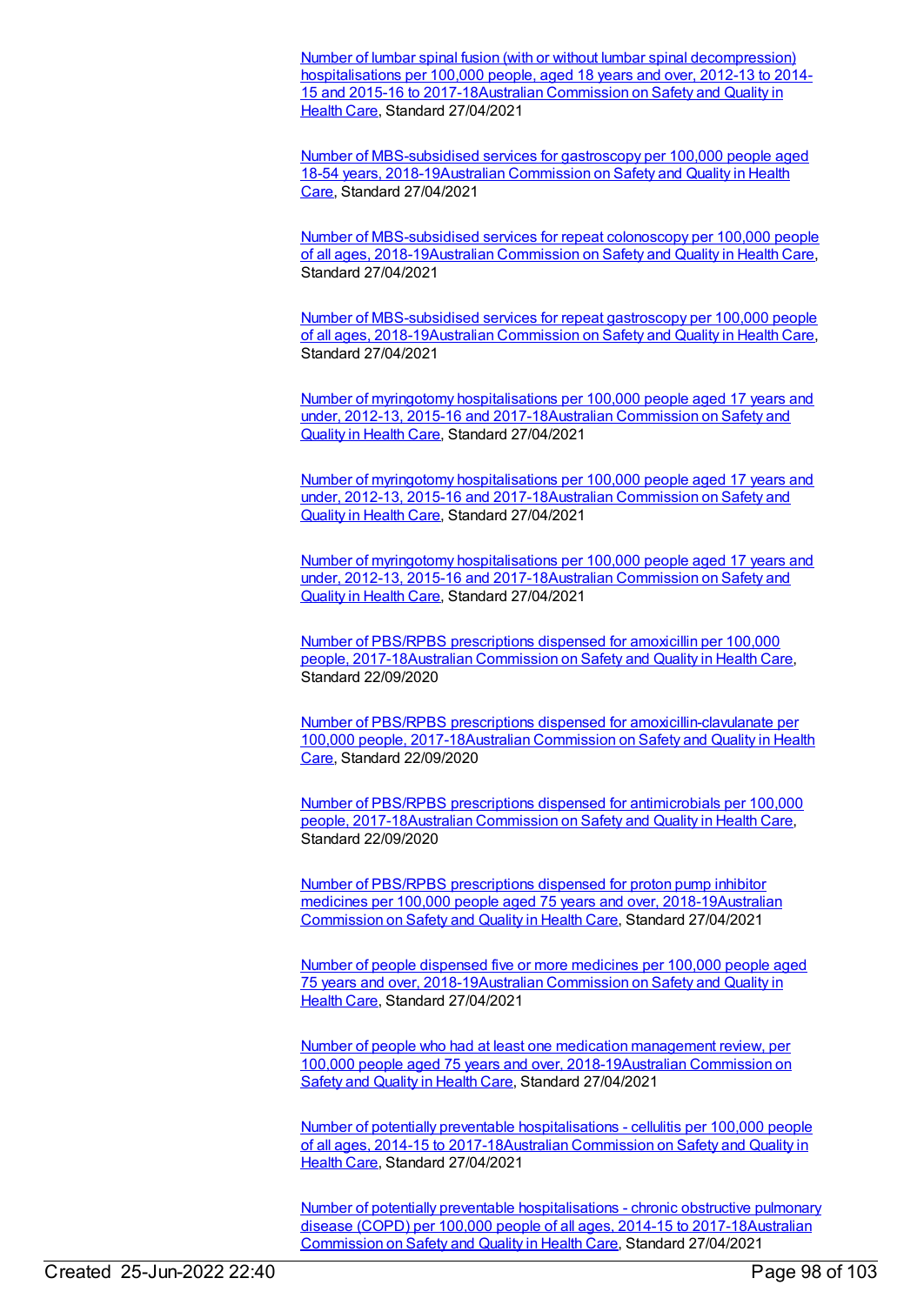Number of lumbar spinal fusion (with or without lumbar spinal [decompression\)](https://meteor.aihw.gov.au/content/724443) hospitalisations per 100,000 people, aged 18 years and over, 2012-13 to 2014- 15 and 2015-16 to [2017-18Australian](https://meteor.aihw.gov.au/RegistrationAuthority/18) Commission on Safety and Quality in Health Care, Standard 27/04/2021

Number of [MBS-subsidised](https://meteor.aihw.gov.au/content/726343) services for gastroscopy per 100,000 people aged 18-54 years, [2018-19Australian](https://meteor.aihw.gov.au/RegistrationAuthority/18) Commission on Safety and Quality in Health Care, Standard 27/04/2021

Number of [MBS-subsidised](https://meteor.aihw.gov.au/content/726354) services for repeat colonoscopy per 100,000 people of all ages, 2018-19Australian [Commission](https://meteor.aihw.gov.au/RegistrationAuthority/18) on Safety and Quality in Health Care, Standard 27/04/2021

Number of [MBS-subsidised](https://meteor.aihw.gov.au/content/726349) services for repeat gastroscopy per 100,000 people of all ages, 2018-19Australian [Commission](https://meteor.aihw.gov.au/RegistrationAuthority/18) on Safety and Quality in Health Care, Standard 27/04/2021

Number of myringotomy hospitalisations per 100,000 people aged 17 years and under, 2012-13, 2015-16 and [2017-18Australian](https://meteor.aihw.gov.au/RegistrationAuthority/18) Commission on Safety and Quality in Health Care, Standard 27/04/2021

Number of myringotomy hospitalisations per 100,000 people aged 17 years and under, 2012-13, 2015-16 and [2017-18Australian](https://meteor.aihw.gov.au/RegistrationAuthority/18) Commission on Safety and Quality in Health Care, Standard 27/04/2021

Number of myringotomy [hospitalisations](https://meteor.aihw.gov.au/content/725734) per 100,000 people aged 17 years and under, 2012-13, 2015-16 and [2017-18Australian](https://meteor.aihw.gov.au/RegistrationAuthority/18) Commission on Safety and Quality in Health Care, Standard 27/04/2021

Number of PBS/RPBS prescriptions dispensed for amoxicillin per 100,000 people, [2017-18Australian](https://meteor.aihw.gov.au/content/723565) [Commission](https://meteor.aihw.gov.au/RegistrationAuthority/18) on Safety and Quality in Health Care, Standard 22/09/2020

Number of PBS/RPBS prescriptions dispensed for [amoxicillin-clavulanate](https://meteor.aihw.gov.au/content/723567) per 100,000 people, [2017-18Australian](https://meteor.aihw.gov.au/RegistrationAuthority/18) Commission on Safety and Quality in Health Care, Standard 22/09/2020

Number of PBS/RPBS prescriptions dispensed for antimicrobials per 100,000 people, [2017-18Australian](https://meteor.aihw.gov.au/content/723543) [Commission](https://meteor.aihw.gov.au/RegistrationAuthority/18) on Safety and Quality in Health Care, Standard 22/09/2020

Number of PBS/RPBS prescriptions dispensed for proton pump inhibitor medicines per 100,000 people aged 75 years and over, [2018-19Australian](https://meteor.aihw.gov.au/RegistrationAuthority/18) Commission on Safety and Quality in Health Care, Standard 27/04/2021

Number of people dispensed five or more medicines per 100,000 people aged 75 years and over, [2018-19Australian](https://meteor.aihw.gov.au/RegistrationAuthority/18) Commission on Safety and Quality in Health Care, Standard 27/04/2021

Number of people who had at least one medication management review, per 100,000 people aged 75 years and over, [2018-19Australian](https://meteor.aihw.gov.au/RegistrationAuthority/18) Commission on Safety and Quality in Health Care, Standard 27/04/2021

Number of potentially preventable hospitalisations - cellulitis per 100,000 people of all ages, 2014-15 to [2017-18Australian](https://meteor.aihw.gov.au/RegistrationAuthority/18) Commission on Safety and Quality in Health Care, Standard 27/04/2021

Number of potentially preventable hospitalisations - chronic obstructive pulmonary disease (COPD) per 100,000 people of all ages, 2014-15 to [2017-18Australia](https://meteor.aihw.gov.au/RegistrationAuthority/18)[n](https://meteor.aihw.gov.au/content/724575) Commission on Safety and Quality in Health Care, Standard 27/04/2021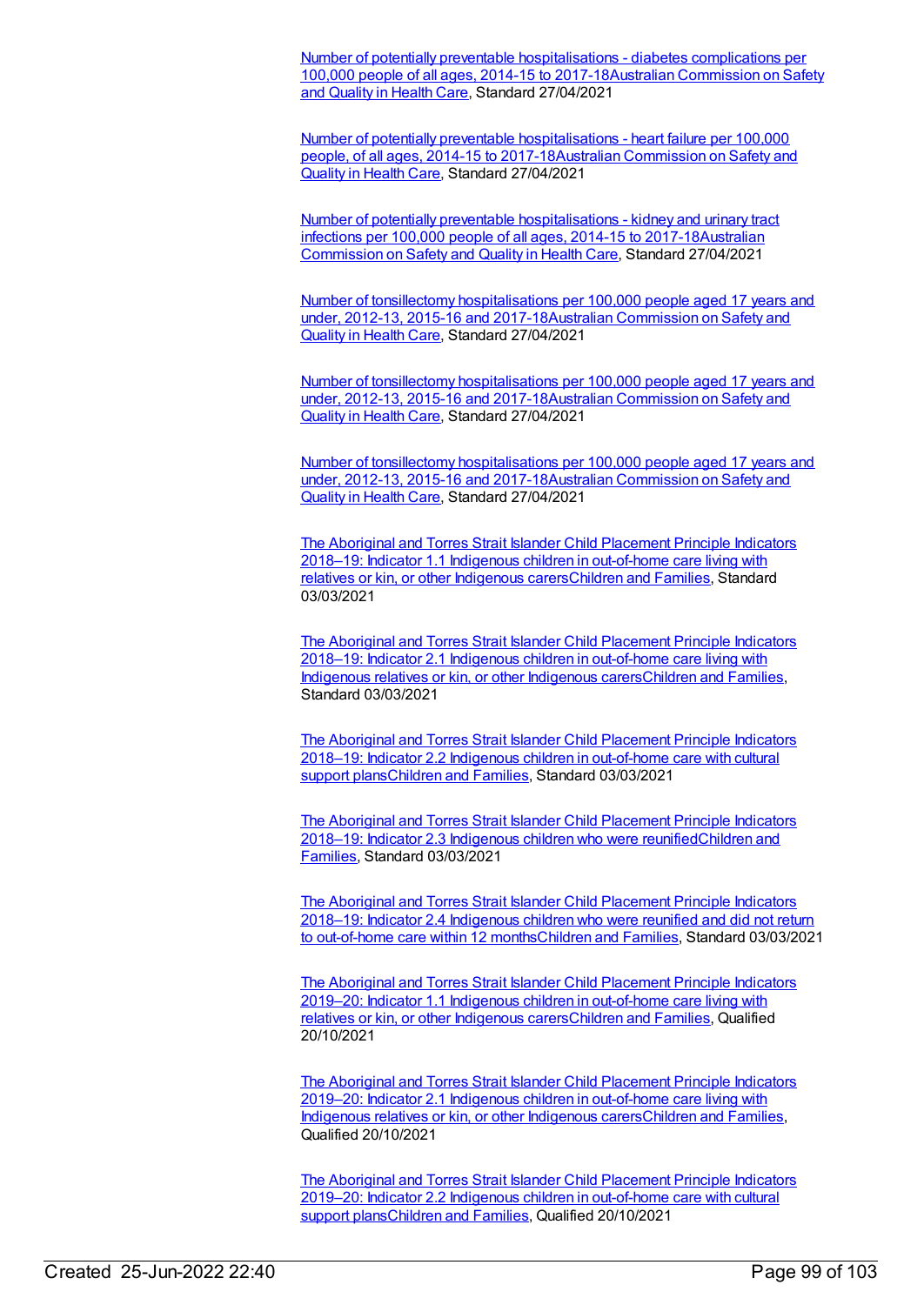Number of potentially preventable hospitalisations - diabetes complications per 100,000 people of all ages, 2014-15 to [2017-18Australian](https://meteor.aihw.gov.au/RegistrationAuthority/18) Commission on Safety and Quality in Health Care, Standard 27/04/2021

Number of potentially preventable hospitalisations - heart failure per 100,000 people, of all ages, 2014-15 to [2017-18Australian](https://meteor.aihw.gov.au/RegistrationAuthority/18) Commission on Safety and Quality in Health Care, Standard 27/04/2021

Number of potentially preventable hospitalisations - kidney and urinary tract infections per 100,000 people of all ages, 2014-15 to [2017-18Australia](https://meteor.aihw.gov.au/RegistrationAuthority/18)[n](https://meteor.aihw.gov.au/content/724486) Commission on Safety and Quality in Health Care, Standard 27/04/2021

Number of tonsillectomy [hospitalisations](https://meteor.aihw.gov.au/content/723655) per 100,000 people aged 17 years and under, 2012-13, 2015-16 and [2017-18Australian](https://meteor.aihw.gov.au/RegistrationAuthority/18) Commission on Safety and Quality in Health Care, Standard 27/04/2021

Number of tonsillectomy hospitalisations per 100,000 people aged 17 years and under, 2012-13, 2015-16 and [2017-18Australian](https://meteor.aihw.gov.au/RegistrationAuthority/18) Commission on Safety and Quality in Health Care, Standard 27/04/2021

Number of tonsillectomy hospitalisations per 100,000 people aged 17 years and under, 2012-13, 2015-16 and [2017-18Australian](https://meteor.aihw.gov.au/RegistrationAuthority/18) Commission on Safety and Quality in Health Care, Standard 27/04/2021

The Aboriginal and Torres Strait Islander Child Placement Principle Indicators 2018–19: Indicator 1.1 Indigenous children in out-of-home care living with relatives or kin, or other Indigenous [carersChildren](https://meteor.aihw.gov.au/content/732691) and [Families](https://meteor.aihw.gov.au/RegistrationAuthority/17), Standard 03/03/2021

The Aboriginal and Torres Strait Islander Child Placement Principle Indicators 2018–19: Indicator 2.1 Indigenous children in out-of-home care living with Indigenous relatives or kin, or other Indigenous [carersChildren](https://meteor.aihw.gov.au/content/732697) and Families, Standard 03/03/2021

The Aboriginal and Torres Strait Islander Child Placement Principle Indicators 2018–19: Indicator 2.2 Indigenous children in out-of-home care with cultural support [plansChildren](https://meteor.aihw.gov.au/content/732707) and Families, Standard 03/03/2021

The Aboriginal and Torres Strait Islander Child Placement Principle Indicators 2018–19: Indicator 2.3 Indigenous children who were [reunifiedChildren](https://meteor.aihw.gov.au/RegistrationAuthority/17) and Families, Standard 03/03/2021

The Aboriginal and Torres Strait Islander Child Placement Principle Indicators 2018–19: Indicator 2.4 Indigenous children who were reunified and did not return to out-of-home care within 12 [months](https://meteor.aihw.gov.au/content/732715)[Children](https://meteor.aihw.gov.au/RegistrationAuthority/17) and Families, Standard 03/03/2021

The Aboriginal and Torres Strait Islander Child Placement Principle Indicators 2019–20: Indicator 1.1 Indigenous children in out-of-home care living with relatives or kin, or other Indigenous [carersChildren](https://meteor.aihw.gov.au/content/749970) and [Families](https://meteor.aihw.gov.au/RegistrationAuthority/17), Qualified 20/10/2021

The Aboriginal and Torres Strait Islander Child Placement Principle Indicators 2019–20: Indicator 2.1 Indigenous children in out-of-home care living with Indigenous relatives or kin, or other Indigenous [carersChildren](https://meteor.aihw.gov.au/content/749972) and Families, Qualified 20/10/2021

The Aboriginal and Torres Strait Islander Child Placement Principle Indicators 2019–20: Indicator 2.2 Indigenous children in [out-of-home](https://meteor.aihw.gov.au/content/749974) care with cultural support plans[Children](https://meteor.aihw.gov.au/RegistrationAuthority/17) and Families, Qualified 20/10/2021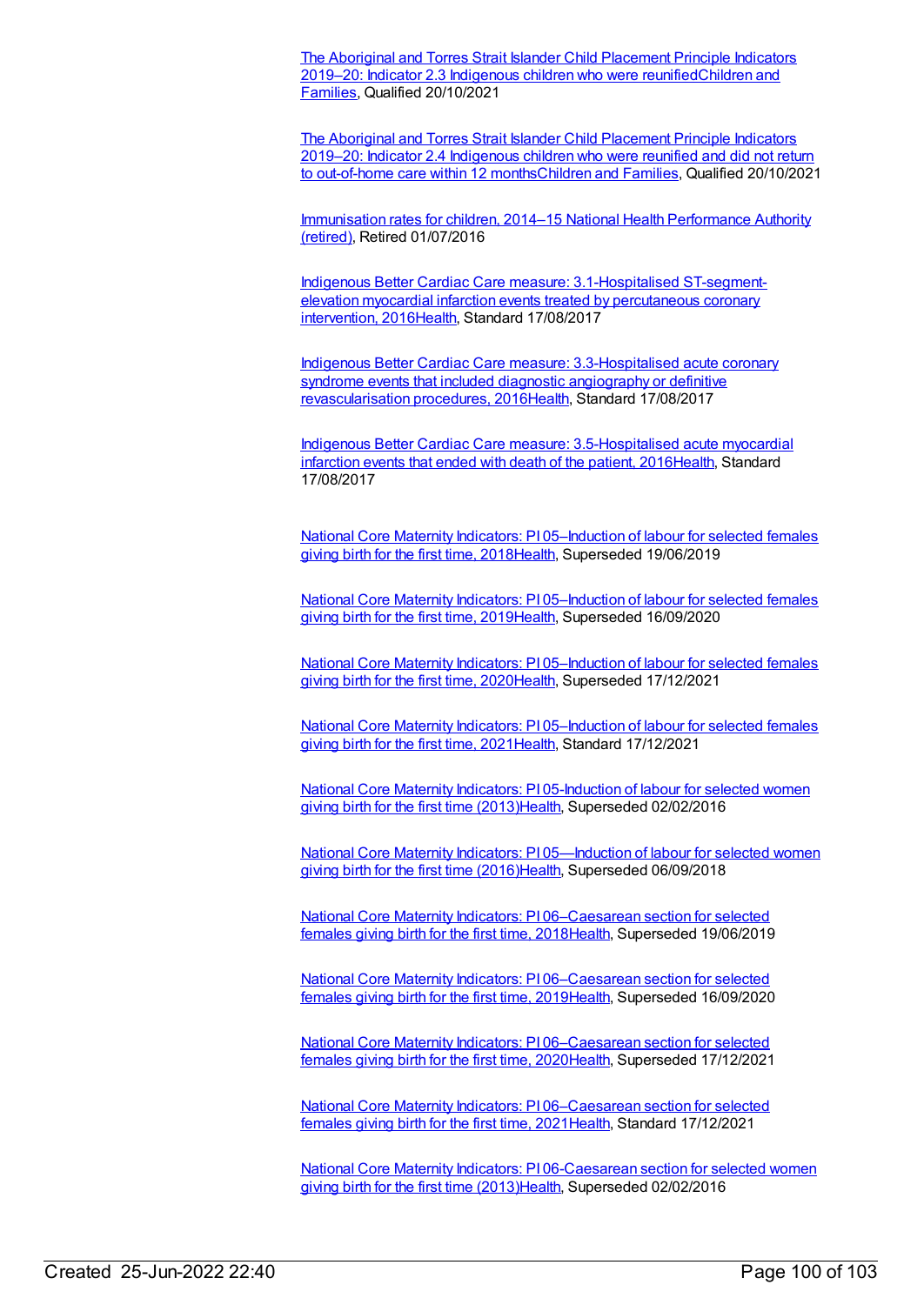The Aboriginal and Torres Strait Islander Child Placement Principle Indicators 2019–20: Indicator 2.3 Indigenous children who were [reunifiedChildren](https://meteor.aihw.gov.au/RegistrationAuthority/17) and Families, Qualified 20/10/2021

The Aboriginal and Torres Strait Islander Child Placement Principle Indicators 2019–20: Indicator 2.4 Indigenous children who were reunified and did not return to out-of-home care within 12 [months](https://meteor.aihw.gov.au/content/749993)[Children](https://meteor.aihw.gov.au/RegistrationAuthority/17) and Families, Qualified 20/10/2021

[Immunisation](https://meteor.aihw.gov.au/RegistrationAuthority/8) rates for children, 2014–15 National Health Performance Authority (retired), Retired 01/07/2016

Indigenous Better Cardiac Care measure: [3.1-Hospitalised](https://meteor.aihw.gov.au/content/657003) ST-segmentelevation myocardial infarction events treated by percutaneous coronary intervention, 2016[Health](https://meteor.aihw.gov.au/RegistrationAuthority/12), Standard 17/08/2017

Indigenous Better Cardiac Care measure: [3.3-Hospitalised](https://meteor.aihw.gov.au/content/657007) acute coronary syndrome events that included diagnostic angiography or definitive revascularisation procedures, 201[6Health,](https://meteor.aihw.gov.au/RegistrationAuthority/12) Standard 17/08/2017

Indigenous Better Cardiac Care measure: [3.5-Hospitalised](https://meteor.aihw.gov.au/content/657036) acute myocardial infarction events that ended with death of the patient, 201[6Health](https://meteor.aihw.gov.au/RegistrationAuthority/12), Standard 17/08/2017

National Core Maternity Indicators: PI [05–Induction](https://meteor.aihw.gov.au/content/690112) of labour for selected females giving birth for the first time, 2018[Health,](https://meteor.aihw.gov.au/RegistrationAuthority/12) Superseded 19/06/2019

National Core Maternity Indicators: PI 05-Induction of labour for selected females giving birth for the first time, 2019[Health,](https://meteor.aihw.gov.au/RegistrationAuthority/12) Superseded 16/09/2020

National Core Maternity Indicators: PI 05-Induction of labour for selected females giving birth for the first time, 2020[Health,](https://meteor.aihw.gov.au/RegistrationAuthority/12) Superseded 17/12/2021

National Core Maternity Indicators: PI [05–Induction](https://meteor.aihw.gov.au/content/747732) of labour for selected females giving birth for the first time, 2021[Health,](https://meteor.aihw.gov.au/RegistrationAuthority/12) Standard 17/12/2021

National Core Maternity Indicators: PI [05-Induction](https://meteor.aihw.gov.au/content/557087) of labour for selected women giving birth for the first time (2013[\)Health](https://meteor.aihw.gov.au/RegistrationAuthority/12), Superseded 02/02/2016

National Core Maternity Indicators: PI [05—Induction](https://meteor.aihw.gov.au/content/613182) of labour for selected women giving birth for the first time (2016) Health, Superseded 06/09/2018

National Core Maternity Indicators: PI [06–Caesarean](https://meteor.aihw.gov.au/content/690119) section for selected females giving birth for the first time, 2018[Health](https://meteor.aihw.gov.au/RegistrationAuthority/12), Superseded 19/06/2019

National Core Maternity Indicators: PI [06–Caesarean](https://meteor.aihw.gov.au/content/717538) section for selected females giving birth for the first time, 2019[Health](https://meteor.aihw.gov.au/RegistrationAuthority/12), Superseded 16/09/2020

National Core Maternity Indicators: PI [06–Caesarean](https://meteor.aihw.gov.au/content/728723) section for selected females giving birth for the first time, 2020[Health](https://meteor.aihw.gov.au/RegistrationAuthority/12), Superseded 17/12/2021

National Core Maternity Indicators: PI [06–Caesarean](https://meteor.aihw.gov.au/content/747739) section for selected females giving birth for the first time, 2021 [Health](https://meteor.aihw.gov.au/RegistrationAuthority/12), Standard 17/12/2021

National Core Maternity Indicators: PI [06-Caesarean](https://meteor.aihw.gov.au/content/557089) section for selected women giving birth for the first time (2013[\)Health](https://meteor.aihw.gov.au/RegistrationAuthority/12), Superseded 02/02/2016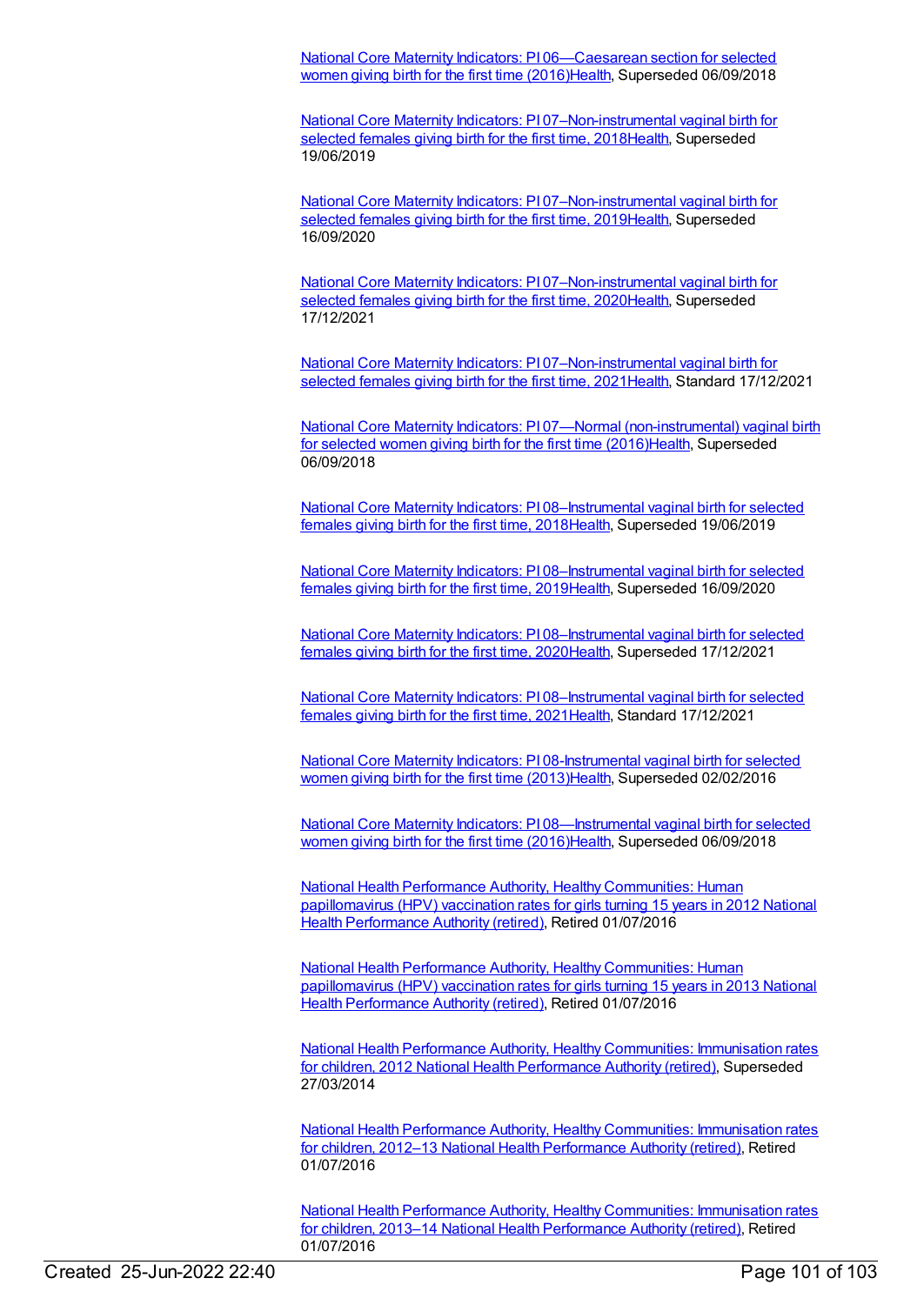National Core Maternity Indicators: PI [06—Caesarean](https://meteor.aihw.gov.au/content/613184) section for selected women giving birth for the first time (2016)[Health](https://meteor.aihw.gov.au/RegistrationAuthority/12), Superseded 06/09/2018

National Core Maternity Indicators: PI [07–Non-instrumental](https://meteor.aihw.gov.au/content/690125) vaginal birth for selected females giving birth for the first time, 201[8Health](https://meteor.aihw.gov.au/RegistrationAuthority/12), Superseded 19/06/2019

National Core Maternity Indicators: PI [07–Non-instrumental](https://meteor.aihw.gov.au/content/717540) vaginal birth for selected females giving birth for the first time, 201[9Health](https://meteor.aihw.gov.au/RegistrationAuthority/12), Superseded 16/09/2020

National Core Maternity Indicators: PI [07–Non-instrumental](https://meteor.aihw.gov.au/content/728725) vaginal birth for selected females giving birth for the first time, 202[0Health](https://meteor.aihw.gov.au/RegistrationAuthority/12), Superseded 17/12/2021

National Core Maternity Indicators: PI [07–Non-instrumental](https://meteor.aihw.gov.au/content/747909) vaginal birth for selected females giving birth for the first time, 2021 Health, Standard 17/12/2021

National Core Maternity Indicators: PI 07—Normal [\(non-instrumental\)](https://meteor.aihw.gov.au/content/613186) vaginal birth for selected women giving birth for the first time (2016[\)Health](https://meteor.aihw.gov.au/RegistrationAuthority/12), Superseded 06/09/2018

National Core Maternity Indicators: PI [08–Instrumental](https://meteor.aihw.gov.au/content/690166) vaginal birth for selected females giving birth for the first time, 2018[Health](https://meteor.aihw.gov.au/RegistrationAuthority/12), Superseded 19/06/2019

National Core Maternity Indicators: PI [08–Instrumental](https://meteor.aihw.gov.au/content/717542) vaginal birth for selected females giving birth for the first time, 2019[Health](https://meteor.aihw.gov.au/RegistrationAuthority/12), Superseded 16/09/2020

National Core Maternity Indicators: PI [08–Instrumental](https://meteor.aihw.gov.au/content/728728) vaginal birth for selected females giving birth for the first time, 2020[Health](https://meteor.aihw.gov.au/RegistrationAuthority/12), Superseded 17/12/2021

National Core Maternity Indicators: PI [08–Instrumental](https://meteor.aihw.gov.au/content/747911) vaginal birth for selected females giving birth for the first time, 2021[Health](https://meteor.aihw.gov.au/RegistrationAuthority/12), Standard 17/12/2021

National Core Maternity Indicators: PI [08-Instrumental](https://meteor.aihw.gov.au/content/557093) vaginal birth for selected women giving birth for the first time (2013)[Health](https://meteor.aihw.gov.au/RegistrationAuthority/12), Superseded 02/02/2016

National Core Maternity Indicators: PI [08—Instrumental](https://meteor.aihw.gov.au/content/613188) vaginal birth for selected women giving birth for the first time (2016)[Health](https://meteor.aihw.gov.au/RegistrationAuthority/12), Superseded 06/09/2018

National Health Performance Authority, Healthy [Communities:](https://meteor.aihw.gov.au/content/564385) Human [papillomavirus](https://meteor.aihw.gov.au/RegistrationAuthority/8) (HPV) vaccination rates for girls turning 15 years in 2012 National Health Performance Authority (retired), Retired 01/07/2016

National Health Performance Authority, Healthy [Communities:](https://meteor.aihw.gov.au/content/611806) Human [papillomavirus](https://meteor.aihw.gov.au/RegistrationAuthority/8) (HPV) vaccination rates for girls turning 15 years in 2013 National Health Performance Authority (retired), Retired 01/07/2016

National Health Performance Authority, Healthy [Communities:](https://meteor.aihw.gov.au/content/515538) Immunisation rates for children, 2012 National Health [Performance](https://meteor.aihw.gov.au/RegistrationAuthority/8) Authority (retired), Superseded 27/03/2014

National Health Performance Authority, Healthy [Communities:](https://meteor.aihw.gov.au/content/564342) Immunisation rates for children, 2012–13 National Health [Performance](https://meteor.aihw.gov.au/RegistrationAuthority/8) Authority (retired), Retired 01/07/2016

National Health Performance Authority, Healthy [Communities:](https://meteor.aihw.gov.au/content/611799) Immunisation rates for children, 2013–14 National Health [Performance](https://meteor.aihw.gov.au/RegistrationAuthority/8) Authority (retired), Retired 01/07/2016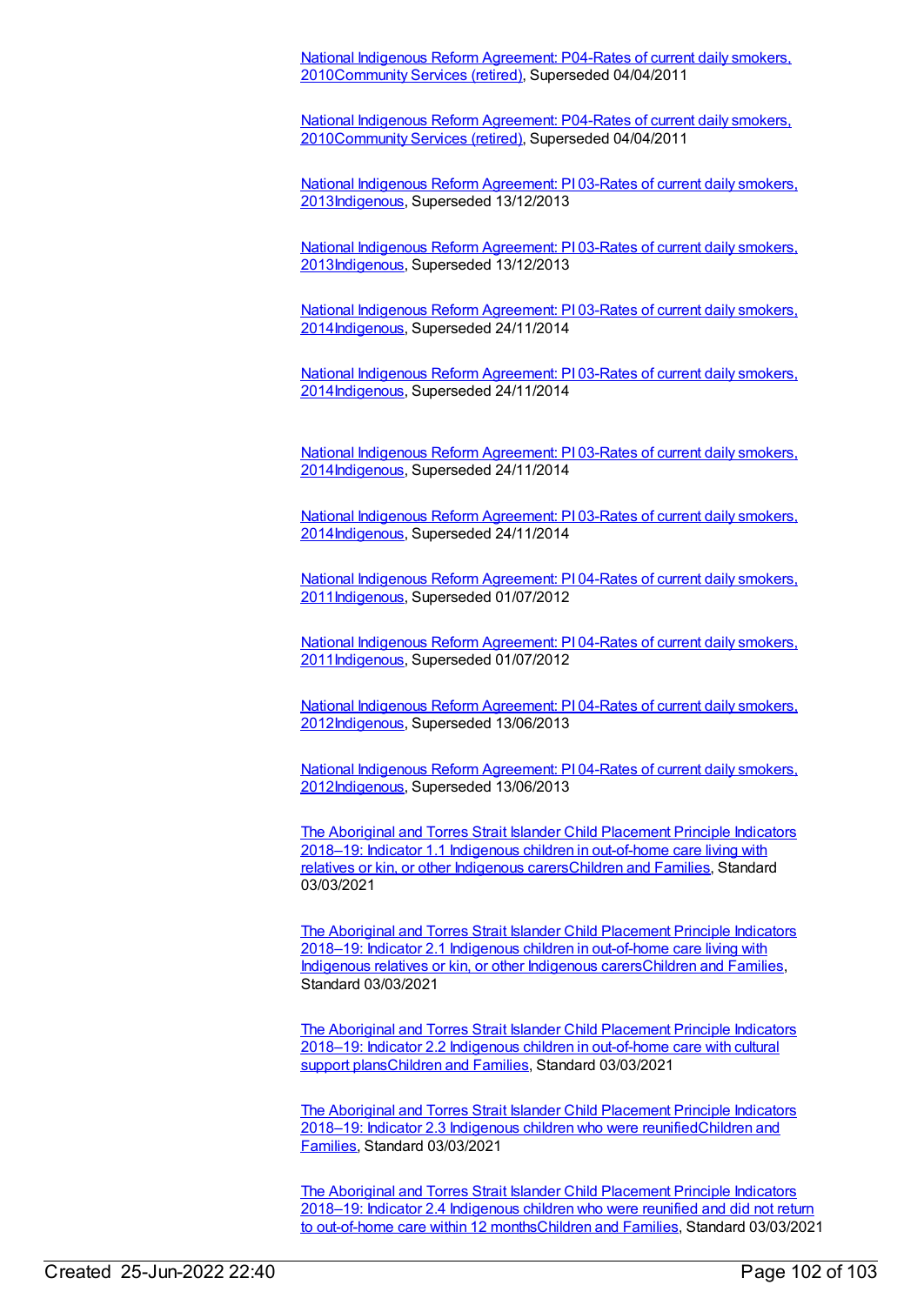National Indigenous Reform Agreement: P04-Rates of current daily smokers, [2010Community](https://meteor.aihw.gov.au/content/396393) Services (retired), Superseded 04/04/2011

National Indigenous Reform Agreement: P04-Rates of current daily smokers, [2010Community](https://meteor.aihw.gov.au/content/396393) Services (retired), Superseded 04/04/2011

National Indigenous Reform Agreement: PI 03-Rates of current daily smokers, [2013](https://meteor.aihw.gov.au/content/482972)[Indigenou](https://meteor.aihw.gov.au/RegistrationAuthority/6)[s,](https://meteor.aihw.gov.au/content/482972) Superseded 13/12/2013

National Indigenous Reform Agreement: PI 03-Rates of current daily smokers, [2013Indigenous,](https://meteor.aihw.gov.au/content/482972) Superseded 13/12/2013

National Indigenous Reform Agreement: PI 03-Rates of current daily smokers, [2014Indigenous,](https://meteor.aihw.gov.au/content/525831) Superseded 24/11/2014

National Indigenous Reform Agreement: PI 03-Rates of current daily smokers, [2014Indigenous,](https://meteor.aihw.gov.au/content/525831) Superseded 24/11/2014

National Indigenous Reform Agreement: PI 03-Rates of current daily smokers, [2014Indigenous,](https://meteor.aihw.gov.au/content/525831) Superseded 24/11/2014

National Indigenous Reform Agreement: PI 03-Rates of current daily smokers, [2014Indigenous,](https://meteor.aihw.gov.au/content/525831) Superseded 24/11/2014

National Indigenous Reform Agreement: PI 04-Rates of current daily smokers, [2011](https://meteor.aihw.gov.au/content/425769)[Indigenou](https://meteor.aihw.gov.au/RegistrationAuthority/6)[s,](https://meteor.aihw.gov.au/content/425769) Superseded 01/07/2012

National Indigenous Reform Agreement: PI 04-Rates of current daily smokers, [2011Indigenous,](https://meteor.aihw.gov.au/content/425769) Superseded 01/07/2012

National Indigenous Reform Agreement: PI 04-Rates of current daily smokers, [2012Indigenous,](https://meteor.aihw.gov.au/content/438495) Superseded 13/06/2013

National Indigenous Reform Agreement: PI 04-Rates of current daily smokers, [2012Indigenous,](https://meteor.aihw.gov.au/content/438495) Superseded 13/06/2013

The Aboriginal and Torres Strait Islander Child Placement Principle Indicators 2018–19: Indicator 1.1 Indigenous children in out-of-home care living with relatives or kin, or other Indigenous [carersChildren](https://meteor.aihw.gov.au/content/732691) and [Families](https://meteor.aihw.gov.au/RegistrationAuthority/17), Standard 03/03/2021

The Aboriginal and Torres Strait Islander Child Placement Principle Indicators 2018–19: Indicator 2.1 Indigenous children in out-of-home care living with Indigenous relatives or kin, or other Indigenous [carersChildren](https://meteor.aihw.gov.au/content/732697) and Families, Standard 03/03/2021

The Aboriginal and Torres Strait Islander Child Placement Principle Indicators 2018–19: Indicator 2.2 Indigenous children in out-of-home care with cultural support [plansChildren](https://meteor.aihw.gov.au/content/732707) and Families, Standard 03/03/2021

The Aboriginal and Torres Strait Islander Child Placement Principle Indicators 2018–19: Indicator 2.3 Indigenous children who were [reunifiedChildren](https://meteor.aihw.gov.au/RegistrationAuthority/17) and Families, Standard 03/03/2021

The Aboriginal and Torres Strait Islander Child Placement Principle Indicators 2018–19: Indicator 2.4 Indigenous children who were reunified and did not return to out-of-home care within 12 [monthsChildren](https://meteor.aihw.gov.au/content/732715) and Families, Standard 03/03/2021